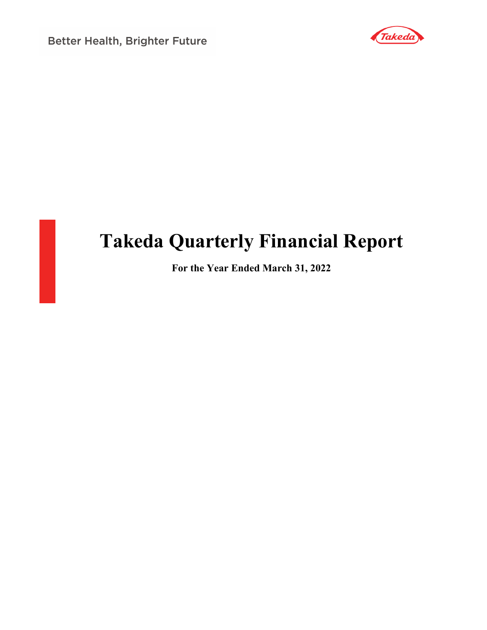**Better Health, Brighter Future** 





# **Takeda Quarterly Financial Report**

**For the Year Ended March 31, 2022**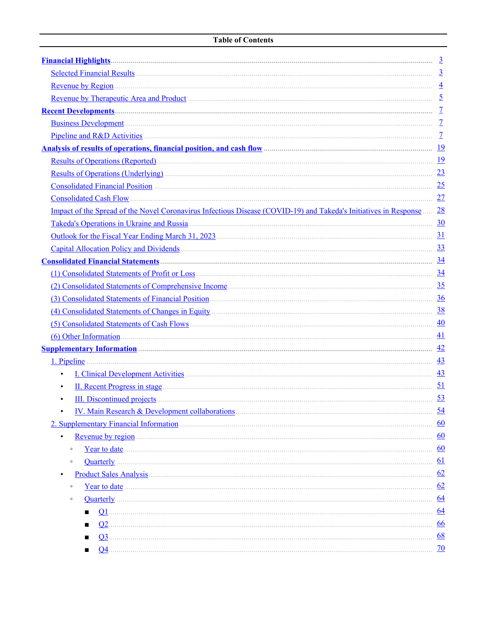<span id="page-1-0"></span>

| Selected Financial Results 3                                                                                                                                                                                                         |           |
|--------------------------------------------------------------------------------------------------------------------------------------------------------------------------------------------------------------------------------------|-----------|
|                                                                                                                                                                                                                                      |           |
| <u>Revenue by Therapeutic Area and Product (1990) and the substitution of the set of the set of the set of the set of the set of the set of the set of the set of the set of the set of the set of the set of the set of the set</u> |           |
|                                                                                                                                                                                                                                      |           |
| <u>Business Development</u> 2                                                                                                                                                                                                        |           |
| Pipeline and R&D Activities 2000 and R&D Activities 2000 and 2000 and 2000 and 2000 and 2000 and 2000 and 2000 and 2000 and 2000 and 2000 and 2000 and 2000 and 2000 and 2000 and 2000 and 2000 and 2000 and 2000 and 2000 and       |           |
| Analysis of results of operations, financial position, and cash flow <b>Example 20</b> intervention and the set of the                                                                                                               |           |
| <u>Results of Operations (Reported)</u>                                                                                                                                                                                              |           |
| Results of Operations (Underlying) 23                                                                                                                                                                                                |           |
| Consolidated Financial Position <i>material</i> construction of the state of the state of the state of the state of the state of the state of the state of the state of the state of the state of the state of the state of the sta  |           |
| Consolidated Cash Flow 27                                                                                                                                                                                                            |           |
| Impact of the Spread of the Novel Coronavirus Infectious Disease (COVID-19) and Takeda's Initiatives in Response  28                                                                                                                 |           |
| Takeda's Operations in Ukraine and Russia.                                                                                                                                                                                           |           |
|                                                                                                                                                                                                                                      |           |
|                                                                                                                                                                                                                                      |           |
|                                                                                                                                                                                                                                      |           |
|                                                                                                                                                                                                                                      |           |
| (2) Consolidated Statements of Comprehensive Income (2) Consolidated Statements of Comprehensive Income                                                                                                                              |           |
| (3) Consolidated Statements of Financial Position (3) Consolidated Statements of Financial Position                                                                                                                                  |           |
| (4) Consolidated Statements of Changes in Equity (2008) 28                                                                                                                                                                           |           |
| (5) Consolidated Statements of Cash Flows (5) Consolidated Statements of Cash Flows                                                                                                                                                  |           |
| $\frac{41}{2}$                                                                                                                                                                                                                       |           |
|                                                                                                                                                                                                                                      |           |
|                                                                                                                                                                                                                                      |           |
| $\bullet$                                                                                                                                                                                                                            |           |
| $\bullet$                                                                                                                                                                                                                            |           |
| $\bullet$                                                                                                                                                                                                                            |           |
| IV. Main Research & Development collaborations (2008) 2016 12:00 12:00 12:00 12:00 12:00 12:00 12:00 12:00 12:00 12:00 12:00 12:00 12:00 12:00 12:00 12:00 12:00 12:00 12:00 12:00 12:00 12:00 12:00 12:00 12:00 12:00 12:00 1       | 54        |
| 2. Supplementary Financial Information manufactured and the contract of the contract of the contract of the contract of the contract of the contract of the contract of the contract of the contract of the contract of the co       | 60        |
|                                                                                                                                                                                                                                      | 60        |
| $\circ$                                                                                                                                                                                                                              | 60        |
| <b>Quarterly</b><br>$\circ$                                                                                                                                                                                                          | 61        |
|                                                                                                                                                                                                                                      | 62        |
| $\circ$                                                                                                                                                                                                                              | 62        |
| $\circ$                                                                                                                                                                                                                              | 64        |
|                                                                                                                                                                                                                                      | 64        |
| Q <sub>2</sub><br>$\blacksquare$                                                                                                                                                                                                     | 66        |
| $Q_3$                                                                                                                                                                                                                                | 68        |
|                                                                                                                                                                                                                                      | <u>70</u> |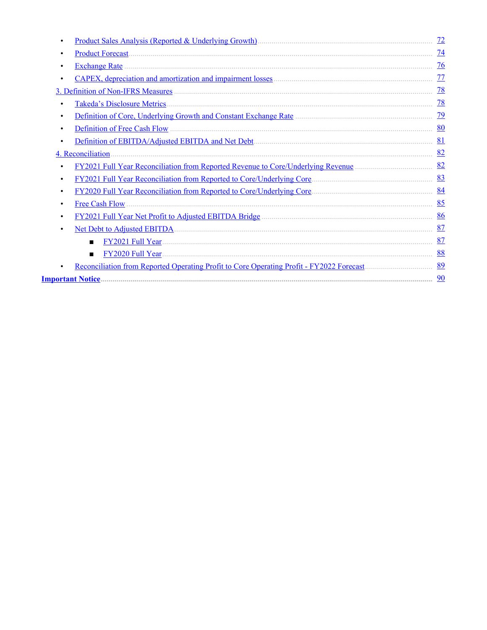| <u>Product Sales Analysis (Reported &amp; Underlying Growth)</u> [11] [2013] [2013] [2014] [2014] [2015] [2014] [2014] [2015] [2016] [2016] [2016] [2016] [2016] [2016] [2016] [2016] [2016] [2016] [2016] [2016] [2016] [2016] [2016] | 72              |
|----------------------------------------------------------------------------------------------------------------------------------------------------------------------------------------------------------------------------------------|-----------------|
| <b>Product Forecast</b>                                                                                                                                                                                                                | $\overline{14}$ |
| $\bullet$                                                                                                                                                                                                                              | $\overline{76}$ |
|                                                                                                                                                                                                                                        | 77              |
|                                                                                                                                                                                                                                        | $\frac{78}{2}$  |
| Takeda's Disclosure Metrics.<br>٠                                                                                                                                                                                                      | 78              |
| $\bullet$                                                                                                                                                                                                                              | $\overline{29}$ |
|                                                                                                                                                                                                                                        | 80              |
| $\bullet$                                                                                                                                                                                                                              | 81              |
| 4. Reconciliation.                                                                                                                                                                                                                     | 82              |
| FY2021 Full Year Reconciliation from Reported Revenue to Core/Underlying Revenue                                                                                                                                                       | 82              |
|                                                                                                                                                                                                                                        | 83              |
| $\bullet$                                                                                                                                                                                                                              | 84              |
| <b>Free Cash Flow</b><br>٠                                                                                                                                                                                                             | 85              |
| $\bullet$                                                                                                                                                                                                                              | 86              |
|                                                                                                                                                                                                                                        | 87              |
| $\blacksquare$                                                                                                                                                                                                                         | 87              |
| FY2020 Full Year<br>$\blacksquare$                                                                                                                                                                                                     | 88              |
| Reconciliation from Reported Operating Profit to Core Operating Profit - FY2022 Forecast                                                                                                                                               | 89              |
|                                                                                                                                                                                                                                        | 90              |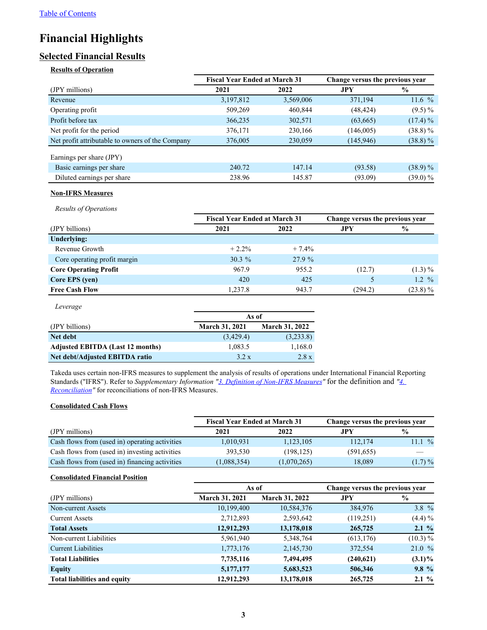# <span id="page-3-0"></span>**Financial Highlights**

# **Selected Financial Results**

#### **Results of Operation**

|                                                  | <b>Fiscal Year Ended at March 31</b> |           | Change versus the previous year |               |
|--------------------------------------------------|--------------------------------------|-----------|---------------------------------|---------------|
| (JPY millions)                                   | 2021                                 | 2022      | <b>JPY</b>                      | $\frac{6}{9}$ |
| Revenue                                          | 3,197,812                            | 3,569,006 | 371,194                         | 11.6 $%$      |
| Operating profit                                 | 509,269                              | 460,844   | (48, 424)                       | $(9.5)\%$     |
| Profit before tax                                | 366,235                              | 302,571   | (63,665)                        | $(17.4) \%$   |
| Net profit for the period                        | 376,171                              | 230,166   | (146,005)                       | $(38.8) \%$   |
| Net profit attributable to owners of the Company | 376,005                              | 230,059   | (145, 946)                      | $(38.8)\%$    |
| Earnings per share (JPY)                         |                                      |           |                                 |               |
| Basic earnings per share                         | 240.72                               | 147.14    | (93.58)                         | $(38.9)\%$    |
| Diluted earnings per share                       | 238.96                               | 145.87    | (93.09)                         | $(39.0)\%$    |

#### **Non-IFRS Measures**

*Results of Operations*

|                              | <b>Fiscal Year Ended at March 31</b> |         | Change versus the previous year |                   |
|------------------------------|--------------------------------------|---------|---------------------------------|-------------------|
| (JPY billions)               | 2021                                 | 2022    | JPY.                            | $\frac{0}{0}$     |
| Underlying:                  |                                      |         |                                 |                   |
| Revenue Growth               | $+2.2\%$                             | $+7.4%$ |                                 |                   |
| Core operating profit margin | $30.3\%$                             | 27.9%   |                                 |                   |
| <b>Core Operating Profit</b> | 967.9                                | 955.2   | (12.7)                          | $(1.3) \%$        |
| Core EPS (yen)               | 420                                  | 425     |                                 | $1.2 \frac{9}{6}$ |
| <b>Free Cash Flow</b>        | 1,237.8                              | 943.7   | (294.2)                         | $(23.8)\%$        |

| Leverage                                |                       |                       |
|-----------------------------------------|-----------------------|-----------------------|
|                                         | As of                 |                       |
| (JPY billions)                          | <b>March 31, 2021</b> | <b>March 31, 2022</b> |
| Net debt                                | (3,429.4)             | (3,233.8)             |
| <b>Adjusted EBITDA (Last 12 months)</b> | 1,083.5               | 1,168.0               |
| Net debt/Adjusted EBITDA ratio          | 3.2 x                 | 2.8 x                 |

Takeda uses certain non-IFRS measures to supplement the analysis of results of operations under International Financial Reporting Standards ("IFRS"). Refer to *Supplementary Information "[3. Definition of Non-IFRS Measures](#page-78-0)"* for the definition and *["4.](#page-82-0)  [Reconciliation"](#page-82-0)* for reconciliations of non-IFRS Measures.

#### **Consolidated Cash Flows**

|                                                | <b>Fiscal Year Ended at March 31</b> |             | Change versus the previous year |               |
|------------------------------------------------|--------------------------------------|-------------|---------------------------------|---------------|
| (JPY millions)                                 | 2021                                 | 2022        | .JPY                            | $\frac{6}{9}$ |
| Cash flows from (used in) operating activities | 1,010,931                            | 1,123,105   | 112,174                         | 11.1%         |
| Cash flows from (used in) investing activities | 393,530                              | (198, 125)  | (591, 655)                      |               |
| Cash flows from (used in) financing activities | (1,088,354)                          | (1,070,265) | 18,089                          | $(1.7) \%$    |

#### **Consolidated Financial Position**

|                                     | As of                 |                       | Change versus the previous year |               |
|-------------------------------------|-----------------------|-----------------------|---------------------------------|---------------|
| (JPY millions)                      | <b>March 31, 2021</b> | <b>March 31, 2022</b> | <b>JPY</b>                      | $\frac{0}{0}$ |
| Non-current Assets                  | 10,199,400            | 10,584,376            | 384,976                         | 3.8 $%$       |
| <b>Current Assets</b>               | 2,712,893             | 2,593,642             | (119,251)                       | $(4.4) \%$    |
| <b>Total Assets</b>                 | 12,912,293            | 13,178,018            | 265,725                         | $2.1 \%$      |
| Non-current Liabilities             | 5,961,940             | 5,348,764             | (613, 176)                      | (10.3) %      |
| <b>Current Liabilities</b>          | 1,773,176             | 2,145,730             | 372,554                         | 21.0%         |
| <b>Total Liabilities</b>            | 7,735,116             | 7,494,495             | (240,621)                       | $(3.1)\%$     |
| <b>Equity</b>                       | 5,177,177             | 5,683,523             | 506,346                         | $9.8 \%$      |
| <b>Total liabilities and equity</b> | 12,912,293            | 13,178,018            | 265,725                         | $2.1 \%$      |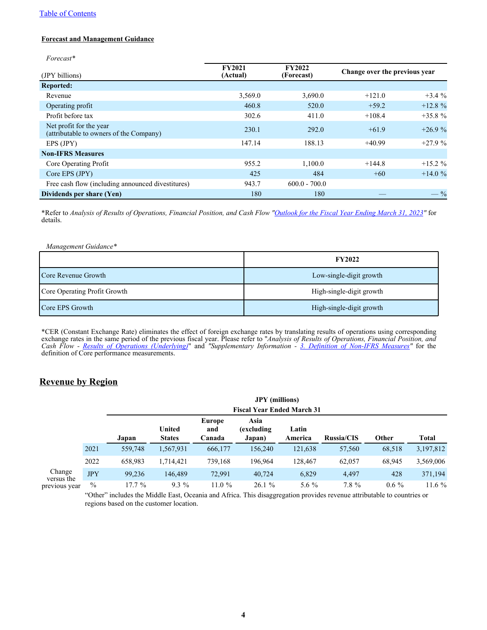#### <span id="page-4-0"></span>[Table of Contents](#page-1-0)

#### **Forecast and Management Guidance**

*Forecast\**

| (JPY billions)                                                     | <b>FY2021</b><br>(Actual) | <b>FY2022</b><br>(Forecast) | Change over the previous year |            |
|--------------------------------------------------------------------|---------------------------|-----------------------------|-------------------------------|------------|
| <b>Reported:</b>                                                   |                           |                             |                               |            |
| Revenue                                                            | 3,569.0                   | 3,690.0                     | $+121.0$                      | $+3.4%$    |
| Operating profit                                                   | 460.8                     | 520.0                       | $+59.2$                       | $+12.8%$   |
| Profit before tax                                                  | 302.6                     | 411.0                       | $+108.4$                      | $+35.8%$   |
| Net profit for the year<br>(attributable to owners of the Company) | 230.1                     | 292.0                       | $+61.9$                       | $+26.9%$   |
| EPS (JPY)                                                          | 147.14                    | 188.13                      | $+40.99$                      | $+27.9%$   |
| <b>Non-IFRS Measures</b>                                           |                           |                             |                               |            |
| Core Operating Profit                                              | 955.2                     | 1.100.0                     | $+144.8$                      | $+15.2 \%$ |
| Core EPS (JPY)                                                     | 425                       | 484                         | $+60$                         | $+14.0%$   |
| Free cash flow (including announced divestitures)                  | 943.7                     | $600.0 - 700.0$             |                               |            |
| Dividends per share (Yen)                                          | 180                       | 180                         |                               | $-$ %      |

\*Refer to *Analysis of Results of Operations, Financial Position, and Cash Flow ["Outlook for the Fiscal Year Ending March 31, 2023"](#page-31-0)* for details.

| Management Guidance*         |                          |
|------------------------------|--------------------------|
|                              | <b>FY2022</b>            |
| l Core Revenue Growth        | Low-single-digit growth  |
| Core Operating Profit Growth | High-single-digit growth |
| Core EPS Growth              | High-single-digit growth |

\*CER (Constant Exchange Rate) eliminates the effect of foreign exchange rates by translating results of operations using corresponding exchange rates in the same period of the previous fiscal year. Please refer to "*Analysis of Results of Operations, Financial Position, and Cash Flow - [Results of Operations \(Underlying](#page-23-0))*" and *"Supplementary Information - [3. Definition of Non-IFRS Measure](#page-78-0)s"* for the definition of Core performance measurements.

### **Revenue by Region**

|                                       |               | <b>JPY</b> (millions)<br><b>Fiscal Year Ended March 31</b> |                         |                         |                              |                  |                   |         |           |
|---------------------------------------|---------------|------------------------------------------------------------|-------------------------|-------------------------|------------------------------|------------------|-------------------|---------|-----------|
|                                       |               | Japan                                                      | United<br><b>States</b> | Europe<br>and<br>Canada | Asia<br>excluding)<br>Japan) | Latin<br>America | <b>Russia/CIS</b> | Other   | Total     |
| Change<br>versus the<br>previous year | 2021          | 559,748                                                    | 1,567,931               | 666,177                 | 156,240                      | 121,638          | 57,560            | 68,518  | 3,197,812 |
|                                       | 2022          | 658,983                                                    | 1,714,421               | 739,168                 | 196,964                      | 128,467          | 62,057            | 68,945  | 3,569,006 |
|                                       | <b>JPY</b>    | 99.236                                                     | 146.489                 | 72,991                  | 40,724                       | 6,829            | 4,497             | 428     | 371,194   |
|                                       | $\frac{0}{0}$ | $17.7\%$                                                   | $9.3\%$                 | 11.0%                   | 26.1%                        | 5.6 $%$          | 7.8 %             | $0.6\%$ | $11.6\%$  |

"Other" includes the Middle East, Oceania and Africa. This disaggregation provides revenue attributable to countries or regions based on the customer location.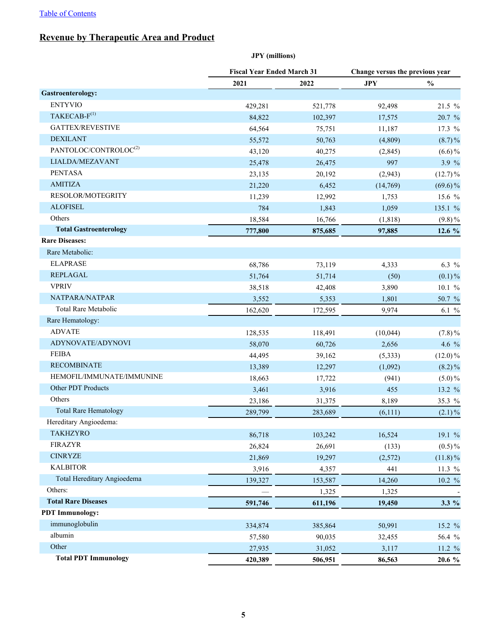# <span id="page-5-0"></span>**Revenue by Therapeutic Area and Product**

|                                   | <b>JPY</b> (millions)             |         |                                 |               |  |
|-----------------------------------|-----------------------------------|---------|---------------------------------|---------------|--|
|                                   | <b>Fiscal Year Ended March 31</b> |         | Change versus the previous year |               |  |
|                                   | 2021                              | 2022    | <b>JPY</b>                      | $\frac{0}{0}$ |  |
| <b>Gastroenterology:</b>          |                                   |         |                                 |               |  |
| <b>ENTYVIO</b>                    | 429,281                           | 521,778 | 92,498                          | 21.5 %        |  |
| TAKECAB-F <sup>(1)</sup>          | 84,822                            | 102,397 | 17,575                          | 20.7 %        |  |
| <b>GATTEX/REVESTIVE</b>           | 64,564                            | 75,751  | 11,187                          | 17.3 %        |  |
| <b>DEXILANT</b>                   | 55,572                            | 50,763  | (4,809)                         | $(8.7)\%$     |  |
| PANTOLOC/CONTROLOC <sup>(2)</sup> | 43,120                            | 40,275  | (2,845)                         | $(6.6)\%$     |  |
| LIALDA/MEZAVANT                   | 25,478                            | 26,475  | 997                             | 3.9%          |  |
| <b>PENTASA</b>                    | 23,135                            | 20,192  | (2,943)                         | $(12.7)\%$    |  |
| <b>AMITIZA</b>                    | 21,220                            | 6,452   | (14,769)                        | $(69.6)\%$    |  |
| RESOLOR/MOTEGRITY                 | 11,239                            | 12,992  | 1,753                           | 15.6 %        |  |
| <b>ALOFISEL</b>                   | 784                               | 1,843   | 1,059                           | 135.1 %       |  |
| Others                            | 18,584                            | 16,766  | (1, 818)                        | $(9.8)\%$     |  |
| <b>Total Gastroenterology</b>     | 777,800                           | 875,685 | 97,885                          | 12.6 %        |  |
| <b>Rare Diseases:</b>             |                                   |         |                                 |               |  |
| Rare Metabolic:                   |                                   |         |                                 |               |  |
| <b>ELAPRASE</b>                   | 68,786                            | 73,119  | 4,333                           | 6.3 $%$       |  |
| <b>REPLAGAL</b>                   | 51,764                            | 51,714  | (50)                            | $(0.1) \%$    |  |
| <b>VPRIV</b>                      | 38,518                            | 42,408  | 3,890                           | 10.1 %        |  |
| NATPARA/NATPAR                    | 3,552                             | 5,353   | 1,801                           | 50.7 %        |  |
| <b>Total Rare Metabolic</b>       | 162,620                           | 172,595 | 9,974                           | 6.1 $%$       |  |
| Rare Hematology:                  |                                   |         |                                 |               |  |
| <b>ADVATE</b>                     | 128,535                           | 118,491 | (10,044)                        | $(7.8) \%$    |  |
| ADYNOVATE/ADYNOVI                 | 58,070                            | 60,726  | 2,656                           | 4.6 %         |  |
| <b>FEIBA</b>                      | 44,495                            | 39,162  | (5,333)                         | $(12.0)\%$    |  |
| <b>RECOMBINATE</b>                | 13,389                            | 12,297  | (1,092)                         | $(8.2)\%$     |  |
| HEMOFIL/IMMUNATE/IMMUNINE         | 18,663                            | 17,722  | (941)                           | $(5.0)\%$     |  |
| Other PDT Products                | 3,461                             | 3,916   | 455                             | 13.2 %        |  |
| Others                            | 23,186                            | 31,375  | 8,189                           | 35.3 %        |  |
| <b>Total Rare Hematology</b>      | 289,799                           | 283,689 | (6,111)                         | $(2.1)\%$     |  |
| Hereditary Angioedema:            |                                   |         |                                 |               |  |
| <b>TAKHZYRO</b>                   | 86,718                            | 103,242 | 16,524                          | 19.1 %        |  |
| <b>FIRAZYR</b>                    | 26,824                            | 26,691  | (133)                           | $(0.5)\%$     |  |
| <b>CINRYZE</b>                    | 21,869                            | 19,297  | (2,572)                         | $(11.8)\%$    |  |
| <b>KALBITOR</b>                   | 3,916                             | 4,357   | 441                             | 11.3 %        |  |
| Total Hereditary Angioedema       | 139,327                           | 153,587 | 14,260                          | 10.2 %        |  |
| Others:                           |                                   | 1,325   | 1,325                           |               |  |
| <b>Total Rare Diseases</b>        | 591,746                           | 611,196 | 19,450                          | $3.3\%$       |  |
| <b>PDT</b> Immunology:            |                                   |         |                                 |               |  |
| immunoglobulin                    | 334,874                           | 385,864 | 50,991                          | 15.2 %        |  |
| albumin                           | 57,580                            | 90,035  | 32,455                          | 56.4 %        |  |
| Other                             | 27,935                            | 31,052  | 3,117                           | 11.2 %        |  |
| <b>Total PDT Immunology</b>       | 420,389                           | 506,951 | 86,563                          | 20.6 %        |  |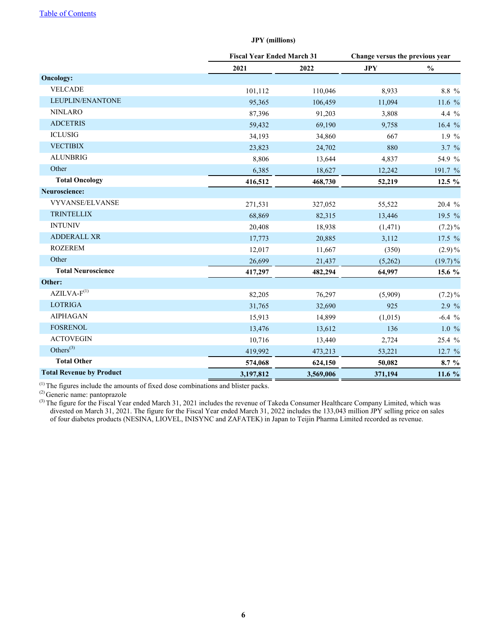|                                 |           | <b>Fiscal Year Ended March 31</b> |            | Change versus the previous year |
|---------------------------------|-----------|-----------------------------------|------------|---------------------------------|
|                                 | 2021      | 2022                              | <b>JPY</b> | $\frac{0}{0}$                   |
| <b>Oncology:</b>                |           |                                   |            |                                 |
| <b>VELCADE</b>                  | 101,112   | 110,046                           | 8,933      | 8.8 %                           |
| LEUPLIN/ENANTONE                | 95,365    | 106,459                           | 11,094     | 11.6 %                          |
| <b>NINLARO</b>                  | 87,396    | 91,203                            | 3,808      | 4.4 %                           |
| <b>ADCETRIS</b>                 | 59,432    | 69,190                            | 9,758      | 16.4 $%$                        |
| <b>ICLUSIG</b>                  | 34,193    | 34,860                            | 667        | 1.9 %                           |
| <b>VECTIBIX</b>                 | 23,823    | 24,702                            | 880        | 3.7 %                           |
| <b>ALUNBRIG</b>                 | 8,806     | 13,644                            | 4,837      | 54.9 %                          |
| Other                           | 6,385     | 18,627                            | 12,242     | 191.7 %                         |
| <b>Total Oncology</b>           | 416,512   | 468,730                           | 52,219     | 12.5 %                          |
| Neuroscience:                   |           |                                   |            |                                 |
| <b>VYVANSE/ELVANSE</b>          | 271,531   | 327,052                           | 55,522     | 20.4 %                          |
| <b>TRINTELLIX</b>               | 68,869    | 82,315                            | 13,446     | 19.5 %                          |
| <b>INTUNIV</b>                  | 20,408    | 18,938                            | (1, 471)   | $(7.2)\%$                       |
| <b>ADDERALL XR</b>              | 17,773    | 20,885                            | 3,112      | 17.5 %                          |
| <b>ROZEREM</b>                  | 12,017    | 11,667                            | (350)      | $(2.9)\%$                       |
| Other                           | 26,699    | 21,437                            | (5,262)    | $(19.7)\%$                      |
| <b>Total Neuroscience</b>       | 417,297   | 482,294                           | 64,997     | 15.6 %                          |
| Other:                          |           |                                   |            |                                 |
| $AZILVA-F(1)$                   | 82,205    | 76,297                            | (5,909)    | $(7.2)\%$                       |
| <b>LOTRIGA</b>                  | 31,765    | 32,690                            | 925        | $2.9 \%$                        |
| <b>AIPHAGAN</b>                 | 15,913    | 14,899                            | (1,015)    | $-6.4%$                         |
| <b>FOSRENOL</b>                 | 13,476    | 13,612                            | 136        | 1.0%                            |
| <b>ACTOVEGIN</b>                | 10,716    | 13,440                            | 2,724      | 25.4 %                          |
| Others $^{(3)}$                 | 419,992   | 473,213                           | 53,221     | 12.7 %                          |
| <b>Total Other</b>              | 574,068   | 624,150                           | 50,082     | 8.7 %                           |
| <b>Total Revenue by Product</b> | 3,197,812 | 3,569,006                         | 371,194    | 11.6 $%$                        |

#### **JPY (millions)**

 $<sup>(1)</sup>$  The figures include the amounts of fixed dose combinations and blister packs.</sup>

(2) Generic name: pantoprazole

 $(3)$  The figure for the Fiscal Year ended March 31, 2021 includes the revenue of Takeda Consumer Healthcare Company Limited, which was divested on March 31, 2021. The figure for the Fiscal Year ended March 31, 2022 includes the 133,043 million JPY selling price on sales of four diabetes products (NESINA, LIOVEL, INISYNC and ZAFATEK) in Japan to Teijin Pharma Limited recorded as revenue.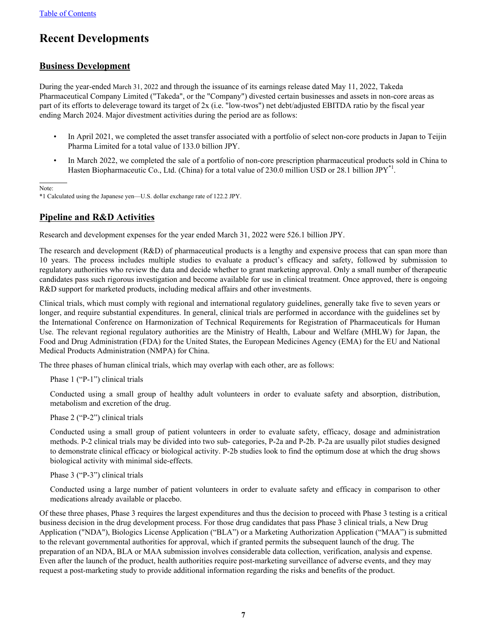# <span id="page-7-0"></span>**Recent Developments**

# **Business Development**

During the year-ended March 31, 2022 and through the issuance of its earnings release dated May 11, 2022, Takeda Pharmaceutical Company Limited ("Takeda", or the "Company") divested certain businesses and assets in non-core areas as part of its efforts to deleverage toward its target of 2x (i.e. "low-twos") net debt/adjusted EBITDA ratio by the fiscal year ending March 2024. Major divestment activities during the period are as follows:

- In April 2021, we completed the asset transfer associated with a portfolio of select non-core products in Japan to Teijin Pharma Limited for a total value of 133.0 billion JPY.
- In March 2022, we completed the sale of a portfolio of non-core prescription pharmaceutical products sold in China to Hasten Biopharmaceutic Co., Ltd. (China) for a total value of 230.0 million USD or 28.1 billion JPY<sup>\*1</sup>.

 $\overline{a}$ Note:

\*1 Calculated using the Japanese yen—U.S. dollar exchange rate of 122.2 JPY.

# **Pipeline and R&D Activities**

Research and development expenses for the year ended March 31, 2022 were 526.1 billion JPY.

The research and development (R&D) of pharmaceutical products is a lengthy and expensive process that can span more than 10 years. The process includes multiple studies to evaluate a product's efficacy and safety, followed by submission to regulatory authorities who review the data and decide whether to grant marketing approval. Only a small number of therapeutic candidates pass such rigorous investigation and become available for use in clinical treatment. Once approved, there is ongoing R&D support for marketed products, including medical affairs and other investments.

Clinical trials, which must comply with regional and international regulatory guidelines, generally take five to seven years or longer, and require substantial expenditures. In general, clinical trials are performed in accordance with the guidelines set by the International Conference on Harmonization of Technical Requirements for Registration of Pharmaceuticals for Human Use. The relevant regional regulatory authorities are the Ministry of Health, Labour and Welfare (MHLW) for Japan, the Food and Drug Administration (FDA) for the United States, the European Medicines Agency (EMA) for the EU and National Medical Products Administration (NMPA) for China.

The three phases of human clinical trials, which may overlap with each other, are as follows:

Phase 1 ("P-1") clinical trials

Conducted using a small group of healthy adult volunteers in order to evaluate safety and absorption, distribution, metabolism and excretion of the drug.

Phase 2 ("P-2") clinical trials

Conducted using a small group of patient volunteers in order to evaluate safety, efficacy, dosage and administration methods. P-2 clinical trials may be divided into two sub- categories, P-2a and P-2b. P-2a are usually pilot studies designed to demonstrate clinical efficacy or biological activity. P-2b studies look to find the optimum dose at which the drug shows biological activity with minimal side-effects.

Phase 3 ("P-3") clinical trials

Conducted using a large number of patient volunteers in order to evaluate safety and efficacy in comparison to other medications already available or placebo.

Of these three phases, Phase 3 requires the largest expenditures and thus the decision to proceed with Phase 3 testing is a critical business decision in the drug development process. For those drug candidates that pass Phase 3 clinical trials, a New Drug Application ("NDA"), Biologics License Application ("BLA") or a Marketing Authorization Application ("MAA") is submitted to the relevant governmental authorities for approval, which if granted permits the subsequent launch of the drug. The preparation of an NDA, BLA or MAA submission involves considerable data collection, verification, analysis and expense. Even after the launch of the product, health authorities require post-marketing surveillance of adverse events, and they may request a post-marketing study to provide additional information regarding the risks and benefits of the product.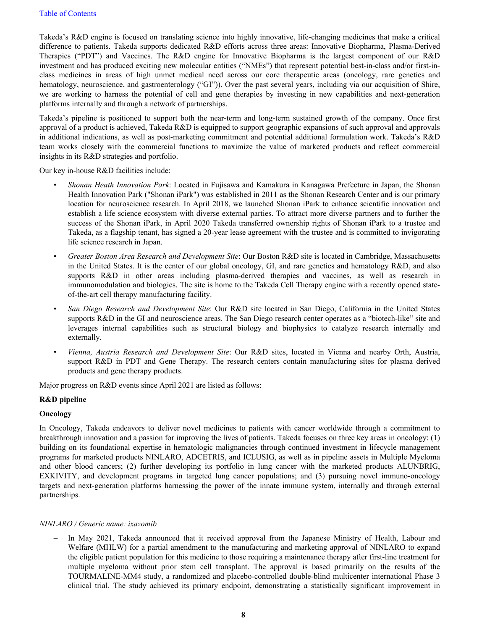Takeda's R&D engine is focused on translating science into highly innovative, life-changing medicines that make a critical difference to patients. Takeda supports dedicated R&D efforts across three areas: Innovative Biopharma, Plasma-Derived Therapies ("PDT") and Vaccines. The R&D engine for Innovative Biopharma is the largest component of our R&D investment and has produced exciting new molecular entities ("NMEs") that represent potential best-in-class and/or first-inclass medicines in areas of high unmet medical need across our core therapeutic areas (oncology, rare genetics and hematology, neuroscience, and gastroenterology ("GI")). Over the past several years, including via our acquisition of Shire, we are working to harness the potential of cell and gene therapies by investing in new capabilities and next-generation platforms internally and through a network of partnerships.

Takeda's pipeline is positioned to support both the near-term and long-term sustained growth of the company. Once first approval of a product is achieved, Takeda R&D is equipped to support geographic expansions of such approval and approvals in additional indications, as well as post-marketing commitment and potential additional formulation work. Takeda's R&D team works closely with the commercial functions to maximize the value of marketed products and reflect commercial insights in its R&D strategies and portfolio.

Our key in-house R&D facilities include:

- *Shonan Heath Innovation Park*: Located in Fujisawa and Kamakura in Kanagawa Prefecture in Japan, the Shonan Health Innovation Park ("Shonan iPark") was established in 2011 as the Shonan Research Center and is our primary location for neuroscience research. In April 2018, we launched Shonan iPark to enhance scientific innovation and establish a life science ecosystem with diverse external parties. To attract more diverse partners and to further the success of the Shonan iPark, in April 2020 Takeda transferred ownership rights of Shonan iPark to a trustee and Takeda, as a flagship tenant, has signed a 20-year lease agreement with the trustee and is committed to invigorating life science research in Japan.
- *Greater Boston Area Research and Development Site*: Our Boston R&D site is located in Cambridge, Massachusetts in the United States. It is the center of our global oncology, GI, and rare genetics and hematology R&D, and also supports R&D in other areas including plasma-derived therapies and vaccines, as well as research in immunomodulation and biologics. The site is home to the Takeda Cell Therapy engine with a recently opened stateof-the-art cell therapy manufacturing facility.
- *San Diego Research and Development Site*: Our R&D site located in San Diego, California in the United States supports R&D in the GI and neuroscience areas. The San Diego research center operates as a "biotech-like" site and leverages internal capabilities such as structural biology and biophysics to catalyze research internally and externally.
- *Vienna, Austria Research and Development Site*: Our R&D sites, located in Vienna and nearby Orth, Austria, support R&D in PDT and Gene Therapy. The research centers contain manufacturing sites for plasma derived products and gene therapy products.

Major progress on R&D events since April 2021 are listed as follows:

#### **R&D pipeline**

#### **Oncology**

In Oncology, Takeda endeavors to deliver novel medicines to patients with cancer worldwide through a commitment to breakthrough innovation and a passion for improving the lives of patients. Takeda focuses on three key areas in oncology: (1) building on its foundational expertise in hematologic malignancies through continued investment in lifecycle management programs for marketed products NINLARO, ADCETRIS, and ICLUSIG, as well as in pipeline assets in Multiple Myeloma and other blood cancers; (2) further developing its portfolio in lung cancer with the marketed products ALUNBRIG, EXKIVITY, and development programs in targeted lung cancer populations; and (3) pursuing novel immuno-oncology targets and next-generation platforms harnessing the power of the innate immune system, internally and through external partnerships.

#### *NINLARO / Generic name: ixazomib*

*–* In May 2021, Takeda announced that it received approval from the Japanese Ministry of Health, Labour and Welfare (MHLW) for a partial amendment to the manufacturing and marketing approval of NINLARO to expand the eligible patient population for this medicine to those requiring a maintenance therapy after first-line treatment for multiple myeloma without prior stem cell transplant. The approval is based primarily on the results of the TOURMALINE-MM4 study, a randomized and placebo-controlled double-blind multicenter international Phase 3 clinical trial. The study achieved its primary endpoint, demonstrating a statistically significant improvement in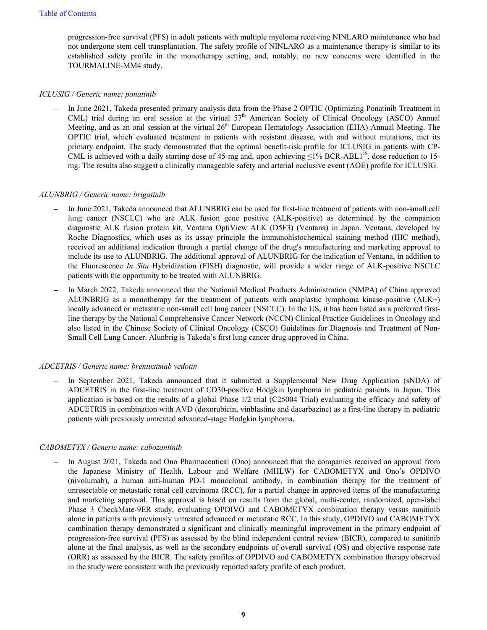progression-free survival (PFS) in adult patients with multiple myeloma receiving NINLARO maintenance who had not undergone stem cell transplantation. The safety profile of NINLARO as a maintenance therapy is similar to its established safety profile in the monotherapy setting, and, notably, no new concerns were identified in the TOURMALINE-MM4 study.

#### *ICLUSIG / Generic name: ponatinib*

*–* In June 2021, Takeda presented primary analysis data from the Phase 2 OPTIC (Optimizing Ponatinib Treatment in CML) trial during an oral session at the virtual 57<sup>th</sup> American Society of Clinical Oncology (ASCO) Annual Meeting, and as an oral session at the virtual 26<sup>th</sup> European Hematology Association (EHA) Annual Meeting. The OPTIC trial, which evaluated treatment in patients with resistant disease, with and without mutations, met its primary endpoint. The study demonstrated that the optimal benefit-risk profile for ICLUSIG in patients with CP-CML is achieved with a daily starting dose of 45-mg and, upon achieving  $\leq$ 1% BCR-ABL1<sup>IS</sup>, dose reduction to 15mg. The results also suggest a clinically manageable safety and arterial occlusive event (AOE) profile for ICLUSIG.

#### *ALUNBRIG / Generic name: brigatinib*

- *–* In June 2021, Takeda announced that ALUNBRIG can be used for first-line treatment of patients with non-small cell lung cancer (NSCLC) who are ALK fusion gene positive (ALK-positive) as determined by the companion diagnostic ALK fusion protein kit, Ventana OptiView ALK (D5F3) (Ventana) in Japan. Ventana, developed by Roche Diagnostics, which uses as its assay principle the immunohistochemical staining method (IHC method), received an additional indication through a partial change of the drug's manufacturing and marketing approval to include its use to ALUNBRIG. The additional approval of ALUNBRIG for the indication of Ventana, in addition to the Fluorescence *In Situ* Hybridization (FISH) diagnostic, will provide a wider range of ALK-positive NSCLC patients with the opportunity to be treated with ALUNBRIG.
- *–* In March 2022, Takeda announced that the National Medical Products Administration (NMPA) of China approved ALUNBRIG as a monotherapy for the treatment of patients with anaplastic lymphoma kinase-positive (ALK+) locally advanced or metastatic non-small cell lung cancer (NSCLC). In the US, it has been listed as a preferred firstline therapy by the National Comprehensive Cancer Network (NCCN) Clinical Practice Guidelines in Oncology and also listed in the Chinese Society of Clinical Oncology (CSCO) Guidelines for Diagnosis and Treatment of Non-Small Cell Lung Cancer. Alunbrig is Takeda's first lung cancer drug approved in China.

#### *ADCETRIS / Generic name: brentuximab vedotin*

In September 2021, Takeda announced that it submitted a Supplemental New Drug Application (sNDA) of ADCETRIS in the first-line treatment of CD30-positive Hodgkin lymphoma in pediatric patients in Japan. This application is based on the results of a global Phase 1/2 trial (C25004 Trial) evaluating the efficacy and safety of ADCETRIS in combination with AVD (doxorubicin, vinblastine and dacarbazine) as a first-line therapy in pediatric patients with previously untreated advanced-stage Hodgkin lymphoma.

#### *CABOMETYX / Generic name: cabozantinib*

*–* In August 2021, Takeda and Ono Pharmaceutical (Ono) announced that the companies received an approval from the Japanese Ministry of Health. Labour and Welfare (MHLW) for CABOMETYX and Ono's OPDIVO (nivolumab), a human anti-human PD-1 monoclonal antibody, in combination therapy for the treatment of unresectable or metastatic renal cell carcinoma (RCC), for a partial change in approved items of the manufacturing and marketing approval. This approval is based on results from the global, multi-center, randomized, open-label Phase 3 CheckMate-9ER study, evaluating OPDIVO and CABOMETYX combination therapy versus sunitinib alone in patients with previously untreated advanced or metastatic RCC. In this study, OPDIVO and CABOMETYX combination therapy demonstrated a significant and clinically meaningful improvement in the primary endpoint of progression-free survival (PFS) as assessed by the blind independent central review (BICR), compared to sunitinib alone at the final analysis, as well as the secondary endpoints of overall survival (OS) and objective response rate (ORR) as assessed by the BICR. The safety profiles of OPDIVO and CABOMETYX combination therapy observed in the study were consistent with the previously reported safety profile of each product.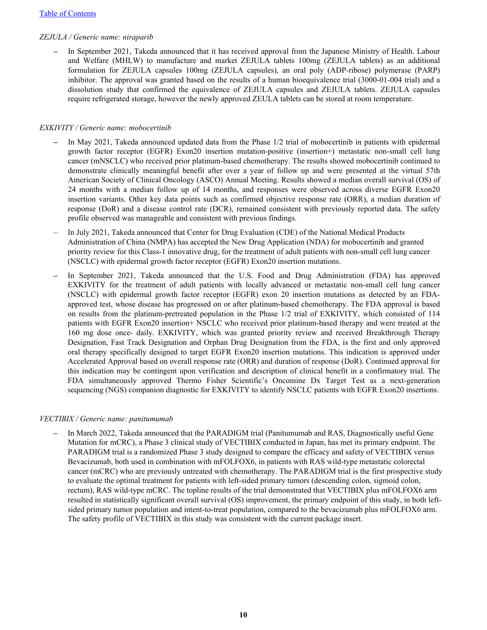#### *ZEJULA / Generic name: niraparib*

*–* In September 2021, Takeda announced that it has received approval from the Japanese Ministry of Health. Labour and Welfare (MHLW) to manufacture and market ZEJULA tablets 100mg (ZEJULA tablets) as an additional formulation for ZEJULA capsules 100mg (ZEJULA capsules), an oral poly (ADP-ribose) polymerase (PARP) inhibitor. The approval was granted based on the results of a human bioequivalence trial (3000-01-004 trial) and a dissolution study that confirmed the equivalence of ZEJULA capsules and ZEJULA tablets. ZEJULA capsules require refrigerated storage, however the newly approved ZEULA tablets can be stored at room temperature.

#### *EXKIVITY / Generic name: mobocertinib*

- *–* In May 2021, Takeda announced updated data from the Phase 1/2 trial of mobocertinib in patients with epidermal growth factor receptor (EGFR) Exon20 insertion mutation-positive (insertion+) metastatic non-small cell lung cancer (mNSCLC) who received prior platinum-based chemotherapy. The results showed mobocertinib continued to demonstrate clinically meaningful benefit after over a year of follow up and were presented at the virtual 57th American Society of Clinical Oncology (ASCO) Annual Meeting. Results showed a median overall survival (OS) of 24 months with a median follow up of 14 months, and responses were observed across diverse EGFR Exon20 insertion variants. Other key data points such as confirmed objective response rate (ORR), a median duration of response (DoR) and a disease control rate (DCR), remained consistent with previously reported data. The safety profile observed was manageable and consistent with previous findings.
- In July 2021, Takeda announced that Center for Drug Evaluation (CDE) of the National Medical Products Administration of China (NMPA) has accepted the New Drug Application (NDA) for mobocertinib and granted priority review for this Class-1 innovative drug, for the treatment of adult patients with non-small cell lung cancer (NSCLC) with epidermal growth factor receptor (EGFR) Exon20 insertion mutations.
- In September 2021, Takeda announced that the U.S. Food and Drug Administration (FDA) has approved EXKIVITY for the treatment of adult patients with locally advanced or metastatic non-small cell lung cancer (NSCLC) with epidermal growth factor receptor (EGFR) exon 20 insertion mutations as detected by an FDAapproved test, whose disease has progressed on or after platinum-based chemotherapy. The FDA approval is based on results from the platinum-pretreated population in the Phase 1/2 trial of EXKIVITY, which consisted of 114 patients with EGFR Exon20 insertion+ NSCLC who received prior platinum-based therapy and were treated at the 160 mg dose once- daily. EXKIVITY, which was granted priority review and received Breakthrough Therapy Designation, Fast Track Designation and Orphan Drug Designation from the FDA, is the first and only approved oral therapy specifically designed to target EGFR Exon20 insertion mutations. This indication is approved under Accelerated Approval based on overall response rate (ORR) and duration of response (DoR). Continued approval for this indication may be contingent upon verification and description of clinical benefit in a confirmatory trial. The FDA simultaneously approved Thermo Fisher Scientific's Oncomine Dx Target Test as a next-generation sequencing (NGS) companion diagnostic for EXKIVITY to identify NSCLC patients with EGFR Exon20 insertions.

#### *VECTIBIX / Generic name: panitumumab*

*–* In March 2022, Takeda announced that the PARADIGM trial (Panitumumab and RAS, Diagnostically useful Gene Mutation for mCRC), a Phase 3 clinical study of VECTIBIX conducted in Japan, has met its primary endpoint. The PARADIGM trial is a randomized Phase 3 study designed to compare the efficacy and safety of VECTIBIX versus Bevacizumab, both used in combination with mFOLFOX6, in patients with RAS wild-type metastatic colorectal cancer (mCRC) who are previously untreated with chemotherapy. The PARADIGM trial is the first prospective study to evaluate the optimal treatment for patients with left-sided primary tumors (descending colon, sigmoid colon, rectum), RAS wild-type mCRC. The topline results of the trial demonstrated that VECTIBIX plus mFOLFOX6 arm resulted in statistically significant overall survival (OS) improvement, the primary endpoint of this study, in both leftsided primary tumor population and intent-to-treat population, compared to the bevacizumab plus mFOLFOX6 arm. The safety profile of VECTIBIX in this study was consistent with the current package insert.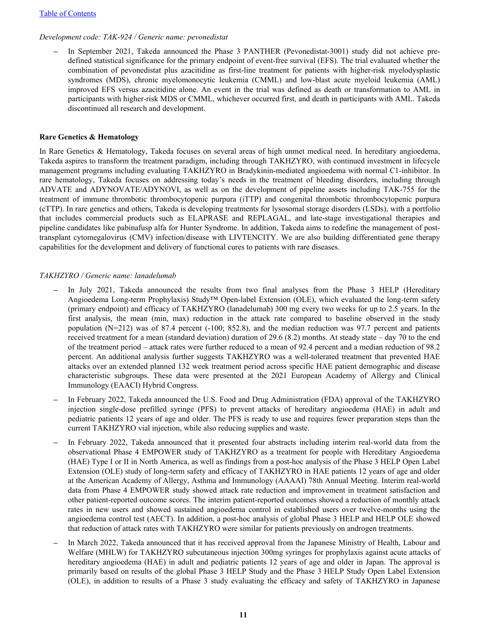#### *Development code: TAK-924 / Generic name: pevonedistat*

In September 2021, Takeda announced the Phase 3 PANTHER (Pevonedistat-3001) study did not achieve predefined statistical significance for the primary endpoint of event-free survival (EFS). The trial evaluated whether the combination of pevonedistat plus azacitidine as first-line treatment for patients with higher-risk myelodysplastic syndromes (MDS), chronic myelomonocytic leukemia (CMML) and low-blast acute myeloid leukemia (AML) improved EFS versus azacitidine alone. An event in the trial was defined as death or transformation to AML in participants with higher-risk MDS or CMML, whichever occurred first, and death in participants with AML. Takeda discontinued all research and development.

#### **Rare Genetics & Hematology**

In Rare Genetics & Hematology, Takeda focuses on several areas of high unmet medical need. In hereditary angioedema, Takeda aspires to transform the treatment paradigm, including through TAKHZYRO, with continued investment in lifecycle management programs including evaluating TAKHZYRO in Bradykinin-mediated angioedema with normal C1-inhibitor. In rare hematology, Takeda focuses on addressing today's needs in the treatment of bleeding disorders, including through ADVATE and ADYNOVATE/ADYNOVI, as well as on the development of pipeline assets including TAK-755 for the treatment of immune thrombotic thrombocytopenic purpura (iTTP) and congenital thrombotic thrombocytopenic purpura (cTTP). In rare genetics and others, Takeda is developing treatments for lysosomal storage disorders (LSDs), with a portfolio that includes commercial products such as ELAPRASE and REPLAGAL, and late-stage investigational therapies and pipeline candidates like pabinafusp alfa for Hunter Syndrome. In addition, Takeda aims to redefine the management of posttransplant cytomegalovirus (CMV) infection/disease with LIVTENCITY. We are also building differentiated gene therapy capabilities for the development and delivery of functional cures to patients with rare diseases.

#### *TAKHZYRO / Generic name: lanadelumab*

- *–* In July 2021, Takeda announced the results from two final analyses from the Phase 3 HELP (Hereditary Angioedema Long-term Prophylaxis) Study™ Open-label Extension (OLE), which evaluated the long-term safety (primary endpoint) and efficacy of TAKHZYRO (lanadelumab) 300 mg every two weeks for up to 2.5 years. In the first analysis, the mean (min, max) reduction in the attack rate compared to baseline observed in the study population  $(N=212)$  was of 87.4 percent (-100; 852.8), and the median reduction was 97.7 percent and patients received treatment for a mean (standard deviation) duration of 29.6 (8.2) months. At steady state – day 70 to the end of the treatment period – attack rates were further reduced to a mean of 92.4 percent and a median reduction of 98.2 percent. An additional analysis further suggests TAKHZYRO was a well-tolerated treatment that prevented HAE attacks over an extended planned 132 week treatment period across specific HAE patient demographic and disease characteristic subgroups. These data were presented at the 2021 European Academy of Allergy and Clinical Immunology (EAACI) Hybrid Congress.
- *–* In February 2022, Takeda announced the U.S. Food and Drug Administration (FDA) approval of the TAKHZYRO injection single-dose prefilled syringe (PFS) to prevent attacks of hereditary angioedema (HAE) in adult and pediatric patients 12 years of age and older. The PFS is ready to use and requires fewer preparation steps than the current TAKHZYRO vial injection, while also reducing supplies and waste.
- *–* In February 2022, Takeda announced that it presented four abstracts including interim real-world data from the observational Phase 4 EMPOWER study of TAKHZYRO as a treatment for people with Hereditary Angioedema (HAE) Type I or II in North America, as well as findings from a post-hoc analysis of the Phase 3 HELP Open Label Extension (OLE) study of long-term safety and efficacy of TAKHZYRO in HAE patients 12 years of age and older at the American Academy of Allergy, Asthma and Immunology (AAAAI) 78th Annual Meeting. Interim real-world data from Phase 4 EMPOWER study showed attack rate reduction and improvement in treatment satisfaction and other patient-reported outcome scores. The interim patient-reported outcomes showed a reduction of monthly attack rates in new users and showed sustained angioedema control in established users over twelve-months using the angioedema control test (AECT). In addition, a post-hoc analysis of global Phase 3 HELP and HELP OLE showed that reduction of attack rates with TAKHZYRO were similar for patients previously on androgen treatments.
- *–* In March 2022, Takeda announced that it has received approval from the Japanese Ministry of Health, Labour and Welfare (MHLW) for TAKHZYRO subcutaneous injection 300mg syringes for prophylaxis against acute attacks of hereditary angioedema (HAE) in adult and pediatric patients 12 years of age and older in Japan. The approval is primarily based on results of the global Phase 3 HELP Study and the Phase 3 HELP Study Open Label Extension (OLE), in addition to results of a Phase 3 study evaluating the efficacy and safety of TAKHZYRO in Japanese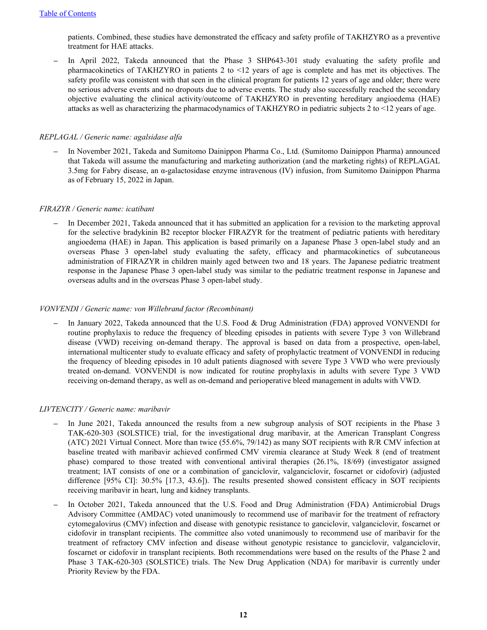patients. Combined, these studies have demonstrated the efficacy and safety profile of TAKHZYRO as a preventive treatment for HAE attacks.

In April 2022, Takeda announced that the Phase 3 SHP643-301 study evaluating the safety profile and pharmacokinetics of TAKHZYRO in patients 2 to <12 years of age is complete and has met its objectives. The safety profile was consistent with that seen in the clinical program for patients 12 years of age and older; there were no serious adverse events and no dropouts due to adverse events. The study also successfully reached the secondary objective evaluating the clinical activity/outcome of TAKHZYRO in preventing hereditary angioedema (HAE) attacks as well as characterizing the pharmacodynamics of TAKHZYRO in pediatric subjects 2 to <12 years of age.

#### *REPLAGAL / Generic name: agalsidase alfa*

*–* In November 2021, Takeda and Sumitomo Dainippon Pharma Co., Ltd. (Sumitomo Dainippon Pharma) announced that Takeda will assume the manufacturing and marketing authorization (and the marketing rights) of REPLAGAL 3.5mg for Fabry disease, an α-galactosidase enzyme intravenous (IV) infusion, from Sumitomo Dainippon Pharma as of February 15, 2022 in Japan.

#### *FIRAZYR / Generic name: icatibant*

*–* In December 2021, Takeda announced that it has submitted an application for a revision to the marketing approval for the selective bradykinin B2 receptor blocker FIRAZYR for the treatment of pediatric patients with hereditary angioedema (HAE) in Japan. This application is based primarily on a Japanese Phase 3 open-label study and an overseas Phase 3 open-label study evaluating the safety, efficacy and pharmacokinetics of subcutaneous administration of FIRAZYR in children mainly aged between two and 18 years. The Japanese pediatric treatment response in the Japanese Phase 3 open-label study was similar to the pediatric treatment response in Japanese and overseas adults and in the overseas Phase 3 open-label study.

#### *VONVENDI / Generic name: von Willebrand factor (Recombinant)*

*–* In January 2022, Takeda announced that the U.S. Food & Drug Administration (FDA) approved VONVENDI for routine prophylaxis to reduce the frequency of bleeding episodes in patients with severe Type 3 von Willebrand disease (VWD) receiving on-demand therapy. The approval is based on data from a prospective, open-label, international multicenter study to evaluate efficacy and safety of prophylactic treatment of VONVENDI in reducing the frequency of bleeding episodes in 10 adult patients diagnosed with severe Type 3 VWD who were previously treated on-demand. VONVENDI is now indicated for routine prophylaxis in adults with severe Type 3 VWD receiving on-demand therapy, as well as on-demand and perioperative bleed management in adults with VWD.

#### *LIVTENCITY / Generic name: maribavir*

- In June 2021, Takeda announced the results from a new subgroup analysis of SOT recipients in the Phase 3 TAK-620-303 (SOLSTICE) trial, for the investigational drug maribavir, at the American Transplant Congress (ATC) 2021 Virtual Connect. More than twice (55.6%, 79/142) as many SOT recipients with R/R CMV infection at baseline treated with maribavir achieved confirmed CMV viremia clearance at Study Week 8 (end of treatment phase) compared to those treated with conventional antiviral therapies (26.1%, 18/69) (investigator assigned treatment; IAT consists of one or a combination of ganciclovir, valganciclovir, foscarnet or cidofovir) (adjusted difference [95% CI]: 30.5% [17.3, 43.6]). The results presented showed consistent efficacy in SOT recipients receiving maribavir in heart, lung and kidney transplants.
- *–* In October 2021, Takeda announced that the U.S. Food and Drug Administration (FDA) Antimicrobial Drugs Advisory Committee (AMDAC) voted unanimously to recommend use of maribavir for the treatment of refractory cytomegalovirus (CMV) infection and disease with genotypic resistance to ganciclovir, valganciclovir, foscarnet or cidofovir in transplant recipients. The committee also voted unanimously to recommend use of maribavir for the treatment of refractory CMV infection and disease without genotypic resistance to ganciclovir, valganciclovir, foscarnet or cidofovir in transplant recipients. Both recommendations were based on the results of the Phase 2 and Phase 3 TAK-620-303 (SOLSTICE) trials. The New Drug Application (NDA) for maribavir is currently under Priority Review by the FDA.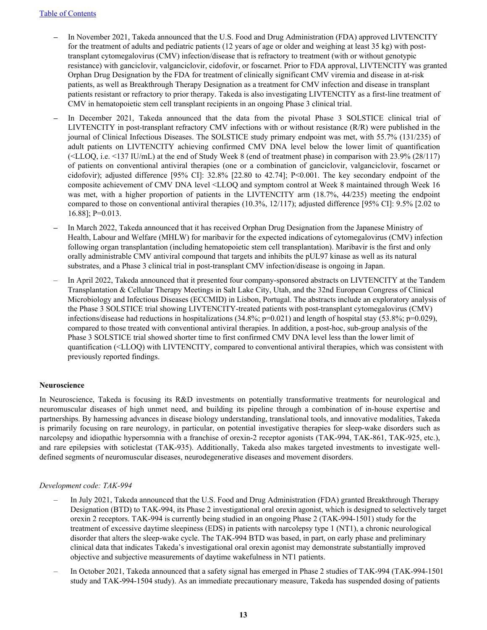- *–* In November 2021, Takeda announced that the U.S. Food and Drug Administration (FDA) approved LIVTENCITY for the treatment of adults and pediatric patients (12 years of age or older and weighing at least 35 kg) with posttransplant cytomegalovirus (CMV) infection/disease that is refractory to treatment (with or without genotypic resistance) with ganciclovir, valganciclovir, cidofovir, or foscarnet. Prior to FDA approval, LIVTENCITY was granted Orphan Drug Designation by the FDA for treatment of clinically significant CMV viremia and disease in at-risk patients, as well as Breakthrough Therapy Designation as a treatment for CMV infection and disease in transplant patients resistant or refractory to prior therapy. Takeda is also investigating LIVTENCITY as a first-line treatment of CMV in hematopoietic stem cell transplant recipients in an ongoing Phase 3 clinical trial.
- In December 2021, Takeda announced that the data from the pivotal Phase 3 SOLSTICE clinical trial of LIVTENCITY in post-transplant refractory CMV infections with or without resistance (R/R) were published in the journal of Clinical Infectious Diseases. The SOLSTICE study primary endpoint was met, with 55.7% (131/235) of adult patients on LIVTENCITY achieving confirmed CMV DNA level below the lower limit of quantification (<LLOQ, i.e. <137 IU/mL) at the end of Study Week 8 (end of treatment phase) in comparison with 23.9% (28/117) of patients on conventional antiviral therapies (one or a combination of ganciclovir, valganciclovir, foscarnet or cidofovir); adjusted difference [95% CI]: 32.8% [22.80 to 42.74]; P<0.001. The key secondary endpoint of the composite achievement of CMV DNA level <LLOQ and symptom control at Week 8 maintained through Week 16 was met, with a higher proportion of patients in the LIVTENCITY arm (18.7%, 44/235) meeting the endpoint compared to those on conventional antiviral therapies (10.3%, 12/117); adjusted difference [95% CI]: 9.5% [2.02 to 16.88]; P=0.013.
- *–* In March 2022, Takeda announced that it has received Orphan Drug Designation from the Japanese Ministry of Health, Labour and Welfare (MHLW) for maribavir for the expected indications of cytomegalovirus (CMV) infection following organ transplantation (including hematopoietic stem cell transplantation). Maribavir is the first and only orally administrable CMV antiviral compound that targets and inhibits the pUL97 kinase as well as its natural substrates, and a Phase 3 clinical trial in post-transplant CMV infection/disease is ongoing in Japan.
- In April 2022, Takeda announced that it presented four company-sponsored abstracts on LIVTENCITY at the Tandem Transplantation & Cellular Therapy Meetings in Salt Lake City, Utah, and the 32nd European Congress of Clinical Microbiology and Infectious Diseases (ECCMID) in Lisbon, Portugal. The abstracts include an exploratory analysis of the Phase 3 SOLSTICE trial showing LIVTENCITY-treated patients with post-transplant cytomegalovirus (CMV) infections/disease had reductions in hospitalizations (34.8%; p=0.021) and length of hospital stay (53.8%; p=0.029), compared to those treated with conventional antiviral therapies. In addition, a post-hoc, sub-group analysis of the Phase 3 SOLSTICE trial showed shorter time to first confirmed CMV DNA level less than the lower limit of quantification (<LLOQ) with LIVTENCITY, compared to conventional antiviral therapies, which was consistent with previously reported findings.

#### **Neuroscience**

In Neuroscience, Takeda is focusing its R&D investments on potentially transformative treatments for neurological and neuromuscular diseases of high unmet need, and building its pipeline through a combination of in-house expertise and partnerships. By harnessing advances in disease biology understanding, translational tools, and innovative modalities, Takeda is primarily focusing on rare neurology, in particular, on potential investigative therapies for sleep-wake disorders such as narcolepsy and idiopathic hypersomnia with a franchise of orexin-2 receptor agonists (TAK-994, TAK-861, TAK-925, etc.), and rare epilepsies with soticlestat (TAK-935). Additionally, Takeda also makes targeted investments to investigate welldefined segments of neuromuscular diseases, neurodegenerative diseases and movement disorders.

#### *Development code: TAK-994*

- In July 2021, Takeda announced that the U.S. Food and Drug Administration (FDA) granted Breakthrough Therapy Designation (BTD) to TAK-994, its Phase 2 investigational oral orexin agonist, which is designed to selectively target orexin 2 receptors. TAK-994 is currently being studied in an ongoing Phase 2 (TAK-994-1501) study for the treatment of excessive daytime sleepiness (EDS) in patients with narcolepsy type 1 (NT1), a chronic neurological disorder that alters the sleep-wake cycle. The TAK-994 BTD was based, in part, on early phase and preliminary clinical data that indicates Takeda's investigational oral orexin agonist may demonstrate substantially improved objective and subjective measurements of daytime wakefulness in NT1 patients.
- In October 2021, Takeda announced that a safety signal has emerged in Phase 2 studies of TAK-994 (TAK-994-1501 study and TAK-994-1504 study). As an immediate precautionary measure, Takeda has suspended dosing of patients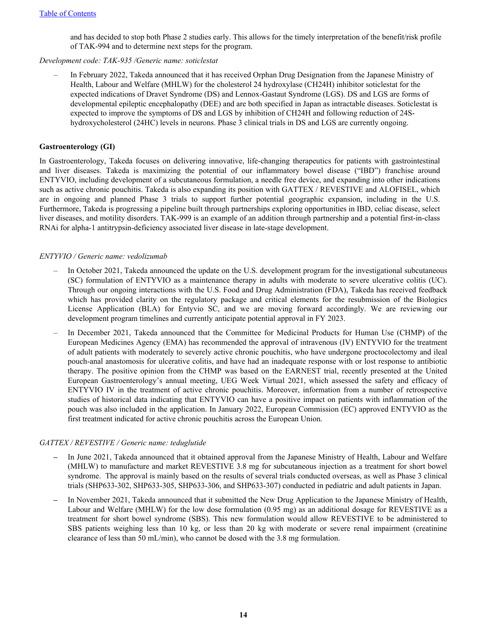and has decided to stop both Phase 2 studies early. This allows for the timely interpretation of the benefit/risk profile of TAK-994 and to determine next steps for the program.

#### *Development code: TAK-935 /Generic name: soticlestat*

– In February 2022, Takeda announced that it has received Orphan Drug Designation from the Japanese Ministry of Health, Labour and Welfare (MHLW) for the cholesterol 24 hydroxylase (CH24H) inhibitor soticlestat for the expected indications of Dravet Syndrome (DS) and Lennox-Gastaut Syndrome (LGS). DS and LGS are forms of developmental epileptic encephalopathy (DEE) and are both specified in Japan as intractable diseases. Soticlestat is expected to improve the symptoms of DS and LGS by inhibition of CH24H and following reduction of 24Shydroxycholesterol (24HC) levels in neurons. Phase 3 clinical trials in DS and LGS are currently ongoing.

#### **Gastroenterology (GI)**

In Gastroenterology, Takeda focuses on delivering innovative, life-changing therapeutics for patients with gastrointestinal and liver diseases. Takeda is maximizing the potential of our inflammatory bowel disease ("IBD") franchise around ENTYVIO, including development of a subcutaneous formulation, a needle free device, and expanding into other indications such as active chronic pouchitis. Takeda is also expanding its position with GATTEX / REVESTIVE and ALOFISEL, which are in ongoing and planned Phase 3 trials to support further potential geographic expansion, including in the U.S. Furthermore, Takeda is progressing a pipeline built through partnerships exploring opportunities in IBD, celiac disease, select liver diseases, and motility disorders. TAK-999 is an example of an addition through partnership and a potential first-in-class RNAi for alpha-1 antitrypsin-deficiency associated liver disease in late-stage development.

#### *ENTYVIO / Generic name: vedolizumab*

- In October 2021, Takeda announced the update on the U.S. development program for the investigational subcutaneous (SC) formulation of ENTYVIO as a maintenance therapy in adults with moderate to severe ulcerative colitis (UC). Through our ongoing interactions with the U.S. Food and Drug Administration (FDA), Takeda has received feedback which has provided clarity on the regulatory package and critical elements for the resubmission of the Biologics License Application (BLA) for Entyvio SC, and we are moving forward accordingly. We are reviewing our development program timelines and currently anticipate potential approval in FY 2023.
- In December 2021, Takeda announced that the Committee for Medicinal Products for Human Use (CHMP) of the European Medicines Agency (EMA) has recommended the approval of intravenous (IV) ENTYVIO for the treatment of adult patients with moderately to severely active chronic pouchitis, who have undergone proctocolectomy and ileal pouch-anal anastomosis for ulcerative colitis, and have had an inadequate response with or lost response to antibiotic therapy. The positive opinion from the CHMP was based on the EARNEST trial, recently presented at the United European Gastroenterology's annual meeting, UEG Week Virtual 2021, which assessed the safety and efficacy of ENTYVIO IV in the treatment of active chronic pouchitis. Moreover, information from a number of retrospective studies of historical data indicating that ENTYVIO can have a positive impact on patients with inflammation of the pouch was also included in the application. In January 2022, European Commission (EC) approved ENTYVIO as the first treatment indicated for active chronic pouchitis across the European Union.

#### *GATTEX / REVESTIVE / Generic name: teduglutide*

- *–* In June 2021, Takeda announced that it obtained approval from the Japanese Ministry of Health, Labour and Welfare (MHLW) to manufacture and market REVESTIVE 3.8 mg for subcutaneous injection as a treatment for short bowel syndrome. The approval is mainly based on the results of several trials conducted overseas, as well as Phase 3 clinical trials (SHP633-302, SHP633-305, SHP633-306, and SHP633-307) conducted in pediatric and adult patients in Japan.
- *–* In November 2021, Takeda announced that it submitted the New Drug Application to the Japanese Ministry of Health, Labour and Welfare (MHLW) for the low dose formulation (0.95 mg) as an additional dosage for REVESTIVE as a treatment for short bowel syndrome (SBS). This new formulation would allow REVESTIVE to be administered to SBS patients weighing less than 10 kg, or less than 20 kg with moderate or severe renal impairment (creatinine clearance of less than 50 mL/min), who cannot be dosed with the 3.8 mg formulation.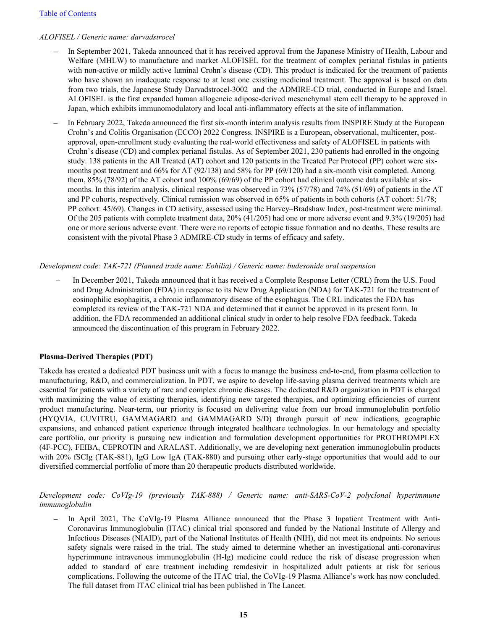#### [Table of Contents](#page-1-0)

#### *ALOFISEL / Generic name: darvadstrocel*

- *–* In September 2021, Takeda announced that it has received approval from the Japanese Ministry of Health, Labour and Welfare (MHLW) to manufacture and market ALOFISEL for the treatment of complex perianal fistulas in patients with non-active or mildly active luminal Crohn's disease (CD). This product is indicated for the treatment of patients who have shown an inadequate response to at least one existing medicinal treatment. The approval is based on data from two trials, the Japanese Study Darvadstrocel-3002 and the ADMIRE-CD trial, conducted in Europe and Israel. ALOFISEL is the first expanded human allogeneic adipose-derived mesenchymal stem cell therapy to be approved in Japan, which exhibits immunomodulatory and local anti-inflammatory effects at the site of inflammation.
- *–* In February 2022, Takeda announced the first six-month interim analysis results from INSPIRE Study at the European Crohn's and Colitis Organisation (ECCO) 2022 Congress. INSPIRE is a European, observational, multicenter, postapproval, open-enrollment study evaluating the real-world effectiveness and safety of ALOFISEL in patients with Crohn's disease (CD) and complex perianal fistulas. As of September 2021, 230 patients had enrolled in the ongoing study. 138 patients in the All Treated (AT) cohort and 120 patients in the Treated Per Protocol (PP) cohort were sixmonths post treatment and 66% for AT (92/138) and 58% for PP (69/120) had a six-month visit completed. Among them, 85% (78/92) of the AT cohort and 100% (69/69) of the PP cohort had clinical outcome data available at sixmonths. In this interim analysis, clinical response was observed in 73% (57/78) and 74% (51/69) of patients in the AT and PP cohorts, respectively. Clinical remission was observed in 65% of patients in both cohorts (AT cohort: 51/78; PP cohort: 45/69). Changes in CD activity, assessed using the Harvey–Bradshaw Index, post-treatment were minimal. Of the 205 patients with complete treatment data, 20% (41/205) had one or more adverse event and 9.3% (19/205) had one or more serious adverse event. There were no reports of ectopic tissue formation and no deaths. These results are consistent with the pivotal Phase 3 ADMIRE-CD study in terms of efficacy and safety.

#### *Development code: TAK-721 (Planned trade name: Eohilia) / Generic name: budesonide oral suspension*

– In December 2021, Takeda announced that it has received a Complete Response Letter (CRL) from the U.S. Food and Drug Administration (FDA) in response to its New Drug Application (NDA) for TAK-721 for the treatment of eosinophilic esophagitis, a chronic inflammatory disease of the esophagus. The CRL indicates the FDA has completed its review of the TAK-721 NDA and determined that it cannot be approved in its present form. In addition, the FDA recommended an additional clinical study in order to help resolve FDA feedback. Takeda announced the discontinuation of this program in February 2022.

#### **Plasma-Derived Therapies (PDT)**

Takeda has created a dedicated PDT business unit with a focus to manage the business end-to-end, from plasma collection to manufacturing, R&D, and commercialization. In PDT, we aspire to develop life-saving plasma derived treatments which are essential for patients with a variety of rare and complex chronic diseases. The dedicated R&D organization in PDT is charged with maximizing the value of existing therapies, identifying new targeted therapies, and optimizing efficiencies of current product manufacturing. Near-term, our priority is focused on delivering value from our broad immunoglobulin portfolio (HYQVIA, CUVITRU, GAMMAGARD and GAMMAGARD S/D) through pursuit of new indications, geographic expansions, and enhanced patient experience through integrated healthcare technologies. In our hematology and specialty care portfolio, our priority is pursuing new indication and formulation development opportunities for PROTHROMPLEX (4F-PCC), FEIBA, CEPROTIN and ARALAST. Additionally, we are developing next generation immunoglobulin products with 20% fSCIg (TAK-881), IgG Low IgA (TAK-880) and pursuing other early-stage opportunities that would add to our diversified commercial portfolio of more than 20 therapeutic products distributed worldwide.

#### *Development code: CoVIg-19 (previously TAK-888) / Generic name: anti-SARS-CoV-2 polyclonal hyperimmune immunoglobulin*

In April 2021, The CoVIg-19 Plasma Alliance announced that the Phase 3 Inpatient Treatment with Anti-Coronavirus Immunoglobulin (ITAC) clinical trial sponsored and funded by the National Institute of Allergy and Infectious Diseases (NIAID), part of the National Institutes of Health (NIH), did not meet its endpoints. No serious safety signals were raised in the trial. The study aimed to determine whether an investigational anti-coronavirus hyperimmune intravenous immunoglobulin (H-Ig) medicine could reduce the risk of disease progression when added to standard of care treatment including remdesivir in hospitalized adult patients at risk for serious complications. Following the outcome of the ITAC trial, the CoVIg-19 Plasma Alliance's work has now concluded. The full dataset from ITAC clinical trial has been published in The Lancet.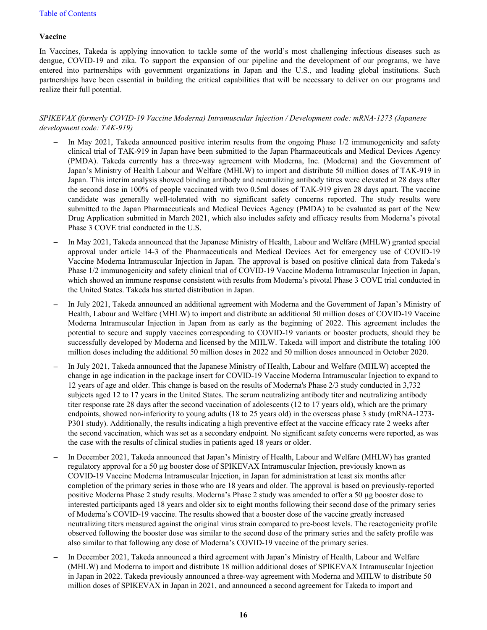#### **Vaccine**

In Vaccines, Takeda is applying innovation to tackle some of the world's most challenging infectious diseases such as dengue, COVID-19 and zika. To support the expansion of our pipeline and the development of our programs, we have entered into partnerships with government organizations in Japan and the U.S., and leading global institutions. Such partnerships have been essential in building the critical capabilities that will be necessary to deliver on our programs and realize their full potential.

#### *SPIKEVAX (formerly COVID-19 Vaccine Moderna) Intramuscular Injection / Development code: mRNA-1273 (Japanese development code: TAK-919)*

- *–* In May 2021, Takeda announced positive interim results from the ongoing Phase 1/2 immunogenicity and safety clinical trial of TAK-919 in Japan have been submitted to the Japan Pharmaceuticals and Medical Devices Agency (PMDA). Takeda currently has a three-way agreement with Moderna, Inc. (Moderna) and the Government of Japan's Ministry of Health Labour and Welfare (MHLW) to import and distribute 50 million doses of TAK-919 in Japan. This interim analysis showed binding antibody and neutralizing antibody titres were elevated at 28 days after the second dose in 100% of people vaccinated with two 0.5ml doses of TAK-919 given 28 days apart. The vaccine candidate was generally well-tolerated with no significant safety concerns reported. The study results were submitted to the Japan Pharmaceuticals and Medical Devices Agency (PMDA) to be evaluated as part of the New Drug Application submitted in March 2021, which also includes safety and efficacy results from Moderna's pivotal Phase 3 COVE trial conducted in the U.S.
- *–* In May 2021, Takeda announced that the Japanese Ministry of Health, Labour and Welfare (MHLW) granted special approval under article 14-3 of the Pharmaceuticals and Medical Devices Act for emergency use of COVID-19 Vaccine Moderna Intramuscular Injection in Japan. The approval is based on positive clinical data from Takeda's Phase 1/2 immunogenicity and safety clinical trial of COVID-19 Vaccine Moderna Intramuscular Injection in Japan, which showed an immune response consistent with results from Moderna's pivotal Phase 3 COVE trial conducted in the United States. Takeda has started distribution in Japan.
- *–* In July 2021, Takeda announced an additional agreement with Moderna and the Government of Japan's Ministry of Health, Labour and Welfare (MHLW) to import and distribute an additional 50 million doses of COVID-19 Vaccine Moderna Intramuscular Injection in Japan from as early as the beginning of 2022. This agreement includes the potential to secure and supply vaccines corresponding to COVID-19 variants or booster products, should they be successfully developed by Moderna and licensed by the MHLW. Takeda will import and distribute the totaling 100 million doses including the additional 50 million doses in 2022 and 50 million doses announced in October 2020.
- *–* In July 2021, Takeda announced that the Japanese Ministry of Health, Labour and Welfare (MHLW) accepted the change in age indication in the package insert for COVID-19 Vaccine Moderna Intramuscular Injection to expand to 12 years of age and older. This change is based on the results of Moderna's Phase 2/3 study conducted in 3,732 subjects aged 12 to 17 years in the United States. The serum neutralizing antibody titer and neutralizing antibody titer response rate 28 days after the second vaccination of adolescents (12 to 17 years old), which are the primary endpoints, showed non-inferiority to young adults (18 to 25 years old) in the overseas phase 3 study (mRNA-1273- P301 study). Additionally, the results indicating a high preventive effect at the vaccine efficacy rate 2 weeks after the second vaccination, which was set as a secondary endpoint. No significant safety concerns were reported, as was the case with the results of clinical studies in patients aged 18 years or older.
- *–* In December 2021, Takeda announced that Japan's Ministry of Health, Labour and Welfare (MHLW) has granted regulatory approval for a 50 µg booster dose of SPIKEVAX Intramuscular Injection, previously known as COVID-19 Vaccine Moderna Intramuscular Injection, in Japan for administration at least six months after completion of the primary series in those who are 18 years and older. The approval is based on previously-reported positive Moderna Phase 2 study results. Moderna's Phase 2 study was amended to offer a 50 µg booster dose to interested participants aged 18 years and older six to eight months following their second dose of the primary series of Moderna's COVID-19 vaccine. The results showed that a booster dose of the vaccine greatly increased neutralizing titers measured against the original virus strain compared to pre-boost levels. The reactogenicity profile observed following the booster dose was similar to the second dose of the primary series and the safety profile was also similar to that following any dose of Moderna's COVID-19 vaccine of the primary series.
- *–* In December 2021, Takeda announced a third agreement with Japan's Ministry of Health, Labour and Welfare (MHLW) and Moderna to import and distribute 18 million additional doses of SPIKEVAX Intramuscular Injection in Japan in 2022. Takeda previously announced a three-way agreement with Moderna and MHLW to distribute 50 million doses of SPIKEVAX in Japan in 2021, and announced a second agreement for Takeda to import and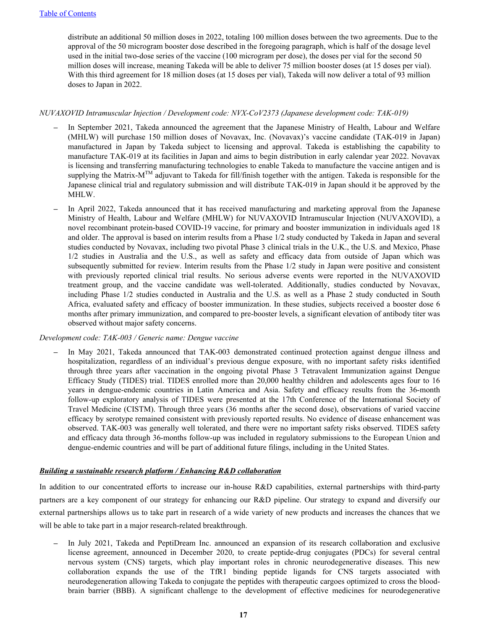distribute an additional 50 million doses in 2022, totaling 100 million doses between the two agreements. Due to the approval of the 50 microgram booster dose described in the foregoing paragraph, which is half of the dosage level used in the initial two-dose series of the vaccine (100 microgram per dose), the doses per vial for the second 50 million doses will increase, meaning Takeda will be able to deliver 75 million booster doses (at 15 doses per vial). With this third agreement for 18 million doses (at 15 doses per vial), Takeda will now deliver a total of 93 million doses to Japan in 2022.

#### *NUVAXOVID Intramuscular Injection / Development code: NVX-CoV2373 (Japanese development code: TAK-019)*

- *–* In September 2021, Takeda announced the agreement that the Japanese Ministry of Health, Labour and Welfare (MHLW) will purchase 150 million doses of Novavax, Inc. (Novavax)'s vaccine candidate (TAK-019 in Japan) manufactured in Japan by Takeda subject to licensing and approval. Takeda is establishing the capability to manufacture TAK-019 at its facilities in Japan and aims to begin distribution in early calendar year 2022. Novavax is licensing and transferring manufacturing technologies to enable Takeda to manufacture the vaccine antigen and is supplying the Matrix-M<sup>TM</sup> adjuvant to Takeda for fill/finish together with the antigen. Takeda is responsible for the Japanese clinical trial and regulatory submission and will distribute TAK-019 in Japan should it be approved by the MHLW.
- *–* In April 2022, Takeda announced that it has received manufacturing and marketing approval from the Japanese Ministry of Health, Labour and Welfare (MHLW) for NUVAXOVID Intramuscular Injection (NUVAXOVID), a novel recombinant protein-based COVID-19 vaccine, for primary and booster immunization in individuals aged 18 and older. The approval is based on interim results from a Phase 1/2 study conducted by Takeda in Japan and several studies conducted by Novavax, including two pivotal Phase 3 clinical trials in the U.K., the U.S. and Mexico, Phase 1/2 studies in Australia and the U.S., as well as safety and efficacy data from outside of Japan which was subsequently submitted for review. Interim results from the Phase 1/2 study in Japan were positive and consistent with previously reported clinical trial results. No serious adverse events were reported in the NUVAXOVID treatment group, and the vaccine candidate was well-tolerated. Additionally, studies conducted by Novavax, including Phase 1/2 studies conducted in Australia and the U.S. as well as a Phase 2 study conducted in South Africa, evaluated safety and efficacy of booster immunization. In these studies, subjects received a booster dose 6 months after primary immunization, and compared to pre-booster levels, a significant elevation of antibody titer was observed without major safety concerns.

#### *Development code: TAK-003 / Generic name: Dengue vaccine*

*–* In May 2021, Takeda announced that TAK-003 demonstrated continued protection against dengue illness and hospitalization, regardless of an individual's previous dengue exposure, with no important safety risks identified through three years after vaccination in the ongoing pivotal Phase 3 Tetravalent Immunization against Dengue Efficacy Study (TIDES) trial. TIDES enrolled more than 20,000 healthy children and adolescents ages four to 16 years in dengue-endemic countries in Latin America and Asia. Safety and efficacy results from the 36-month follow-up exploratory analysis of TIDES were presented at the 17th Conference of the International Society of Travel Medicine (CISTM). Through three years (36 months after the second dose), observations of varied vaccine efficacy by serotype remained consistent with previously reported results. No evidence of disease enhancement was observed. TAK-003 was generally well tolerated, and there were no important safety risks observed. TIDES safety and efficacy data through 36-months follow-up was included in regulatory submissions to the European Union and dengue-endemic countries and will be part of additional future filings, including in the United States.

#### *Building a sustainable research platform / Enhancing R&D collaboration*

In addition to our concentrated efforts to increase our in-house R&D capabilities, external partnerships with third-party partners are a key component of our strategy for enhancing our R&D pipeline. Our strategy to expand and diversify our external partnerships allows us to take part in research of a wide variety of new products and increases the chances that we will be able to take part in a major research-related breakthrough.

*–* In July 2021, Takeda and PeptiDream Inc. announced an expansion of its research collaboration and exclusive license agreement, announced in December 2020, to create peptide-drug conjugates (PDCs) for several central nervous system (CNS) targets, which play important roles in chronic neurodegenerative diseases. This new collaboration expands the use of the TfR1 binding peptide ligands for CNS targets associated with neurodegeneration allowing Takeda to conjugate the peptides with therapeutic cargoes optimized to cross the bloodbrain barrier (BBB). A significant challenge to the development of effective medicines for neurodegenerative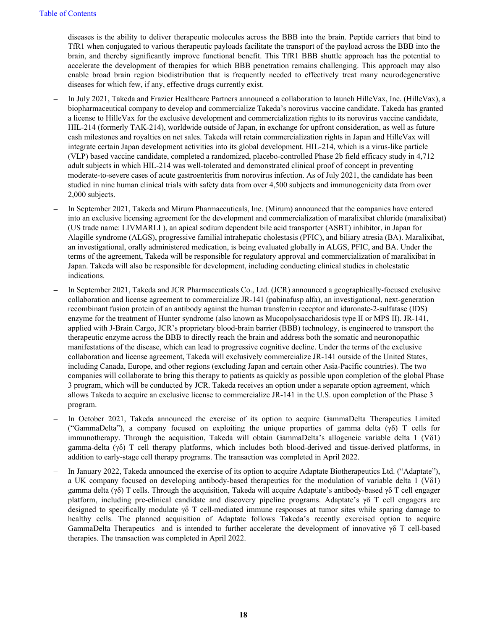diseases is the ability to deliver therapeutic molecules across the BBB into the brain. Peptide carriers that bind to TfR1 when conjugated to various therapeutic payloads facilitate the transport of the payload across the BBB into the brain, and thereby significantly improve functional benefit. This TfR1 BBB shuttle approach has the potential to accelerate the development of therapies for which BBB penetration remains challenging. This approach may also enable broad brain region biodistribution that is frequently needed to effectively treat many neurodegenerative diseases for which few, if any, effective drugs currently exist.

- *–* In July 2021, Takeda and Frazier Healthcare Partners announced a collaboration to launch HilleVax, Inc. (HilleVax), a biopharmaceutical company to develop and commercialize Takeda's norovirus vaccine candidate. Takeda has granted a license to HilleVax for the exclusive development and commercialization rights to its norovirus vaccine candidate, HIL-214 (formerly TAK-214), worldwide outside of Japan, in exchange for upfront consideration, as well as future cash milestones and royalties on net sales. Takeda will retain commercialization rights in Japan and HilleVax will integrate certain Japan development activities into its global development. HIL-214, which is a virus-like particle (VLP) based vaccine candidate, completed a randomized, placebo-controlled Phase 2b field efficacy study in 4,712 adult subjects in which HIL-214 was well-tolerated and demonstrated clinical proof of concept in preventing moderate-to-severe cases of acute gastroenteritis from norovirus infection. As of July 2021, the candidate has been studied in nine human clinical trials with safety data from over 4,500 subjects and immunogenicity data from over 2,000 subjects.
- *–* In September 2021, Takeda and Mirum Pharmaceuticals, Inc. (Mirum) announced that the companies have entered into an exclusive licensing agreement for the development and commercialization of maralixibat chloride (maralixibat) (US trade name: LIVMARLI ), an apical sodium dependent bile acid transporter (ASBT) inhibitor, in Japan for Alagille syndrome (ALGS), progressive familial intrahepatic cholestasis (PFIC), and biliary atresia (BA). Maralixibat, an investigational, orally administered medication, is being evaluated globally in ALGS, PFIC, and BA. Under the terms of the agreement, Takeda will be responsible for regulatory approval and commercialization of maralixibat in Japan. Takeda will also be responsible for development, including conducting clinical studies in cholestatic indications.
- *–* In September 2021, Takeda and JCR Pharmaceuticals Co., Ltd. (JCR) announced a geographically-focused exclusive collaboration and license agreement to commercialize JR-141 (pabinafusp alfa), an investigational, next-generation recombinant fusion protein of an antibody against the human transferrin receptor and iduronate-2-sulfatase (IDS) enzyme for the treatment of Hunter syndrome (also known as Mucopolysaccharidosis type II or MPS II). JR-141, applied with J-Brain Cargo, JCR's proprietary blood-brain barrier (BBB) technology, is engineered to transport the therapeutic enzyme across the BBB to directly reach the brain and address both the somatic and neuronopathic manifestations of the disease, which can lead to progressive cognitive decline. Under the terms of the exclusive collaboration and license agreement, Takeda will exclusively commercialize JR-141 outside of the United States, including Canada, Europe, and other regions (excluding Japan and certain other Asia-Pacific countries). The two companies will collaborate to bring this therapy to patients as quickly as possible upon completion of the global Phase 3 program, which will be conducted by JCR. Takeda receives an option under a separate option agreement, which allows Takeda to acquire an exclusive license to commercialize JR-141 in the U.S. upon completion of the Phase 3 program.
- In October 2021, Takeda announced the exercise of its option to acquire GammaDelta Therapeutics Limited ("GammaDelta"), a company focused on exploiting the unique properties of gamma delta (γδ) T cells for immunotherapy. Through the acquisition, Takeda will obtain GammaDelta's allogeneic variable delta 1 (Vδ1) gamma-delta (γδ) T cell therapy platforms, which includes both blood-derived and tissue-derived platforms, in addition to early-stage cell therapy programs. The transaction was completed in April 2022.
- In January 2022, Takeda announced the exercise of its option to acquire Adaptate Biotherapeutics Ltd. ("Adaptate"), a UK company focused on developing antibody-based therapeutics for the modulation of variable delta 1 (Vδ1) gamma delta (γδ) T cells. Through the acquisition, Takeda will acquire Adaptate's antibody-based γδ T cell engager platform, including pre-clinical candidate and discovery pipeline programs. Adaptate's γδ T cell engagers are designed to specifically modulate γδ T cell-mediated immune responses at tumor sites while sparing damage to healthy cells. The planned acquisition of Adaptate follows Takeda's recently exercised option to acquire GammaDelta Therapeutics and is intended to further accelerate the development of innovative γδ T cell-based therapies. The transaction was completed in April 2022.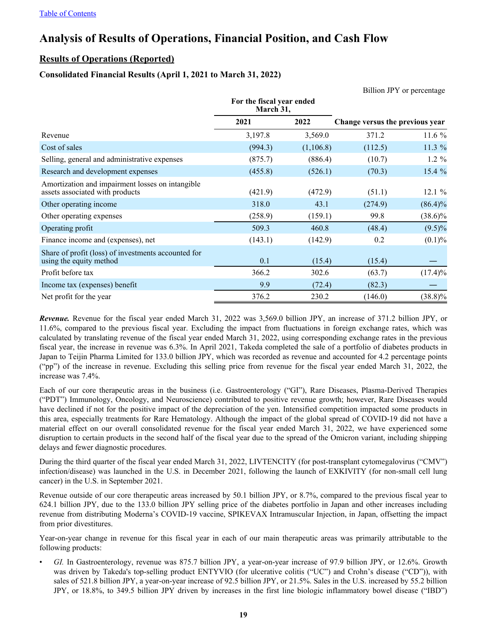# <span id="page-19-0"></span>**Analysis of Results of Operations, Financial Position, and Cash Flow**

# **Results of Operations (Reported)**

# **Consolidated Financial Results (April 1, 2021 to March 31, 2022)**

|                                                                                     |                                        |           |                                 | Billion JPY or percentage |
|-------------------------------------------------------------------------------------|----------------------------------------|-----------|---------------------------------|---------------------------|
|                                                                                     | For the fiscal year ended<br>March 31, |           |                                 |                           |
|                                                                                     | 2021                                   | 2022      | Change versus the previous year |                           |
| Revenue                                                                             | 3,197.8                                | 3,569.0   | 371.2                           | 11.6%                     |
| Cost of sales                                                                       | (994.3)                                | (1,106.8) | (112.5)                         | 11.3 %                    |
| Selling, general and administrative expenses                                        | (875.7)                                | (886.4)   | (10.7)                          | $1.2 \%$                  |
| Research and development expenses                                                   | (455.8)                                | (526.1)   | (70.3)                          | 15.4 %                    |
| Amortization and impairment losses on intangible<br>assets associated with products | (421.9)                                | (472.9)   | (51.1)                          | 12.1%                     |
| Other operating income                                                              | 318.0                                  | 43.1      | (274.9)                         | $(86.4)\%$                |
| Other operating expenses                                                            | (258.9)                                | (159.1)   | 99.8                            | $(38.6)\%$                |
| Operating profit                                                                    | 509.3                                  | 460.8     | (48.4)                          | $(9.5)\%$                 |
| Finance income and (expenses), net                                                  | (143.1)                                | (142.9)   | 0.2                             | (0.1)%                    |
| Share of profit (loss) of investments accounted for<br>using the equity method      | 0.1                                    | (15.4)    | (15.4)                          |                           |
| Profit before tax                                                                   | 366.2                                  | 302.6     | (63.7)                          | $(17.4)\%$                |
| Income tax (expenses) benefit                                                       | 9.9                                    | (72.4)    | (82.3)                          |                           |
| Net profit for the year                                                             | 376.2                                  | 230.2     | (146.0)                         | $(38.8)\%$                |

*Revenue.* Revenue for the fiscal year ended March 31, 2022 was 3,569.0 billion JPY, an increase of 371.2 billion JPY, or 11.6%, compared to the previous fiscal year. Excluding the impact from fluctuations in foreign exchange rates, which was calculated by translating revenue of the fiscal year ended March 31, 2022, using corresponding exchange rates in the previous fiscal year, the increase in revenue was 6.3%. In April 2021, Takeda completed the sale of a portfolio of diabetes products in Japan to Teijin Pharma Limited for 133.0 billion JPY, which was recorded as revenue and accounted for 4.2 percentage points ("pp") of the increase in revenue. Excluding this selling price from revenue for the fiscal year ended March 31, 2022, the increase was 7.4%.

Each of our core therapeutic areas in the business (i.e. Gastroenterology ("GI"), Rare Diseases, Plasma-Derived Therapies ("PDT") Immunology, Oncology, and Neuroscience) contributed to positive revenue growth; however, Rare Diseases would have declined if not for the positive impact of the depreciation of the yen. Intensified competition impacted some products in this area, especially treatments for Rare Hematology. Although the impact of the global spread of COVID-19 did not have a material effect on our overall consolidated revenue for the fiscal year ended March 31, 2022, we have experienced some disruption to certain products in the second half of the fiscal year due to the spread of the Omicron variant, including shipping delays and fewer diagnostic procedures.

During the third quarter of the fiscal year ended March 31, 2022, LIVTENCITY (for post-transplant cytomegalovirus ("CMV") infection/disease) was launched in the U.S. in December 2021, following the launch of EXKIVITY (for non-small cell lung cancer) in the U.S. in September 2021.

Revenue outside of our core therapeutic areas increased by 50.1 billion JPY, or 8.7%, compared to the previous fiscal year to 624.1 billion JPY, due to the 133.0 billion JPY selling price of the diabetes portfolio in Japan and other increases including revenue from distributing Moderna's COVID-19 vaccine, SPIKEVAX Intramuscular Injection, in Japan, offsetting the impact from prior divestitures.

Year-on-year change in revenue for this fiscal year in each of our main therapeutic areas was primarily attributable to the following products:

• *GI.* In Gastroenterology, revenue was 875.7 billion JPY, a year-on-year increase of 97.9 billion JPY, or 12.6%. Growth was driven by Takeda's top-selling product ENTYVIO (for ulcerative colitis ("UC") and Crohn's disease ("CD")), with sales of 521.8 billion JPY, a year-on-year increase of 92.5 billion JPY, or 21.5%. Sales in the U.S. increased by 55.2 billion JPY, or 18.8%, to 349.5 billion JPY driven by increases in the first line biologic inflammatory bowel disease ("IBD")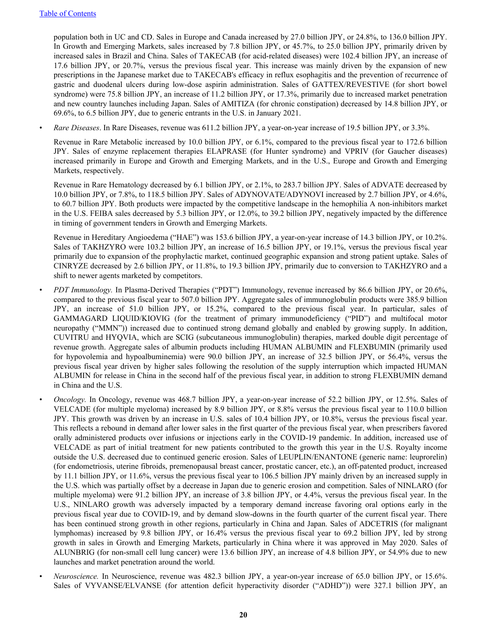population both in UC and CD. Sales in Europe and Canada increased by 27.0 billion JPY, or 24.8%, to 136.0 billion JPY. In Growth and Emerging Markets, sales increased by 7.8 billion JPY, or 45.7%, to 25.0 billion JPY, primarily driven by increased sales in Brazil and China. Sales of TAKECAB (for acid-related diseases) were 102.4 billion JPY, an increase of 17.6 billion JPY, or 20.7%, versus the previous fiscal year. This increase was mainly driven by the expansion of new prescriptions in the Japanese market due to TAKECAB's efficacy in reflux esophagitis and the prevention of recurrence of gastric and duodenal ulcers during low-dose aspirin administration. Sales of GATTEX/REVESTIVE (for short bowel syndrome) were 75.8 billion JPY, an increase of 11.2 billion JPY, or 17.3%, primarily due to increased market penetration and new country launches including Japan. Sales of AMITIZA (for chronic constipation) decreased by 14.8 billion JPY, or 69.6%, to 6.5 billion JPY, due to generic entrants in the U.S. in January 2021.

• *Rare Diseases*. In Rare Diseases, revenue was 611.2 billion JPY, a year-on-year increase of 19.5 billion JPY, or 3.3%.

Revenue in Rare Metabolic increased by 10.0 billion JPY, or 6.1%, compared to the previous fiscal year to 172.6 billion JPY. Sales of enzyme replacement therapies ELAPRASE (for Hunter syndrome) and VPRIV (for Gaucher diseases) increased primarily in Europe and Growth and Emerging Markets, and in the U.S., Europe and Growth and Emerging Markets, respectively.

Revenue in Rare Hematology decreased by 6.1 billion JPY, or 2.1%, to 283.7 billion JPY. Sales of ADVATE decreased by 10.0 billion JPY, or 7.8%, to 118.5 billion JPY. Sales of ADYNOVATE/ADYNOVI increased by 2.7 billion JPY, or 4.6%, to 60.7 billion JPY. Both products were impacted by the competitive landscape in the hemophilia A non-inhibitors market in the U.S. FEIBA sales decreased by 5.3 billion JPY, or 12.0%, to 39.2 billion JPY, negatively impacted by the difference in timing of government tenders in Growth and Emerging Markets.

Revenue in Hereditary Angioedema ("HAE") was 153.6 billion JPY, a year-on-year increase of 14.3 billion JPY, or 10.2%. Sales of TAKHZYRO were 103.2 billion JPY, an increase of 16.5 billion JPY, or 19.1%, versus the previous fiscal year primarily due to expansion of the prophylactic market, continued geographic expansion and strong patient uptake. Sales of CINRYZE decreased by 2.6 billion JPY, or 11.8%, to 19.3 billion JPY, primarily due to conversion to TAKHZYRO and a shift to newer agents marketed by competitors.

- *PDT Immunology.* In Plasma-Derived Therapies ("PDT") Immunology, revenue increased by 86.6 billion JPY, or 20.6%, compared to the previous fiscal year to 507.0 billion JPY. Aggregate sales of immunoglobulin products were 385.9 billion JPY, an increase of 51.0 billion JPY, or 15.2%, compared to the previous fiscal year. In particular, sales of GAMMAGARD LIQUID/KIOVIG (for the treatment of primary immunodeficiency ("PID") and multifocal motor neuropathy ("MMN")) increased due to continued strong demand globally and enabled by growing supply. In addition, CUVITRU and HYQVIA, which are SCIG (subcutaneous immunoglobulin) therapies, marked double digit percentage of revenue growth. Aggregate sales of albumin products including HUMAN ALBUMIN and FLEXBUMIN (primarily used for hypovolemia and hypoalbuminemia) were 90.0 billion JPY, an increase of 32.5 billion JPY, or 56.4%, versus the previous fiscal year driven by higher sales following the resolution of the supply interruption which impacted HUMAN ALBUMIN for release in China in the second half of the previous fiscal year, in addition to strong FLEXBUMIN demand in China and the U.S.
- *Oncology.* In Oncology, revenue was 468.7 billion JPY, a year-on-year increase of 52.2 billion JPY, or 12.5%. Sales of VELCADE (for multiple myeloma) increased by 8.9 billion JPY, or 8.8% versus the previous fiscal year to 110.0 billion JPY. This growth was driven by an increase in U.S. sales of 10.4 billion JPY, or 10.8%, versus the previous fiscal year. This reflects a rebound in demand after lower sales in the first quarter of the previous fiscal year, when prescribers favored orally administered products over infusions or injections early in the COVID-19 pandemic. In addition, increased use of VELCADE as part of initial treatment for new patients contributed to the growth this year in the U.S. Royalty income outside the U.S. decreased due to continued generic erosion. Sales of LEUPLIN/ENANTONE (generic name: leuprorelin) (for endometriosis, uterine fibroids, premenopausal breast cancer, prostatic cancer, etc.), an off-patented product, increased by 11.1 billion JPY, or 11.6%, versus the previous fiscal year to 106.5 billion JPY mainly driven by an increased supply in the U.S. which was partially offset by a decrease in Japan due to generic erosion and competition. Sales of NINLARO (for multiple myeloma) were 91.2 billion JPY, an increase of 3.8 billion JPY, or 4.4%, versus the previous fiscal year. In the U.S., NINLARO growth was adversely impacted by a temporary demand increase favoring oral options early in the previous fiscal year due to COVID-19, and by demand slow-downs in the fourth quarter of the current fiscal year. There has been continued strong growth in other regions, particularly in China and Japan. Sales of ADCETRIS (for malignant lymphomas) increased by 9.8 billion JPY, or 16.4% versus the previous fiscal year to 69.2 billion JPY, led by strong growth in sales in Growth and Emerging Markets, particularly in China where it was approved in May 2020. Sales of ALUNBRIG (for non-small cell lung cancer) were 13.6 billion JPY, an increase of 4.8 billion JPY, or 54.9% due to new launches and market penetration around the world.
- *Neuroscience.* In Neuroscience, revenue was 482.3 billion JPY, a year-on-year increase of 65.0 billion JPY, or 15.6%. Sales of VYVANSE/ELVANSE (for attention deficit hyperactivity disorder ("ADHD")) were 327.1 billion JPY, an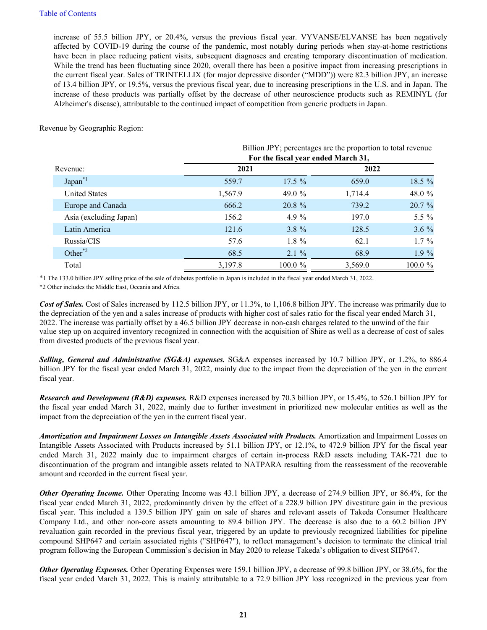increase of 55.5 billion JPY, or 20.4%, versus the previous fiscal year. VYVANSE/ELVANSE has been negatively affected by COVID-19 during the course of the pandemic, most notably during periods when stay-at-home restrictions have been in place reducing patient visits, subsequent diagnoses and creating temporary discontinuation of medication. While the trend has been fluctuating since 2020, overall there has been a positive impact from increasing prescriptions in the current fiscal year. Sales of TRINTELLIX (for major depressive disorder ("MDD")) were 82.3 billion JPY, an increase of 13.4 billion JPY, or 19.5%, versus the previous fiscal year, due to increasing prescriptions in the U.S. and in Japan. The increase of these products was partially offset by the decrease of other neuroscience products such as REMINYL (for Alzheimer's disease), attributable to the continued impact of competition from generic products in Japan.

Revenue by Geographic Region:

|                         | Billion JPY; percentages are the proportion to total revenue |                                     |         |         |  |  |
|-------------------------|--------------------------------------------------------------|-------------------------------------|---------|---------|--|--|
|                         |                                                              | For the fiscal year ended March 31, |         |         |  |  |
| Revenue:                | 2021                                                         |                                     | 2022    |         |  |  |
| $Japan^*$               | 559.7                                                        | $17.5 \%$                           | 659.0   | 18.5 %  |  |  |
| <b>United States</b>    | 1,567.9                                                      | 49.0 $%$                            | 1,714.4 | 48.0 %  |  |  |
| Europe and Canada       | 666.2                                                        | 20.8 %                              | 739.2   | 20.7 %  |  |  |
| Asia (excluding Japan)  | 156.2                                                        | 4.9 $\%$                            | 197.0   | 5.5 $%$ |  |  |
| Latin America           | 121.6                                                        | $3.8 \%$                            | 128.5   | $3.6\%$ |  |  |
| Russia/CIS              | 57.6                                                         | $1.8 \%$                            | 62.1    | $1.7\%$ |  |  |
| Other $^*$ <sup>2</sup> | 68.5                                                         | $2.1 \%$                            | 68.9    | $1.9\%$ |  |  |
| Total                   | 3,197.8                                                      | $100.0 \%$                          | 3,569.0 | 100.0 % |  |  |

\*1 The 133.0 billion JPY selling price of the sale of diabetes portfolio in Japan is included in the fiscal year ended March 31, 2022.

\*2 Other includes the Middle East, Oceania and Africa.

*Cost of Sales.* Cost of Sales increased by 112.5 billion JPY, or 11.3%, to 1,106.8 billion JPY. The increase was primarily due to the depreciation of the yen and a sales increase of products with higher cost of sales ratio for the fiscal year ended March 31, 2022. The increase was partially offset by a 46.5 billion JPY decrease in non-cash charges related to the unwind of the fair value step up on acquired inventory recognized in connection with the acquisition of Shire as well as a decrease of cost of sales from divested products of the previous fiscal year.

*Selling, General and Administrative (SG&A) expenses.* SG&A expenses increased by 10.7 billion JPY, or 1.2%, to 886.4 billion JPY for the fiscal year ended March 31, 2022, mainly due to the impact from the depreciation of the yen in the current fiscal year.

*Research and Development (R&D) expenses.* R&D expenses increased by 70.3 billion JPY, or 15.4%, to 526.1 billion JPY for the fiscal year ended March 31, 2022, mainly due to further investment in prioritized new molecular entities as well as the impact from the depreciation of the yen in the current fiscal year.

*Amortization and Impairment Losses on Intangible Assets Associated with Products.* Amortization and Impairment Losses on Intangible Assets Associated with Products increased by 51.1 billion JPY, or 12.1%, to 472.9 billion JPY for the fiscal year ended March 31, 2022 mainly due to impairment charges of certain in-process R&D assets including TAK-721 due to discontinuation of the program and intangible assets related to NATPARA resulting from the reassessment of the recoverable amount and recorded in the current fiscal year.

*Other Operating Income.* Other Operating Income was 43.1 billion JPY, a decrease of 274.9 billion JPY, or 86.4%, for the fiscal year ended March 31, 2022, predominantly driven by the effect of a 228.9 billion JPY divestiture gain in the previous fiscal year. This included a 139.5 billion JPY gain on sale of shares and relevant assets of Takeda Consumer Healthcare Company Ltd., and other non-core assets amounting to 89.4 billion JPY. The decrease is also due to a 60.2 billion JPY revaluation gain recorded in the previous fiscal year, triggered by an update to previously recognized liabilities for pipeline compound SHP647 and certain associated rights ("SHP647"), to reflect management's decision to terminate the clinical trial program following the European Commission's decision in May 2020 to release Takeda's obligation to divest SHP647.

*Other Operating Expenses.* Other Operating Expenses were 159.1 billion JPY, a decrease of 99.8 billion JPY, or 38.6%, for the fiscal year ended March 31, 2022. This is mainly attributable to a 72.9 billion JPY loss recognized in the previous year from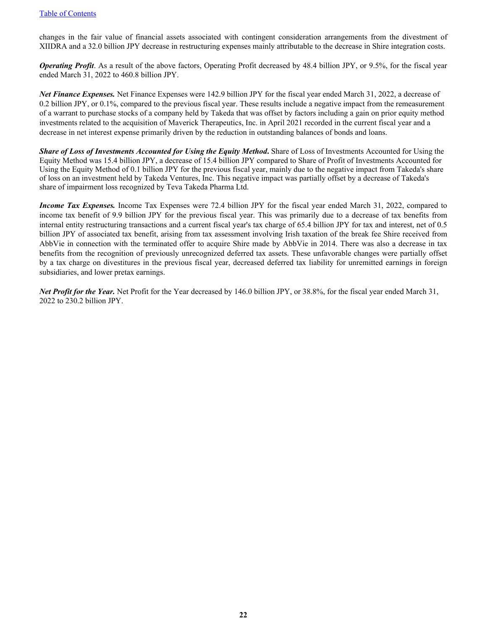changes in the fair value of financial assets associated with contingent consideration arrangements from the divestment of XIIDRA and a 32.0 billion JPY decrease in restructuring expenses mainly attributable to the decrease in Shire integration costs.

*Operating Profit*. As a result of the above factors, Operating Profit decreased by 48.4 billion JPY, or 9.5%, for the fiscal year ended March 31, 2022 to 460.8 billion JPY.

*Net Finance Expenses.* Net Finance Expenses were 142.9 billion JPY for the fiscal year ended March 31, 2022, a decrease of 0.2 billion JPY, or 0.1%, compared to the previous fiscal year. These results include a negative impact from the remeasurement of a warrant to purchase stocks of a company held by Takeda that was offset by factors including a gain on prior equity method investments related to the acquisition of Maverick Therapeutics, Inc. in April 2021 recorded in the current fiscal year and a decrease in net interest expense primarily driven by the reduction in outstanding balances of bonds and loans.

*Share of Loss of Investments Accounted for Using the Equity Method***.** Share of Loss of Investments Accounted for Using the Equity Method was 15.4 billion JPY, a decrease of 15.4 billion JPY compared to Share of Profit of Investments Accounted for Using the Equity Method of 0.1 billion JPY for the previous fiscal year, mainly due to the negative impact from Takeda's share of loss on an investment held by Takeda Ventures, Inc. This negative impact was partially offset by a decrease of Takeda's share of impairment loss recognized by Teva Takeda Pharma Ltd.

*Income Tax Expenses.* Income Tax Expenses were 72.4 billion JPY for the fiscal year ended March 31, 2022, compared to income tax benefit of 9.9 billion JPY for the previous fiscal year. This was primarily due to a decrease of tax benefits from internal entity restructuring transactions and a current fiscal year's tax charge of 65.4 billion JPY for tax and interest, net of 0.5 billion JPY of associated tax benefit, arising from tax assessment involving Irish taxation of the break fee Shire received from AbbVie in connection with the terminated offer to acquire Shire made by AbbVie in 2014. There was also a decrease in tax benefits from the recognition of previously unrecognized deferred tax assets. These unfavorable changes were partially offset by a tax charge on divestitures in the previous fiscal year, decreased deferred tax liability for unremitted earnings in foreign subsidiaries, and lower pretax earnings.

*Net Profit for the Year.* Net Profit for the Year decreased by 146.0 billion JPY, or 38.8%, for the fiscal year ended March 31, 2022 to 230.2 billion JPY.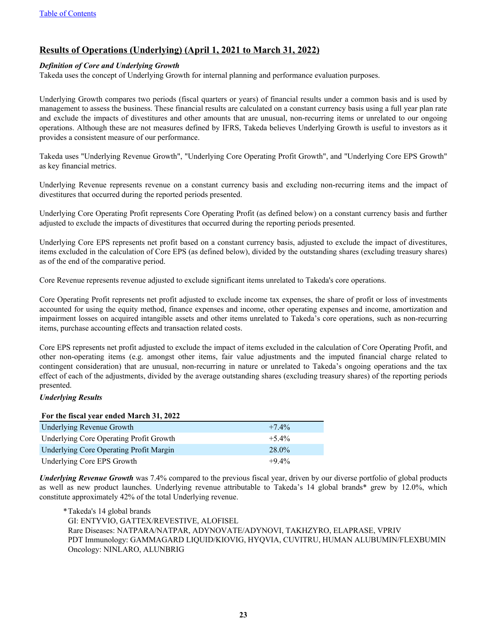# <span id="page-23-0"></span>**Results of Operations (Underlying) (April 1, 2021 to March 31, 2022)**

#### *Definition of Core and Underlying Growth*

Takeda uses the concept of Underlying Growth for internal planning and performance evaluation purposes.

Underlying Growth compares two periods (fiscal quarters or years) of financial results under a common basis and is used by management to assess the business. These financial results are calculated on a constant currency basis using a full year plan rate and exclude the impacts of divestitures and other amounts that are unusual, non-recurring items or unrelated to our ongoing operations. Although these are not measures defined by IFRS, Takeda believes Underlying Growth is useful to investors as it provides a consistent measure of our performance.

Takeda uses "Underlying Revenue Growth", "Underlying Core Operating Profit Growth", and "Underlying Core EPS Growth" as key financial metrics.

Underlying Revenue represents revenue on a constant currency basis and excluding non-recurring items and the impact of divestitures that occurred during the reported periods presented.

Underlying Core Operating Profit represents Core Operating Profit (as defined below) on a constant currency basis and further adjusted to exclude the impacts of divestitures that occurred during the reporting periods presented.

Underlying Core EPS represents net profit based on a constant currency basis, adjusted to exclude the impact of divestitures, items excluded in the calculation of Core EPS (as defined below), divided by the outstanding shares (excluding treasury shares) as of the end of the comparative period.

Core Revenue represents revenue adjusted to exclude significant items unrelated to Takeda's core operations.

Core Operating Profit represents net profit adjusted to exclude income tax expenses, the share of profit or loss of investments accounted for using the equity method, finance expenses and income, other operating expenses and income, amortization and impairment losses on acquired intangible assets and other items unrelated to Takeda's core operations, such as non-recurring items, purchase accounting effects and transaction related costs.

Core EPS represents net profit adjusted to exclude the impact of items excluded in the calculation of Core Operating Profit, and other non-operating items (e.g. amongst other items, fair value adjustments and the imputed financial charge related to contingent consideration) that are unusual, non-recurring in nature or unrelated to Takeda's ongoing operations and the tax effect of each of the adjustments, divided by the average outstanding shares (excluding treasury shares) of the reporting periods presented.

#### *Underlying Results*

#### **For the fiscal year ended March 31, 2022**

| <b>Underlying Revenue Growth</b>        | $+7.4\%$ |
|-----------------------------------------|----------|
| Underlying Core Operating Profit Growth | $+5.4\%$ |
| Underlying Core Operating Profit Margin | $28.0\%$ |
| Underlying Core EPS Growth              | $+9.4\%$ |

*Underlying Revenue Growth* was 7.4% compared to the previous fiscal year, driven by our diverse portfolio of global products as well as new product launches. Underlying revenue attributable to Takeda's 14 global brands\* grew by 12.0%, which constitute approximately 42% of the total Underlying revenue.

 \* Takeda's 14 global brands GI: ENTYVIO, GATTEX/REVESTIVE, ALOFISEL Rare Diseases: NATPARA/NATPAR, ADYNOVATE/ADYNOVI, TAKHZYRO, ELAPRASE, VPRIV PDT Immunology: GAMMAGARD LIQUID/KIOVIG, HYQVIA, CUVITRU, HUMAN ALUBUMIN/FLEXBUMIN Oncology: NINLARO, ALUNBRIG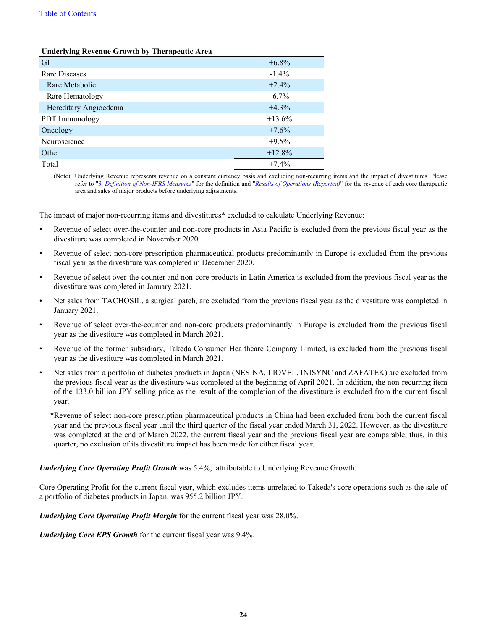#### [Table of Contents](#page-1-0)

#### **Underlying Revenue Growth by Therapeutic Area**

| <b>GI</b>             | $+6.8\%$  |
|-----------------------|-----------|
| Rare Diseases         | $-1.4\%$  |
| Rare Metabolic        | $+2.4%$   |
| Rare Hematology       | $-6.7\%$  |
| Hereditary Angioedema | $+4.3%$   |
| PDT Immunology        | $+13.6\%$ |
| Oncology              | $+7.6%$   |
| Neuroscience          | $+9.5%$   |
| Other                 | $+12.8%$  |
| Total                 | $+7.4%$   |

(Note) Underlying Revenue represents revenue on a constant currency basis and excluding non-recurring items and the impact of divestitures. Please refer to "*[3. Definition of Non-IFRS Measures](#page-78-0)*" for the definition and "*[Results of Operations \(Reported\)](#page-19-0)*" for the revenue of each core therapeutic area and sales of major products before underlying adjustments.

The impact of major non-recurring items and divestitures\* excluded to calculate Underlying Revenue:

- Revenue of select over-the-counter and non-core products in Asia Pacific is excluded from the previous fiscal year as the divestiture was completed in November 2020.
- Revenue of select non-core prescription pharmaceutical products predominantly in Europe is excluded from the previous fiscal year as the divestiture was completed in December 2020.
- Revenue of select over-the-counter and non-core products in Latin America is excluded from the previous fiscal year as the divestiture was completed in January 2021.
- Net sales from TACHOSIL, a surgical patch, are excluded from the previous fiscal year as the divestiture was completed in January 2021.
- Revenue of select over-the-counter and non-core products predominantly in Europe is excluded from the previous fiscal year as the divestiture was completed in March 2021.
- Revenue of the former subsidiary, Takeda Consumer Healthcare Company Limited, is excluded from the previous fiscal year as the divestiture was completed in March 2021.
- Net sales from a portfolio of diabetes products in Japan (NESINA, LIOVEL, INISYNC and ZAFATEK) are excluded from the previous fiscal year as the divestiture was completed at the beginning of April 2021. In addition, the non-recurring item of the 133.0 billion JPY selling price as the result of the completion of the divestiture is excluded from the current fiscal year.
	- \*Revenue of select non-core prescription pharmaceutical products in China had been excluded from both the current fiscal year and the previous fiscal year until the third quarter of the fiscal year ended March 31, 2022. However, as the divestiture was completed at the end of March 2022, the current fiscal year and the previous fiscal year are comparable, thus, in this quarter, no exclusion of its divestiture impact has been made for either fiscal year.

#### *Underlying Core Operating Profit Growth* was 5.4%, attributable to Underlying Revenue Growth.

Core Operating Profit for the current fiscal year, which excludes items unrelated to Takeda's core operations such as the sale of a portfolio of diabetes products in Japan, was 955.2 billion JPY.

*Underlying Core Operating Profit Margin* for the current fiscal year was 28.0%.

*Underlying Core EPS Growth* for the current fiscal year was 9.4%.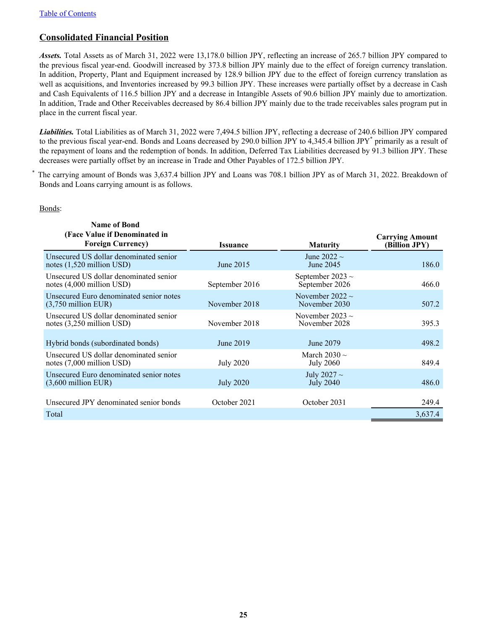# <span id="page-25-0"></span>**Consolidated Financial Position**

*Assets.* Total Assets as of March 31, 2022 were 13,178.0 billion JPY, reflecting an increase of 265.7 billion JPY compared to the previous fiscal year-end. Goodwill increased by 373.8 billion JPY mainly due to the effect of foreign currency translation. In addition, Property, Plant and Equipment increased by 128.9 billion JPY due to the effect of foreign currency translation as well as acquisitions, and Inventories increased by 99.3 billion JPY. These increases were partially offset by a decrease in Cash and Cash Equivalents of 116.5 billion JPY and a decrease in Intangible Assets of 90.6 billion JPY mainly due to amortization. In addition, Trade and Other Receivables decreased by 86.4 billion JPY mainly due to the trade receivables sales program put in place in the current fiscal year.

*Liabilities.* Total Liabilities as of March 31, 2022 were 7,494.5 billion JPY, reflecting a decrease of 240.6 billion JPY compared to the previous fiscal year-end. Bonds and Loans decreased by 290.0 billion JPY to 4,345.4 billion JPY<sup>\*</sup> primarily as a result of the repayment of loans and the redemption of bonds. In addition, Deferred Tax Liabilities decreased by 91.3 billion JPY. These decreases were partially offset by an increase in Trade and Other Payables of 172.5 billion JPY.

The carrying amount of Bonds was 3,637.4 billion JPY and Loans was 708.1 billion JPY as of March 31, 2022. Breakdown of Bonds and Loans carrying amount is as follows.

#### Bonds:

| <b>Name of Bond</b><br>(Face Value if Denominated in                          |                  |                                         | <b>Carrying Amount</b> |
|-------------------------------------------------------------------------------|------------------|-----------------------------------------|------------------------|
| <b>Foreign Currency</b> )                                                     | <b>Issuance</b>  | <b>Maturity</b>                         | (Billion JPY)          |
| Unsecured US dollar denominated senior<br>notes $(1,520 \text{ million USD})$ | June 2015        | June 2022 $\sim$<br>June 2045           | 186.0                  |
| Unsecured US dollar denominated senior<br>notes $(4,000 \text{ million USD})$ | September 2016   | September 2023 $\sim$<br>September 2026 | 466.0                  |
| Unsecured Euro denominated senior notes<br>$(3,750$ million EUR)              | November 2018    | November 2022 $\sim$<br>November 2030   | 507.2                  |
| Unsecured US dollar denominated senior<br>notes $(3,250 \text{ million USD})$ | November 2018    | November 2023 $\sim$<br>November 2028   | 395.3                  |
| Hybrid bonds (subordinated bonds)                                             | June 2019        | June 2079                               | 498.2                  |
| Unsecured US dollar denominated senior<br>notes (7,000 million USD)           | July 2020        | March 2030 $\sim$<br><b>July 2060</b>   | 849.4                  |
| Unsecured Euro denominated senior notes<br>$(3,600$ million EUR)              | <b>July 2020</b> | July 2027 $\sim$<br><b>July 2040</b>    | 486.0                  |
| Unsecured JPY denominated senior bonds                                        | October 2021     | October 2031                            | 249.4                  |
| Total                                                                         |                  |                                         | 3,637.4                |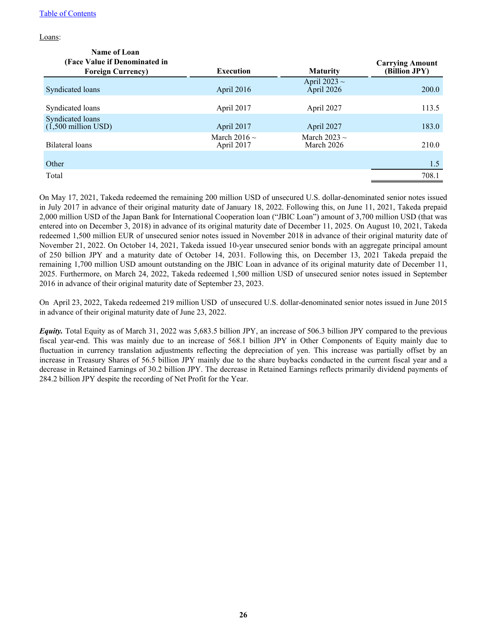Loans:

| Name of Loan<br>(Face Value if Denominated in |                                 |                                 | <b>Carrying Amount</b> |
|-----------------------------------------------|---------------------------------|---------------------------------|------------------------|
| <b>Foreign Currency</b> )                     | <b>Execution</b>                | <b>Maturity</b>                 | (Billion JPY)          |
| Syndicated loans                              | April 2016                      | April 2023 $\sim$<br>April 2026 | 200.0                  |
| Syndicated loans                              | April 2017                      | April 2027                      | 113.5                  |
| Syndicated loans<br>$(1,500$ million USD)     | April 2017                      | April 2027                      | 183.0                  |
| Bilateral loans                               | March 2016 $\sim$<br>April 2017 | March 2023 $\sim$<br>March 2026 | 210.0                  |
| Other                                         |                                 |                                 | 1.5                    |
| Total                                         |                                 |                                 | 708.1                  |

On May 17, 2021, Takeda redeemed the remaining 200 million USD of unsecured U.S. dollar-denominated senior notes issued in July 2017 in advance of their original maturity date of January 18, 2022. Following this, on June 11, 2021, Takeda prepaid 2,000 million USD of the Japan Bank for International Cooperation loan ("JBIC Loan") amount of 3,700 million USD (that was entered into on December 3, 2018) in advance of its original maturity date of December 11, 2025. On August 10, 2021, Takeda redeemed 1,500 million EUR of unsecured senior notes issued in November 2018 in advance of their original maturity date of November 21, 2022. On October 14, 2021, Takeda issued 10-year unsecured senior bonds with an aggregate principal amount of 250 billion JPY and a maturity date of October 14, 2031. Following this, on December 13, 2021 Takeda prepaid the remaining 1,700 million USD amount outstanding on the JBIC Loan in advance of its original maturity date of December 11, 2025. Furthermore, on March 24, 2022, Takeda redeemed 1,500 million USD of unsecured senior notes issued in September 2016 in advance of their original maturity date of September 23, 2023.

On April 23, 2022, Takeda redeemed 219 million USD of unsecured U.S. dollar-denominated senior notes issued in June 2015 in advance of their original maturity date of June 23, 2022.

*Equity.* Total Equity as of March 31, 2022 was 5,683.5 billion JPY, an increase of 506.3 billion JPY compared to the previous fiscal year-end. This was mainly due to an increase of 568.1 billion JPY in Other Components of Equity mainly due to fluctuation in currency translation adjustments reflecting the depreciation of yen. This increase was partially offset by an increase in Treasury Shares of 56.5 billion JPY mainly due to the share buybacks conducted in the current fiscal year and a decrease in Retained Earnings of 30.2 billion JPY. The decrease in Retained Earnings reflects primarily dividend payments of 284.2 billion JPY despite the recording of Net Profit for the Year.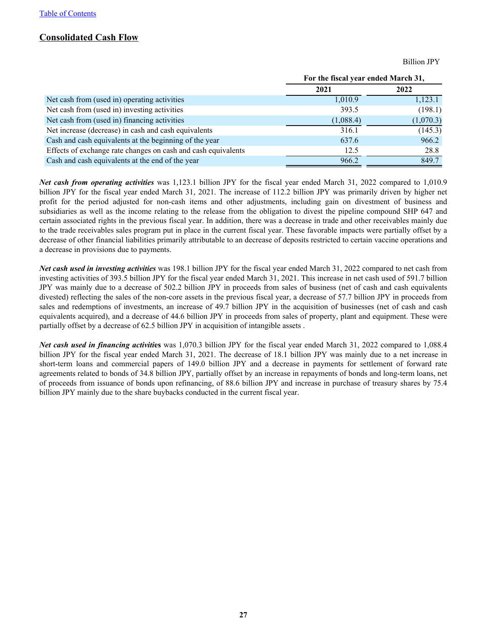### <span id="page-27-0"></span>**Consolidated Cash Flow**

Billion JPY

|                                                               | For the fiscal year ended March 31, |           |  |
|---------------------------------------------------------------|-------------------------------------|-----------|--|
|                                                               | 2021                                | 2022      |  |
| Net cash from (used in) operating activities                  | 1,010.9                             | 1,123.1   |  |
| Net cash from (used in) investing activities                  | 393.5                               | (198.1)   |  |
| Net cash from (used in) financing activities                  | (1,088.4)                           | (1,070.3) |  |
| Net increase (decrease) in cash and cash equivalents          | 316.1                               | (145.3)   |  |
| Cash and cash equivalents at the beginning of the year        | 637.6                               | 966.2     |  |
| Effects of exchange rate changes on cash and cash equivalents | 12.5                                | 28.8      |  |
| Cash and cash equivalents at the end of the year              | 966.2                               | 849.7     |  |

*Net cash from operating activities* was 1,123.1 billion JPY for the fiscal year ended March 31, 2022 compared to 1,010.9 billion JPY for the fiscal year ended March 31, 2021. The increase of 112.2 billion JPY was primarily driven by higher net profit for the period adjusted for non-cash items and other adjustments, including gain on divestment of business and subsidiaries as well as the income relating to the release from the obligation to divest the pipeline compound SHP 647 and certain associated rights in the previous fiscal year. In addition, there was a decrease in trade and other receivables mainly due to the trade receivables sales program put in place in the current fiscal year. These favorable impacts were partially offset by a decrease of other financial liabilities primarily attributable to an decrease of deposits restricted to certain vaccine operations and a decrease in provisions due to payments.

*Net cash used in investing activities* was 198.1 billion JPY for the fiscal year ended March 31, 2022 compared to net cash from investing activities of 393.5 billion JPY for the fiscal year ended March 31, 2021. This increase in net cash used of 591.7 billion JPY was mainly due to a decrease of 502.2 billion JPY in proceeds from sales of business (net of cash and cash equivalents divested) reflecting the sales of the non-core assets in the previous fiscal year, a decrease of 57.7 billion JPY in proceeds from sales and redemptions of investments, an increase of 49.7 billion JPY in the acquisition of businesses (net of cash and cash equivalents acquired), and a decrease of 44.6 billion JPY in proceeds from sales of property, plant and equipment. These were partially offset by a decrease of 62.5 billion JPY in acquisition of intangible assets .

*Net cash used in financing activiti***es** was 1,070.3 billion JPY for the fiscal year ended March 31, 2022 compared to 1,088.4 billion JPY for the fiscal year ended March 31, 2021. The decrease of 18.1 billion JPY was mainly due to a net increase in short-term loans and commercial papers of 149.0 billion JPY and a decrease in payments for settlement of forward rate agreements related to bonds of 34.8 billion JPY, partially offset by an increase in repayments of bonds and long-term loans, net of proceeds from issuance of bonds upon refinancing, of 88.6 billion JPY and increase in purchase of treasury shares by 75.4 billion JPY mainly due to the share buybacks conducted in the current fiscal year.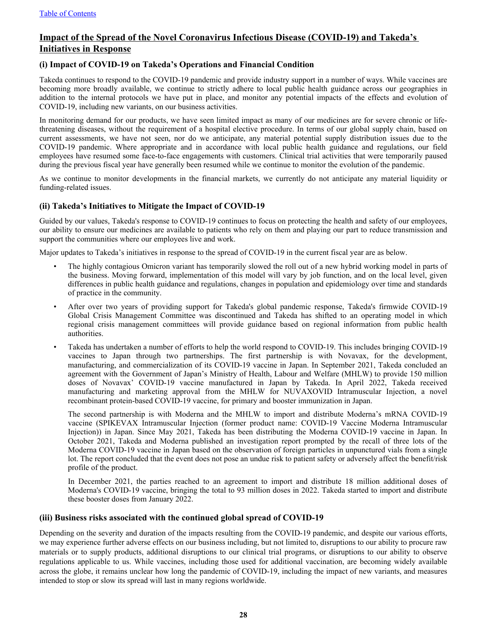# <span id="page-28-0"></span>**Impact of the Spread of the Novel Coronavirus Infectious Disease (COVID-19) and Takeda's Initiatives in Response**

#### **(i) Impact of COVID-19 on Takeda's Operations and Financial Condition**

Takeda continues to respond to the COVID-19 pandemic and provide industry support in a number of ways. While vaccines are becoming more broadly available, we continue to strictly adhere to local public health guidance across our geographies in addition to the internal protocols we have put in place, and monitor any potential impacts of the effects and evolution of COVID-19, including new variants, on our business activities.

In monitoring demand for our products, we have seen limited impact as many of our medicines are for severe chronic or lifethreatening diseases, without the requirement of a hospital elective procedure. In terms of our global supply chain, based on current assessments, we have not seen, nor do we anticipate, any material potential supply distribution issues due to the COVID-19 pandemic. Where appropriate and in accordance with local public health guidance and regulations, our field employees have resumed some face-to-face engagements with customers. Clinical trial activities that were temporarily paused during the previous fiscal year have generally been resumed while we continue to monitor the evolution of the pandemic.

As we continue to monitor developments in the financial markets, we currently do not anticipate any material liquidity or funding-related issues.

#### **(ii) Takeda's Initiatives to Mitigate the Impact of COVID-19**

Guided by our values, Takeda's response to COVID-19 continues to focus on protecting the health and safety of our employees, our ability to ensure our medicines are available to patients who rely on them and playing our part to reduce transmission and support the communities where our employees live and work.

Major updates to Takeda's initiatives in response to the spread of COVID-19 in the current fiscal year are as below.

- The highly contagious Omicron variant has temporarily slowed the roll out of a new hybrid working model in parts of the business. Moving forward, implementation of this model will vary by job function, and on the local level, given differences in public health guidance and regulations, changes in population and epidemiology over time and standards of practice in the community.
- After over two years of providing support for Takeda's global pandemic response, Takeda's firmwide COVID-19 Global Crisis Management Committee was discontinued and Takeda has shifted to an operating model in which regional crisis management committees will provide guidance based on regional information from public health authorities.
- Takeda has undertaken a number of efforts to help the world respond to COVID-19. This includes bringing COVID-19 vaccines to Japan through two partnerships. The first partnership is with Novavax, for the development, manufacturing, and commercialization of its COVID-19 vaccine in Japan. In September 2021, Takeda concluded an agreement with the Government of Japan's Ministry of Health, Labour and Welfare (MHLW) to provide 150 million doses of Novavax' COVID-19 vaccine manufactured in Japan by Takeda. In April 2022, Takeda received manufacturing and marketing approval from the MHLW for NUVAXOVID Intramuscular Injection, a novel recombinant protein-based COVID-19 vaccine, for primary and booster immunization in Japan.

The second partnership is with Moderna and the MHLW to import and distribute Moderna's mRNA COVID-19 vaccine (SPIKEVAX Intramuscular Injection (former product name: COVID-19 Vaccine Moderna Intramuscular Injection)) in Japan. Since May 2021, Takeda has been distributing the Moderna COVID-19 vaccine in Japan. In October 2021, Takeda and Moderna published an investigation report prompted by the recall of three lots of the Moderna COVID-19 vaccine in Japan based on the observation of foreign particles in unpunctured vials from a single lot. The report concluded that the event does not pose an undue risk to patient safety or adversely affect the benefit/risk profile of the product.

In December 2021, the parties reached to an agreement to import and distribute 18 million additional doses of Moderna's COVID-19 vaccine, bringing the total to 93 million doses in 2022. Takeda started to import and distribute these booster doses from January 2022.

#### **(iii) Business risks associated with the continued global spread of COVID-19**

Depending on the severity and duration of the impacts resulting from the COVID-19 pandemic, and despite our various efforts, we may experience further adverse effects on our business including, but not limited to, disruptions to our ability to procure raw materials or to supply products, additional disruptions to our clinical trial programs, or disruptions to our ability to observe regulations applicable to us. While vaccines, including those used for additional vaccination, are becoming widely available across the globe, it remains unclear how long the pandemic of COVID-19, including the impact of new variants, and measures intended to stop or slow its spread will last in many regions worldwide.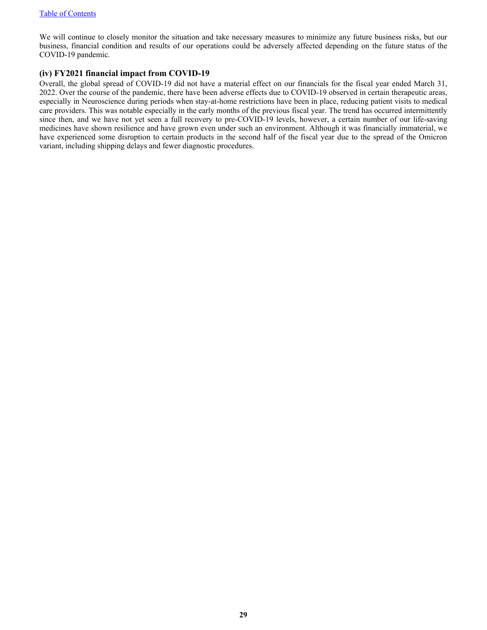We will continue to closely monitor the situation and take necessary measures to minimize any future business risks, but our business, financial condition and results of our operations could be adversely affected depending on the future status of the COVID-19 pandemic.

#### **(iv) FY2021 financial impact from COVID-19**

Overall, the global spread of COVID-19 did not have a material effect on our financials for the fiscal year ended March 31, 2022. Over the course of the pandemic, there have been adverse effects due to COVID-19 observed in certain therapeutic areas, especially in Neuroscience during periods when stay-at-home restrictions have been in place, reducing patient visits to medical care providers. This was notable especially in the early months of the previous fiscal year. The trend has occurred intermittently since then, and we have not yet seen a full recovery to pre-COVID-19 levels, however, a certain number of our life-saving medicines have shown resilience and have grown even under such an environment. Although it was financially immaterial, we have experienced some disruption to certain products in the second half of the fiscal year due to the spread of the Omicron variant, including shipping delays and fewer diagnostic procedures.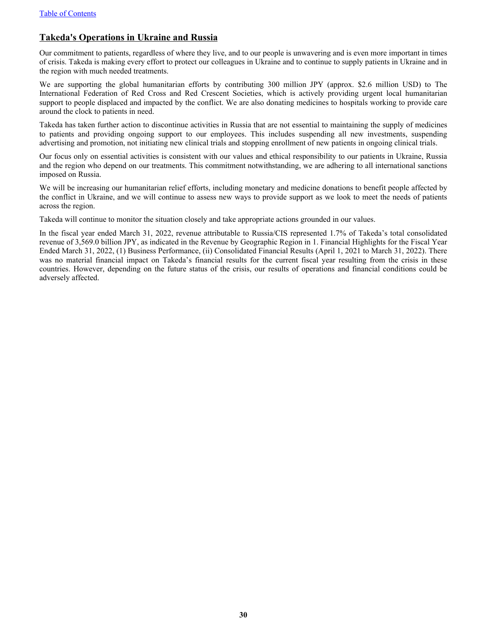# <span id="page-30-0"></span>**Takeda's Operations in Ukraine and Russia**

Our commitment to patients, regardless of where they live, and to our people is unwavering and is even more important in times of crisis. Takeda is making every effort to protect our colleagues in Ukraine and to continue to supply patients in Ukraine and in the region with much needed treatments.

We are supporting the global humanitarian efforts by contributing 300 million JPY (approx. \$2.6 million USD) to The International Federation of Red Cross and Red Crescent Societies, which is actively providing urgent local humanitarian support to people displaced and impacted by the conflict. We are also donating medicines to hospitals working to provide care around the clock to patients in need.

Takeda has taken further action to discontinue activities in Russia that are not essential to maintaining the supply of medicines to patients and providing ongoing support to our employees. This includes suspending all new investments, suspending advertising and promotion, not initiating new clinical trials and stopping enrollment of new patients in ongoing clinical trials.

Our focus only on essential activities is consistent with our values and ethical responsibility to our patients in Ukraine, Russia and the region who depend on our treatments. This commitment notwithstanding, we are adhering to all international sanctions imposed on Russia.

We will be increasing our humanitarian relief efforts, including monetary and medicine donations to benefit people affected by the conflict in Ukraine, and we will continue to assess new ways to provide support as we look to meet the needs of patients across the region.

Takeda will continue to monitor the situation closely and take appropriate actions grounded in our values.

In the fiscal year ended March 31, 2022, revenue attributable to Russia/CIS represented 1.7% of Takeda's total consolidated revenue of 3,569.0 billion JPY, as indicated in the Revenue by Geographic Region in 1. Financial Highlights for the Fiscal Year Ended March 31, 2022, (1) Business Performance, (ii) Consolidated Financial Results (April 1, 2021 to March 31, 2022). There was no material financial impact on Takeda's financial results for the current fiscal year resulting from the crisis in these countries. However, depending on the future status of the crisis, our results of operations and financial conditions could be adversely affected.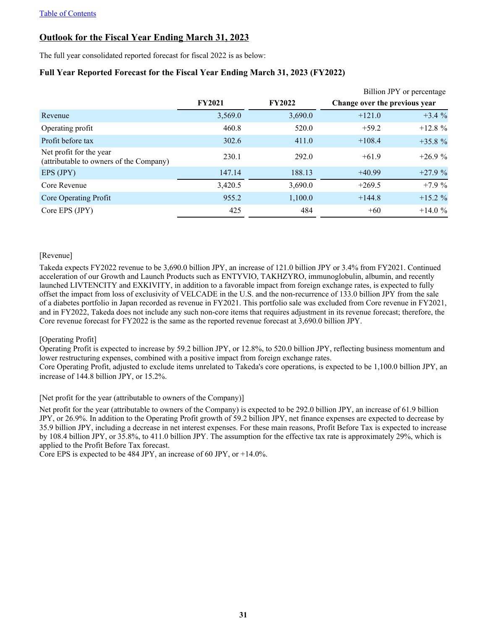# <span id="page-31-0"></span>**Outlook for the Fiscal Year Ending March 31, 2023**

The full year consolidated reported forecast for fiscal 2022 is as below:

### **Full Year Reported Forecast for the Fiscal Year Ending March 31, 2023 (FY2022)**

|                                                                    |               |               | Billion JPY or percentage     |          |
|--------------------------------------------------------------------|---------------|---------------|-------------------------------|----------|
|                                                                    | <b>FY2021</b> | <b>FY2022</b> | Change over the previous year |          |
| Revenue                                                            | 3,569.0       | 3,690.0       | $+121.0$                      | $+3.4%$  |
| Operating profit                                                   | 460.8         | 520.0         | $+59.2$                       | $+12.8%$ |
| Profit before tax                                                  | 302.6         | 411.0         | $+108.4$                      | $+35.8%$ |
| Net profit for the year<br>(attributable to owners of the Company) | 230.1         | 292.0         | $+61.9$                       | $+26.9%$ |
| EPS (JPY)                                                          | 147.14        | 188.13        | $+40.99$                      | $+27.9%$ |
| Core Revenue                                                       | 3,420.5       | 3,690.0       | $+269.5$                      | $+7.9%$  |
| Core Operating Profit                                              | 955.2         | 1,100.0       | $+144.8$                      | $+15.2%$ |
| Core EPS (JPY)                                                     | 425           | 484           | $+60$                         | $+14.0%$ |

#### [Revenue]

Takeda expects FY2022 revenue to be 3,690.0 billion JPY, an increase of 121.0 billion JPY or 3.4% from FY2021. Continued acceleration of our Growth and Launch Products such as ENTYVIO, TAKHZYRO, immunoglobulin, albumin, and recently launched LIVTENCITY and EXKIVITY, in addition to a favorable impact from foreign exchange rates, is expected to fully offset the impact from loss of exclusivity of VELCADE in the U.S. and the non-recurrence of 133.0 billion JPY from the sale of a diabetes portfolio in Japan recorded as revenue in FY2021. This portfolio sale was excluded from Core revenue in FY2021, and in FY2022, Takeda does not include any such non-core items that requires adjustment in its revenue forecast; therefore, the Core revenue forecast for FY2022 is the same as the reported revenue forecast at 3,690.0 billion JPY.

#### [Operating Profit]

Operating Profit is expected to increase by 59.2 billion JPY, or 12.8%, to 520.0 billion JPY, reflecting business momentum and lower restructuring expenses, combined with a positive impact from foreign exchange rates. Core Operating Profit, adjusted to exclude items unrelated to Takeda's core operations, is expected to be 1,100.0 billion JPY, an increase of 144.8 billion JPY, or 15.2%.

[Net profit for the year (attributable to owners of the Company)]

Net profit for the year (attributable to owners of the Company) is expected to be 292.0 billion JPY, an increase of 61.9 billion JPY, or 26.9%. In addition to the Operating Profit growth of 59.2 billion JPY, net finance expenses are expected to decrease by 35.9 billion JPY, including a decrease in net interest expenses. For these main reasons, Profit Before Tax is expected to increase by 108.4 billion JPY, or 35.8%, to 411.0 billion JPY. The assumption for the effective tax rate is approximately 29%, which is applied to the Profit Before Tax forecast.

Core EPS is expected to be 484 JPY, an increase of 60 JPY, or +14.0%.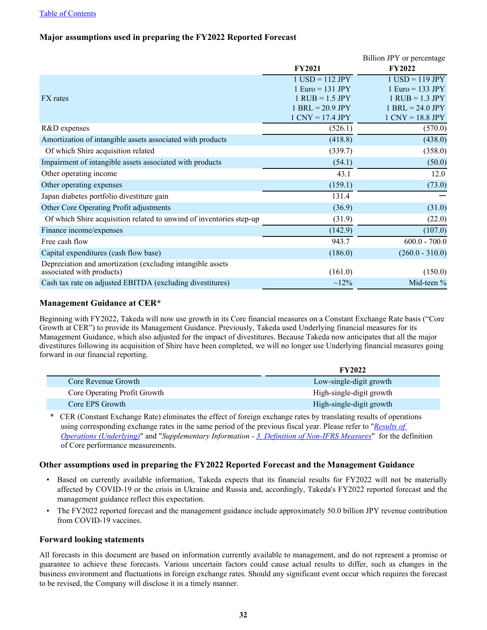#### [Table of Contents](#page-1-0)

### **Major assumptions used in preparing the FY2022 Reported Forecast**

|                                                                                         |                     | Billion JPY or percentage |
|-----------------------------------------------------------------------------------------|---------------------|---------------------------|
|                                                                                         | <b>FY2021</b>       | <b>FY2022</b>             |
|                                                                                         | $1$ USD = 112 JPY   | $1$ USD = 119 JPY         |
|                                                                                         | $1 Euro = 131 JPY$  | $1 Euro = 133 JPY$        |
| FX rates                                                                                | $1$ RUB = $1.5$ JPY | $1$ RUB = $1.3$ JPY       |
|                                                                                         | $1$ BRL = 20.9 JPY  | $1$ BRL = 24.0 JPY        |
|                                                                                         | $1$ CNY = 17.4 JPY  | $1$ CNY = 18.8 JPY        |
| R&D expenses                                                                            | (526.1)             | (570.0)                   |
| Amortization of intangible assets associated with products                              | (418.8)             | (438.0)                   |
| Of which Shire acquisition related                                                      | (339.7)             | (358.0)                   |
| Impairment of intangible assets associated with products                                | (54.1)              | (50.0)                    |
| Other operating income                                                                  | 43.1                | 12.0                      |
| Other operating expenses                                                                | (159.1)             | (73.0)                    |
| Japan diabetes portfolio divestiture gain                                               | 131.4               |                           |
| Other Core Operating Profit adjustments                                                 | (36.9)              | (31.0)                    |
| Of which Shire acquisition related to unwind of inventories step-up                     | (31.9)              | (22.0)                    |
| Finance income/expenses                                                                 | (142.9)             | (107.0)                   |
| Free cash flow                                                                          | 943.7               | $600.0 - 700.0$           |
| Capital expenditures (cash flow base)                                                   | (186.0)             | $(260.0 - 310.0)$         |
| Depreciation and amortization (excluding intangible assets<br>associated with products) | (161.0)             | (150.0)                   |
| Cash tax rate on adjusted EBITDA (excluding divestitures)                               | $\sim 12\%$         | Mid-teen $%$              |

#### **Management Guidance at CER\***

Γ

Beginning with FY2022, Takeda will now use growth in its Core financial measures on a Constant Exchange Rate basis ("Core Growth at CER") to provide its Management Guidance. Previously, Takeda used Underlying financial measures for its Management Guidance, which also adjusted for the impact of divestitures. Because Takeda now anticipates that all the major divestitures following its acquisition of Shire have been completed, we will no longer use Underlying financial measures going forward in our financial reporting.

|                              | <b>FY2022</b>            |
|------------------------------|--------------------------|
| Core Revenue Growth          | Low-single-digit growth  |
| Core Operating Profit Growth | High-single-digit growth |
| Core EPS Growth              | High-single-digit growth |

\* CER (Constant Exchange Rate) eliminates the effect of foreign exchange rates by translating results of operations using corresponding exchange rates in the same period of the previous fiscal year. Please refer to "*[Results of](#page-23-0)  [Operations \(Underlying\)](#page-23-0)*" and "*Supplementary Information - [3. Definition of Non-IFRS Measures](#page-78-0)*" for the definition of Core performance measurements.

#### **Other assumptions used in preparing the FY2022 Reported Forecast and the Management Guidance**

- Based on currently available information, Takeda expects that its financial results for FY2022 will not be materially affected by COVID-19 or the crisis in Ukraine and Russia and, accordingly, Takeda's FY2022 reported forecast and the management guidance reflect this expectation.
- The FY2022 reported forecast and the management guidance include approximately 50.0 billion JPY revenue contribution from COVID-19 vaccines.

#### **Forward looking statements**

All forecasts in this document are based on information currently available to management, and do not represent a promise or guarantee to achieve these forecasts. Various uncertain factors could cause actual results to differ, such as changes in the business environment and fluctuations in foreign exchange rates. Should any significant event occur which requires the forecast to be revised, the Company will disclose it in a timely manner.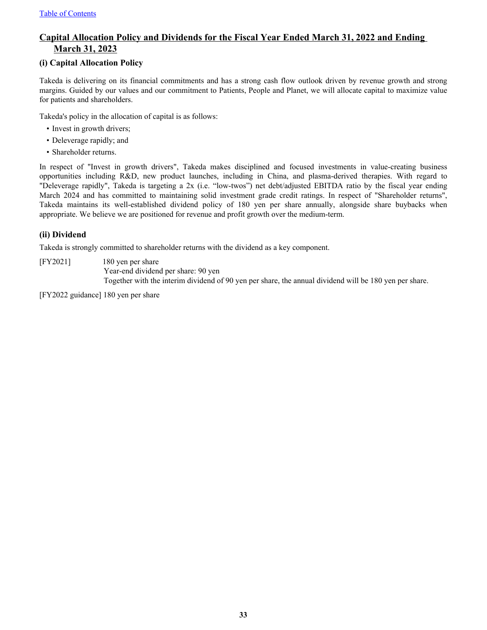# <span id="page-33-0"></span>**Capital Allocation Policy and Dividends for the Fiscal Year Ended March 31, 2022 and Ending March 31, 2023**

#### **(i) Capital Allocation Policy**

Takeda is delivering on its financial commitments and has a strong cash flow outlook driven by revenue growth and strong margins. Guided by our values and our commitment to Patients, People and Planet, we will allocate capital to maximize value for patients and shareholders.

Takeda's policy in the allocation of capital is as follows:

- Invest in growth drivers;
- Deleverage rapidly; and
- Shareholder returns.

In respect of "Invest in growth drivers", Takeda makes disciplined and focused investments in value-creating business opportunities including R&D, new product launches, including in China, and plasma-derived therapies. With regard to "Deleverage rapidly", Takeda is targeting a 2x (i.e. "low-twos") net debt/adjusted EBITDA ratio by the fiscal year ending March 2024 and has committed to maintaining solid investment grade credit ratings. In respect of "Shareholder returns", Takeda maintains its well-established dividend policy of 180 yen per share annually, alongside share buybacks when appropriate. We believe we are positioned for revenue and profit growth over the medium-term.

#### **(ii) Dividend**

Takeda is strongly committed to shareholder returns with the dividend as a key component.

[FY2021] 180 yen per share

Year-end dividend per share: 90 yen Together with the interim dividend of 90 yen per share, the annual dividend will be 180 yen per share.

[FY2022 guidance] 180 yen per share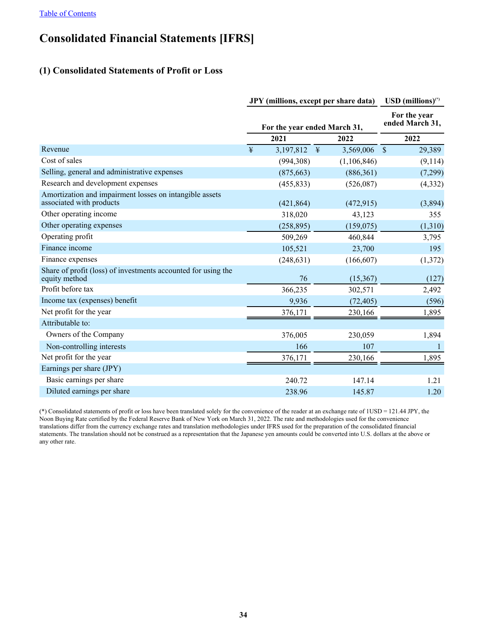# <span id="page-34-0"></span>**Consolidated Financial Statements [IFRS]**

# **(1) Consolidated Statements of Profit or Loss**

|                                                                                     | <b>JPY</b> (millions, except per share data) |                              |                         | $\text{USD (millions)}^{(*)}$   |  |
|-------------------------------------------------------------------------------------|----------------------------------------------|------------------------------|-------------------------|---------------------------------|--|
|                                                                                     |                                              | For the year ended March 31, |                         | For the year<br>ended March 31, |  |
|                                                                                     |                                              | 2021                         | 2022                    | 2022                            |  |
| Revenue                                                                             | ¥                                            | 3,197,812                    | 3,569,006<br>$\ddagger$ | $\mathcal{S}$<br>29,389         |  |
| Cost of sales                                                                       |                                              | (994, 308)                   | (1,106,846)             | (9,114)                         |  |
| Selling, general and administrative expenses                                        |                                              | (875, 663)                   | (886, 361)              | (7,299)                         |  |
| Research and development expenses                                                   |                                              | (455, 833)                   | (526,087)               | (4, 332)                        |  |
| Amortization and impairment losses on intangible assets<br>associated with products |                                              | (421, 864)                   | (472, 915)              | (3,894)                         |  |
| Other operating income                                                              |                                              | 318,020                      | 43,123                  | 355                             |  |
| Other operating expenses                                                            |                                              | (258, 895)                   | (159,075)               | (1,310)                         |  |
| Operating profit                                                                    |                                              | 509,269                      | 460,844                 | 3,795                           |  |
| Finance income                                                                      |                                              | 105,521                      | 23,700                  | 195                             |  |
| Finance expenses                                                                    |                                              | (248, 631)                   | (166, 607)              | (1,372)                         |  |
| Share of profit (loss) of investments accounted for using the<br>equity method      |                                              | 76                           | (15, 367)               | (127)                           |  |
| Profit before tax                                                                   |                                              | 366,235                      | 302,571                 | 2,492                           |  |
| Income tax (expenses) benefit                                                       |                                              | 9,936                        | (72, 405)               | (596)                           |  |
| Net profit for the year                                                             |                                              | 376,171                      | 230,166                 | 1,895                           |  |
| Attributable to:                                                                    |                                              |                              |                         |                                 |  |
| Owners of the Company                                                               |                                              | 376,005                      | 230,059                 | 1,894                           |  |
| Non-controlling interests                                                           |                                              | 166                          | 107                     | 1                               |  |
| Net profit for the year                                                             |                                              | 376,171                      | 230,166                 | 1,895                           |  |
| Earnings per share (JPY)                                                            |                                              |                              |                         |                                 |  |
| Basic earnings per share                                                            |                                              | 240.72                       | 147.14                  | 1.21                            |  |
| Diluted earnings per share                                                          |                                              | 238.96                       | 145.87                  | 1.20                            |  |

(\*) Consolidated statements of profit or loss have been translated solely for the convenience of the reader at an exchange rate of 1USD = 121.44 JPY, the Noon Buying Rate certified by the Federal Reserve Bank of New York on March 31, 2022. The rate and methodologies used for the convenience translations differ from the currency exchange rates and translation methodologies under IFRS used for the preparation of the consolidated financial statements. The translation should not be construed as a representation that the Japanese yen amounts could be converted into U.S. dollars at the above or any other rate.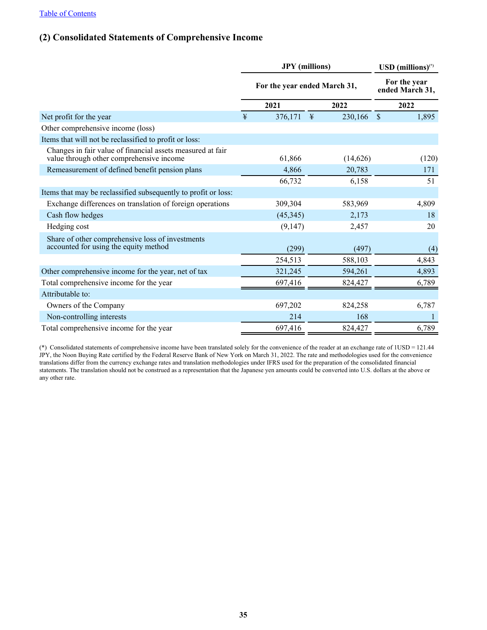# <span id="page-35-0"></span>**(2) Consolidated Statements of Comprehensive Income**

|                                                                                                        | <b>JPY</b> (millions)<br>For the year ended March 31, |           |   | $\text{USD (millions)}^{(*)}$<br>For the year<br>ended March 31, |               |       |
|--------------------------------------------------------------------------------------------------------|-------------------------------------------------------|-----------|---|------------------------------------------------------------------|---------------|-------|
|                                                                                                        |                                                       |           |   |                                                                  |               |       |
|                                                                                                        |                                                       | 2021      |   | 2022                                                             |               | 2022  |
| Net profit for the year                                                                                | $\ddagger$                                            | 376,171   | ¥ | 230,166                                                          | $\mathcal{S}$ | 1,895 |
| Other comprehensive income (loss)                                                                      |                                                       |           |   |                                                                  |               |       |
| Items that will not be reclassified to profit or loss:                                                 |                                                       |           |   |                                                                  |               |       |
| Changes in fair value of financial assets measured at fair<br>value through other comprehensive income |                                                       | 61,866    |   | (14,626)                                                         |               | (120) |
| Remeasurement of defined benefit pension plans                                                         |                                                       | 4,866     |   | 20,783                                                           |               | 171   |
|                                                                                                        |                                                       | 66,732    |   | 6,158                                                            |               | 51    |
| Items that may be reclassified subsequently to profit or loss:                                         |                                                       |           |   |                                                                  |               |       |
| Exchange differences on translation of foreign operations                                              |                                                       | 309,304   |   | 583,969                                                          |               | 4,809 |
| Cash flow hedges                                                                                       |                                                       | (45, 345) |   | 2,173                                                            |               | 18    |
| Hedging cost                                                                                           |                                                       | (9,147)   |   | 2,457                                                            |               | 20    |
| Share of other comprehensive loss of investments<br>accounted for using the equity method              |                                                       | (299)     |   | (497)                                                            |               | (4)   |
|                                                                                                        |                                                       | 254,513   |   | 588,103                                                          |               | 4,843 |
| Other comprehensive income for the year, net of tax                                                    |                                                       | 321,245   |   | 594,261                                                          |               | 4,893 |
| Total comprehensive income for the year                                                                |                                                       | 697,416   |   | 824,427                                                          |               | 6,789 |
| Attributable to:                                                                                       |                                                       |           |   |                                                                  |               |       |
| Owners of the Company                                                                                  |                                                       | 697,202   |   | 824,258                                                          |               | 6,787 |
| Non-controlling interests                                                                              |                                                       | 214       |   | 168                                                              |               |       |
| Total comprehensive income for the year                                                                |                                                       | 697,416   |   | 824,427                                                          |               | 6,789 |

(\*) Consolidated statements of comprehensive income have been translated solely for the convenience of the reader at an exchange rate of 1USD = 121.44 JPY, the Noon Buying Rate certified by the Federal Reserve Bank of New York on March 31, 2022. The rate and methodologies used for the convenience translations differ from the currency exchange rates and translation methodologies under IFRS used for the preparation of the consolidated financial statements. The translation should not be construed as a representation that the Japanese yen amounts could be converted into U.S. dollars at the above or any other rate.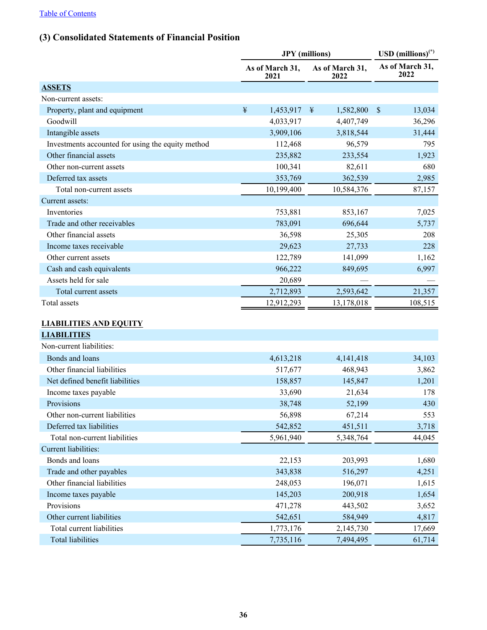## **(3) Consolidated Statements of Financial Position**

|                                                   |   | <b>JPY</b> (millions)   |               |                         |               | USD $(millions)^{(*)}$  |
|---------------------------------------------------|---|-------------------------|---------------|-------------------------|---------------|-------------------------|
|                                                   |   | As of March 31,<br>2021 |               | As of March 31,<br>2022 |               | As of March 31,<br>2022 |
| <b>ASSETS</b>                                     |   |                         |               |                         |               |                         |
| Non-current assets:                               |   |                         |               |                         |               |                         |
| Property, plant and equipment                     | ¥ | 1,453,917               | $\frac{1}{2}$ | 1,582,800               | $\mathcal{S}$ | 13,034                  |
| Goodwill                                          |   | 4,033,917               |               | 4,407,749               |               | 36,296                  |
| Intangible assets                                 |   | 3,909,106               |               | 3,818,544               |               | 31,444                  |
| Investments accounted for using the equity method |   | 112,468                 |               | 96,579                  |               | 795                     |
| Other financial assets                            |   | 235,882                 |               | 233,554                 |               | 1,923                   |
| Other non-current assets                          |   | 100,341                 |               | 82,611                  |               | 680                     |
| Deferred tax assets                               |   | 353,769                 |               | 362,539                 |               | 2,985                   |
| Total non-current assets                          |   | 10,199,400              |               | 10,584,376              |               | 87,157                  |
| Current assets:                                   |   |                         |               |                         |               |                         |
| Inventories                                       |   | 753,881                 |               | 853,167                 |               | 7,025                   |
| Trade and other receivables                       |   | 783,091                 |               | 696,644                 |               | 5,737                   |
| Other financial assets                            |   | 36,598                  |               | 25,305                  |               | 208                     |
| Income taxes receivable                           |   | 29,623                  |               | 27,733                  |               | 228                     |
| Other current assets                              |   | 122,789                 |               | 141,099                 |               | 1,162                   |
| Cash and cash equivalents                         |   | 966,222                 |               | 849,695                 |               | 6,997                   |
| Assets held for sale                              |   | 20,689                  |               |                         |               |                         |
| Total current assets                              |   | 2,712,893               |               | 2,593,642               |               | 21,357                  |
| Total assets                                      |   | 12,912,293              |               | 13,178,018              |               | 108,515                 |
|                                                   |   |                         |               |                         |               |                         |
| <b>LIABILITIES AND EQUITY</b>                     |   |                         |               |                         |               |                         |
| <b>LIABILITIES</b>                                |   |                         |               |                         |               |                         |
| Non-current liabilities:                          |   |                         |               |                         |               |                         |
| Bonds and loans                                   |   | 4,613,218               |               | 4, 141, 418             |               | 34,103                  |
| Other financial liabilities                       |   | 517,677                 |               | 468,943                 |               | 3,862                   |
| Net defined benefit liabilities                   |   | 158,857                 |               | 145,847                 |               | 1,201                   |
| Income taxes payable                              |   | 33,690                  |               | 21,634                  |               | 178                     |
| <b>Provisions</b>                                 |   | 38,748                  |               | 52,199                  |               | 430                     |
| Other non-current liabilities                     |   | 56,898                  |               | 67,214                  |               | 553                     |
| Deferred tax liabilities                          |   | 542,852                 |               | 451,511                 |               | 3,718                   |
| Total non-current liabilities                     |   | 5,961,940               |               | 5,348,764               |               | 44,045                  |
| Current liabilities:                              |   |                         |               |                         |               |                         |
| Bonds and loans                                   |   | 22,153                  |               | 203,993                 |               | 1,680                   |
| Trade and other payables                          |   | 343,838                 |               | 516,297                 |               | 4,251                   |
| Other financial liabilities                       |   | 248,053                 |               | 196,071                 |               | 1,615                   |
| Income taxes payable                              |   | 145,203                 |               | 200,918                 |               | 1,654                   |
| Provisions                                        |   | 471,278                 |               | 443,502                 |               | 3,652                   |
| Other current liabilities                         |   | 542,651                 |               | 584,949                 |               | 4,817                   |
| Total current liabilities                         |   | 1,773,176               |               | 2,145,730               |               | 17,669                  |
| Total liabilities                                 |   | 7,735,116               |               | 7,494,495               |               | 61,714                  |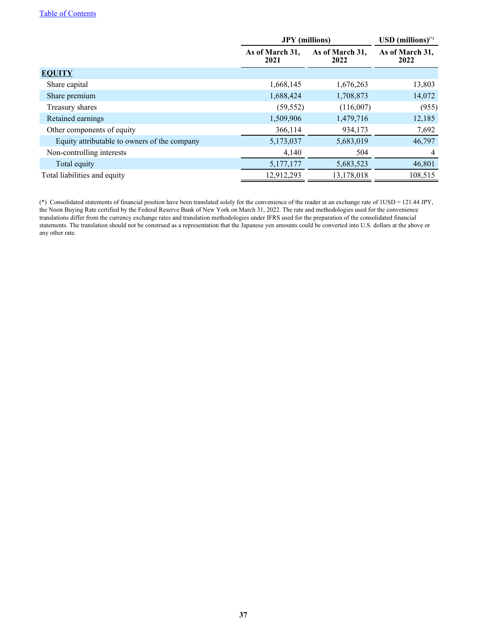#### [Table of Contents](#page-1-0)

|                                              | <b>JPY</b> (millions)   |                         | $\text{USD (millions)}^{(*)}$ |
|----------------------------------------------|-------------------------|-------------------------|-------------------------------|
|                                              | As of March 31,<br>2021 | As of March 31,<br>2022 | As of March 31,<br>2022       |
| <b>EQUITY</b>                                |                         |                         |                               |
| Share capital                                | 1,668,145               | 1,676,263               | 13,803                        |
| Share premium                                | 1,688,424               | 1,708,873               | 14,072                        |
| Treasury shares                              | (59, 552)               | (116,007)               | (955)                         |
| Retained earnings                            | 1,509,906               | 1,479,716               | 12,185                        |
| Other components of equity                   | 366,114                 | 934,173                 | 7,692                         |
| Equity attributable to owners of the company | 5,173,037               | 5,683,019               | 46,797                        |
| Non-controlling interests                    | 4,140                   | 504                     | 4                             |
| Total equity                                 | 5,177,177               | 5,683,523               | 46,801                        |
| Total liabilities and equity                 | 12,912,293              | 13,178,018              | 108,515                       |

(\*) Consolidated statements of financial position have been translated solely for the convenience of the reader at an exchange rate of 1USD = 121.44 JPY, the Noon Buying Rate certified by the Federal Reserve Bank of New York on March 31, 2022. The rate and methodologies used for the convenience translations differ from the currency exchange rates and translation methodologies under IFRS used for the preparation of the consolidated financial statements. The translation should not be construed as a representation that the Japanese yen amounts could be converted into U.S. dollars at the above or any other rate.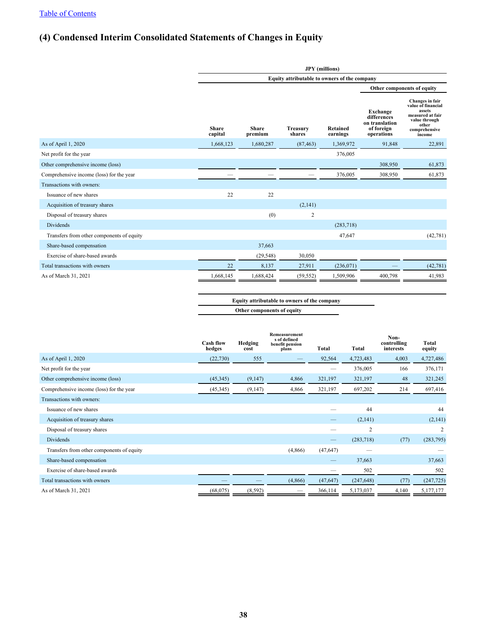## **(4) Condensed Interim Consolidated Statements of Changes in Equity**

|                                           | <b>JPY</b> (millions)                        |                         |                           |                             |                                                                       |                                                                                                                          |  |  |
|-------------------------------------------|----------------------------------------------|-------------------------|---------------------------|-----------------------------|-----------------------------------------------------------------------|--------------------------------------------------------------------------------------------------------------------------|--|--|
|                                           | Equity attributable to owners of the company |                         |                           |                             |                                                                       |                                                                                                                          |  |  |
|                                           |                                              |                         |                           |                             | Other components of equity                                            |                                                                                                                          |  |  |
|                                           | <b>Share</b><br>capital                      | <b>Share</b><br>premium | <b>Treasury</b><br>shares | <b>Retained</b><br>earnings | Exchange<br>differences<br>on translation<br>of foreign<br>operations | Changes in fair<br>value of financial<br>assets<br>measured at fair<br>value through<br>other<br>comprehensive<br>income |  |  |
| As of April 1, 2020                       | 1,668,123                                    | 1,680,287               | (87, 463)                 | 1,369,972                   | 91,848                                                                | 22,891                                                                                                                   |  |  |
| Net profit for the year                   |                                              |                         |                           | 376,005                     |                                                                       |                                                                                                                          |  |  |
| Other comprehensive income (loss)         |                                              |                         |                           |                             | 308,950                                                               | 61,873                                                                                                                   |  |  |
| Comprehensive income (loss) for the year  |                                              |                         |                           | 376,005                     | 308,950                                                               | 61,873                                                                                                                   |  |  |
| Transactions with owners:                 |                                              |                         |                           |                             |                                                                       |                                                                                                                          |  |  |
| Issuance of new shares                    | 22                                           | 22                      |                           |                             |                                                                       |                                                                                                                          |  |  |
| Acquisition of treasury shares            |                                              |                         | (2,141)                   |                             |                                                                       |                                                                                                                          |  |  |
| Disposal of treasury shares               |                                              | (0)                     | $\overline{\mathbf{c}}$   |                             |                                                                       |                                                                                                                          |  |  |
| <b>Dividends</b>                          |                                              |                         |                           | (283,718)                   |                                                                       |                                                                                                                          |  |  |
| Transfers from other components of equity |                                              |                         |                           | 47,647                      |                                                                       | (42, 781)                                                                                                                |  |  |
| Share-based compensation                  |                                              | 37,663                  |                           |                             |                                                                       |                                                                                                                          |  |  |
| Exercise of share-based awards            |                                              | (29, 548)               | 30,050                    |                             |                                                                       |                                                                                                                          |  |  |
| Total transactions with owners            | 22                                           | 8,137                   | 27,911                    | (236, 071)                  |                                                                       | (42, 781)                                                                                                                |  |  |
| As of March 31, 2021                      | 1,668,145                                    | 1,688,424               | (59, 552)                 | 1,509,906                   | 400,798                                                               | 41,983                                                                                                                   |  |  |

**Equity attributable to owners of the company Other components of equity**

|                                           | <b>Cash flow</b><br>hedges | Hedging<br>cost | Remeasurement<br>s of defined<br>benefit pension<br>plans | <b>Total</b> | Total          | Non-<br>controlling<br>interests | Total<br>equity |
|-------------------------------------------|----------------------------|-----------------|-----------------------------------------------------------|--------------|----------------|----------------------------------|-----------------|
| As of April 1, 2020                       | (22, 730)                  | 555             |                                                           | 92,564       | 4,723,483      | 4,003                            | 4,727,486       |
| Net profit for the year                   |                            |                 |                                                           |              | 376,005        | 166                              | 376,171         |
| Other comprehensive income (loss)         | (45,345)                   | (9,147)         | 4,866                                                     | 321,197      | 321,197        | 48                               | 321,245         |
| Comprehensive income (loss) for the year  | (45, 345)                  | (9,147)         | 4,866                                                     | 321,197      | 697,202        | 214                              | 697,416         |
| Transactions with owners:                 |                            |                 |                                                           |              |                |                                  |                 |
| Issuance of new shares                    |                            |                 |                                                           |              | 44             |                                  | 44              |
| Acquisition of treasury shares            |                            |                 |                                                           |              | (2,141)        |                                  | (2,141)         |
| Disposal of treasury shares               |                            |                 |                                                           |              | $\overline{2}$ |                                  | 2               |
| <b>Dividends</b>                          |                            |                 |                                                           |              | (283,718)      | (77)                             | (283,795)       |
| Transfers from other components of equity |                            |                 | (4,866)                                                   | (47, 647)    |                |                                  |                 |
| Share-based compensation                  |                            |                 |                                                           |              | 37,663         |                                  | 37,663          |
| Exercise of share-based awards            |                            |                 |                                                           |              | 502            |                                  | 502             |
| Total transactions with owners            |                            |                 | (4,866)                                                   | (47, 647)    | (247, 648)     | (77)                             | (247, 725)      |
| As of March 31, 2021                      | (68, 075)                  | (8, 592)        |                                                           | 366,114      | 5,173,037      | 4,140                            | 5,177,177       |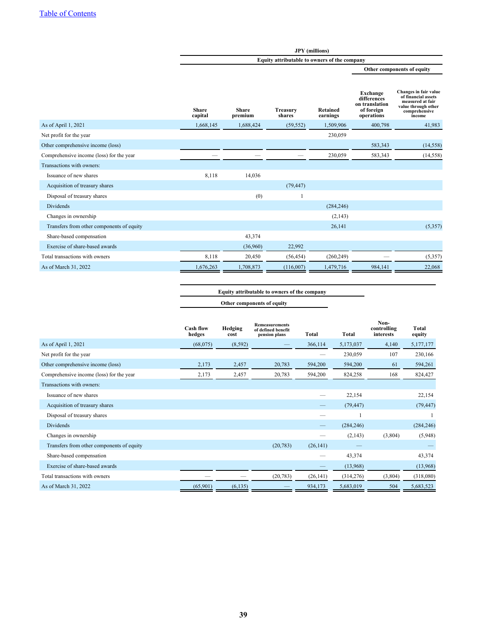|                                           |                         |                                              |                           | <b>JPY</b> (millions)       |                                                                       |                                                                                                                    |  |  |
|-------------------------------------------|-------------------------|----------------------------------------------|---------------------------|-----------------------------|-----------------------------------------------------------------------|--------------------------------------------------------------------------------------------------------------------|--|--|
|                                           |                         | Equity attributable to owners of the company |                           |                             |                                                                       |                                                                                                                    |  |  |
|                                           |                         |                                              |                           |                             |                                                                       | Other components of equity                                                                                         |  |  |
|                                           | <b>Share</b><br>capital | <b>Share</b><br>premium                      | <b>Treasury</b><br>shares | <b>Retained</b><br>earnings | Exchange<br>differences<br>on translation<br>of foreign<br>operations | Changes in fair value<br>of financial assets<br>measured at fair<br>value through other<br>comprehensive<br>income |  |  |
| As of April 1, 2021                       | 1,668,145               | 1,688,424                                    | (59, 552)                 | 1,509,906                   | 400,798                                                               | 41,983                                                                                                             |  |  |
| Net profit for the year                   |                         |                                              |                           | 230,059                     |                                                                       |                                                                                                                    |  |  |
| Other comprehensive income (loss)         |                         |                                              |                           |                             | 583,343                                                               | (14, 558)                                                                                                          |  |  |
| Comprehensive income (loss) for the year  |                         |                                              |                           | 230,059                     | 583,343                                                               | (14, 558)                                                                                                          |  |  |
| Transactions with owners:                 |                         |                                              |                           |                             |                                                                       |                                                                                                                    |  |  |
| Issuance of new shares                    | 8,118                   | 14,036                                       |                           |                             |                                                                       |                                                                                                                    |  |  |
| Acquisition of treasury shares            |                         |                                              | (79, 447)                 |                             |                                                                       |                                                                                                                    |  |  |
| Disposal of treasury shares               |                         | (0)                                          |                           |                             |                                                                       |                                                                                                                    |  |  |
| <b>Dividends</b>                          |                         |                                              |                           | (284, 246)                  |                                                                       |                                                                                                                    |  |  |
| Changes in ownership                      |                         |                                              |                           | (2, 143)                    |                                                                       |                                                                                                                    |  |  |
| Transfers from other components of equity |                         |                                              |                           | 26,141                      |                                                                       | (5,357)                                                                                                            |  |  |
| Share-based compensation                  |                         | 43,374                                       |                           |                             |                                                                       |                                                                                                                    |  |  |
| Exercise of share-based awards            |                         | (36,960)                                     | 22,992                    |                             |                                                                       |                                                                                                                    |  |  |
| Total transactions with owners            | 8,118                   | 20,450                                       | (56, 454)                 | (260, 249)                  |                                                                       | (5,357)                                                                                                            |  |  |
| As of March 31, 2022                      | 1,676,263               | 1,708,873                                    | (116,007)                 | 1,479,716                   | 984,141                                                               | 22,068                                                                                                             |  |  |

**Equity attributable to owners of the company Other components of equity**

|                                           | <b>Cash flow</b><br>hedges | Hedging<br>cost | <b>Remeasurements</b><br>of defined benefit<br>pension plans | <b>Total</b>             | <b>Total</b> | Non-<br>controlling<br>interests | Total<br>equity |
|-------------------------------------------|----------------------------|-----------------|--------------------------------------------------------------|--------------------------|--------------|----------------------------------|-----------------|
| As of April $1, 2021$                     | (68,075)                   | (8, 592)        |                                                              | 366,114                  | 5,173,037    | 4,140                            | 5,177,177       |
| Net profit for the year                   |                            |                 |                                                              |                          | 230,059      | 107                              | 230,166         |
| Other comprehensive income (loss)         | 2,173                      | 2,457           | 20,783                                                       | 594,200                  | 594,200      | 61                               | 594,261         |
| Comprehensive income (loss) for the year  | 2,173                      | 2,457           | 20,783                                                       | 594,200                  | 824,258      | 168                              | 824,427         |
| Transactions with owners:                 |                            |                 |                                                              |                          |              |                                  |                 |
| Issuance of new shares                    |                            |                 |                                                              |                          | 22,154       |                                  | 22,154          |
| Acquisition of treasury shares            |                            |                 |                                                              |                          | (79, 447)    |                                  | (79, 447)       |
| Disposal of treasury shares               |                            |                 |                                                              |                          |              |                                  |                 |
| <b>Dividends</b>                          |                            |                 |                                                              | $\overline{\phantom{0}}$ | (284, 246)   |                                  | (284, 246)      |
| Changes in ownership                      |                            |                 |                                                              |                          | (2,143)      | (3,804)                          | (5,948)         |
| Transfers from other components of equity |                            |                 | (20, 783)                                                    | (26, 141)                |              |                                  |                 |
| Share-based compensation                  |                            |                 |                                                              |                          | 43,374       |                                  | 43,374          |
| Exercise of share-based awards            |                            |                 |                                                              |                          | (13,968)     |                                  | (13,968)        |
| Total transactions with owners            |                            |                 | (20, 783)                                                    | (26, 141)                | (314,276)    | (3,804)                          | (318,080)       |
| As of March 31, 2022                      | (65,901)                   | (6, 135)        |                                                              | 934,173                  | 5,683,019    | 504                              | 5,683,523       |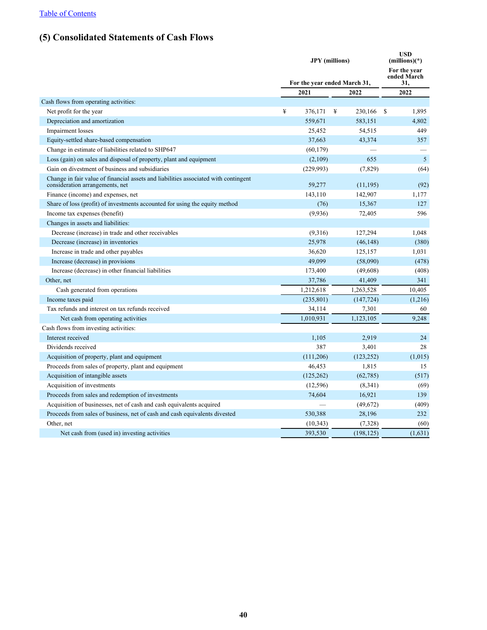## **(5) Consolidated Statements of Cash Flows**

|                                                                                                                        | <b>JPY</b> (millions)<br>For the year ended March 31, |            |           |               | <b>USD</b><br>$(millions)(*)$<br>For the year<br>ended March |
|------------------------------------------------------------------------------------------------------------------------|-------------------------------------------------------|------------|-----------|---------------|--------------------------------------------------------------|
|                                                                                                                        |                                                       |            |           |               | 31,                                                          |
|                                                                                                                        | 2021                                                  |            | 2022      |               | 2022                                                         |
| Cash flows from operating activities:                                                                                  |                                                       |            |           |               |                                                              |
| Net profit for the year                                                                                                | ¥                                                     | 376,171    | ¥         | 230,166<br>\$ | 1,895                                                        |
| Depreciation and amortization                                                                                          |                                                       | 559,671    |           | 583,151       | 4,802                                                        |
| Impairment losses                                                                                                      |                                                       | 25,452     |           | 54,515        | 449                                                          |
| Equity-settled share-based compensation                                                                                |                                                       | 37,663     |           | 43,374        | 357                                                          |
| Change in estimate of liabilities related to SHP647                                                                    |                                                       | (60, 179)  |           |               |                                                              |
| Loss (gain) on sales and disposal of property, plant and equipment                                                     |                                                       | (2,109)    |           | 655           | 5                                                            |
| Gain on divestment of business and subsidiaries                                                                        |                                                       | (229,993)  |           | (7,829)       | (64)                                                         |
| Change in fair value of financial assets and liabilities associated with contingent<br>consideration arrangements, net |                                                       | 59,277     |           | (11, 195)     | (92)                                                         |
| Finance (income) and expenses, net                                                                                     |                                                       | 143,110    |           | 142,907       | 1,177                                                        |
| Share of loss (profit) of investments accounted for using the equity method                                            |                                                       | (76)       |           | 15,367        | 127                                                          |
| Income tax expenses (benefit)                                                                                          |                                                       | (9,936)    |           | 72,405        | 596                                                          |
| Changes in assets and liabilities:                                                                                     |                                                       |            |           |               |                                                              |
| Decrease (increase) in trade and other receivables                                                                     |                                                       | (9,316)    |           | 127,294       | 1,048                                                        |
| Decrease (increase) in inventories                                                                                     |                                                       | 25,978     |           | (46, 148)     | (380)                                                        |
| Increase in trade and other payables                                                                                   |                                                       | 36,620     |           | 125,157       | 1,031                                                        |
| Increase (decrease) in provisions                                                                                      |                                                       | 49.099     |           | (58,090)      | (478)                                                        |
| Increase (decrease) in other financial liabilities                                                                     |                                                       | 173,400    |           | (49,608)      | (408)                                                        |
| Other, net                                                                                                             |                                                       | 37,786     |           | 41,409        | 341                                                          |
| Cash generated from operations                                                                                         |                                                       | 1,212,618  | 1,263,528 |               | 10,405                                                       |
| Income taxes paid                                                                                                      |                                                       | (235, 801) |           | (147, 724)    | (1,216)                                                      |
| Tax refunds and interest on tax refunds received                                                                       |                                                       | 34,114     |           | 7,301         | 60                                                           |
| Net cash from operating activities                                                                                     |                                                       | 1.010.931  | 1,123,105 |               | 9.248                                                        |
| Cash flows from investing activities:                                                                                  |                                                       |            |           |               |                                                              |
| Interest received                                                                                                      |                                                       | 1,105      |           | 2,919         | 24                                                           |
| Dividends received                                                                                                     |                                                       | 387        |           | 3,401         | 28                                                           |
| Acquisition of property, plant and equipment                                                                           |                                                       | (111,206)  |           | (123, 252)    | (1,015)                                                      |
| Proceeds from sales of property, plant and equipment                                                                   |                                                       | 46,453     |           | 1,815         | 15                                                           |
| Acquisition of intangible assets                                                                                       |                                                       | (125, 262) |           | (62, 785)     | (517)                                                        |
| Acquisition of investments                                                                                             |                                                       | (12, 596)  |           | (8,341)       | (69)                                                         |
| Proceeds from sales and redemption of investments                                                                      |                                                       | 74,604     |           | 16,921        | 139                                                          |
| Acquisition of businesses, net of cash and cash equivalents acquired                                                   |                                                       |            |           | (49,672)      | (409)                                                        |
| Proceeds from sales of business, net of cash and cash equivalents divested                                             |                                                       | 530,388    |           | 28,196        | 232                                                          |
| Other, net                                                                                                             |                                                       | (10, 343)  |           | (7, 328)      | (60)                                                         |
| Net cash from (used in) investing activities                                                                           |                                                       | 393,530    |           | (198, 125)    | (1,631)                                                      |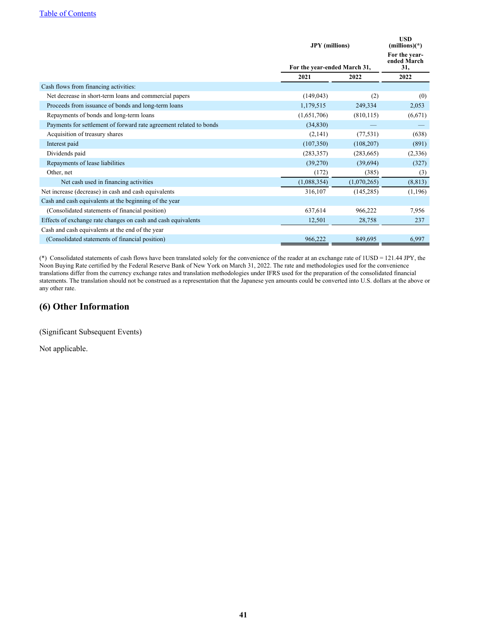|                                                                    |             | <b>JPY</b> (millions)<br>For the year-ended March 31, |          |  |
|--------------------------------------------------------------------|-------------|-------------------------------------------------------|----------|--|
|                                                                    |             |                                                       |          |  |
|                                                                    | 2021        | 2022                                                  | 2022     |  |
| Cash flows from financing activities:                              |             |                                                       |          |  |
| Net decrease in short-term loans and commercial papers             | (149, 043)  | (2)                                                   | (0)      |  |
| Proceeds from issuance of bonds and long-term loans                | 1,179,515   | 249,334                                               | 2,053    |  |
| Repayments of bonds and long-term loans                            | (1,651,706) | (810, 115)                                            | (6,671)  |  |
| Payments for settlement of forward rate agreement related to bonds | (34, 830)   |                                                       |          |  |
| Acquisition of treasury shares                                     | (2,141)     | (77, 531)                                             | (638)    |  |
| Interest paid                                                      | (107, 350)  | (108, 207)                                            | (891)    |  |
| Dividends paid                                                     | (283, 357)  | (283, 665)                                            | (2,336)  |  |
| Repayments of lease liabilities                                    | (39,270)    | (39,694)                                              | (327)    |  |
| Other, net                                                         | (172)       | (385)                                                 | (3)      |  |
| Net cash used in financing activities                              | (1,088,354) | (1,070,265)                                           | (8, 813) |  |
| Net increase (decrease) in cash and cash equivalents               | 316,107     | (145, 285)                                            | (1,196)  |  |
| Cash and cash equivalents at the beginning of the year             |             |                                                       |          |  |
| (Consolidated statements of financial position)                    | 637,614     | 966,222                                               | 7,956    |  |
| Effects of exchange rate changes on cash and cash equivalents      | 12,501      | 28,758                                                | 237      |  |
| Cash and cash equivalents at the end of the year                   |             |                                                       |          |  |
| (Consolidated statements of financial position)                    | 966,222     | 849,695                                               | 6,997    |  |

(\*) Consolidated statements of cash flows have been translated solely for the convenience of the reader at an exchange rate of 1USD = 121.44 JPY, the Noon Buying Rate certified by the Federal Reserve Bank of New York on March 31, 2022. The rate and methodologies used for the convenience translations differ from the currency exchange rates and translation methodologies under IFRS used for the preparation of the consolidated financial statements. The translation should not be construed as a representation that the Japanese yen amounts could be converted into U.S. dollars at the above or any other rate.

#### **(6) Other Information**

(Significant Subsequent Events)

Not applicable.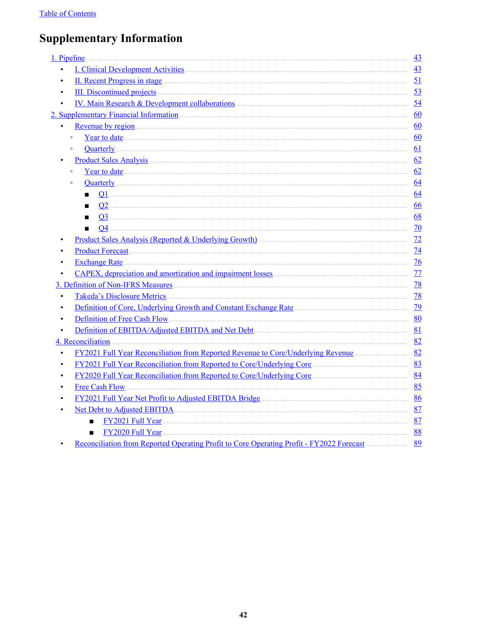# **Supplementary Information**

| 1. Pipeline                                                                              | 43              |
|------------------------------------------------------------------------------------------|-----------------|
| $\bullet$                                                                                | 43              |
| $\bullet$                                                                                | 51              |
| $\bullet$                                                                                | 53              |
| IV. Main Research & Development collaborations (2008) 2016 12:30 and 2016<br>$\bullet$   | 54              |
|                                                                                          | 60              |
| $\bullet$                                                                                | 60              |
| $\circ$                                                                                  | 60              |
| $\circ$                                                                                  | 61              |
|                                                                                          | 62              |
| $\circ$                                                                                  | 62              |
| $\circ$                                                                                  | 64              |
| п                                                                                        | 64              |
|                                                                                          | 66              |
| $\blacksquare$                                                                           | 68              |
| $\blacksquare$                                                                           | 70              |
| Product Sales Analysis (Reported & Underlying Growth)                                    | 72              |
|                                                                                          | 74              |
| <b>Exchange Rate</b><br>$\bullet$                                                        | $\overline{76}$ |
|                                                                                          | 77              |
|                                                                                          | 78              |
| $\bullet$                                                                                | 78              |
| $\bullet$                                                                                | 79              |
| $\bullet$                                                                                | 80              |
| $\bullet$                                                                                | 81              |
| 4. Reconciliation                                                                        | 82              |
|                                                                                          |                 |
|                                                                                          | 83              |
| FY2020 Full Year Reconciliation from Reported to Core/Underlying Core<br>$\bullet$       | 84              |
|                                                                                          | 85              |
|                                                                                          | 86              |
|                                                                                          | 87              |
| п                                                                                        | 87              |
| FY2020 Full Year                                                                         | 88              |
| Reconciliation from Reported Operating Profit to Core Operating Profit - FY2022 Forecast | 89              |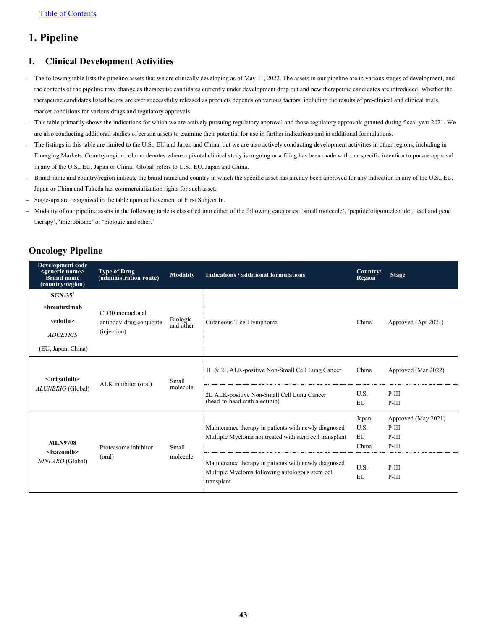## <span id="page-43-0"></span>**1. Pipeline**

#### **I. Clinical Development Activities**

- The following table lists the pipeline assets that we are clinically developing as of May 11, 2022. The assets in our pipeline are in various stages of development, and the contents of the pipeline may change as therapeutic candidates currently under development drop out and new therapeutic candidates are introduced. Whether the therapeutic candidates listed below are ever successfully released as products depends on various factors, including the results of pre-clinical and clinical trials, market conditions for various drugs and regulatory approvals.
- This table primarily shows the indications for which we are actively pursuing regulatory approval and those regulatory approvals granted during fiscal year 2021. We are also conducting additional studies of certain assets to examine their potential for use in further indications and in additional formulations.
- The listings in this table are limited to the U.S., EU and Japan and China, but we are also actively conducting development activities in other regions, including in Emerging Markets. Country/region column denotes where a pivotal clinical study is ongoing or a filing has been made with our specific intention to pursue approval in any of the U.S., EU, Japan or China. 'Global' refers to U.S., EU, Japan and China.
- Brand name and country/region indicate the brand name and country in which the specific asset has already been approved for any indication in any of the U.S., EU, Japan or China and Takeda has commercialization rights for such asset.
- Stage-ups are recognized in the table upon achievement of First Subject In.
- Modality of our pipeline assets in the following table is classified into either of the following categories: 'small molecule', 'peptide/oligonucleotide', 'cell and gene therapy', 'microbiome' or 'biologic and other.'

### **Oncology Pipeline**

| <b>Development code</b><br><generic name=""><br/>Brand name<br/>(country/region)</generic>      | <b>Type of Drug</b><br>(administration route) | <b>Modality</b>       | Indications / additional formulations                                                                                 | Country/<br><b>Region</b> | <b>Stage</b>        |
|-------------------------------------------------------------------------------------------------|-----------------------------------------------|-----------------------|-----------------------------------------------------------------------------------------------------------------------|---------------------------|---------------------|
| $SGN-351$                                                                                       |                                               |                       |                                                                                                                       |                           |                     |
| <brentuximab< td=""><td>CD30 monoclonal</td><td></td><td></td><td></td><td></td></brentuximab<> | CD30 monoclonal                               |                       |                                                                                                                       |                           |                     |
| vedotin>                                                                                        | antibody-drug conjugate                       | Biologic<br>and other | Cutaneous T cell lymphoma                                                                                             | China                     | Approved (Apr 2021) |
| <b>ADCETRIS</b>                                                                                 | (injection)                                   |                       |                                                                                                                       |                           |                     |
| (EU, Japan, China)                                                                              |                                               |                       |                                                                                                                       |                           |                     |
| <brigatinib></brigatinib>                                                                       | Small<br>ALK inhibitor (oral)                 |                       | 1L & 2L ALK-positive Non-Small Cell Lung Cancer                                                                       | China                     | Approved (Mar 2022) |
| ALUNBRIG (Global)                                                                               |                                               | molecule              | 2L ALK-positive Non-Small Cell Lung Cancer                                                                            |                           | $P-III$             |
|                                                                                                 |                                               |                       | (head-to-head with alectinib)                                                                                         | EU                        | $P-III$             |
|                                                                                                 |                                               |                       |                                                                                                                       | Japan                     | Approved (May 2021) |
|                                                                                                 |                                               |                       | Maintenance therapy in patients with newly diagnosed                                                                  | U.S.                      | $P-III$             |
|                                                                                                 |                                               |                       | Multiple Myeloma not treated with stem cell transplant                                                                | <b>EU</b>                 | $P-III$             |
| <b>MLN9708</b>                                                                                  | Proteasome inhibitor                          | Small                 |                                                                                                                       | China                     | $P-III$             |
| $\langle$ ixazomib><br>NINLARO (Global)                                                         | (oral)                                        | molecule              | Maintenance therapy in patients with newly diagnosed<br>Multiple Myeloma following autologous stem cell<br>transplant | U.S.<br>EU                | $P-III$<br>$P-III$  |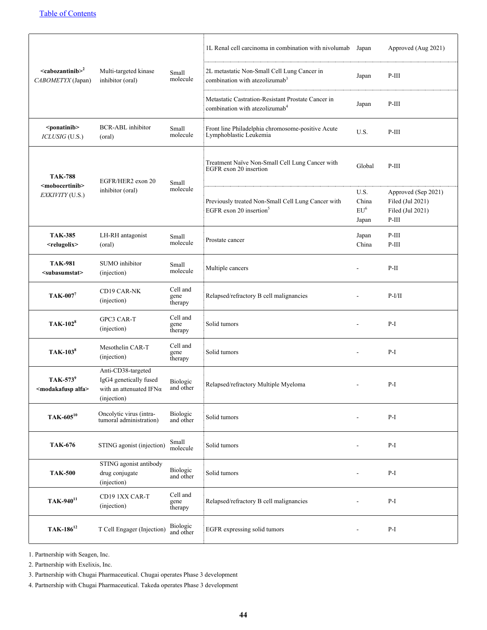|                                                           |                                                                                                |                             | 1L Renal cell carcinoma in combination with nivolumab                                            | Japan                                     | Approved (Aug 2021)                                                    |
|-----------------------------------------------------------|------------------------------------------------------------------------------------------------|-----------------------------|--------------------------------------------------------------------------------------------------|-------------------------------------------|------------------------------------------------------------------------|
| $\alpha$ scabozantinib $>^2$<br>CABOMETYX (Japan)         | Multi-targeted kinase<br>inhibitor (oral)                                                      | Small<br>molecule           | 2L metastatic Non-Small Cell Lung Cancer in<br>combination with atezolizumab <sup>3</sup>        | Japan                                     | $P-III$                                                                |
|                                                           |                                                                                                |                             | Metastatic Castration-Resistant Prostate Cancer in<br>combination with atezolizumab <sup>4</sup> | Japan                                     | $P-III$                                                                |
| <ponatinib><br/>ICLUSIG (U.S.)</ponatinib>                | <b>BCR-ABL</b> inhibitor<br>(oral)                                                             | Small<br>molecule           | Front line Philadelphia chromosome-positive Acute<br>Lymphoblastic Leukemia                      | U.S.                                      | $P-III$                                                                |
| <b>TAK-788</b>                                            | EGFR/HER2 exon 20                                                                              | Small                       | Treatment Naïve Non-Small Cell Lung Cancer with<br>EGFR exon 20 insertion                        | Global                                    | $P-III$                                                                |
| <mobocertinib><br/>EXKIVITY (U.S.)</mobocertinib>         | inhibitor (oral)                                                                               | molecule                    | Previously treated Non-Small Cell Lung Cancer with<br>EGFR exon 20 insertion <sup>5</sup>        | U.S.<br>China<br>EU <sup>6</sup><br>Japan | Approved (Sep 2021)<br>Filed (Jul 2021)<br>Filed (Jul 2021)<br>$P-III$ |
| <b>TAK-385</b><br><relugolix></relugolix>                 | LH-RH antagonist<br>(oral)                                                                     | Small<br>molecule           | Prostate cancer                                                                                  | Japan<br>China                            | $P-III$<br>$P-III$                                                     |
| <b>TAK-981</b><br><subasumstat></subasumstat>             | SUMO inhibitor<br>(injection)                                                                  | Small<br>molecule           | Multiple cancers                                                                                 |                                           | $P-II$                                                                 |
| TAK-007 <sup>7</sup>                                      | CD19 CAR-NK<br>(injection)                                                                     | Cell and<br>gene<br>therapy | Relapsed/refractory B cell malignancies                                                          |                                           | $P-I/II$                                                               |
| <b>TAK-102</b> <sup>8</sup>                               | <b>GPC3 CAR-T</b><br>(injection)                                                               | Cell and<br>gene<br>therapy | Solid tumors                                                                                     |                                           | $P-I$                                                                  |
| TAK-103 <sup>8</sup>                                      | Mesothelin CAR-T<br>(injection)                                                                | Cell and<br>gene<br>therapy | Solid tumors                                                                                     | $\blacksquare$                            | $P-I$                                                                  |
| TAK-573 <sup>9</sup><br><modakafusp alfa=""></modakafusp> | Anti-CD38-targeted<br>IgG4 genetically fused<br>with an attenuated IFN $\alpha$<br>(injection) | Biologic<br>and other       | Relapsed/refractory Multiple Myeloma                                                             | $\overline{a}$                            | $P-I$                                                                  |
| TAK-605 <sup>10</sup>                                     | Oncolytic virus (intra-<br>tumoral administration)                                             | Biologic<br>and other       | Solid tumors                                                                                     |                                           | $P-I$                                                                  |
| <b>TAK-676</b>                                            | STING agonist (injection)                                                                      | Small<br>molecule           | Solid tumors                                                                                     |                                           | $P-I$                                                                  |
| <b>TAK-500</b>                                            | STING agonist antibody<br>drug conjugate<br>(injection)                                        | Biologic<br>and other       | Solid tumors                                                                                     |                                           | $P-I$                                                                  |
| TAK-940 <sup>11</sup>                                     | CD19 1XX CAR-T<br>(injection)                                                                  | Cell and<br>gene<br>therapy | Relapsed/refractory B cell malignancies                                                          |                                           | $P-I$                                                                  |
| TAK-186 <sup>12</sup>                                     | T Cell Engager (Injection)                                                                     | Biologic<br>and other       | EGFR expressing solid tumors                                                                     |                                           | $P-I$                                                                  |

1. Partnership with Seagen, Inc.

2. Partnership with Exelixis, Inc.

3. Partnership with Chugai Pharmaceutical. Chugai operates Phase 3 development

4. Partnership with Chugai Pharmaceutical. Takeda operates Phase 3 development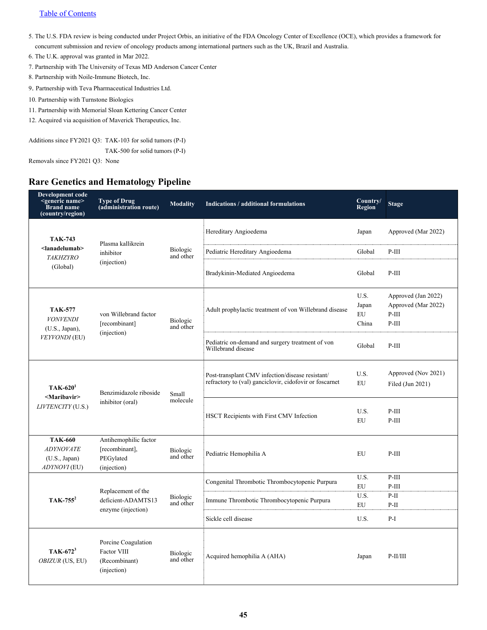#### [Table of Contents](#page-1-0)

- 5. The U.S. FDA review is being conducted under Project Orbis, an initiative of the FDA Oncology Center of Excellence (OCE), which provides a framework for concurrent submission and review of oncology products among international partners such as the UK, Brazil and Australia.
- 6. The U.K. approval was granted in Mar 2022.
- 7. Partnership with The University of Texas MD Anderson Cancer Center
- 8. Partnership with Noile-Immune Biotech, Inc.
- 9. Partnership with Teva Pharmaceutical Industries Ltd.
- 10. Partnership with Turnstone Biologics
- 11. Partnership with Memorial Sloan Kettering Cancer Center
- 12. Acquired via acquisition of Maverick Therapeutics, Inc.

Additions since FY2021 Q3: TAK-103 for solid tumors (P-I)

TAK-500 for solid tumors (P-I)

Removals since FY2021 Q3: None

#### **Rare Genetics and Hematology Pipeline**

| Development code<br><generic name=""><br/><b>Brand name</b><br/>(country/region)</generic> | <b>Type of Drug</b><br>(administration route)                       | <b>Modality</b>              | Indications / additional formulations                                                                       | Country/<br><b>Region</b>    | <b>Stage</b>                                                     |
|--------------------------------------------------------------------------------------------|---------------------------------------------------------------------|------------------------------|-------------------------------------------------------------------------------------------------------------|------------------------------|------------------------------------------------------------------|
| <b>TAK-743</b>                                                                             | Plasma kallikrein                                                   |                              | Hereditary Angioedema                                                                                       | Japan                        | Approved (Mar 2022)                                              |
| <lanadelumab><br/><b>TAKHZYRO</b></lanadelumab>                                            | inhibitor                                                           | Biologic<br>and other        | Pediatric Hereditary Angioedema                                                                             | Global                       | $P-III$                                                          |
| (Global)                                                                                   | (injection)                                                         |                              | Bradykinin-Mediated Angioedema                                                                              | Global                       | $P-III$                                                          |
| <b>TAK-577</b><br><b>VONVENDI</b><br>$(U.S., Japan)$ ,                                     | von Willebrand factor<br>[recombinant]                              | <b>Biologic</b><br>and other | Adult prophylactic treatment of von Willebrand disease                                                      | U.S.<br>Japan<br>EU<br>China | Approved (Jan 2022)<br>Approved (Mar 2022)<br>$P-III$<br>$P-III$ |
| VEYVONDI (EU)                                                                              | (injection)                                                         |                              | Pediatric on-demand and surgery treatment of von<br>Willebrand disease                                      | Global                       | $P-III$                                                          |
| $TAK-6201$<br><maribavir></maribavir>                                                      | Benzimidazole riboside<br>inhibitor (oral)                          | Small<br>molecule            | Post-transplant CMV infection/disease resistant/<br>refractory to (val) ganciclovir, cidofovir or foscarnet | U.S.<br>EU                   | Approved (Nov 2021)<br>Filed (Jun 2021)                          |
| LIVTENCITY (U.S.)                                                                          |                                                                     |                              | HSCT Recipients with First CMV Infection                                                                    | U.S.<br>EU                   | $P-III$<br>$P-III$                                               |
| <b>TAK-660</b><br><b>ADYNOVATE</b><br>(U.S., Japan)<br>ADYNOVI (EU)                        | Antihemophilic factor<br>[recombinant],<br>PEGylated<br>(injection) | <b>Biologic</b><br>and other | Pediatric Hemophilia A                                                                                      | EU                           | $P-III$                                                          |
|                                                                                            |                                                                     |                              | Congenital Thrombotic Thrombocytopenic Purpura                                                              | U.S.<br>EU                   | $P-III$<br>$P-III$                                               |
| $TAK-755^2$                                                                                | Replacement of the<br>deficient-ADAMTS13<br>enzyme (injection)      | Biologic<br>and other        | Immune Thrombotic Thrombocytopenic Purpura                                                                  | U.S.<br>EU                   | $P-II$<br>$P-II$                                                 |
|                                                                                            |                                                                     |                              | Sickle cell disease                                                                                         | U.S.                         | $P-I$                                                            |
| $TAK-672^3$<br>OBIZUR (US, EU)                                                             | Porcine Coagulation<br>Factor VIII<br>(Recombinant)<br>(injection)  | Biologic<br>and other        | Acquired hemophilia A (AHA)                                                                                 | Japan                        | $P-II/III$                                                       |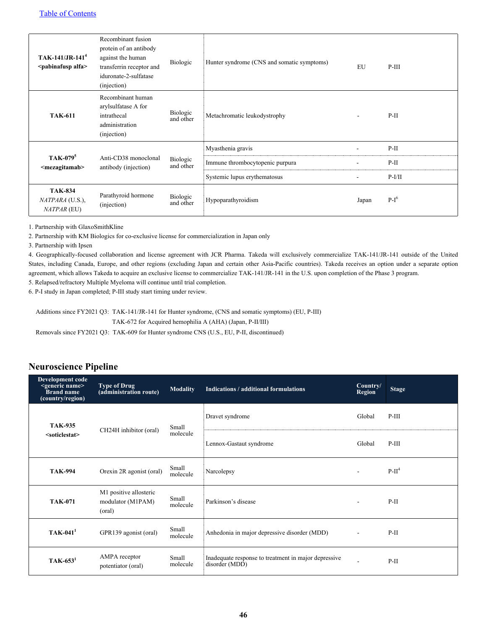| $TAK-141/JR-1414$<br><pabinafusp alfa=""></pabinafusp> | Recombinant fusion<br>protein of an antibody<br>against the human<br>transferrin receptor and<br>iduronate-2-sulfatase<br>(injection) | Biologic              | Hunter syndrome (CNS and somatic symptoms) | EU                       | $P-III$  |
|--------------------------------------------------------|---------------------------------------------------------------------------------------------------------------------------------------|-----------------------|--------------------------------------------|--------------------------|----------|
| <b>TAK-611</b>                                         | Recombinant human<br>arylsulfatase A for<br>intrathecal<br>administration<br>(injection)                                              | Biologic<br>and other | Metachromatic leukodystrophy               |                          | $P-II$   |
| TAK-079 <sup>5</sup><br><mezagitamab></mezagitamab>    | Anti-CD38 monoclonal<br>Biologic<br>and other<br>antibody (injection)                                                                 |                       | Myasthenia gravis                          | $\overline{\phantom{a}}$ | $P-II$   |
|                                                        |                                                                                                                                       |                       | Immune thrombocytopenic purpura            |                          | $P-II$   |
|                                                        |                                                                                                                                       |                       | Systemic lupus erythematosus               |                          | $P-I/II$ |
| <b>TAK-834</b><br>NATPARA (U.S.),<br>NATPAR (EU)       | Parathyroid hormone<br>(injection)                                                                                                    | Biologic<br>and other | Hypoparathyroidism                         | Japan                    | $P-I^6$  |

1. Partnership with GlaxoSmithKline

2. Partnership with KM Biologics for co-exclusive license for commercialization in Japan only

3. Partnership with Ipsen

4. Geographically-focused collaboration and license agreement with JCR Pharma. Takeda will exclusively commercialize TAK-141/JR-141 outside of the United States, including Canada, Europe, and other regions (excluding Japan and certain other Asia-Pacific countries). Takeda receives an option under a separate option agreement, which allows Takeda to acquire an exclusive license to commercialize TAK-141/JR-141 in the U.S. upon completion of the Phase 3 program.

5. Relapsed/refractory Multiple Myeloma will continue until trial completion.

6. P-I study in Japan completed; P-III study start timing under review.

Additions since FY2021 Q3: TAK-141/JR-141 for Hunter syndrome, (CNS and somatic symptoms) (EU, P-III)

TAK-672 for Acquired hemophilia A (AHA) (Japan, P-II/III)

Removals since FY2021 Q3: TAK-609 for Hunter syndrome CNS (U.S., EU, P-II, discontinued)

#### **Neuroscience Pipeline**

| Development code<br><generic name=""><br/><b>Brand name</b><br/>(country/region)</generic> | <b>Type of Drug</b><br>(administration route)         | <b>Modality</b>         | Indications / additional formulations                                  | Country/<br><b>Region</b> | <b>Stage</b> |
|--------------------------------------------------------------------------------------------|-------------------------------------------------------|-------------------------|------------------------------------------------------------------------|---------------------------|--------------|
| <b>TAK-935</b>                                                                             | CH24H inhibitor (oral)                                | Small                   | Dravet syndrome                                                        | Global                    | $P-III$      |
| <soticlestat></soticlestat>                                                                | molecule                                              | Lennox-Gastaut syndrome | Global                                                                 | $P-III$                   |              |
| <b>TAK-994</b>                                                                             | Orexin 2R agonist (oral)                              | Small<br>molecule       | Narcolepsy                                                             | $\blacksquare$            | $P-II4$      |
| <b>TAK-071</b>                                                                             | M1 positive allosteric<br>modulator (M1PAM)<br>(oral) | Small<br>molecule       | Parkinson's disease                                                    | $\overline{\phantom{a}}$  | $P-II$       |
| $TAK-041$ <sup>1</sup>                                                                     | GPR139 agonist (oral)                                 | Small<br>molecule       | Anhedonia in major depressive disorder (MDD)                           | $\overline{\phantom{a}}$  | $P-II$       |
| $TAK-6531$                                                                                 | AMPA receptor<br>potentiator (oral)                   | Small<br>molecule       | Inadequate response to treatment in major depressive<br>disorder (MDD) | ÷                         | $P-II$       |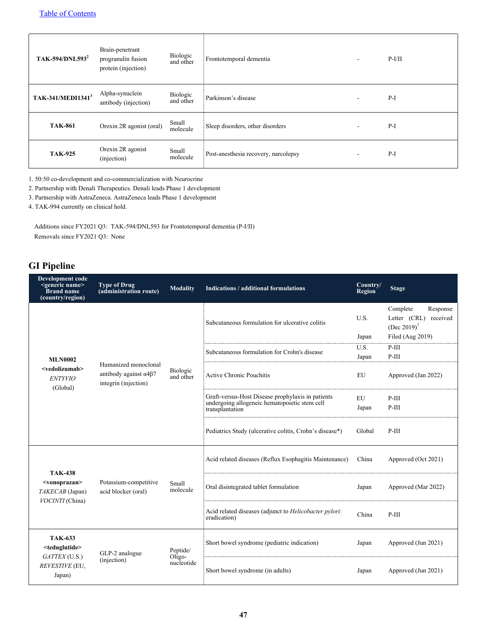| TAK-594/DNL593 <sup>2</sup>   | Brain-penetrant<br>progranulin fusion<br>protein (injection) |                          | Biologic<br>and other | Frontotemporal dementia              | $\blacksquare$ | $P-I/II$ |
|-------------------------------|--------------------------------------------------------------|--------------------------|-----------------------|--------------------------------------|----------------|----------|
| TAK-341/MEDI1341 <sup>3</sup> | Alpha-synuclein<br>antibody (injection)                      |                          | Biologic<br>and other | Parkinson's disease                  | $\sim$         | $P-I$    |
| <b>TAK-861</b>                |                                                              | Orexin 2R agonist (oral) | Small<br>molecule     | Sleep disorders, other disorders     | $\sim$         | $P-I$    |
| <b>TAK-925</b>                | Orexin 2R agonist<br>(injection)                             |                          | Small<br>molecule     | Post-anesthesia recovery, narcolepsy | $\blacksquare$ | $P-I$    |

1. 50:50 co-development and co-commercialization with Neurocrine

2. Partnership with Denali Therapeutics. Denali leads Phase 1 development

3. Partnership with AstraZeneca. AstraZeneca leads Phase 1 development

4. TAK-994 currently on clinical hold.

Additions since FY2021 Q3: TAK-594/DNL593 for Frontotemporal dementia (P-I/II) Removals since FY2021 Q3: None

### **GI Pipeline**

| <b>Development code</b><br><generic name=""><br/><b>Brand</b> name<br/>(country/region)</generic> | <b>Type of Drug</b><br>(administration route)                                         | <b>Modality</b>                  | Indications / additional formulations                                                                                 | Country/<br><b>Region</b> | <b>Stage</b>                                                                                 |
|---------------------------------------------------------------------------------------------------|---------------------------------------------------------------------------------------|----------------------------------|-----------------------------------------------------------------------------------------------------------------------|---------------------------|----------------------------------------------------------------------------------------------|
|                                                                                                   |                                                                                       |                                  | Subcutaneous formulation for ulcerative colitis                                                                       | U.S.<br>Japan             | Complete<br>Response<br>Letter (CRL) received<br>(Dec 2019) <sup>7</sup><br>Filed (Aug 2019) |
|                                                                                                   |                                                                                       |                                  | Subcutaneous formulation for Crohn's disease                                                                          | U.S.<br>Japan             | $P-III$<br>$P-III$                                                                           |
| <b>MLN0002</b><br><vedolizumab><br/><b>ENTYVIO</b><br/>(Global)</vedolizumab>                     | Humanized monoclonal<br>antibody against $\alpha$ 4 $\beta$ 7<br>integrin (injection) | Biologic<br>and other            | Active Chronic Pouchitis                                                                                              | <b>EU</b>                 | Approved (Jan 2022)                                                                          |
|                                                                                                   |                                                                                       |                                  | Graft-versus-Host Disease prophylaxis in patients<br>undergoing allogeneic hematopoietic stem cell<br>transplantation | EU<br>Japan               | $P-III$<br>$P-III$                                                                           |
|                                                                                                   |                                                                                       |                                  | Pediatrics Study (ulcerative colitis, Crohn's disease*)                                                               | Global                    | $P-III$                                                                                      |
| <b>TAK-438</b>                                                                                    |                                                                                       | Small<br>molecule                | Acid related diseases (Reflux Esophagitis Maintenance)                                                                | China                     | Approved (Oct 2021)                                                                          |
| <vonoprazan><br/>TAKECAB (Japan)</vonoprazan>                                                     | Potassium-competitive<br>acid blocker (oral)                                          |                                  | Oral disintegrated tablet formulation                                                                                 | Japan                     | Approved (Mar 2022)                                                                          |
| VOCINTI (China)                                                                                   |                                                                                       |                                  | Acid related diseases (adjunct to Helicobacter pylori<br>eradication)                                                 | China                     | $P-III$                                                                                      |
| <b>TAK-633</b><br><teduglutide></teduglutide>                                                     | GLP-2 analogue                                                                        | Peptide/                         | Short bowel syndrome (pediatric indication)                                                                           | Japan                     | Approved (Jun 2021)                                                                          |
| GATTEX(U.S.)<br>(injection)<br>REVESTIVE (EU,<br>Japan)                                           | $Oligo-$<br>nucleotide                                                                | Short bowel syndrome (in adults) | Japan                                                                                                                 | Approved (Jun 2021)       |                                                                                              |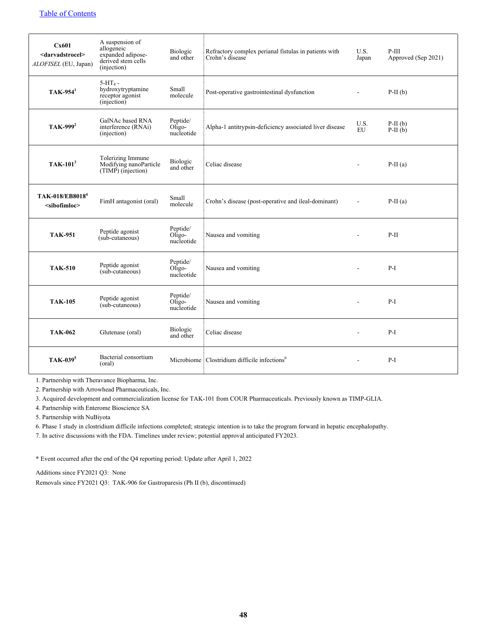| Cx601<br><darvadstrocel><br/>ALOFISEL (EU, Japan)</darvadstrocel> | A suspension of<br>allogeneic<br>expanded adipose-<br>derived stem cells<br>(injection) | Biologic<br>and other              | Refractory complex perianal fistulas in patients with<br>Crohn's disease | U.S.<br>Japan            | $P-III$<br>Approved (Sep 2021) |
|-------------------------------------------------------------------|-----------------------------------------------------------------------------------------|------------------------------------|--------------------------------------------------------------------------|--------------------------|--------------------------------|
| $TAK-9541$                                                        | $5-HT_4$ -<br>hydroxytryptamine<br>receptor agonist<br>(injection)                      | Small<br>molecule                  | Post-operative gastrointestinal dysfunction                              | $\blacksquare$           | $P-II(b)$                      |
| TAK-999 <sup>2</sup>                                              | GalNAc based RNA<br>interference (RNAi)<br>(injection)                                  | Peptide/<br>Oligo-<br>nucleotide   | Alpha-1 antitrypsin-deficiency associated liver disease                  | U.S.<br>EU               | $P-II(b)$<br>$P-II(b)$         |
| $TAK-1013$                                                        | Tolerizing Immune<br>Modifying nanoParticle<br>$(TIMP)$ (injection)                     | <b>Biologic</b><br>and other       | Celiac disease                                                           | $\blacksquare$           | $P-II(a)$                      |
| TAK-018/EB8018 <sup>4</sup><br><sibofimloc></sibofimloc>          | FimH antagonist (oral)                                                                  | Small<br>molecule                  | Crohn's disease (post-operative and ileal-dominant)                      | $\blacksquare$           | $P-II(a)$                      |
| <b>TAK-951</b>                                                    | Peptide agonist<br>(sub-cutaneous)                                                      | Peptide/<br>$Oligo-$<br>nucleotide | Nausea and vomiting                                                      | $\blacksquare$           | $P-II$                         |
| <b>TAK-510</b>                                                    | Peptide agonist<br>(sub-cutaneous)                                                      | Peptide/<br>$Oligo-$<br>nucleotide | Nausea and vomiting                                                      | ÷                        | $P-I$                          |
| <b>TAK-105</b>                                                    | Peptide agonist<br>(sub-cutaneous)                                                      | Peptide/<br>$Oligo-$<br>nucleotide | Nausea and vomiting                                                      | $\blacksquare$           | $P-I$                          |
| <b>TAK-062</b>                                                    | Glutenase (oral)                                                                        | Biologic<br>and other              | Celiac disease                                                           | $\blacksquare$           | $P-I$                          |
| TAK-039 <sup>5</sup>                                              | Bacterial consortium<br>(oral)                                                          | Microbiome                         | Clostridium difficile infections <sup>6</sup>                            | $\overline{\phantom{a}}$ | $P-I$                          |

1. Partnership with Theravance Biopharma, Inc.

2. Partnership with Arrowhead Pharmaceuticals, Inc.

3. Acquired development and commercialization license for TAK-101 from COUR Pharmaceuticals. Previously known as TIMP-GLIA.

4. Partnership with Enterome Bioscience SA

5. Partnership with NuBiyota

6. Phase 1 study in clostridium difficile infections completed; strategic intention is to take the program forward in hepatic encephalopathy.

7. In active discussions with the FDA. Timelines under review; potential approval anticipated FY2023.

\* Event occurred after the end of the Q4 reporting period: Update after April 1, 2022

Additions since FY2021 Q3: None

Removals since FY2021 Q3: TAK-906 for Gastroparesis (Ph II (b), discontinued)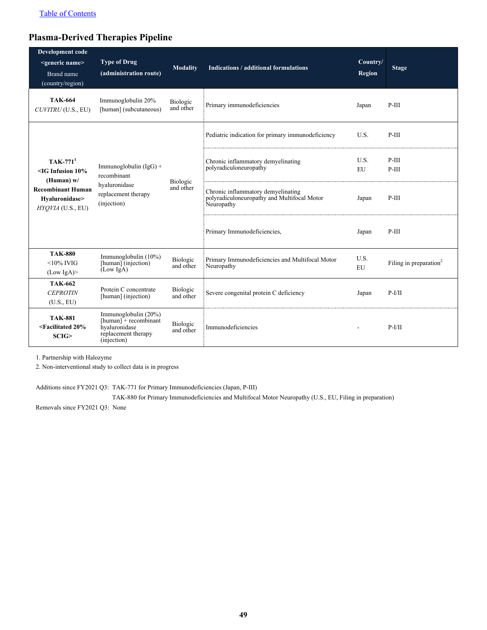### **Plasma-Derived Therapies Pipeline**

| Development code<br><generic name=""><br/>Brand name<br/>(country/region)</generic>                                                                                                                                       | <b>Type of Drug</b><br>(administration route)                                                            | <b>Modality</b>                                              | Indications / additional formulations                                                           | Country/<br>Region | <b>Stage</b>                       |
|---------------------------------------------------------------------------------------------------------------------------------------------------------------------------------------------------------------------------|----------------------------------------------------------------------------------------------------------|--------------------------------------------------------------|-------------------------------------------------------------------------------------------------|--------------------|------------------------------------|
| <b>TAK-664</b><br>CUVITRU (U.S., EU)                                                                                                                                                                                      | Immunoglobulin 20%<br>[human] (subcutaneous)                                                             | Biologic<br>and other                                        | Primary immunodeficiencies                                                                      | Japan              | $P-III$                            |
|                                                                                                                                                                                                                           |                                                                                                          |                                                              | Pediatric indication for primary immunodeficiency                                               | U.S.               | $P-III$                            |
| $TAK-7711$<br>Immunoglobulin $(IgG)$ +<br>$\leq$ IG Infusion 10%<br>recombinant<br>(Human) $w/$<br>hyaluronidase<br><b>Recombinant Human</b><br>replacement therapy<br>Hyaluronidase><br>(injection)<br>HYQVIA (U.S., EU) |                                                                                                          | Chronic inflammatory demyelinating<br>polyradiculoneuropathy | U.S.<br>EU                                                                                      | $P-III$<br>$P-III$ |                                    |
|                                                                                                                                                                                                                           |                                                                                                          | Biologic<br>and other                                        | Chronic inflammatory demyelinating<br>polyradiculoneuropathy and Multifocal Motor<br>Neuropathy | Japan              | $P-III$                            |
|                                                                                                                                                                                                                           |                                                                                                          |                                                              | Primary Immunodeficiencies,                                                                     | Japan              | $P-III$                            |
| <b>TAK-880</b><br>$<$ 10% IVIG<br>(Low IgA)                                                                                                                                                                               | Immunoglobulin (10%)<br>[human] (injection)<br>(Low IgA)                                                 | Biologic<br>and other                                        | Primary Immunodeficiencies and Multifocal Motor<br>Neuropathy                                   | U.S.<br><b>EU</b>  | Filing in preparation <sup>2</sup> |
| <b>TAK-662</b><br><b>CEPROTIN</b><br>(U.S., EU)                                                                                                                                                                           | Protein C concentrate<br>[human] (injection)                                                             | Biologic<br>and other                                        | Severe congenital protein C deficiency                                                          | Japan              | $P-I/II$                           |
| <b>TAK-881</b><br><facilitated 20%<br="">SCIG</facilitated>                                                                                                                                                               | Immunoglobulin (20%)<br>$[human] + recombination$<br>hvaluronidase<br>replacement therapy<br>(injection) | Biologic<br>and other                                        | Immunodeficiencies                                                                              |                    | $P-I/II$                           |

1. Partnership with Halozyme

2. Non-interventional study to collect data is in progress

Additions since FY2021 Q3: TAK-771 for Primary Immunodeficiencies (Japan, P-III)

TAK-880 for Primary Immunodeficiencies and Multifocal Motor Neuropathy (U.S., EU, Filing in preparation)

Removals since FY2021 Q3: None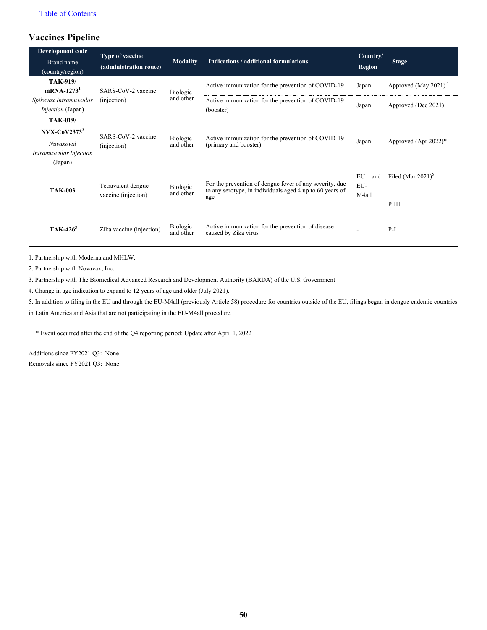### **Vaccines Pipeline**

| Development code                                                         | Type of vaccine                           |                       |                                                                                                                            | Country/                                              |                                             |
|--------------------------------------------------------------------------|-------------------------------------------|-----------------------|----------------------------------------------------------------------------------------------------------------------------|-------------------------------------------------------|---------------------------------------------|
| Brand name<br>(country/region)                                           | (administration route)                    | <b>Modality</b>       | <b>Indications / additional formulations</b>                                                                               | <b>Region</b>                                         | <b>Stage</b>                                |
| <b>TAK-919/</b><br>$mRNA-12731$                                          | SARS-CoV-2 vaccine                        | Biologic              | Active immunization for the prevention of COVID-19                                                                         | Japan                                                 | Approved (May 2021) <sup>4</sup>            |
| Spikevax Intramuscular<br><i>Injection</i> (Japan)                       | (injection)                               | and other             | Active immunization for the prevention of COVID-19<br>(booster)                                                            | Japan                                                 | Approved (Dec 2021)                         |
| <b>TAK-019/</b>                                                          |                                           |                       |                                                                                                                            |                                                       |                                             |
| $Nvx-CoV23732$<br><b>Nuvaxovid</b><br>Intramuscular Injection<br>(Japan) | SARS-CoV-2 vaccine<br>(injection)         | Biologic<br>and other | Active immunization for the prevention of COVID-19<br>(primary and booster)                                                | Japan                                                 | Approved (Apr $2022$ )*                     |
| <b>TAK-003</b>                                                           | Tetravalent dengue<br>vaccine (injection) | Biologic<br>and other | For the prevention of dengue fever of any severity, due<br>to any serotype, in individuals aged 4 up to 60 years of<br>age | EU<br>and<br>EU-<br>M4all<br>$\overline{\phantom{a}}$ | Filed (Mar $2021$ ) <sup>3</sup><br>$P-III$ |
| $TAK-426^3$                                                              | Zika vaccine (injection)                  | Biologic<br>and other | Active immunization for the prevention of disease<br>caused by Zika virus                                                  |                                                       | $P-I$                                       |

1. Partnership with Moderna and MHLW.

2. Partnership with Novavax, Inc.

3. Partnership with The Biomedical Advanced Research and Development Authority (BARDA) of the U.S. Government

4. Change in age indication to expand to 12 years of age and older (July 2021).

5. In addition to filing in the EU and through the EU-M4all (previously Article 58) procedure for countries outside of the EU, filings began in dengue endemic countries

in Latin America and Asia that are not participating in the EU-M4all procedure.

\* Event occurred after the end of the Q4 reporting period: Update after April 1, 2022

Additions since FY2021 Q3: None Removals since FY2021 Q3: None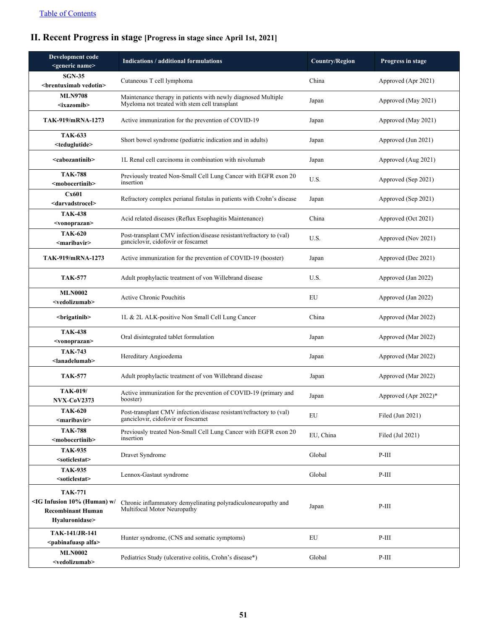## <span id="page-51-0"></span>**II. Recent Progress in stage [Progress in stage since April 1st, 2021]**

| Development code<br><generic name=""></generic>                                                                     | <b>Indications / additional formulations</b>                                                                   | <b>Country/Region</b> | Progress in stage    |
|---------------------------------------------------------------------------------------------------------------------|----------------------------------------------------------------------------------------------------------------|-----------------------|----------------------|
| <b>SGN-35</b><br><br>                                                                                               | Cutaneous T cell lymphoma                                                                                      | China                 | Approved (Apr 2021)  |
| <b>MLN9708</b><br>$\langle$ ixazomib $\rangle$                                                                      | Maintenance therapy in patients with newly diagnosed Multiple<br>Myeloma not treated with stem cell transplant | Japan                 | Approved (May 2021)  |
| TAK-919/mRNA-1273                                                                                                   | Active immunization for the prevention of COVID-19                                                             | Japan                 | Approved (May 2021)  |
| <b>TAK-633</b><br><teduglutide></teduglutide>                                                                       | Short bowel syndrome (pediatric indication and in adults)                                                      | Japan                 | Approved (Jun 2021)  |
| <cabozantinib></cabozantinib>                                                                                       | 1L Renal cell carcinoma in combination with nivolumab                                                          | Japan                 | Approved (Aug 2021)  |
| <b>TAK-788</b><br><mobocertinib></mobocertinib>                                                                     | Previously treated Non-Small Cell Lung Cancer with EGFR exon 20<br>insertion                                   | U.S.                  | Approved (Sep 2021)  |
| Cx601<br><darvadstrocel></darvadstrocel>                                                                            | Refractory complex perianal fistulas in patients with Crohn's disease                                          | Japan                 | Approved (Sep 2021)  |
| <b>TAK-438</b><br><vonoprazan></vonoprazan>                                                                         | Acid related diseases (Reflux Esophagitis Maintenance)                                                         | China                 | Approved (Oct 2021)  |
| <b>TAK-620</b><br><maribavir></maribavir>                                                                           | Post-transplant CMV infection/disease resistant/refractory to (val)<br>ganciclovir, cidofovir or foscarnet     | U.S.                  | Approved (Nov 2021)  |
| TAK-919/mRNA-1273                                                                                                   | Active immunization for the prevention of COVID-19 (booster)                                                   | Japan                 | Approved (Dec 2021)  |
| <b>TAK-577</b>                                                                                                      | Adult prophylactic treatment of von Willebrand disease                                                         | U.S.                  | Approved (Jan 2022)  |
| <b>MLN0002</b><br><vedolizumab></vedolizumab>                                                                       | <b>Active Chronic Pouchitis</b>                                                                                | EU                    | Approved (Jan 2022)  |
| <brigatinib></brigatinib>                                                                                           | 1L & 2L ALK-positive Non Small Cell Lung Cancer                                                                | China                 | Approved (Mar 2022)  |
| <b>TAK-438</b><br><vonoprazan></vonoprazan>                                                                         | Oral disintegrated tablet formulation                                                                          | Japan                 | Approved (Mar 2022)  |
| <b>TAK-743</b><br><lanadelumab></lanadelumab>                                                                       | Hereditary Angioedema                                                                                          | Japan                 | Approved (Mar 2022)  |
| <b>TAK-577</b>                                                                                                      | Adult prophylactic treatment of von Willebrand disease                                                         | Japan                 | Approved (Mar 2022)  |
| <b>TAK-019/</b><br><b>NVX-CoV2373</b>                                                                               | Active immunization for the prevention of COVID-19 (primary and<br>booster)                                    | Japan                 | Approved (Apr 2022)* |
| <b>TAK-620</b><br><maribavir></maribavir>                                                                           | Post-transplant CMV infection/disease resistant/refractory to (val)<br>ganciclovir, cidofovir or foscarnet     | EU                    | Filed (Jun 2021)     |
| <b>TAK-788</b><br><mobocertinib></mobocertinib>                                                                     | Previously treated Non-Small Cell Lung Cancer with EGFR exon 20<br>insertion                                   | EU, China             | Filed (Jul 2021)     |
| <b>TAK-935</b><br><soticlestat></soticlestat>                                                                       | Dravet Syndrome                                                                                                | Global                | $P-III$              |
| <b>TAK-935</b><br><soticlestat></soticlestat>                                                                       | Lennox-Gastaut syndrome                                                                                        | Global                | $P-III$              |
| <b>TAK-771</b><br><ig (human)="" 10%="" <br="" infusion="" w=""><b>Recombinant Human</b><br/>Hyaluronidase&gt;</ig> | Chronic inflammatory demyelinating polyradiculoneuropathy and<br>Multifocal Motor Neuropathy                   | Japan                 | $P-III$              |
| TAK-141/JR-141<br><pabinafuasp alfa=""></pabinafuasp>                                                               | Hunter syndrome, (CNS and somatic symptoms)                                                                    | EU                    | $P-III$              |
| <b>MLN0002</b><br><vedolizumab></vedolizumab>                                                                       | Pediatrics Study (ulcerative colitis, Crohn's disease*)                                                        | Global                | $P-III$              |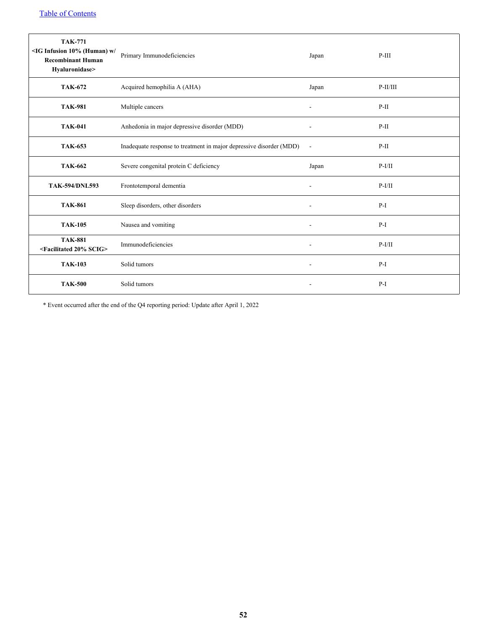| <b>TAK-771</b><br><ig (human)="" 10%="" <br="" infusion="" w=""><b>Recombinant Human</b><br/>Hyaluronidase&gt;</ig> | Primary Immunodeficiencies                                          | Japan                        | $P-III$    |
|---------------------------------------------------------------------------------------------------------------------|---------------------------------------------------------------------|------------------------------|------------|
| <b>TAK-672</b>                                                                                                      | Acquired hemophilia A (AHA)                                         | Japan                        | $P-II/III$ |
| <b>TAK-981</b>                                                                                                      | Multiple cancers                                                    | $\overline{\phantom{a}}$     | $P-II$     |
| <b>TAK-041</b>                                                                                                      | Anhedonia in major depressive disorder (MDD)                        |                              | $P-II$     |
| <b>TAK-653</b>                                                                                                      | Inadequate response to treatment in major depressive disorder (MDD) | $\overline{\phantom{a}}$     | $P-II$     |
| <b>TAK-662</b>                                                                                                      | Severe congenital protein C deficiency                              | Japan                        | $P-I/II$   |
| <b>TAK-594/DNL593</b>                                                                                               | Frontotemporal dementia                                             |                              | $P-I/II$   |
| <b>TAK-861</b>                                                                                                      | Sleep disorders, other disorders                                    |                              | $P-I$      |
| <b>TAK-105</b>                                                                                                      | Nausea and vomiting                                                 | $\blacksquare$               | $P-I$      |
| <b>TAK-881</b><br><facilitated 20%="" scig=""></facilitated>                                                        | Immunodeficiencies                                                  | $\qquad \qquad \blacksquare$ | $P-I/II$   |
| <b>TAK-103</b>                                                                                                      | Solid tumors                                                        |                              | $P-I$      |
| <b>TAK-500</b>                                                                                                      | Solid tumors                                                        |                              | $P-I$      |

\* Event occurred after the end of the Q4 reporting period: Update after April 1, 2022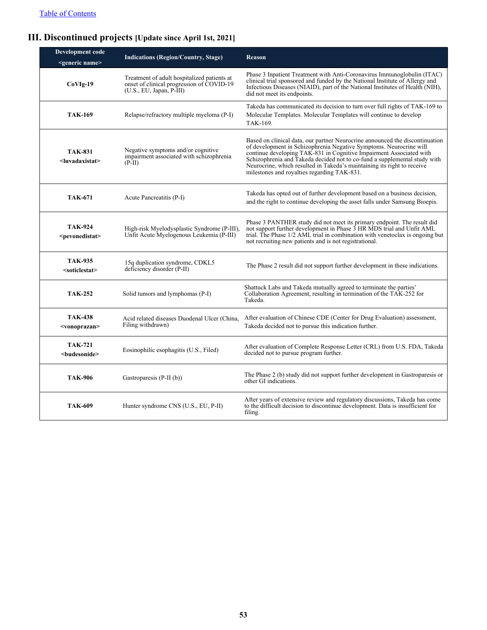## <span id="page-53-0"></span>**III. Discontinued projects [Update since April 1st, 2021]**

| Development code<br><generic name=""></generic> | <b>Indications (Region/Country, Stage)</b>                                                                             | <b>Reason</b>                                                                                                                                                                                                                                                                                                                                                                                                                    |
|-------------------------------------------------|------------------------------------------------------------------------------------------------------------------------|----------------------------------------------------------------------------------------------------------------------------------------------------------------------------------------------------------------------------------------------------------------------------------------------------------------------------------------------------------------------------------------------------------------------------------|
| $CoVIg-19$                                      | Treatment of adult hospitalized patients at<br>onset of clinical progression of COVID-19<br>$(U.S., EU, Japan, P-III)$ | Phase 3 Inpatient Treatment with Anti-Coronavirus Immunoglobulin (ITAC)<br>clinical trial sponsored and funded by the National Institute of Allergy and<br>Infectious Diseases (NIAID), part of the National Institutes of Health (NIH),<br>did not meet its endpoints.                                                                                                                                                          |
| <b>TAK-169</b>                                  | Relapse/refractory multiple myeloma (P-I)                                                                              | Takeda has communicated its decision to turn over full rights of TAK-169 to<br>Molecular Templates. Molecular Templates will continue to develop<br>TAK-169.                                                                                                                                                                                                                                                                     |
| <b>TAK-831</b><br><luvadaxistat></luvadaxistat> | Negative symptoms and/or cognitive.<br>impairment associated with schizophrenia<br>$(P-II)$                            | Based on clinical data, our partner Neurocrine announced the discontinuation<br>of development in Schizophrenia Negative Symptoms. Neurocrine will<br>continue developing TAK-831 in Cognitive Impairment Associated with<br>Schizophrenia and Takeda decided not to co-fund a supplemental study with<br>Neurocrine, which resulted in Takeda's maintaining its right to receive<br>milestones and royalties regarding TAK-831. |
| <b>TAK-671</b>                                  | Acute Pancreatitis (P-I)                                                                                               | Takeda has opted out of further development based on a business decision,<br>and the right to continue developing the asset falls under Samsung Bioepis.                                                                                                                                                                                                                                                                         |
| <b>TAK-924</b><br><pevonedistat></pevonedistat> | High-risk Myelodysplastic Syndrome (P-III),<br>Unfit Acute Myelogenous Leukemia (P-III)                                | Phase 3 PANTHER study did not meet its primary endpoint. The result did<br>not support further development in Phase 3 HR MDS trial and Unfit AML<br>trial. The Phase 1/2 AML trial in combination with venetoclax is ongoing but<br>not recruiting new patients and is not registrational.                                                                                                                                       |
| <b>TAK-935</b><br><soticlestat></soticlestat>   | 15q duplication syndrome, CDKL5<br>deficiency disorder (P-II)                                                          | The Phase 2 result did not support further development in these indications.                                                                                                                                                                                                                                                                                                                                                     |
| <b>TAK-252</b>                                  | Solid tumors and lymphomas (P-I)                                                                                       | Shattuck Labs and Takeda mutually agreed to terminate the parties'<br>Collaboration Agreement, resulting in termination of the TAK-252 for<br>Takeda.                                                                                                                                                                                                                                                                            |
| <b>TAK-438</b><br><vonoprazan></vonoprazan>     | Acid related diseases Duodenal Ulcer (China,<br>Filing withdrawn)                                                      | After evaluation of Chinese CDE (Center for Drug Evaluation) assessment,<br>Takeda decided not to pursue this indication further.                                                                                                                                                                                                                                                                                                |
| <b>TAK-721</b><br><budesonide></budesonide>     | Eosinophilic esophagitis (U.S., Filed)                                                                                 | After evaluation of Complete Response Letter (CRL) from U.S. FDA, Takeda<br>decided not to pursue program further.                                                                                                                                                                                                                                                                                                               |
| <b>TAK-906</b>                                  | Gastroparesis (P-II (b))                                                                                               | The Phase 2 (b) study did not support further development in Gastroparesis or<br>other GI indications.                                                                                                                                                                                                                                                                                                                           |
| <b>TAK-609</b>                                  | Hunter syndrome CNS (U.S., EU, P-II)                                                                                   | After years of extensive review and regulatory discussions, Takeda has come<br>to the difficult decision to discontinue development. Data is insufficient for<br>filing.                                                                                                                                                                                                                                                         |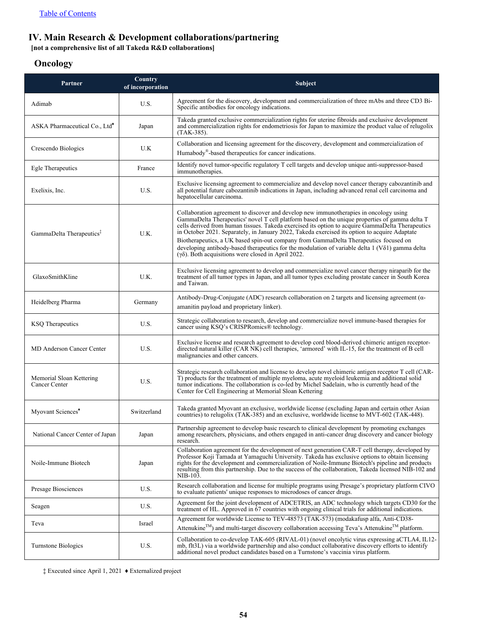#### <span id="page-54-0"></span>**IV. Main Research & Development collaborations/partnering**

**[not a comprehensive list of all Takeda R&D collaborations]**

#### **Oncology**

| Partner                                   | Country<br>of incorporation | Subject                                                                                                                                                                                                                                                                                                                                                                                                                                                                                                                                                                                                                                                 |
|-------------------------------------------|-----------------------------|---------------------------------------------------------------------------------------------------------------------------------------------------------------------------------------------------------------------------------------------------------------------------------------------------------------------------------------------------------------------------------------------------------------------------------------------------------------------------------------------------------------------------------------------------------------------------------------------------------------------------------------------------------|
| Adimab                                    | U.S.                        | Agreement for the discovery, development and commercialization of three mAbs and three CD3 Bi-<br>Specific antibodies for oncology indications.                                                                                                                                                                                                                                                                                                                                                                                                                                                                                                         |
| ASKA Pharmaceutical Co., Ltd <sup>*</sup> | Japan                       | Takeda granted exclusive commercialization rights for uterine fibroids and exclusive development<br>and commercialization rights for endometriosis for Japan to maximize the product value of relugilix<br>(TAK-385).                                                                                                                                                                                                                                                                                                                                                                                                                                   |
| Crescendo Biologics                       | U.K                         | Collaboration and licensing agreement for the discovery, development and commercialization of<br>Humabody <sup>®</sup> -based therapeutics for cancer indications.                                                                                                                                                                                                                                                                                                                                                                                                                                                                                      |
| Egle Therapeutics                         | France                      | Identify novel tumor-specific regulatory T cell targets and develop unique anti-suppressor-based<br>immunotherapies.                                                                                                                                                                                                                                                                                                                                                                                                                                                                                                                                    |
| Exelixis, Inc.                            | U.S.                        | Exclusive licensing agreement to commercialize and develop novel cancer therapy cabozantinib and<br>all potential future cabozantinib indications in Japan, including advanced renal cell carcinoma and<br>hepatocellular carcinoma.                                                                                                                                                                                                                                                                                                                                                                                                                    |
| GammaDelta Therapeutics <sup>‡</sup>      | U.K.                        | Collaboration agreement to discover and develop new immunotherapies in oncology using<br>GammaDelta Therapeutics' novel T cell platform based on the unique properties of gamma delta T<br>cells derived from human tissues. Takeda exercised its option to acquire GammaDelta Therapeutics<br>in October 2021. Separately, in January 2022, Takeda exercised its option to acquire Adaptate<br>Biotherapeutics, a UK based spin-out company from GammaDelta Therapeutics focused on<br>developing antibody-based therapeutics for the modulation of variable delta $1 (V\delta1)$ gamma delta<br>$(γδ)$ . Both acquisitions were closed in April 2022. |
| GlaxoSmithKline                           | U.K.                        | Exclusive licensing agreement to develop and commercialize novel cancer therapy niraparib for the<br>treatment of all tumor types in Japan, and all tumor types excluding prostate cancer in South Korea<br>and Taiwan.                                                                                                                                                                                                                                                                                                                                                                                                                                 |
| Heidelberg Pharma                         | Germany                     | Antibody-Drug-Conjugate (ADC) research collaboration on 2 targets and licensing agreement (a-<br>amanitin payload and proprietary linker).                                                                                                                                                                                                                                                                                                                                                                                                                                                                                                              |
| <b>KSQ</b> Therapeutics                   | U.S.                        | Strategic collaboration to research, develop and commercialize novel immune-based therapies for<br>cancer using KSQ's CRISPRomics® technology.                                                                                                                                                                                                                                                                                                                                                                                                                                                                                                          |
| <b>MD Anderson Cancer Center</b>          | U.S.                        | Exclusive license and research agreement to develop cord blood-derived chimeric antigen receptor-<br>directed natural killer (CAR NK) cell therapies, 'armored' with IL-15, for the treatment of B cell<br>malignancies and other cancers.                                                                                                                                                                                                                                                                                                                                                                                                              |
| Memorial Sloan Kettering<br>Cancer Center | U.S.                        | Strategic research collaboration and license to develop novel chimeric antigen receptor T cell (CAR-<br>T) products for the treatment of multiple myeloma, acute myeloid leukemia and additional solid<br>tumor indications. The collaboration is co-led by Michel Sadelain, who is currently head of the<br>Center for Cell Engineering at Memorial Sloan Kettering                                                                                                                                                                                                                                                                                    |
| Myovant Sciences <sup>*</sup>             | Switzerland                 | Takeda granted Myovant an exclusive, worldwide license (excluding Japan and certain other Asian<br>countries) to relugolix (TAK-385) and an exclusive, worldwide license to MVT-602 (TAK-448).                                                                                                                                                                                                                                                                                                                                                                                                                                                          |
| National Cancer Center of Japan           | Japan                       | Partnership agreement to develop basic research to clinical development by promoting exchanges<br>among researchers, physicians, and others engaged in anti-cancer drug discovery and cancer biology<br>research.                                                                                                                                                                                                                                                                                                                                                                                                                                       |
| Noile-Immune Biotech                      | Japan                       | Collaboration agreement for the development of next generation CAR-T cell therapy, developed by<br>Professor Koji Tamada at Yamaguchi Üniversity. Takeda has exclusive options to obtain licensing<br>rights for the development and commercialization of Noile-Immune Biotech's pipeline and products<br>resulting from this partnership. Due to the success of the collaboration, Takeda licensed NIB-102 and<br>NIB-103.                                                                                                                                                                                                                             |
| Presage Biosciences                       | U.S.                        | Research collaboration and license for multiple programs using Presage's proprietary platform CIVO<br>to evaluate patients' unique responses to microdoses of cancer drugs.                                                                                                                                                                                                                                                                                                                                                                                                                                                                             |
| Seagen                                    | U.S.                        | Agreement for the joint development of ADCETRIS, an ADC technology which targets CD30 for the<br>treatment of HL. Approved in $67$ countries with ongoing clinical trials for additional indications.                                                                                                                                                                                                                                                                                                                                                                                                                                                   |
| Teva                                      | Israel                      | Agreement for worldwide License to TEV-48573 (TAK-573) (modakafusp alfa, Anti-CD38-<br>Attenukine <sup>TM</sup> ) and multi-target discovery collaboration accessing Teva's Attenukine <sup>TM</sup> platform.                                                                                                                                                                                                                                                                                                                                                                                                                                          |
| Turnstone Biologics                       | U.S.                        | Collaboration to co-develop TAK-605 (RIVAL-01) (novel oncolytic virus expressing aCTLA4, IL12-<br>mb, flt3L) via a worldwide partnership and also conduct collaborative discovery efforts to identify<br>additional novel product candidates based on a Turnstone's vaccinia virus platform.                                                                                                                                                                                                                                                                                                                                                            |

‡ Executed since April 1, 2021 ♦ Externalized project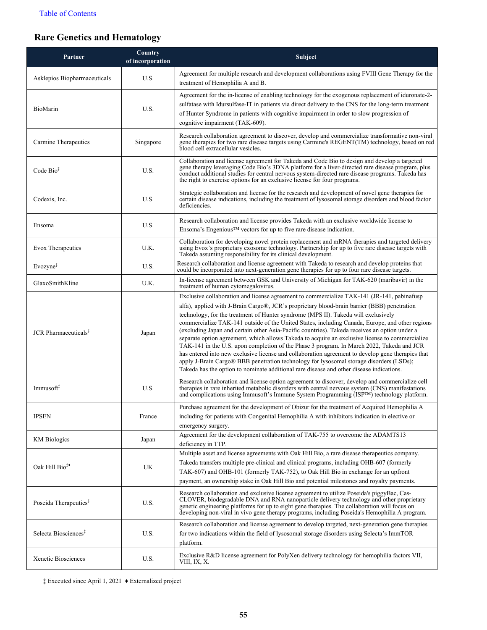## **Rare Genetics and Hematology**

| Partner                                 | Country<br>of incorporation | Subject                                                                                                                                                                                                                                                                                                                                                                                                                                                                                                                                                                                                                                                                                                                                                                                                                                                                                                                                                                          |
|-----------------------------------------|-----------------------------|----------------------------------------------------------------------------------------------------------------------------------------------------------------------------------------------------------------------------------------------------------------------------------------------------------------------------------------------------------------------------------------------------------------------------------------------------------------------------------------------------------------------------------------------------------------------------------------------------------------------------------------------------------------------------------------------------------------------------------------------------------------------------------------------------------------------------------------------------------------------------------------------------------------------------------------------------------------------------------|
| Asklepios Biopharmaceuticals            | U.S.                        | Agreement for multiple research and development collaborations using FVIII Gene Therapy for the<br>treatment of Hemophilia A and B.                                                                                                                                                                                                                                                                                                                                                                                                                                                                                                                                                                                                                                                                                                                                                                                                                                              |
| BioMarin                                | U.S.                        | Agreement for the in-license of enabling technology for the exogenous replacement of iduronate-2-<br>sulfatase with Idursulfase-IT in patients via direct delivery to the CNS for the long-term treatment<br>of Hunter Syndrome in patients with cognitive impairment in order to slow progression of<br>cognitive impairment (TAK-609).                                                                                                                                                                                                                                                                                                                                                                                                                                                                                                                                                                                                                                         |
| Carmine Therapeutics                    | Singapore                   | Research collaboration agreement to discover, develop and commercialize transformative non-viral<br>gene therapies for two rare disease targets using Carmine's REGENT(TM) technology, based on red<br>blood cell extracellular vesicles.                                                                                                                                                                                                                                                                                                                                                                                                                                                                                                                                                                                                                                                                                                                                        |
| Code $Bio‡$                             | U.S.                        | Collaboration and license agreement for Takeda and Code Bio to design and develop a targeted<br>gene therapy leveraging Code Bio's 3DNA platform for a liver-directed rare disease program, plus<br>conduct additional studies for central nervous system-directed rare disease programs. Takeda has<br>the right to exercise options for an exclusive license for four programs.                                                                                                                                                                                                                                                                                                                                                                                                                                                                                                                                                                                                |
| Codexis, Inc.                           | U.S.                        | Strategic collaboration and license for the research and development of novel gene therapies for<br>certain disease indications, including the treatment of lysosomal storage disorders and blood factor<br>deficiencies.                                                                                                                                                                                                                                                                                                                                                                                                                                                                                                                                                                                                                                                                                                                                                        |
| Ensoma                                  | U.S.                        | Research collaboration and license provides Takeda with an exclusive worldwide license to<br>Ensoma's Engenious™ vectors for up to five rare disease indication.                                                                                                                                                                                                                                                                                                                                                                                                                                                                                                                                                                                                                                                                                                                                                                                                                 |
| Evox Therapeutics                       | U.K.                        | Collaboration for developing novel protein replacement and mRNA therapies and targeted delivery<br>using Evox's proprietary exosome technology. Partnership for up to five rare disease targets with<br>Takeda assuming responsibility for its clinical development.                                                                                                                                                                                                                                                                                                                                                                                                                                                                                                                                                                                                                                                                                                             |
| Evozyne <sup>‡</sup>                    | U.S.                        | Research collaboration and license agreement with Takeda to research and develop proteins that<br>could be incorporated into next-generation gene therapies for up to four rare disease targets.                                                                                                                                                                                                                                                                                                                                                                                                                                                                                                                                                                                                                                                                                                                                                                                 |
| GlaxoSmithKline                         | U.K.                        | In-license agreement between GSK and University of Michigan for TAK-620 (maribavir) in the<br>treatment of human cytomegalovirus.                                                                                                                                                                                                                                                                                                                                                                                                                                                                                                                                                                                                                                                                                                                                                                                                                                                |
| <b>JCR</b> Pharmaceuticals <sup>‡</sup> | Japan                       | Exclusive collaboration and license agreement to commercialize TAK-141 (JR-141, pabinafusp)<br>alfa), applied with J-Brain Cargo®, JCR's proprietary blood-brain barrier (BBB) penetration<br>technology, for the treatment of Hunter syndrome (MPS II). Takeda will exclusively<br>commercialize TAK-141 outside of the United States, including Canada, Europe, and other regions<br>(excluding Japan and certain other Asia-Pacific countries). Takeda receives an option under a<br>separate option agreement, which allows Takeda to acquire an exclusive license to commercialize<br>TAK-141 in the U.S. upon completion of the Phase 3 program. In March 2022, Takeda and JCR<br>has entered into new exclusive license and collaboration agreement to develop gene therapies that<br>apply J-Brain Cargo® BBB penetration technology for lysosomal storage disorders (LSDs);<br>Takeda has the option to nominate additional rare disease and other disease indications. |
| Immusoft <sup>#</sup>                   | U.S.                        | Research collaboration and license option agreement to discover, develop and commercialize cell<br>therapies in rare inherited metabolic disorders with central nervous system (CNS) manifestations<br>and complications using Immusoft's Immune System Programming (ISPTM) technology platform.                                                                                                                                                                                                                                                                                                                                                                                                                                                                                                                                                                                                                                                                                 |
| <b>IPSEN</b>                            | France                      | Purchase agreement for the development of Obizur for the treatment of Acquired Hemophilia A<br>including for patients with Congenital Hemophilia A with inhibitors indication in elective or<br>emergency surgery.                                                                                                                                                                                                                                                                                                                                                                                                                                                                                                                                                                                                                                                                                                                                                               |
| <b>KM</b> Biologics                     | Japan                       | Agreement for the development collaboration of TAK-755 to overcome the ADAMTS13<br>deficiency in TTP.                                                                                                                                                                                                                                                                                                                                                                                                                                                                                                                                                                                                                                                                                                                                                                                                                                                                            |
| Oak Hill Bio <sup>‡•</sup>              | <b>UK</b>                   | Multiple asset and license agreements with Oak Hill Bio, a rare disease therapeutics company.<br>Takeda transfers multiple pre-clinical and clinical programs, including OHB-607 (formerly<br>TAK-607) and OHB-101 (formerly TAK-752), to Oak Hill Bio in exchange for an upfront<br>payment, an ownership stake in Oak Hill Bio and potential milestones and royalty payments.                                                                                                                                                                                                                                                                                                                                                                                                                                                                                                                                                                                                  |
| Poseida Therapeutics <sup>‡</sup>       | U.S.                        | Research collaboration and exclusive license agreement to utilize Poseida's piggyBac, Cas-<br>CLOVER, biodegradable DNA and RNA nanoparticle delivery technology and other proprietary<br>genetic engineering platforms for up to eight gene therapies. The collaboration will focus on<br>developing non-viral in vivo gene therapy programs, including Poseida's Hemophilia A program.                                                                                                                                                                                                                                                                                                                                                                                                                                                                                                                                                                                         |
| Selecta Biosciences <sup>‡</sup>        | U.S.                        | Research collaboration and license agreement to develop targeted, next-generation gene therapies<br>for two indications within the field of lysosomal storage disorders using Selecta's ImmTOR<br>platform.                                                                                                                                                                                                                                                                                                                                                                                                                                                                                                                                                                                                                                                                                                                                                                      |
| Xenetic Biosciences                     | U.S.                        | Exclusive R&D license agreement for PolyXen delivery technology for hemophilia factors VII,<br>VIII, IX, X.                                                                                                                                                                                                                                                                                                                                                                                                                                                                                                                                                                                                                                                                                                                                                                                                                                                                      |

‡ Executed since April 1, 2021 ♦ Externalized project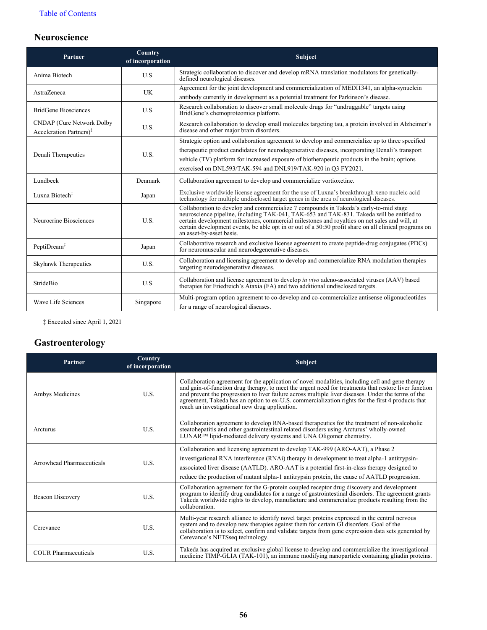## **Neuroscience**

| Partner                                                                 | Country<br>of incorporation | <b>Subject</b>                                                                                                                                                                                                                                                                                                                                                                                                           |
|-------------------------------------------------------------------------|-----------------------------|--------------------------------------------------------------------------------------------------------------------------------------------------------------------------------------------------------------------------------------------------------------------------------------------------------------------------------------------------------------------------------------------------------------------------|
| Anima Biotech                                                           | U.S.                        | Strategic collaboration to discover and develop mRNA translation modulators for genetically-<br>defined neurological diseases.                                                                                                                                                                                                                                                                                           |
| AstraZeneca                                                             | <b>UK</b>                   | Agreement for the joint development and commercialization of MEDI1341, an alpha-synuclein                                                                                                                                                                                                                                                                                                                                |
|                                                                         |                             | antibody currently in development as a potential treatment for Parkinson's disease.                                                                                                                                                                                                                                                                                                                                      |
| <b>BridGene Biosciences</b>                                             | U.S.                        | Research collaboration to discover small molecule drugs for "undruggable" targets using<br>BridGene's chemoproteomics platform.                                                                                                                                                                                                                                                                                          |
| <b>CNDAP</b> (Cure Network Dolby<br>Acceleration Partners) <sup>†</sup> | U.S.                        | Research collaboration to develop small molecules targeting tau, a protein involved in Alzheimer's<br>disease and other major brain disorders.                                                                                                                                                                                                                                                                           |
|                                                                         |                             | Strategic option and collaboration agreement to develop and commercialize up to three specified                                                                                                                                                                                                                                                                                                                          |
| Denali Therapeutics                                                     | U.S.                        | therapeutic product candidates for neurodegenerative diseases, incorporating Denali's transport                                                                                                                                                                                                                                                                                                                          |
|                                                                         |                             | vehicle (TV) platform for increased exposure of biotherapeutic products in the brain; options                                                                                                                                                                                                                                                                                                                            |
|                                                                         |                             | exercised on DNL593/TAK-594 and DNL919/TAK-920 in O3 FY2021.                                                                                                                                                                                                                                                                                                                                                             |
| Lundbeck                                                                | Denmark                     | Collaboration agreement to develop and commercialize vortioxetine.                                                                                                                                                                                                                                                                                                                                                       |
| Luxna Biotech <sup>‡</sup>                                              | Japan                       | Exclusive worldwide license agreement for the use of Luxna's breakthrough xeno nucleic acid<br>technology for multiple undisclosed target genes in the area of neurological diseases.                                                                                                                                                                                                                                    |
| Neurocrine Biosciences                                                  | U.S.                        | Collaboration to develop and commercialize 7 compounds in Takeda's early-to-mid stage<br>neuroscience pipeline, including TAK-041, TAK-653 and TAK-831. Takeda will be entitled to<br>certain development milestones, commercial milestones and royalties on net sales and will, at<br>certain development events, be able opt in or out of a 50:50 profit share on all clinical programs on<br>an asset-by-asset basis. |
| PeptiDream <sup>‡</sup>                                                 | Japan                       | Collaborative research and exclusive license agreement to create peptide-drug conjugates (PDCs)<br>for neuromuscular and neurodegenerative diseases.                                                                                                                                                                                                                                                                     |
| Skyhawk Therapeutics                                                    | U.S.                        | Collaboration and licensing agreement to develop and commercialize RNA modulation therapies<br>targeting neurodegenerative diseases.                                                                                                                                                                                                                                                                                     |
| StrideBio                                                               | U.S.                        | Collaboration and license agreement to develop in vivo adeno-associated viruses (AAV) based<br>therapies for Friedreich's Ataxia (FA) and two additional undisclosed targets.                                                                                                                                                                                                                                            |
| Wave Life Sciences                                                      | Singapore                   | Multi-program option agreement to co-develop and co-commercialize antisense oligonucleotides<br>for a range of neurological diseases.                                                                                                                                                                                                                                                                                    |

‡ Executed since April 1, 2021

## **Gastroenterology**

| Partner                     | Country<br>of incorporation | <b>Subject</b>                                                                                                                                                                                                                                                                                                                                                                                                                                                          |
|-----------------------------|-----------------------------|-------------------------------------------------------------------------------------------------------------------------------------------------------------------------------------------------------------------------------------------------------------------------------------------------------------------------------------------------------------------------------------------------------------------------------------------------------------------------|
| Ambys Medicines             | U.S.                        | Collaboration agreement for the application of novel modalities, including cell and gene therapy<br>and gain-of-function drug therapy, to meet the urgent need for treatments that restore liver function<br>and prevent the progression to liver failure across multiple liver diseases. Under the terms of the<br>agreement, Takeda has an option to ex-U.S. commercialization rights for the first 4 products that<br>reach an investigational new drug application. |
| Arcturus                    | U.S.                        | Collaboration agreement to develop RNA-based therapeutics for the treatment of non-alcoholic<br>steatohepatitis and other gastrointestinal related disorders using Arcturus' wholly-owned<br>LUNAR <sup>TM</sup> lipid-mediated delivery systems and UNA Oligomer chemistry.                                                                                                                                                                                            |
| Arrowhead Pharmaceuticals   | U.S.                        | Collaboration and licensing agreement to develop TAK-999 (ARO-AAT), a Phase 2<br>investigational RNA interference (RNAi) therapy in development to treat alpha-1 antitrypsin-<br>associated liver disease (AATLD). ARO-AAT is a potential first-in-class therapy designed to<br>reduce the production of mutant alpha-1 antitrypsin protein, the cause of AATLD progression.                                                                                            |
| <b>Beacon Discovery</b>     | U.S.                        | Collaboration agreement for the G-protein coupled receptor drug discovery and development<br>program to identify drug candidates for a range of gastrointestinal disorders. The agreement grants<br>Takeda worldwide rights to develop, manufacture and commercialize products resulting from the<br>collaboration.                                                                                                                                                     |
| Cerevance                   | U.S.                        | Multi-year research alliance to identify novel target proteins expressed in the central nervous<br>system and to develop new therapies against them for certain GI disorders. Goal of the<br>collaboration is to select, confirm and validate targets from gene expression data sets generated by<br>Cerevance's NETSseq technology.                                                                                                                                    |
| <b>COUR Pharmaceuticals</b> | U.S.                        | Takeda has acquired an exclusive global license to develop and commercialize the investigational<br>medicine TIMP-GLIA (TAK-101), an immune modifying nanoparticle containing gliadin proteins.                                                                                                                                                                                                                                                                         |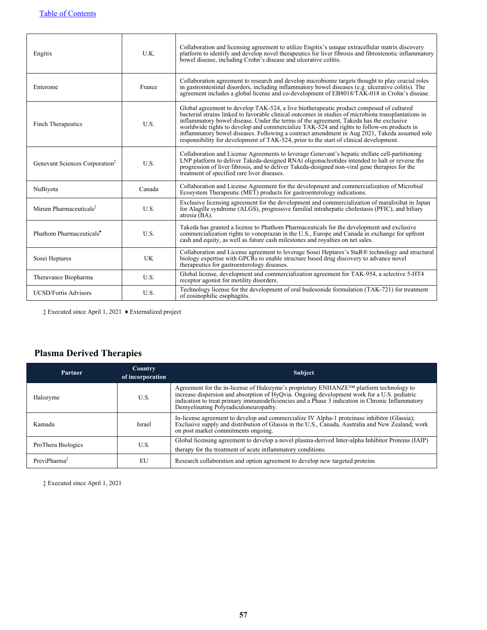| Engitix                                    | U.K.      | Collaboration and licensing agreement to utilize Engitix's unique extracellular matrix discovery<br>platform to identify and develop novel therapeutics for liver fibrosis and fibrostenotic inflammatory<br>bowel disease, including Crohn's disease and ulcerative colitis.                                                                                                                                                                                                                                                                                                    |
|--------------------------------------------|-----------|----------------------------------------------------------------------------------------------------------------------------------------------------------------------------------------------------------------------------------------------------------------------------------------------------------------------------------------------------------------------------------------------------------------------------------------------------------------------------------------------------------------------------------------------------------------------------------|
| Enterome                                   | France    | Collaboration agreement to research and develop microbiome targets thought to play crucial roles<br>in gastrointestinal disorders, including inflammatory bowel diseases (e.g. ulcerative colitis). The<br>agreement includes a global license and co-development of EB8018/TAK-018 in Crohn's disease.                                                                                                                                                                                                                                                                          |
| Finch Therapeutics                         | U.S.      | Global agreement to develop TAK-524, a live biotherapeutic product composed of cultured<br>bacterial strains linked to favorable clinical outcomes in studies of microbiota transplantations in<br>inflammatory bowel disease. Under the terms of the agreement, Takeda has the exclusive<br>worldwide rights to develop and commercialize TAK-524 and rights to follow-on products in<br>inflammatory bowel diseases. Following a contract amendment in Aug 2021, Takeda assumed sole<br>responsibility for development of TAK-524, prior to the start of clinical development. |
| Genevant Sciences Corporation <sup>1</sup> | U.S.      | Collaboration and License Agreements to leverage Genevant's hepatic stellate cell-partitioning<br>LNP platform to deliver Takeda-designed RNAi oligonucleotides intended to halt or reverse the<br>progression of liver fibrosis, and to deliver Takeda-designed non-viral gene therapies for the<br>treatment of specified rare liver diseases.                                                                                                                                                                                                                                 |
| NuBiyota                                   | Canada    | Collaboration and License Agreement for the development and commercialization of Microbial<br>Ecosystem Therapeutic (MET) products for gastroenterology indications.                                                                                                                                                                                                                                                                                                                                                                                                             |
| Mirum Pharmaceuticals <sup>‡</sup>         | U.S.      | Exclusive licensing agreement for the development and commercialization of maralixibat in Japan<br>for Alagille syndrome (ALGS), progressive familial intrahepatic cholestasis (PFIC), and biliary<br>atresia (BA).                                                                                                                                                                                                                                                                                                                                                              |
| Phathom Pharmaceuticals <sup>*</sup>       | U.S.      | Takeda has granted a license to Phathom Pharmaceuticals for the development and exclusive<br>commercialization rights to vonoprazan in the U.S., Europe and Canada in exchange for upfront<br>cash and equity, as well as future cash milestones and royalties on net sales.                                                                                                                                                                                                                                                                                                     |
| Sosei Heptares                             | <b>UK</b> | Collaboration and License agreement to leverage Sosei Heptares's StaR® technology and structural<br>biology expertise with GPCRs to enable structure based drug discovery to advance novel<br>therapeutics for gastroenterology diseases.                                                                                                                                                                                                                                                                                                                                        |
| Theravance Biopharma                       | U.S.      | Global license, development and commercialization agreement for TAK-954, a selective 5-HT4<br>receptor agonist for motility disorders.                                                                                                                                                                                                                                                                                                                                                                                                                                           |
| <b>UCSD/Fortis Advisors</b>                | U.S.      | Technology license for the development of oral budesonide formulation (TAK-721) for treatment<br>of eosinophilic esophagitis.                                                                                                                                                                                                                                                                                                                                                                                                                                                    |

‡ Executed since April 1, 2021 ♦ Externalized project

### **Plasma Derived Therapies**

| Partner                  | <b>Country</b><br>of incorporation | <b>Subject</b>                                                                                                                                                                                                                                                                                                                              |
|--------------------------|------------------------------------|---------------------------------------------------------------------------------------------------------------------------------------------------------------------------------------------------------------------------------------------------------------------------------------------------------------------------------------------|
| Halozyme                 | U.S.                               | Agreement for the in-license of Halozyme's proprietary ENHANZE <sup>TM</sup> platform technology to increase dispersion and absorption of HyQvia. Ongoing development work for a U.S. pediatric<br>indication to treat primary immunodeficiencies and a Phase 3 indication in Chronic Inflammatory<br>Demyelinating Polyradiculoneuropathy. |
| Kamada                   | Israel                             | In-license agreement to develop and commercialize IV Alpha-1 proteinase inhibitor (Glassia);<br>Exclusive supply and distribution of Glassia in the U.S., Canada, Australia and New Zealand; work<br>on post market commitments ongoing.                                                                                                    |
| ProThera Biologics       | U.S.                               | Global licensing agreement to develop a novel plasma-derived Inter-alpha Inhibitor Proteins (IAIP)<br>therapy for the treatment of acute inflammatory conditions.                                                                                                                                                                           |
| PreviPharma <sup>‡</sup> | EU                                 | Research collaboration and option agreement to develop new targeted proteins                                                                                                                                                                                                                                                                |

‡ Executed since April 1, 2021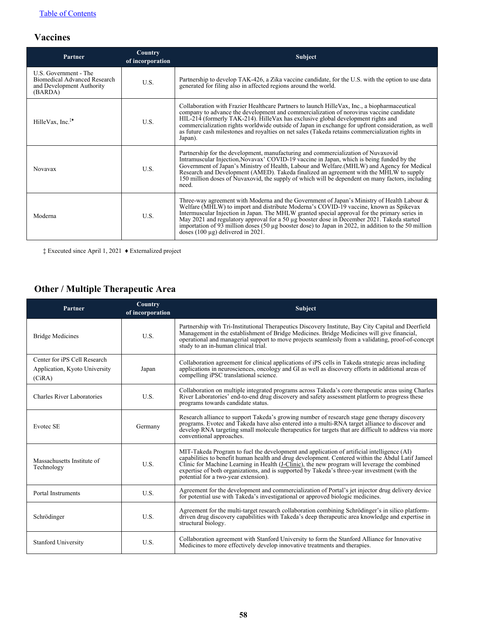### **Vaccines**

| Partner                                                                                       | Country<br>of incorporation | <b>Subject</b>                                                                                                                                                                                                                                                                                                                                                                                                                                                                                                                             |
|-----------------------------------------------------------------------------------------------|-----------------------------|--------------------------------------------------------------------------------------------------------------------------------------------------------------------------------------------------------------------------------------------------------------------------------------------------------------------------------------------------------------------------------------------------------------------------------------------------------------------------------------------------------------------------------------------|
| U.S. Government - The<br>Biomedical Advanced Research<br>and Development Authority<br>(BARDA) | U.S.                        | Partnership to develop TAK-426, a Zika vaccine candidate, for the U.S. with the option to use data<br>generated for filing also in affected regions around the world.                                                                                                                                                                                                                                                                                                                                                                      |
| HilleVax, Inc. <sup><math>*</math></sup>                                                      | U.S.                        | Collaboration with Frazier Healthcare Partners to launch Hille Vax, Inc., a biopharmaceutical<br>company to advance the development and commercialization of norovirus vaccine candidate<br>HIL-214 (formerly TAK-214). HilleVax has exclusive global development rights and<br>commercialization rights worldwide outside of Japan in exchange for upfront consideration, as well<br>as future cash milestones and royalties on net sales (Takeda retains commercialization rights in<br>Japan).                                          |
| <b>Novavax</b>                                                                                | U.S.                        | Partnership for the development, manufacturing and commercialization of Nuvaxovid<br>Intramuscular Injection, Novavax' COVID-19 vaccine in Japan, which is being funded by the Government of Japan's Ministry of Health, Labour and Welfare.(MHLW) and Agency for Medical<br>Research and Development (AMED). Takeda finalized an agreement with the MHLW to supply<br>150 million doses of Nuvaxovid, the supply of which will be dependent on many factors, including<br>need.                                                           |
| Moderna                                                                                       | U.S.                        | Three-way agreement with Moderna and the Government of Japan's Ministry of Health Labour &<br>Welfare (MHLW) to import and distribute Moderna's COVID-19 vaccine, known as Spikevax<br>Intermuscular Injection in Japan. The MHLW granted special approval for the primary series in<br>May 2021 and regulatory approval for a 50 µg booster dose in December 2021. Takeda started<br>importation of 93 million doses $(50 \mu g)$ booster dose) to Japan in 2022, in addition to the 50 million<br>doses $(100 \mu g)$ delivered in 2021. |

‡ Executed since April 1, 2021 ♦ Externalized project

### **Other / Multiple Therapeutic Area**

| Partner                                                                 | Country<br>of incorporation | <b>Subject</b>                                                                                                                                                                                                                                                                                                                                                                                                                                    |
|-------------------------------------------------------------------------|-----------------------------|---------------------------------------------------------------------------------------------------------------------------------------------------------------------------------------------------------------------------------------------------------------------------------------------------------------------------------------------------------------------------------------------------------------------------------------------------|
| <b>Bridge Medicines</b>                                                 | U.S.                        | Partnership with Tri-Institutional Therapeutics Discovery Institute, Bay City Capital and Deerfield<br>Management in the establishment of Bridge Medicines. Bridge Medicines will give financial,<br>operational and managerial support to move projects seamlessly from a validating, proof-of-concept<br>study to an in-human clinical trial.                                                                                                   |
| Center for iPS Cell Research<br>Application, Kyoto University<br>(CiRA) | Japan                       | Collaboration agreement for clinical applications of iPS cells in Takeda strategic areas including<br>applications in neurosciences, oncology and GI as well as discovery efforts in additional areas of<br>compelling iPSC translational science.                                                                                                                                                                                                |
| Charles River Laboratories                                              | U.S.                        | Collaboration on multiple integrated programs across Takeda's core therapeutic areas using Charles<br>River Laboratories' end-to-end drug discovery and safety assessment platform to progress these<br>programs towards candidate status.                                                                                                                                                                                                        |
| Evotec SE                                                               | Germany                     | Research alliance to support Takeda's growing number of research stage gene therapy discovery<br>programs. Evotec and Takeda have also entered into a multi-RNA target alliance to discover and<br>develop RNA targeting small molecule therapeutics for targets that are difficult to address via more<br>conventional approaches.                                                                                                               |
| Massachusetts Institute of<br>Technology                                | U.S.                        | MIT-Takeda Program to fuel the development and application of artificial intelligence (AI)<br>capabilities to benefit human health and drug development. Centered within the Abdul Latif Jameel<br>Clinic for Machine Learning in Health ( <i>J-Clinic</i> ), the new program will leverage the combined<br>expertise of both organizations, and is supported by Takeda's three-year investment (with the<br>potential for a two-year extension). |
| <b>Portal Instruments</b>                                               | U.S.                        | Agreement for the development and commercialization of Portal's jet injector drug delivery device<br>for potential use with Takeda's investigational or approved biologic medicines.                                                                                                                                                                                                                                                              |
| Schrödinger                                                             | U.S.                        | Agreement for the multi-target research collaboration combining Schrödinger's in silico platform-<br>driven drug discovery capabilities with Takeda's deep therapeutic area knowledge and expertise in<br>structural biology.                                                                                                                                                                                                                     |
| <b>Stanford University</b>                                              | U.S.                        | Collaboration agreement with Stanford University to form the Stanford Alliance for Innovative<br>Medicines to more effectively develop innovative treatments and therapies.                                                                                                                                                                                                                                                                       |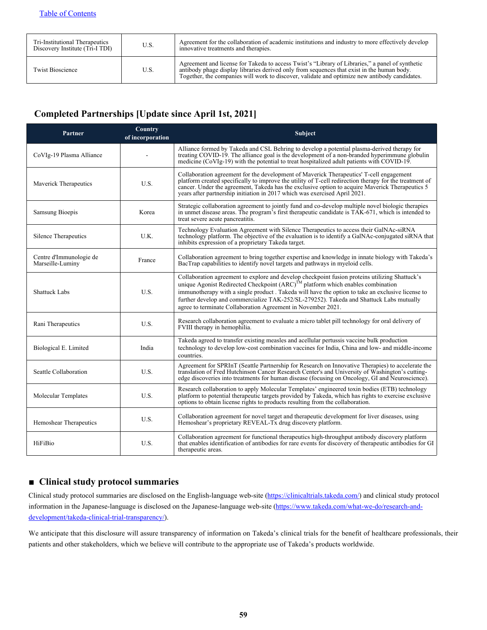| Tri-Institutional Therapeutics<br>Discovery Institute (Tri-I TDI) | U.S. | Agreement for the collaboration of academic institutions and industry to more effectively develop<br>innovative treatments and therapies.                                                                                                                                                      |
|-------------------------------------------------------------------|------|------------------------------------------------------------------------------------------------------------------------------------------------------------------------------------------------------------------------------------------------------------------------------------------------|
| <b>Twist Bioscience</b>                                           | U.S. | Agreement and license for Takeda to access Twist's "Library of Libraries," a panel of synthetic<br>antibody phage display libraries derived only from sequences that exist in the human body.<br>Together, the companies will work to discover, validate and optimize new antibody candidates. |

### **Completed Partnerships [Update since April 1st, 2021]**

| Partner                                     | Country<br>of incorporation | Subject                                                                                                                                                                                                                                                                                                                                                                                                                                                      |
|---------------------------------------------|-----------------------------|--------------------------------------------------------------------------------------------------------------------------------------------------------------------------------------------------------------------------------------------------------------------------------------------------------------------------------------------------------------------------------------------------------------------------------------------------------------|
| CoVIg-19 Plasma Alliance                    |                             | Alliance formed by Takeda and CSL Behring to develop a potential plasma-derived therapy for<br>treating COVID-19. The alliance goal is the development of a non-branded hyperimmune globulin<br>medicine (CoVIg-19) with the potential to treat hospitalized adult patients with COVID-19.                                                                                                                                                                   |
| Maverick Therapeutics                       | U.S.                        | Collaboration agreement for the development of Maverick Therapeutics' T-cell engagement<br>platform created specifically to improve the utility of T-cell redirection therapy for the treatment of<br>cancer. Under the agreement, Takeda has the exclusive option to acquire Maverick Therapeutics 5<br>years after partnership initiation in 2017 which was exercised April 2021.                                                                          |
| Samsung Bioepis                             | Korea                       | Strategic collaboration agreement to jointly fund and co-develop multiple novel biologic therapies<br>in unmet disease areas. The program's first therapeutic candidate is TAK-671, which is intended to<br>treat severe acute pancreatitis.                                                                                                                                                                                                                 |
| Silence Therapeutics                        | U.K.                        | Technology Evaluation Agreement with Silence Therapeutics to access their GalNAc-siRNA<br>technology platform. The objective of the evaluation is to identify a GalNAc-conjugated siRNA that<br>inhibits expression of a proprietary Takeda target.                                                                                                                                                                                                          |
| Centre d'Immunologie de<br>Marseille-Luminy | France                      | Collaboration agreement to bring together expertise and knowledge in innate biology with Takeda's<br>BacTrap capabilities to identify novel targets and pathways in myeloid cells.                                                                                                                                                                                                                                                                           |
| <b>Shattuck Labs</b>                        | U.S.                        | Collaboration agreement to explore and develop checkpoint fusion proteins utilizing Shattuck's<br>unique Agonist Redirected Checkpoint (ARC) <sup>TM</sup> platform which enables combination<br>immunotherapy with a single product. Takeda will have the option to take an exclusive license to<br>further develop and commercialize TAK-252/SL-279252). Takeda and Shattuck Labs mutually<br>agree to terminate Collaboration Agreement in November 2021. |
| Rani Therapeutics                           | U.S.                        | Research collaboration agreement to evaluate a micro tablet pill technology for oral delivery of<br>FVIII therapy in hemophilia.                                                                                                                                                                                                                                                                                                                             |
| Biological E. Limited                       | India                       | Takeda agreed to transfer existing measles and acellular pertussis vaccine bulk production<br>technology to develop low-cost combination vaccines for India, China and low- and middle-income<br>countries.                                                                                                                                                                                                                                                  |
| Seattle Collaboration                       | U.S.                        | Agreement for SPRInT (Seattle Partnership for Research on Innovative Therapies) to accelerate the<br>translation of Fred Hutchinson Cancer Research Center's and University of Washington's cutting-<br>edge discoveries into treatments for human disease (focusing on Oncology, GI and Neuroscience).                                                                                                                                                      |
| Molecular Templates                         | U.S.                        | Research collaboration to apply Molecular Templates' engineered toxin bodies (ETB) technology<br>platform to potential therapeutic targets provided by Takeda, which has rights to exercise exclusive<br>options to obtain license rights to products resulting from the collaboration.                                                                                                                                                                      |
| Hemoshear Therapeutics                      | U.S.                        | Collaboration agreement for novel target and therapeutic development for liver diseases, using<br>Hemoshear's proprietary REVEAL-Tx drug discovery platform.                                                                                                                                                                                                                                                                                                 |
| HiFiBio                                     | U.S.                        | Collaboration agreement for functional therapeutics high-throughput antibody discovery platform<br>that enables identification of antibodies for rare events for discovery of therapeutic antibodies for GI<br>therapeutic areas.                                                                                                                                                                                                                            |

#### **■ Clinical study protocol summaries**

Clinical study protocol summaries are disclosed on the English-language web-site (https://clinicaltrials.takeda.com/) and clinical study protocol information in the Japanese-language is disclosed on the Japanese-language web-site (https://www.takeda.com/what-we-do/research-anddevelopment/takeda-clinical-trial-transparency/).

We anticipate that this disclosure will assure transparency of information on Takeda's clinical trials for the benefit of healthcare professionals, their patients and other stakeholders, which we believe will contribute to the appropriate use of Takeda's products worldwide.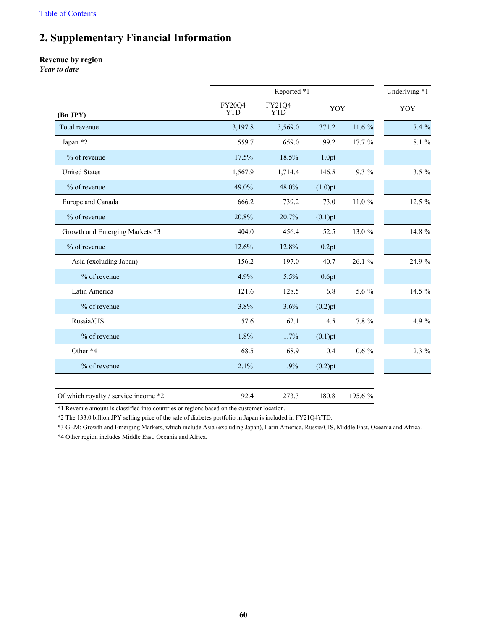## <span id="page-60-0"></span>**2. Supplementary Financial Information**

#### **Revenue by region**

*Year to date*

|                                |                      | Reported *1          |            |         |          |  |  |  |  |
|--------------------------------|----------------------|----------------------|------------|---------|----------|--|--|--|--|
| (Bn JPY)                       | FY20Q4<br><b>YTD</b> | FY21Q4<br><b>YTD</b> | YOY        |         | YOY      |  |  |  |  |
| Total revenue                  | 3,197.8              | 3,569.0              | 371.2      | 11.6 %  | 7.4%     |  |  |  |  |
| Japan *2                       | 559.7                | 659.0                | 99.2       | 17.7 %  | 8.1 %    |  |  |  |  |
| % of revenue                   | 17.5%                | 18.5%                | 1.0pt      |         |          |  |  |  |  |
| <b>United States</b>           | 1,567.9              | 1,714.4              | 146.5      | 9.3 %   | $3.5 \%$ |  |  |  |  |
| % of revenue                   | 49.0%                | 48.0%                | $(1.0)$ pt |         |          |  |  |  |  |
| Europe and Canada              | 666.2                | 739.2                | 73.0       | 11.0 %  | 12.5 %   |  |  |  |  |
| % of revenue                   | 20.8%                | 20.7%                | $(0.1)$ pt |         |          |  |  |  |  |
| Growth and Emerging Markets *3 | 404.0                | 456.4                | 52.5       | 13.0 %  | 14.8 %   |  |  |  |  |
| % of revenue                   | 12.6%                | 12.8%                | 0.2pt      |         |          |  |  |  |  |
| Asia (excluding Japan)         | 156.2                | 197.0                | 40.7       | 26.1 %  | 24.9 %   |  |  |  |  |
| % of revenue                   | 4.9%                 | 5.5%                 | 0.6pt      |         |          |  |  |  |  |
| Latin America                  | 121.6                | 128.5                | 6.8        | 5.6 %   | 14.5 %   |  |  |  |  |
| % of revenue                   | 3.8%                 | 3.6%                 | $(0.2)$ pt |         |          |  |  |  |  |
| Russia/CIS                     | 57.6                 | 62.1                 | 4.5        | 7.8 %   | 4.9 %    |  |  |  |  |
| % of revenue                   | 1.8%                 | 1.7%                 | $(0.1)$ pt |         |          |  |  |  |  |
| Other *4                       | 68.5                 | 68.9                 | 0.4        | $0.6\%$ | 2.3 %    |  |  |  |  |
| % of revenue                   | 2.1%                 | 1.9%                 | $(0.2)$ pt |         |          |  |  |  |  |

Of which royalty / service income \*2 92.4 273.3 180.8 195.6 %

\*1 Revenue amount is classified into countries or regions based on the customer location.

\*2 The 133.0 billion JPY selling price of the sale of diabetes portfolio in Japan is included in FY21Q4YTD.

\*3 GEM: Growth and Emerging Markets, which include Asia (excluding Japan), Latin America, Russia/CIS, Middle East, Oceania and Africa.

\*4 Other region includes Middle East, Oceania and Africa.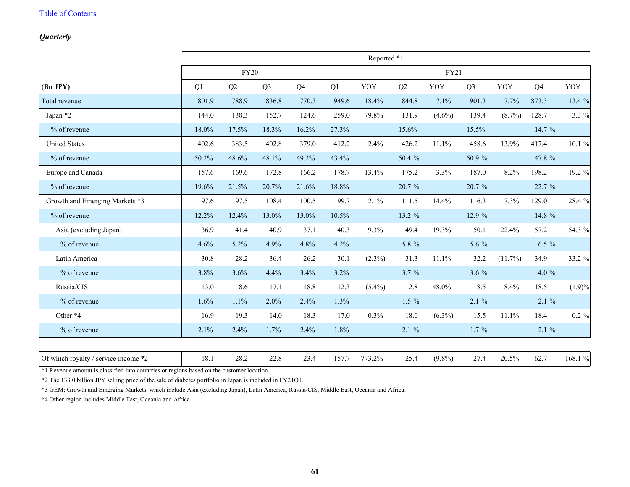#### <span id="page-61-0"></span>*Quarterly*

|                                      | Reported *1 |             |                |                |             |           |          |           |                |            |                |          |
|--------------------------------------|-------------|-------------|----------------|----------------|-------------|-----------|----------|-----------|----------------|------------|----------------|----------|
|                                      |             | <b>FY20</b> |                |                | <b>FY21</b> |           |          |           |                |            |                |          |
| (Bn JPY)                             | Q1          | Q2          | Q <sub>3</sub> | Q <sub>4</sub> | Q1          | YOY       | Q2       | YOY       | Q <sub>3</sub> | YOY        | Q <sub>4</sub> | YOY      |
| Total revenue                        | 801.9       | 788.9       | 836.8          | 770.3          | 949.6       | 18.4%     | 844.8    | 7.1%      | 901.3          | 7.7%       | 873.3          | 13.4 %   |
| Japan *2                             | 144.0       | 138.3       | 152.7          | 124.6          | 259.0       | 79.8%     | 131.9    | $(4.6\%)$ | 139.4          | $(8.7\%)$  | 128.7          | 3.3 $%$  |
| % of revenue                         | 18.0%       | 17.5%       | 18.3%          | 16.2%          | 27.3%       |           | 15.6%    |           | 15.5%          |            | 14.7 %         |          |
| <b>United States</b>                 | 402.6       | 383.5       | 402.8          | 379.0          | 412.2       | 2.4%      | 426.2    | 11.1%     | 458.6          | 13.9%      | 417.4          | 10.1 %   |
| % of revenue                         | 50.2%       | 48.6%       | 48.1%          | 49.2%          | 43.4%       |           | 50.4 %   |           | 50.9%          |            | 47.8 %         |          |
| Europe and Canada                    | 157.6       | 169.6       | 172.8          | 166.2          | 178.7       | 13.4%     | 175.2    | 3.3%      | 187.0          | 8.2%       | 198.2          | 19.2 %   |
| % of revenue                         | 19.6%       | 21.5%       | 20.7%          | 21.6%          | 18.8%       |           | 20.7 %   |           | 20.7 %         |            | 22.7 %         |          |
| Growth and Emerging Markets *3       | 97.6        | 97.5        | 108.4          | 100.5          | 99.7        | 2.1%      | 111.5    | 14.4%     | 116.3          | 7.3%       | 129.0          | 28.4 %   |
| $%$ of revenue                       | 12.2%       | 12.4%       | 13.0%          | 13.0%          | 10.5%       |           | 13.2 %   |           | 12.9 %         |            | 14.8 %         |          |
| Asia (excluding Japan)               | 36.9        | 41.4        | 40.9           | 37.1           | 40.3        | 9.3%      | 49.4     | 19.3%     | 50.1           | 22.4%      | 57.2           | 54.3 %   |
| % of revenue                         | 4.6%        | $5.2\%$     | 4.9%           | 4.8%           | 4.2%        |           | 5.8 %    |           | 5.6 %          |            | $6.5 \%$       |          |
| Latin America                        | 30.8        | 28.2        | 36.4           | 26.2           | 30.1        | $(2.3\%)$ | 31.3     | 11.1%     | 32.2           | $(11.7\%)$ | 34.9           | 33.2 %   |
| % of revenue                         | 3.8%        | 3.6%        | 4.4%           | 3.4%           | 3.2%        |           | 3.7 %    |           | 3.6%           |            | 4.0 $%$        |          |
| Russia/CIS                           | 13.0        | 8.6         | 17.1           | 18.8           | 12.3        | $(5.4\%)$ | 12.8     | 48.0%     | 18.5           | 8.4%       | 18.5           | (1.9)%   |
| % of revenue                         | 1.6%        | 1.1%        | 2.0%           | 2.4%           | 1.3%        |           | $1.5 \%$ |           | 2.1%           |            | $2.1 \%$       |          |
| Other *4                             | 16.9        | 19.3        | 14.0           | 18.3           | 17.0        | 0.3%      | 18.0     | $(6.3\%)$ | 15.5           | 11.1%      | 18.4           | $0.2 \%$ |
| % of revenue                         | 2.1%        | 2.4%        | 1.7%           | 2.4%           | 1.8%        |           | $2.1 \%$ |           | $1.7\%$        |            | $2.1\%$        |          |
| Of which royalty / service income *2 | 18.1        | 28.2        | 22.8           | 23.4           | 157.7       | 773.2%    | 25.4     | $(9.8\%)$ | 27.4           | 20.5%      | 62.7           | 168.1 %  |

\*1 Revenue amount is classified into countries or regions based on the customer location.

\*2 The 133.0 billion JPY selling price of the sale of diabetes portfolio in Japan is included in FY21Q1.

\*3 GEM: Growth and Emerging Markets, which include Asia (excluding Japan), Latin America, Russia/CIS, Middle East, Oceania and Africa.

\*4 Other region includes Middle East, Oceania and Africa.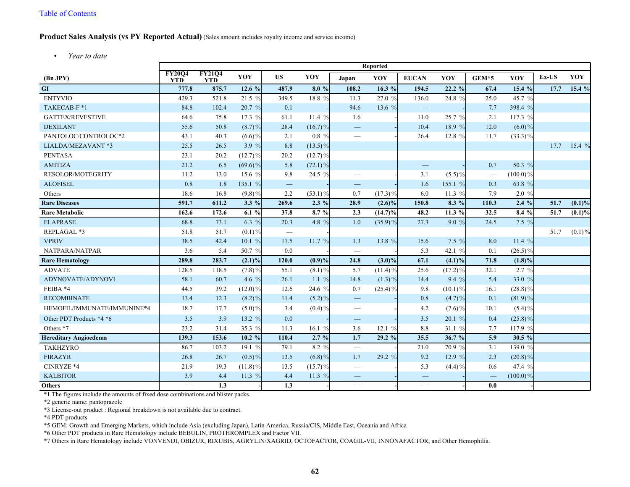#### <span id="page-62-0"></span>**Product Sales Analysis (vs PY Reported Actual)** (Sales amount includes royalty income and service income)

*• Year to date*

|                              | <b>Reported</b>             |                             |            |                          |            |                          |            |                                |            |                          |             |       |           |
|------------------------------|-----------------------------|-----------------------------|------------|--------------------------|------------|--------------------------|------------|--------------------------------|------------|--------------------------|-------------|-------|-----------|
| (Bn JPY)                     | <b>FY2004</b><br><b>YTD</b> | <b>FY21Q4</b><br><b>YTD</b> | YOY        | <b>US</b>                | YOY        | Japan                    | YOY        | <b>EUCAN</b>                   | YOY        | GEM*5                    | YOY         | Ex-US | YOY       |
| GI                           | 777.8                       | 875.7                       | 12.6 $%$   | 487.9                    | 8.0%       | 108.2                    | 16.3 %     | 194.5                          | $22.2\%$   | 67.4                     | 15.4 %      | 17.7  | 15.4 %    |
| <b>ENTYVIO</b>               | 429.3                       | 521.8                       | 21.5 %     | 349.5                    | 18.8 %     | 11.3                     | 27.0 %     | 136.0                          | 24.8 %     | 25.0                     | 45.7 %      |       |           |
| TAKECAB-F*1                  | 84.8                        | 102.4                       | 20.7 %     | 0.1                      |            | 94.6                     | 13.6 %     | $\overline{\phantom{m}}$       |            | 7.7                      | 398.4 %     |       |           |
| <b>GATTEX/REVESTIVE</b>      | 64.6                        | 75.8                        | 17.3%      | 61.1                     | 11.4%      | 1.6                      |            | 11.0                           | 25.7 %     | 2.1                      | 117.3 %     |       |           |
| <b>DEXILANT</b>              | 55.6                        | 50.8                        | $(8.7)\%$  | 28.4                     | $(16.7)\%$ |                          |            | 10.4                           | 18.9 %     | 12.0                     | $(6.0)\%$   |       |           |
| PANTOLOC/CONTROLOC*2         | 43.1                        | 40.3                        | $(6.6)\%$  | 2.1                      | $0.8\%$    |                          |            | 26.4                           | 12.8 %     | 11.7                     | $(33.3)\%$  |       |           |
| LIALDA/MEZAVANT *3           | 25.5                        | 26.5                        | 3.9 %      | $8.8\,$                  | $(13.5)\%$ |                          |            |                                |            |                          |             | 17.7  | 15.4 %    |
| <b>PENTASA</b>               | 23.1                        | 20.2                        | $(12.7)\%$ | 20.2                     | $(12.7)\%$ |                          |            |                                |            |                          |             |       |           |
| <b>AMITIZA</b>               | 21.2                        | 6.5                         | $(69.6)\%$ | 5.8                      | $(72.1)\%$ |                          |            | $\qquad \qquad \longleftarrow$ |            | 0.7                      | 50.3 %      |       |           |
| <b>RESOLOR/MOTEGRITY</b>     | 11.2                        | 13.0                        | 15.6 %     | 9.8                      | 24.5 %     | $\overline{\phantom{0}}$ |            | 3.1                            | $(5.5)\%$  |                          | $(100.0)\%$ |       |           |
| <b>ALOFISEL</b>              | 0.8                         | 1.8                         | 135.1 %    | $\overline{\phantom{m}}$ |            | $\overline{\phantom{0}}$ |            | 1.6                            | 155.1 %    | 0.3                      | 63.8 %      |       |           |
| Others                       | 18.6                        | 16.8                        | $(9.8)\%$  | 2.2                      | $(53.1)\%$ | 0.7                      | $(17.3)\%$ | 6.0                            | 11.3 $%$   | 7.9                      | 2.0 %       |       |           |
| <b>Rare Diseases</b>         | 591.7                       | 611.2                       | 3.3 %      | 269.6                    | $2.3\%$    | 28.9                     | $(2.6)\%$  | 150.8                          | 8.3 %      | 110.3                    | $2.4\%$     | 51.7  | (0.1)%    |
| <b>Rare Metabolic</b>        | 162.6                       | 172.6                       | 6.1%       | 37.8                     | 8.7 %      | 2.3                      | $(14.7)\%$ | 48.2                           | 11.3 $%$   | 32.5                     | 8.4%        | 51.7  | $(0.1)\%$ |
| <b>ELAPRASE</b>              | 68.8                        | 73.1                        | 6.3 $%$    | 20.3                     | 4.8 %      | 1.0                      | $(35.9)\%$ | 27.3                           | 9.0%       | 24.5                     | 7.5 %       |       |           |
| REPLAGAL *3                  | 51.8                        | 51.7                        | $(0.1) \%$ |                          |            |                          |            |                                |            |                          |             | 51.7  | $(0.1)\%$ |
| <b>VPRIV</b>                 | 38.5                        | 42.4                        | 10.1 %     | 17.5                     | 11.7%      | 1.3                      | 13.8 %     | 15.6                           | 7.5 %      | 8.0                      | 11.4 %      |       |           |
| NATPARA/NATPAR               | 3.6                         | 5.4                         | 50.7 %     | 0.0                      |            | $\overline{\phantom{0}}$ |            | 5.3                            | 42.1 %     | 0.1                      | $(26.5)\%$  |       |           |
| <b>Rare Hematology</b>       | 289.8                       | 283.7                       | $(2.1)\%$  | 120.0                    | (0.9)%     | 24.8                     | $(3.0)\%$  | 67.1                           | $(4.1)\%$  | 71.8                     | $(1.8)\%$   |       |           |
| <b>ADVATE</b>                | 128.5                       | 118.5                       | $(7.8) \%$ | 55.1                     | $(8.1)\%$  | 5.7                      | $(11.4)\%$ | 25.6                           | $(17.2)\%$ | 32.1                     | 2.7 %       |       |           |
| ADYNOVATE/ADYNOVI            | 58.1                        | 60.7                        | 4.6 $%$    | 26.1                     | $1.1\%$    | 14.8                     | $(1.3)\%$  | 14.4                           | $9.4\%$    | 5.4                      | 33.0 %      |       |           |
| FEIBA *4                     | 44.5                        | 39.2                        | $(12.0)\%$ | 12.6                     | 24.6 %     | 0.7                      | $(25.4)\%$ | 9.8                            | $(10.1)\%$ | 16.1                     | $(28.8)\%$  |       |           |
| <b>RECOMBINATE</b>           | 13.4                        | 12.3                        | $(8.2)\%$  | 11.4                     | $(5.2)\%$  | $\qquad \qquad -$        |            | 0.8                            | $(4.7)\%$  | 0.1                      | $(81.9)\%$  |       |           |
| HEMOFIL/IMMUNATE/IMMUNINE*4  | 18.7                        | 17.7                        | $(5.0)\%$  | 3.4                      | $(0.4)\%$  | $\overline{\phantom{0}}$ |            | 4.2                            | $(7.6)\%$  | 10.1                     | $(5.4)\%$   |       |           |
| Other PDT Products *4 *6     | 3.5                         | 3.9                         | 13.2 %     | $0.0\,$                  |            | $\overline{\phantom{0}}$ |            | 3.5                            | 20.1 %     | 0.4                      | $(25.8)\%$  |       |           |
| Others *7                    | 23.2                        | 31.4                        | 35.3 %     | 11.3                     | 16.1 $%$   | 3.6                      | 12.1%      | 8.8                            | 31.1%      | 7.7                      | 117.9 %     |       |           |
| <b>Hereditary Angioedema</b> | 139.3                       | 153.6                       | 10.2 %     | 110.4                    | 2.7%       | 1.7                      | 29.2%      | 35.5                           | 36.7%      | 5.9                      | $30.5 \%$   |       |           |
| <b>TAKHZYRO</b>              | 86.7                        | 103.2                       | 19.1 $%$   | 79.1                     | 8.2 %      |                          |            | 21.0                           | 70.9 %     | 3.1                      | 139.0 %     |       |           |
| <b>FIRAZYR</b>               | 26.8                        | 26.7                        | $(0.5)\%$  | 13.5                     | $(6.8)\%$  | 1.7                      | 29.2 %     | 9.2                            | 12.9 %     | 2.3                      | $(20.8)\%$  |       |           |
| CINRYZE *4                   | 21.9                        | 19.3                        | $(11.8)\%$ | 13.5                     | $(15.7)\%$ | $\overline{\phantom{0}}$ |            | 5.3                            | $(4.4) \%$ | 0.6                      | 47.4 %      |       |           |
| <b>KALBITOR</b>              | 3.9                         | 4.4                         | 11.3 $%$   | 4.4                      | 11.3 $%$   | $\overline{\phantom{0}}$ |            |                                |            | $\overline{\phantom{0}}$ | $(100.0)\%$ |       |           |
| <b>Others</b>                | $\overline{\phantom{0}}$    | 1.3                         |            | 1.3                      |            | $\equiv$                 |            | $\equiv$                       |            | 0.0                      |             |       |           |

\*1 The figures include the amounts of fixed dose combinations and blister packs.

\*2 generic name: pantoprazole

\*3 License-out product : Regional breakdown is not available due to contract.

\*4 PDT products

\*5 GEM: Growth and Emerging Markets, which include Asia (excluding Japan), Latin America, Russia/CIS, Middle East, Oceania and Africa

\*6 Other PDT products in Rare Hematology include BEBULIN, PROTHROMPLEX and Factor VII.

\*7 Others in Rare Hematology include VONVENDI, OBIZUR, RIXUBIS, AGRYLIN/XAGRID, OCTOFACTOR, COAGIL-VII, INNONAFACTOR, and Other Hemophilia.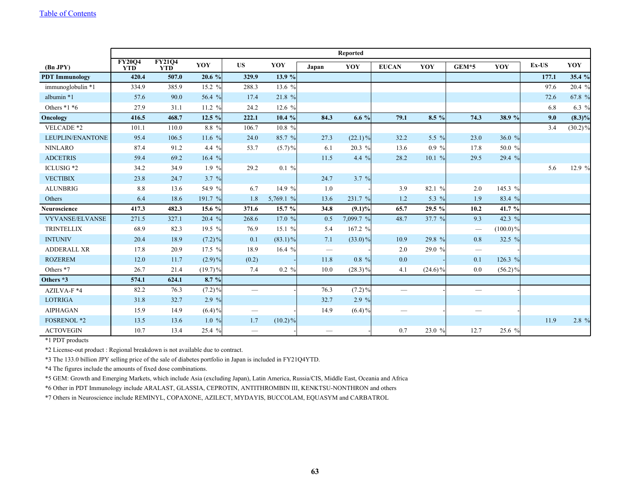|                        |                             |                             |            |                                 |            |       | <b>Reported</b> |                          |            |                                 |             |         |            |
|------------------------|-----------------------------|-----------------------------|------------|---------------------------------|------------|-------|-----------------|--------------------------|------------|---------------------------------|-------------|---------|------------|
| (Bn JPY)               | <b>FY20Q4</b><br><b>YTD</b> | <b>FY21Q4</b><br><b>YTD</b> | YOY        | <b>US</b>                       | YOY        | Japan | YOY             | <b>EUCAN</b>             | YOY        | $GEM*5$                         | YOY         | $Ex-US$ | YOY        |
| <b>PDT</b> Immunology  | 420.4                       | 507.0                       | 20.6%      | 329.9                           | 13.9 $%$   |       |                 |                          |            |                                 |             | 177.1   | 35.4 %     |
| immunoglobulin *1      | 334.9                       | 385.9                       | 15.2 $%$   | 288.3                           | 13.6 %     |       |                 |                          |            |                                 |             | 97.6    | 20.4 %     |
| albumin *1             | 57.6                        | 90.0                        | 56.4 %     | 17.4                            | 21.8 %     |       |                 |                          |            |                                 |             | 72.6    | 67.8 %     |
| Others $*1 *6$         | 27.9                        | 31.1                        | 11.2 %     | 24.2                            | 12.6 $%$   |       |                 |                          |            |                                 |             | 6.8     | 6.3 $%$    |
| Oncology               | 416.5                       | 468.7                       | 12.5 %     | 222.1                           | 10.4 %     | 84.3  | 6.6 $%$         | 79.1                     | $8.5\%$    | 74.3                            | 38.9 %      | 9.0     | $(8.3)\%$  |
| VELCADE *2             | 101.1                       | 110.0                       | 8.8 %      | 106.7                           | 10.8 %     |       |                 |                          |            |                                 |             | 3.4     | $(30.2)\%$ |
| LEUPLIN/ENANTONE       | 95.4                        | 106.5                       | 11.6 %     | 24.0                            | 85.7 %     | 27.3  | $(22.1)\%$      | 32.2                     | 5.5 %      | 23.0                            | 36.0 %      |         |            |
| <b>NINLARO</b>         | 87.4                        | 91.2                        | 4.4 $%$    | 53.7                            | $(5.7)\%$  | 6.1   | 20.3 %          | 13.6                     | $0.9\%$    | 17.8                            | 50.0 %      |         |            |
| <b>ADCETRIS</b>        | 59.4                        | 69.2                        | 16.4 $%$   |                                 |            | 11.5  | 4.4 $%$         | 28.2                     | 10.1%      | 29.5                            | 29.4 %      |         |            |
| ICLUSIG *2             | 34.2                        | 34.9                        | $1.9 \%$   | 29.2                            | $0.1\%$    |       |                 |                          |            |                                 |             | 5.6     | 12.9 %     |
| <b>VECTIBIX</b>        | 23.8                        | 24.7                        | 3.7 $%$    |                                 |            | 24.7  | $3.7 \%$        |                          |            |                                 |             |         |            |
| <b>ALUNBRIG</b>        | 8.8                         | 13.6                        | 54.9 %     | 6.7                             | 14.9 %     | 1.0   |                 | 3.9                      | 82.1 %     | 2.0                             | 145.3 %     |         |            |
| Others                 | 6.4                         | 18.6                        | 191.7 %    | 1.8                             | 5,769.1 %  | 13.6  | 231.7 %         | 1.2                      | 5.3 %      | 1.9                             | 83.4 %      |         |            |
| <b>Neuroscience</b>    | 417.3                       | 482.3                       | 15.6 %     | 371.6                           | 15.7%      | 34.8  | $(9.1)\%$       | 65.7                     | 29.5 %     | 10.2                            | 41.7 %      |         |            |
| <b>VYVANSE/ELVANSE</b> | 271.5                       | 327.1                       | 20.4 %     | 268.6                           | 17.0 %     | 0.5   | 7,099.7 %       | 48.7                     | 37.7 %     | 9.3                             | 42.3 %      |         |            |
| <b>TRINTELLIX</b>      | 68.9                        | 82.3                        | 19.5 %     | 76.9                            | 15.1%      | 5.4   | 167.2 %         |                          |            | $\hspace{0.1mm}-\hspace{0.1mm}$ | $(100.0)\%$ |         |            |
| <b>INTUNIV</b>         | 20.4                        | 18.9                        | $(7.2)\%$  | 0.1                             | $(83.1)\%$ | 7.1   | $(33.0)\%$      | 10.9                     | 29.8 %     | 0.8                             | 32.5 %      |         |            |
| <b>ADDERALL XR</b>     | 17.8                        | 20.9                        | 17.5 %     | 18.9                            | 16.4 $%$   |       |                 | 2.0                      | 29.0 %     | $\overline{\phantom{m}}$        |             |         |            |
| <b>ROZEREM</b>         | 12.0                        | 11.7                        | $(2.9)\%$  | (0.2)                           |            | 11.8  | $0.8\%$         | 0.0                      |            | 0.1                             | 126.3 %     |         |            |
| Others *7              | 26.7                        | 21.4                        | $(19.7)\%$ | 7.4                             | $0.2 \%$   | 10.0  | $(28.3)\%$      | 4.1                      | $(24.6)\%$ | 0.0                             | $(56.2)\%$  |         |            |
| Others *3              | 574.1                       | 624.1                       | 8.7%       |                                 |            |       |                 |                          |            |                                 |             |         |            |
| AZILVA-F *4            | 82.2                        | 76.3                        | $(7.2)\%$  | $\overbrace{\qquad \qquad }^{}$ |            | 76.3  | $(7.2)\%$       | $\overline{\phantom{0}}$ |            | $\overline{\phantom{m}}$        |             |         |            |
| <b>LOTRIGA</b>         | 31.8                        | 32.7                        | 2.9 $%$    |                                 |            | 32.7  | 2.9 %           |                          |            |                                 |             |         |            |
| <b>AIPHAGAN</b>        | 15.9                        | 14.9                        | $(6.4)\%$  |                                 |            | 14.9  | $(6.4)\%$       |                          |            |                                 |             |         |            |
| <b>FOSRENOL *2</b>     | 13.5                        | 13.6                        | 1.0%       | 1.7                             | $(10.2)\%$ |       |                 |                          |            |                                 |             | 11.9    | 2.8 %      |
| <b>ACTOVEGIN</b>       | 10.7                        | 13.4                        | 25.4 %     | $\hspace{0.1mm}-\hspace{0.1mm}$ |            |       |                 | 0.7                      | 23.0 %     | 12.7                            | 25.6 %      |         |            |

\*1 PDT products

\*2 License-out product : Regional breakdown is not available due to contract.

\*3 The 133.0 billion JPY selling price of the sale of diabetes portfolio in Japan is included in FY21Q4YTD.

\*4 The figures include the amounts of fixed dose combinations.

\*5 GEM: Growth and Emerging Markets, which include Asia (excluding Japan), Latin America, Russia/CIS, Middle East, Oceania and Africa

\*6 Other in PDT Immunology include ARALAST, GLASSIA, CEPROTIN, ANTITHROMBIN III, KENKTSU-NONTHRON and others

\*7 Others in Neuroscience include REMINYL, COPAXONE, AZILECT, MYDAYIS, BUCCOLAM, EQUASYM and CARBATROL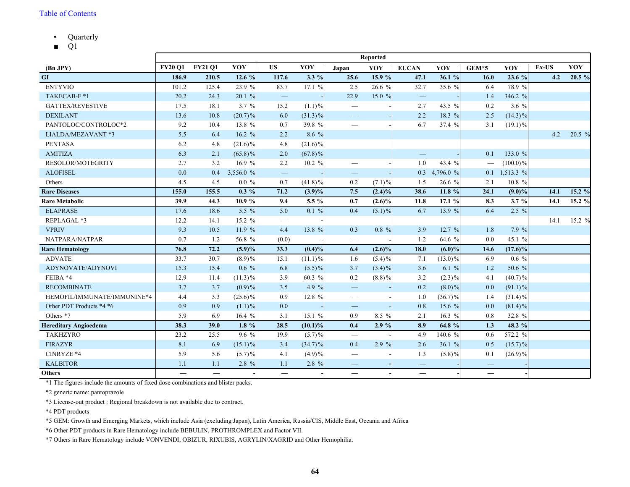- <span id="page-64-0"></span>• Quarterly
- $\blacksquare$  Q1

|                              | <b>Reported</b> |                |            |                          |            |                                 |           |                          |            |                          |             |       |          |
|------------------------------|-----------------|----------------|------------|--------------------------|------------|---------------------------------|-----------|--------------------------|------------|--------------------------|-------------|-------|----------|
| (Bn JPY)                     | <b>FY20 O1</b>  | <b>FY21 Q1</b> | YOY        | <b>US</b>                | YOY        | Japan                           | YOY       | <b>EUCAN</b>             | YOY        | GEM*5                    | YOY         | Ex-US | YOY      |
| GI                           | 186.9           | 210.5          | 12.6 $%$   | 117.6                    | $3.3\%$    | 25.6                            | 15.9 %    | 47.1                     | 36.1 %     | 16.0                     | 23.6 %      | 4.2   | 20.5 %   |
| <b>ENTYVIO</b>               | 101.2           | 125.4          | 23.9 %     | 83.7                     | 17.1 %     | 2.5                             | 26.6 %    | 32.7                     | 35.6 %     | 6.4                      | 78.9 %      |       |          |
| TAKECAB-F*1                  | 20.2            | 24.3           | 20.1%      | $\overline{\phantom{0}}$ |            | 22.9                            | 15.0 $%$  | $\overline{\phantom{m}}$ |            | 1.4                      | 346.2 %     |       |          |
| <b>GATTEX/REVESTIVE</b>      | 17.5            | 18.1           | $3.7 \%$   | 15.2                     | $(1.1)\%$  |                                 |           | 2.7                      | 43.5 %     | 0.2                      | 3.6 $%$     |       |          |
| <b>DEXILANT</b>              | 13.6            | 10.8           | $(20.7)\%$ | 6.0                      | $(31.3)\%$ | $\hspace{0.1mm}-\hspace{0.1mm}$ |           | 2.2                      | 18.3 %     | 2.5                      | $(14.3)\%$  |       |          |
| PANTOLOC/CONTROLOC*2         | 9.2             | 10.4           | 13.8 %     | 0.7                      | 39.8 %     |                                 |           | 6.7                      | 37.4 %     | 3.1                      | $(19.1)\%$  |       |          |
| LIALDA/MEZAVANT *3           | 5.5             | 6.4            | 16.2 %     | 2.2                      | 8.6 %      |                                 |           |                          |            |                          |             | 4.2   | $20.5\%$ |
| <b>PENTASA</b>               | 6.2             | 4.8            | $(21.6)\%$ | 4.8                      | $(21.6)\%$ |                                 |           |                          |            |                          |             |       |          |
| <b>AMITIZA</b>               | 6.3             | 2.1            | $(65.8)\%$ | 2.0                      | $(67.8)\%$ |                                 |           |                          |            | 0.1                      | 133.0 %     |       |          |
| RESOLOR/MOTEGRITY            | 2.7             | 3.2            | 16.9 $%$   | 2.2                      | 10.2 $%$   |                                 |           | 1.0                      | 43.4 %     |                          | $(100.0)\%$ |       |          |
| <b>ALOFISEL</b>              | 0.0             | 0.4            | 3,556.0 %  |                          |            | $\qquad \qquad \longleftarrow$  |           | 0.3                      | 4,796.0 %  | 0.1                      | 1,513.3 %   |       |          |
| Others                       | 4.5             | 4.5            | $0.0\%$    | 0.7                      | $(41.8)\%$ | 0.2                             | $(7.1)\%$ | 1.5                      | 26.6 %     | 2.1                      | 10.8 %      |       |          |
| <b>Rare Diseases</b>         | 155.0           | 155.5          | $0.3\%$    | 71.2                     | $(3.9)\%$  | 7.5                             | $(2.4)\%$ | 38.6                     | 11.8 $%$   | 24.1                     | $(9.0)\%$   | 14.1  | 15.2 %   |
| <b>Rare Metabolic</b>        | 39.9            | 44.3           | 10.9 %     | 9.4                      | 5.5 %      | 0.7                             | $(2.6)\%$ | 11.8                     | 17.1 %     | 8.3                      | 3.7%        | 14.1  | 15.2 %   |
| <b>ELAPRASE</b>              | 17.6            | 18.6           | 5.5 %      | 5.0                      | $0.1\%$    | 0.4                             | $(5.1)\%$ | 6.7                      | 13.9 %     | 6.4                      | $2.5\%$     |       |          |
| REPLAGAL *3                  | 12.2            | 14.1           | 15.2 %     | $\overline{\phantom{0}}$ |            |                                 |           |                          |            |                          |             | 14.1  | 15.2 %   |
| <b>VPRIV</b>                 | 9.3             | 10.5           | 11.9%      | 4.4                      | 13.8 %     | 0.3                             | $0.8\%$   | 3.9                      | 12.7 %     | 1.8                      | 7.9 %       |       |          |
| NATPARA/NATPAR               | 0.7             | 1.2            | 56.8 %     | (0.0)                    |            | $\qquad \qquad \longleftarrow$  |           | 1.2                      | 64.6 %     | 0.0                      | 45.1 %      |       |          |
| <b>Rare Hematology</b>       | 76.8            | 72.2           | $(5.9)\%$  | 33.3                     | $(0.4)\%$  | 6.4                             | $(2.6)\%$ | 18.0                     | $(6.0)\%$  | 14.6                     | $(17.6)\%$  |       |          |
| <b>ADVATE</b>                | 33.7            | 30.7           | $(8.9)\%$  | 15.1                     | $(11.1)\%$ | 1.6                             | $(5.4)\%$ | 7.1                      | $(13.0)\%$ | 6.9                      | $0.6\%$     |       |          |
| ADYNOVATE/ADYNOVI            | 15.3            | 15.4           | $0.6\%$    | 6.8                      | $(5.5)\%$  | 3.7                             | $(3.4)\%$ | 3.6                      | 6.1 $%$    | 1.2                      | 50.6 %      |       |          |
| FEIBA *4                     | 12.9            | 11.4           | $(11.3)\%$ | 3.9                      | 60.3 %     | 0.2                             | $(8.8)\%$ | 3.2                      | $(2.3)\%$  | 4.1                      | $(40.7)\%$  |       |          |
| <b>RECOMBINATE</b>           | 3.7             | 3.7            | $(0.9)\%$  | 3.5                      | 4.9 %      | $\qquad \qquad -$               |           | 0.2                      | $(8.0)\%$  | 0.0                      | $(91.1)\%$  |       |          |
| HEMOFIL/IMMUNATE/IMMUNINE*4  | 4.4             | 3.3            | $(25.6)\%$ | 0.9                      | 12.8 %     |                                 |           | 1.0                      | $(36.7)\%$ | 1.4                      | $(31.4)\%$  |       |          |
| Other PDT Products *4 *6     | 0.9             | 0.9            | $(1.1)\%$  | 0.0                      |            | —                               |           | 0.8                      | 15.6 %     | 0.0                      | $(81.4)\%$  |       |          |
| Others *7                    | 5.9             | 6.9            | 16.4 $%$   | 3.1                      | 15.1%      | 0.9                             | 8.5 %     | 2.1                      | 16.3 %     | 0.8                      | 32.8 %      |       |          |
| <b>Hereditary Angioedema</b> | 38.3            | 39.0           | $1.8\%$    | 28.5                     | $(10.1)\%$ | 0.4                             | 2.9%      | 8.9                      | 64.8 %     | 1.3                      | 48.2 %      |       |          |
| <b>TAKHZYRO</b>              | 23.2            | 25.5           | $9.6\%$    | 19.9                     | $(5.7)\%$  | $\overbrace{\qquad \qquad }^{}$ |           | 4.9                      | 140.6 %    | 0.6                      | 572.2 %     |       |          |
| <b>FIRAZYR</b>               | 8.1             | 6.9            | $(15.1)\%$ | 3.4                      | $(34.7)\%$ | 0.4                             | $2.9 \%$  | 2.6                      | 36.1 $%$   | 0.5                      | $(15.7)\%$  |       |          |
| CINRYZE *4                   | 5.9             | 5.6            | $(5.7)\%$  | 4.1                      | $(4.9)\%$  | $\qquad \qquad \longleftarrow$  |           | 1.3                      | $(5.8)\%$  | 0.1                      | $(26.9)\%$  |       |          |
| <b>KALBITOR</b>              | 1.1             | 1.1            | 2.8 %      | 1.1                      | $2.8\%$    | $\qquad \qquad -$               |           |                          |            |                          |             |       |          |
| <b>Others</b>                | $\equiv$        |                |            | $\overline{\phantom{0}}$ |            |                                 |           | $\overline{\phantom{0}}$ |            | $\overline{\phantom{0}}$ |             |       |          |

\*1 The figures include the amounts of fixed dose combinations and blister packs.

\*2 generic name: pantoprazole

\*3 License-out product : Regional breakdown is not available due to contract.

\*4 PDT products

\*5 GEM: Growth and Emerging Markets, which include Asia (excluding Japan), Latin America, Russia/CIS, Middle East, Oceania and Africa

\*6 Other PDT products in Rare Hematology include BEBULIN, PROTHROMPLEX and Factor VII.

\*7 Others in Rare Hematology include VONVENDI, OBIZUR, RIXUBIS, AGRYLIN/XAGRID and Other Hemophilia.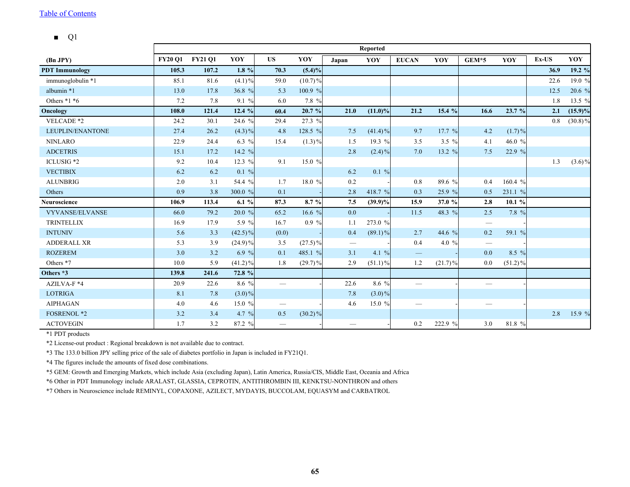#### $\blacksquare$  Q1

|                        |                |                |            |                                 |            |                                 | <b>Reported</b> |                          |            |                                 |            |       |            |
|------------------------|----------------|----------------|------------|---------------------------------|------------|---------------------------------|-----------------|--------------------------|------------|---------------------------------|------------|-------|------------|
| (Bn JPY)               | <b>FY20 O1</b> | <b>FY21 01</b> | YOY        | <b>US</b>                       | YOY        | Japan                           | YOY             | <b>EUCAN</b>             | YOY        | $GEM*5$                         | YOY        | Ex-US | YOY        |
| <b>PDT</b> Immunology  | 105.3          | 107.2          | $1.8\%$    | 70.3                            | $(5.4)\%$  |                                 |                 |                          |            |                                 |            | 36.9  | 19.2 %     |
| immunoglobulin *1      | 85.1           | 81.6           | $(4.1)\%$  | 59.0                            | $(10.7)\%$ |                                 |                 |                          |            |                                 |            | 22.6  | 19.0 %     |
| albumin *1             | 13.0           | 17.8           | 36.8 %     | 5.3                             | 100.9 %    |                                 |                 |                          |            |                                 |            | 12.5  | 20.6%      |
| Others $*1 *6$         | 7.2            | 7.8            | 9.1 %      | 6.0                             | 7.8 %      |                                 |                 |                          |            |                                 |            | 1.8   | 13.5 %     |
| Oncology               | 108.0          | 121.4          | 12.4 %     | 60.4                            | 20.7%      | 21.0                            | $(11.0)\%$      | 21.2                     | 15.4 %     | 16.6                            | 23.7 %     | 2.1   | $(15.9)\%$ |
| VELCADE *2             | 24.2           | 30.1           | 24.6 %     | 29.4                            | 27.3 %     |                                 |                 |                          |            |                                 |            | 0.8   | $(30.8)\%$ |
| LEUPLIN/ENANTONE       | 27.4           | 26.2           | $(4.3)\%$  | 4.8                             | 128.5 %    | 7.5                             | $(41.4)\%$      | 9.7                      | 17.7 %     | 4.2                             | $(1.7)\%$  |       |            |
| <b>NINLARO</b>         | 22.9           | 24.4           | $6.3\%$    | 15.4                            | $(1.3)\%$  | 1.5                             | 19.3 %          | 3.5                      | 3.5 $%$    | 4.1                             | 46.0 %     |       |            |
| <b>ADCETRIS</b>        | 15.1           | 17.2           | 14.2 %     |                                 |            | 2.8                             | $(2.4)\%$       | 7.0                      | 13.2 %     | 7.5                             | 22.9 %     |       |            |
| ICLUSIG *2             | 9.2            | 10.4           | 12.3 %     | 9.1                             | 15.0 %     |                                 |                 |                          |            |                                 |            | 1.3   | $(3.6)\%$  |
| <b>VECTIBIX</b>        | 6.2            | 6.2            | $0.1\%$    |                                 |            | 6.2                             | $0.1\%$         |                          |            |                                 |            |       |            |
| <b>ALUNBRIG</b>        | 2.0            | 3.1            | 54.4 %     | 1.7                             | 18.0 %     | 0.2                             |                 | 0.8                      | 89.6 %     | 0.4                             | 160.4 %    |       |            |
| Others                 | 0.9            | 3.8            | 300.0 %    | 0.1                             |            | 2.8                             | 418.7 %         | 0.3                      | 25.9 %     | 0.5                             | 231.1 %    |       |            |
| <b>Neuroscience</b>    | 106.9          | 113.4          | 6.1%       | 87.3                            | 8.7 %      | 7.5                             | $(39.9)\%$      | 15.9                     | 37.0 %     | 2.8                             | $10.1 \%$  |       |            |
| <b>VYVANSE/ELVANSE</b> | 66.0           | 79.2           | 20.0%      | 65.2                            | 16.6 $%$   | 0.0                             |                 | 11.5                     | 48.3 %     | 2.5                             | 7.8 %      |       |            |
| <b>TRINTELLIX</b>      | 16.9           | 17.9           | 5.9 %      | 16.7                            | $0.9\%$    | 1.1                             | 273.0 %         |                          |            | $\hspace{0.1mm}-\hspace{0.1mm}$ |            |       |            |
| <b>INTUNIV</b>         | 5.6            | 3.3            | $(42.5)\%$ | (0.0)                           |            | 0.4                             | $(89.1)\%$      | 2.7                      | 44.6 %     | 0.2                             | 59.1 %     |       |            |
| <b>ADDERALL XR</b>     | 5.3            | 3.9            | $(24.9)\%$ | 3.5                             | $(27.5)\%$ | $\hspace{0.1mm}-\hspace{0.1mm}$ |                 | 0.4                      | 4.0 $%$    | $\hspace{0.1mm}-\hspace{0.1mm}$ |            |       |            |
| <b>ROZEREM</b>         | 3.0            | 3.2            | 6.9 %      | 0.1                             | 485.1 %    | 3.1                             | 4.1 %           | $\qquad \qquad -$        |            | $0.0\,$                         | 8.5 %      |       |            |
| Others *7              | 10.0           | 5.9            | $(41.2)\%$ | 1.8                             | $(29.7)\%$ | 2.9                             | $(51.1)\%$      | 1.2                      | $(21.7)\%$ | 0.0                             | $(51.2)\%$ |       |            |
| Others *3              | 139.8          | 241.6          | 72.8 %     |                                 |            |                                 |                 |                          |            |                                 |            |       |            |
| AZILVA-F *4            | 20.9           | 22.6           | 8.6 %      | $\hspace{0.1mm}-\hspace{0.1mm}$ |            | 22.6                            | $8.6\%$         | $\overline{\phantom{0}}$ |            | $\overbrace{\phantom{aaaaa}}$   |            |       |            |
| <b>LOTRIGA</b>         | 8.1            | 7.8            | $(3.0)\%$  |                                 |            | 7.8                             | $(3.0)\%$       |                          |            |                                 |            |       |            |
| <b>AIPHAGAN</b>        | 4.0            | 4.6            | 15.0 %     | $\hspace{0.1mm}-\hspace{0.1mm}$ |            | 4.6                             | 15.0 $%$        |                          |            |                                 |            |       |            |
| <b>FOSRENOL *2</b>     | 3.2            | 3.4            | 4.7 $%$    | 0.5                             | $(30.2)\%$ |                                 |                 |                          |            |                                 |            | 2.8   | 15.9 %     |
| <b>ACTOVEGIN</b>       | 1.7            | 3.2            | 87.2 %     | $\hspace{0.1mm}-\hspace{0.1mm}$ |            |                                 |                 | 0.2                      | 222.9 %    | 3.0                             | 81.8 %     |       |            |

\*1 PDT products

\*2 License-out product : Regional breakdown is not available due to contract.

\*3 The 133.0 billion JPY selling price of the sale of diabetes portfolio in Japan is included in FY21Q1.

\*4 The figures include the amounts of fixed dose combinations.

\*5 GEM: Growth and Emerging Markets, which include Asia (excluding Japan), Latin America, Russia/CIS, Middle East, Oceania and Africa

\*6 Other in PDT Immunology include ARALAST, GLASSIA, CEPROTIN, ANTITHROMBIN III, KENKTSU-NONTHRON and others

\*7 Others in Neuroscience include REMINYL, COPAXONE, AZILECT, MYDAYIS, BUCCOLAM, EQUASYM and CARBATROL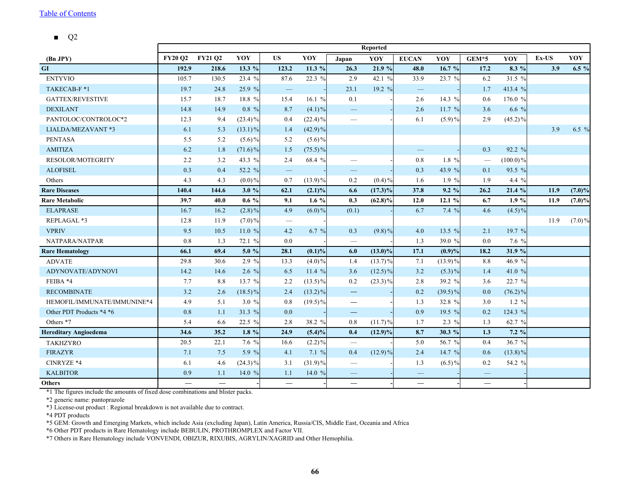■ Q2

<span id="page-66-0"></span>

|                              | Reported                 |                |            |                          |            |                                 |            |                          |             |                                  |             |       |           |
|------------------------------|--------------------------|----------------|------------|--------------------------|------------|---------------------------------|------------|--------------------------|-------------|----------------------------------|-------------|-------|-----------|
| (Bn JPY)                     | <b>FY20 O2</b>           | <b>FY21 02</b> | YOY        | <b>US</b>                | YOY        | Japan                           | YOY        | <b>EUCAN</b>             | YOY         | GEM*5                            | YOY         | Ex-US | YOY       |
| GI                           | 192.9                    | 218.6          | 13.3 $%$   | 123.2                    | 11.3 %     | 26.3                            | 21.9 %     | 48.0                     | 16.7%       | 17.2                             | 8.3 %       | 3.9   | $6.5 \%$  |
| <b>ENTYVIO</b>               | 105.7                    | 130.5          | 23.4 $%$   | 87.6                     | 22.3 %     | 2.9                             | 42.1 %     | 33.9                     | 23.7 %      | 6.2                              | 31.5 %      |       |           |
| TAKECAB-F*1                  | 19.7                     | 24.8           | 25.9 %     | $\overline{\phantom{m}}$ |            | 23.1                            | 19.2 %     | $\overline{\phantom{m}}$ |             | 1.7                              | 413.4 %     |       |           |
| <b>GATTEX/REVESTIVE</b>      | 15.7                     | 18.7           | 18.8 %     | 15.4                     | 16.1 $%$   | $0.1\,$                         |            | 2.6                      | 14.3 %      | $0.6\,$                          | 176.0 %     |       |           |
| <b>DEXILANT</b>              | 14.8                     | 14.9           | $0.8\%$    | 8.7                      | $(4.1)\%$  |                                 |            | 2.6                      | 11.7 %      | 3.6                              | 6.6 %       |       |           |
| PANTOLOC/CONTROLOC*2         | 12.3                     | 9.4            | $(23.4)\%$ | 0.4                      | $(22.4)\%$ |                                 |            | 6.1                      | $(5.9)\%$   | 2.9                              | $(45.2)\%$  |       |           |
| LIALDA/MEZAVANT *3           | 6.1                      | 5.3            | $(13.1)\%$ | 1.4                      | $(42.9)\%$ |                                 |            |                          |             |                                  |             | 3.9   | 6.5 $%$   |
| <b>PENTASA</b>               | 5.5                      | 5.2            | $(5.6)\%$  | 5.2                      | $(5.6)\%$  |                                 |            |                          |             |                                  |             |       |           |
| <b>AMITIZA</b>               | 6.2                      | 1.8            | $(71.6)\%$ | 1.5                      | $(75.5)\%$ |                                 |            |                          |             | 0.3                              | 92.2 %      |       |           |
| <b>RESOLOR/MOTEGRITY</b>     | 2.2                      | 3.2            | 43.3 %     | 2.4                      | 68.4 %     |                                 |            | 0.8                      | $1.8\%$     | $\overbrace{\phantom{12322111}}$ | $(100.0)\%$ |       |           |
| <b>ALOFISEL</b>              | 0.3                      | 0.4            | 52.2 %     | $\qquad \qquad -$        |            | $\qquad \qquad -$               |            | 0.3                      | 43.9 %      | 0.1                              | 93.5 %      |       |           |
| Others                       | 4.3                      | 4.3            | $(0.0)\%$  | 0.7                      | $(13.9)\%$ | 0.2                             | $(0.4)\%$  | 1.6                      | 1.9%        | 1.9                              | 4.4 %       |       |           |
| <b>Rare Diseases</b>         | 140.4                    | 144.6          | 3.0%       | 62.1                     | $(2.1)\%$  | 6.6                             | $(17.3)\%$ | 37.8                     | 9.2%        | 26.2                             | 21.4 %      | 11.9  | $(7.0)\%$ |
| <b>Rare Metabolic</b>        | 39.7                     | 40.0           | $0.6\%$    | 9.1                      | $1.6\%$    | 0.3                             | $(62.8)\%$ | 12.0                     | 12.1%       | 6.7                              | 1.9%        | 11.9  | $(7.0)\%$ |
| <b>ELAPRASE</b>              | 16.7                     | 16.2           | $(2.8)\%$  | 4.9                      | $(6.0)\%$  | (0.1)                           |            | 6.7                      | 7.4%        | 4.6                              | $(4.5)\%$   |       |           |
| REPLAGAL *3                  | 12.8                     | 11.9           | $(7.0)\%$  | $\overline{\phantom{m}}$ |            |                                 |            |                          |             |                                  |             | 11.9  | $(7.0)\%$ |
| <b>VPRIV</b>                 | 9.5                      | 10.5           | 11.0 $%$   | 4.2                      | 6.7 $%$    | 0.3                             | $(9.8)\%$  | 4.0                      | 13.5 $%$    | 2.1                              | 19.7 %      |       |           |
| NATPARA/NATPAR               | 0.8                      | 1.3            | 72.1 %     | 0.0                      |            |                                 |            | 1.3                      | 39.0 %      | 0.0                              | 7.6 %       |       |           |
| <b>Rare Hematology</b>       | 66.1                     | 69.4           | 5.0 $%$    | 28.1                     | $(0.1)\%$  | 6.0                             | $(13.0)\%$ | 17.1                     | (0.9)%      | 18.2                             | 31.9 %      |       |           |
| <b>ADVATE</b>                | 29.8                     | 30.6           | 2.9%       | 13.3                     | $(4.0)\%$  | 1.4                             | $(13.7)\%$ | 7.1                      | $(13.9) \%$ | 8.8                              | 46.9 %      |       |           |
| ADYNOVATE/ADYNOVI            | 14.2                     | 14.6           | 2.6 $%$    | 6.5                      | 11.4 $%$   | 3.6                             | $(12.5)\%$ | 3.2                      | $(5.3)\%$   | 1.4                              | 41.0 %      |       |           |
| FEIBA *4                     | 7.7                      | $8.8\,$        | 13.7 %     | 2.2                      | $(13.5)\%$ | 0.2                             | $(23.3)\%$ | 2.8                      | 39.2 %      | 3.6                              | 22.7 %      |       |           |
| <b>RECOMBINATE</b>           | 3.2                      | 2.6            | $(18.5)\%$ | 2.4                      | $(13.2)\%$ | $\overline{\phantom{0}}$        |            | 0.2                      | $(39.5)\%$  | 0.0                              | $(76.2)\%$  |       |           |
| HEMOFIL/IMMUNATE/IMMUNINE*4  | 4.9                      | 5.1            | 3.0%       | 0.8                      | $(19.5)\%$ | $\overline{\phantom{m}}$        |            | 1.3                      | 32.8 %      | 3.0                              | $1.2 \%$    |       |           |
| Other PDT Products *4 *6     | 0.8                      | $1.1\,$        | 31.3 %     | 0.0                      |            | $\hspace{0.1mm}-\hspace{0.1mm}$ |            | 0.9                      | 19.5 %      | 0.2                              | 124.3 %     |       |           |
| Others *7                    | 5.4                      | 6.6            | 22.5 $%$   | 2.8                      | 38.2 %     | $0.8\,$                         | $(11.7)\%$ | 1.7                      | $2.3\%$     | 1.3                              | 62.7 %      |       |           |
| <b>Hereditary Angioedema</b> | 34.6                     | 35.2           | 1.8 $%$    | 24.9                     | $(5.4)\%$  | 0.4                             | $(12.9)\%$ | 8.7                      | 30.3 %      | 1.3                              | 7.2%        |       |           |
| <b>TAKHZYRO</b>              | 20.5                     | 22.1           | 7.6 $%$    | 16.6                     | $(2.2)\%$  | $\overline{\phantom{m}}$        |            | 5.0                      | 56.7 %      | 0.4                              | 36.7 %      |       |           |
| <b>FIRAZYR</b>               | 7.1                      | 7.5            | 5.9 $%$    | 4.1                      | 7.1%       | 0.4                             | $(12.9)\%$ | 2.4                      | 14.7 %      | 0.6                              | $(13.8)\%$  |       |           |
| CINRYZE *4                   | 6.1                      | 4.6            | $(24.3)\%$ | 3.1                      | $(31.9)\%$ | $\overline{\phantom{m}}$        |            | 1.3                      | $(6.5)\%$   | 0.2                              | 54.2 %      |       |           |
| <b>KALBITOR</b>              | 0.9                      | 1.1            | 14.0 $%$   | 1.1                      | 14.0 %     | $\overline{\phantom{m}}$        |            | $\hspace{0.05cm}$        |             | $\overline{\phantom{m}}$         |             |       |           |
| <b>Others</b>                | $\overline{\phantom{0}}$ |                |            |                          |            | $\overline{\phantom{0}}$        |            | $\overline{\phantom{0}}$ |             | $\overline{\phantom{0}}$         |             |       |           |

\*1 The figures include the amounts of fixed dose combinations and blister packs.

\*2 generic name: pantoprazole

\*3 License-out product : Regional breakdown is not available due to contract.

\*4 PDT products

\*5 GEM: Growth and Emerging Markets, which include Asia (excluding Japan), Latin America, Russia/CIS, Middle East, Oceania and Africa

\*6 Other PDT products in Rare Hematology include BEBULIN, PROTHROMPLEX and Factor VII.

\*7 Others in Rare Hematology include VONVENDI, OBIZUR, RIXUBIS, AGRYLIN/XAGRID and Other Hemophilia.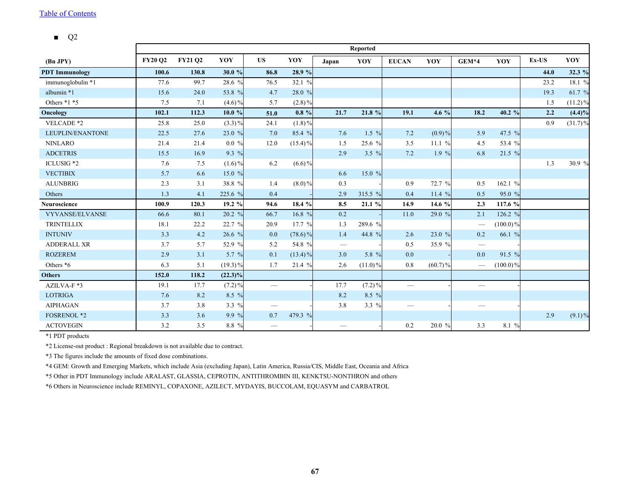■ Q2

|                       |                |                |            |                                 |            |       | Reported   |                          |            |                                 |             |       |            |
|-----------------------|----------------|----------------|------------|---------------------------------|------------|-------|------------|--------------------------|------------|---------------------------------|-------------|-------|------------|
| (Bn JPY)              | <b>FY20 Q2</b> | <b>FY21 Q2</b> | YOY        | <b>US</b>                       | YOY        | Japan | YOY        | <b>EUCAN</b>             | YOY        | $GEM*4$                         | YOY         | Ex-US | YOY        |
| <b>PDT</b> Immunology | 100.6          | 130.8          | 30.0 %     | 86.8                            | 28.9 %     |       |            |                          |            |                                 |             | 44.0  | 32.3 %     |
| immunoglobulin *1     | 77.6           | 99.7           | 28.6 %     | 76.5                            | 32.1 %     |       |            |                          |            |                                 |             | 23.2  | 18.1 %     |
| albumin *1            | 15.6           | 24.0           | 53.8 %     | 4.7                             | 28.0 %     |       |            |                          |            |                                 |             | 19.3  | 61.7 %     |
| Others $*1 *5$        | 7.5            | 7.1            | $(4.6)\%$  | 5.7                             | $(2.8)\%$  |       |            |                          |            |                                 |             | 1.5   | $(11.2)\%$ |
| Oncology              | 102.1          | 112.3          | 10.0%      | 51.0                            | $0.8 \%$   | 21.7  | 21.8 %     | 19.1                     | 4.6 $%$    | 18.2                            | 40.2 %      | 2.2   | (4.4)%     |
| VELCADE *2            | 25.8           | 25.0           | $(3.3)\%$  | 24.1                            | $(1.8)\%$  |       |            |                          |            |                                 |             | 0.9   | $(31.7)\%$ |
| LEUPLIN/ENANTONE      | 22.5           | 27.6           | 23.0 %     | 7.0                             | 85.4 %     | 7.6   | $1.5 \%$   | 7.2                      | $(0.9) \%$ | 5.9                             | 47.5 %      |       |            |
| <b>NINLARO</b>        | 21.4           | 21.4           | $0.0 \%$   | 12.0                            | $(15.4)\%$ | 1.5   | 25.6 %     | 3.5                      | 11.1%      | 4.5                             | 53.4 %      |       |            |
| <b>ADCETRIS</b>       | 15.5           | 16.9           | 9.3 %      |                                 |            | 2.9   | 3.5 $%$    | 7.2                      | $1.9\%$    | 6.8                             | $21.5 \%$   |       |            |
| ICLUSIG <sup>*2</sup> | 7.6            | 7.5            | $(1.6)\%$  | 6.2                             | $(6.6)\%$  |       |            |                          |            |                                 |             | 1.3   | 30.9 %     |
| <b>VECTIBIX</b>       | 5.7            | 6.6            | 15.0 $%$   |                                 |            | 6.6   | 15.0 %     |                          |            |                                 |             |       |            |
| <b>ALUNBRIG</b>       | 2.3            | 3.1            | 38.8 %     | 1.4                             | $(8.0)\%$  | 0.3   |            | 0.9                      | 72.7 %     | 0.5                             | 162.1 %     |       |            |
| Others                | 1.3            | 4.1            | 225.6 %    | 0.4                             |            | 2.9   | 315.5 %    | 0.4                      | 11.4%      | 0.5                             | 95.0 %      |       |            |
| <b>Neuroscience</b>   | 100.9          | 120.3          | 19.2 %     | 94.6                            | 18.4 %     | 8.5   | 21.1 %     | 14.9                     | 14.6 %     | 2.3                             | 117.6 %     |       |            |
| VYVANSE/ELVANSE       | 66.6           | 80.1           | 20.2 %     | 66.7                            | 16.8 %     | 0.2   |            | 11.0                     | 29.0 %     | 2.1                             | 126.2 %     |       |            |
| <b>TRINTELLIX</b>     | 18.1           | 22.2           | 22.7 %     | 20.9                            | 17.7 %     | 1.3   | 289.6 %    |                          |            | $\hspace{0.1mm}-\hspace{0.1mm}$ | $(100.0)\%$ |       |            |
| <b>INTUNIV</b>        | 3.3            | 4.2            | 26.6 %     | 0.0                             | $(78.6)\%$ | 1.4   | 44.8 %     | 2.6                      | 23.0 %     | 0.2                             | 66.1 %      |       |            |
| <b>ADDERALL XR</b>    | 3.7            | 5.7            | 52.9 %     | 5.2                             | 54.8 %     |       |            | 0.5                      | 35.9 %     | $\hspace{0.1mm}-\hspace{0.1mm}$ |             |       |            |
| <b>ROZEREM</b>        | 2.9            | 3.1            | 5.7 $%$    | 0.1                             | $(13.4)\%$ | 3.0   | 5.8 %      | 0.0                      |            | 0.0                             | 91.5 %      |       |            |
| Others *6             | 6.3            | 5.1            | $(19.3)\%$ | 1.7                             | 21.4 %     | 2.6   | $(11.0)\%$ | 0.8                      | $(60.7)\%$ |                                 | $(100.0)\%$ |       |            |
| <b>Others</b>         | 152.0          | 118.2          | $(22.3)\%$ |                                 |            |       |            |                          |            |                                 |             |       |            |
| AZILVA-F*3            | 19.1           | 17.7           | $(7.2)\%$  | $\overbrace{\qquad \qquad }^{}$ |            | 17.7  | $(7.2)\%$  | $\overline{\phantom{m}}$ |            |                                 |             |       |            |
| <b>LOTRIGA</b>        | 7.6            | 8.2            | 8.5 %      |                                 |            | 8.2   | 8.5 %      |                          |            |                                 |             |       |            |
| <b>AIPHAGAN</b>       | 3.7            | 3.8            | 3.3 $%$    |                                 |            | 3.8   | 3.3 %      | —                        |            |                                 |             |       |            |
| <b>FOSRENOL *2</b>    | 3.3            | 3.6            | 9.9 %      | 0.7                             | 479.3 %    |       |            |                          |            |                                 |             | 2.9   | $(9.1)\%$  |
| <b>ACTOVEGIN</b>      | 3.2            | 3.5            | 8.8 %      |                                 |            |       |            | 0.2                      | 20.0 %     | 3.3                             | 8.1 %       |       |            |

\*1 PDT products

\*2 License-out product : Regional breakdown is not available due to contract.

\*3 The figures include the amounts of fixed dose combinations.

\*4 GEM: Growth and Emerging Markets, which include Asia (excluding Japan), Latin America, Russia/CIS, Middle East, Oceania and Africa

\*5 Other in PDT Immunology include ARALAST, GLASSIA, CEPROTIN, ANTITHROMBIN III, KENKTSU-NONTHRON and others

\*6 Others in Neuroscience include REMINYL, COPAXONE, AZILECT, MYDAYIS, BUCCOLAM, EQUASYM and CARBATROL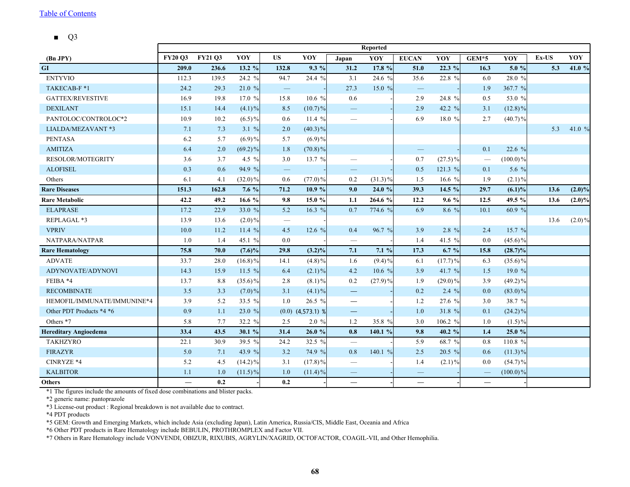■ Q3

<span id="page-68-0"></span>

|                              | <b>Reported</b> |                |            |                          |                       |                                 |            |                          |            |                          |             |          |           |
|------------------------------|-----------------|----------------|------------|--------------------------|-----------------------|---------------------------------|------------|--------------------------|------------|--------------------------|-------------|----------|-----------|
| (Bn JPY)                     | <b>FY20 O3</b>  | <b>FY21 03</b> | YOY        | <b>US</b>                | YOY                   | Japan                           | YOY        | <b>EUCAN</b>             | YOY        | GEM*5                    | YOY         | $Ex$ -US | YOY       |
| GI                           | 209.0           | 236.6          | 13.2 %     | 132.8                    | $9.3\%$               | 31.2                            | 17.8 %     | 51.0                     | 22.3%      | 16.3                     | 5.0 %       | 5.3      | 41.0 %    |
| <b>ENTYVIO</b>               | 112.3           | 139.5          | 24.2 $%$   | 94.7                     | 24.4 %                | 3.1                             | 24.6 %     | 35.6                     | 22.8 %     | 6.0                      | 28.0 %      |          |           |
| TAKECAB-F*1                  | 24.2            | 29.3           | 21.0%      | $\qquad \qquad -$        |                       | 27.3                            | 15.0%      | $\qquad \qquad -$        |            | 1.9                      | 367.7 %     |          |           |
| <b>GATTEX/REVESTIVE</b>      | 16.9            | 19.8           | 17.0 %     | 15.8                     | 10.6%                 | 0.6                             |            | 2.9                      | 24.8 %     | 0.5                      | 53.0 %      |          |           |
| <b>DEXILANT</b>              | 15.1            | 14.4           | $(4.1)\%$  | 8.5                      | $(10.7)\%$            |                                 |            | 2.9                      | 42.2 %     | 3.1                      | $(12.8)\%$  |          |           |
| PANTOLOC/CONTROLOC*2         | 10.9            | 10.2           | $(6.5)\%$  | 0.6                      | 11.4 $%$              |                                 |            | 6.9                      | 18.0 %     | 2.7                      | $(40.7)\%$  |          |           |
| LIALDA/MEZAVANT *3           | 7.1             | 7.3            | 3.1 %      | 2.0                      | $(40.3)\%$            |                                 |            |                          |            |                          |             | 5.3      | 41.0 %    |
| <b>PENTASA</b>               | 6.2             | 5.7            | $(6.9) \%$ | 5.7                      | $(6.9)\%$             |                                 |            |                          |            |                          |             |          |           |
| <b>AMITIZA</b>               | 6.4             | $2.0$          | $(69.2)\%$ | 1.8                      | $(70.8)\%$            |                                 |            | $\overline{\phantom{0}}$ |            | 0.1                      | 22.6 %      |          |           |
| <b>RESOLOR/MOTEGRITY</b>     | 3.6             | 3.7            | 4.5 $%$    | 3.0                      | 13.7 %                |                                 |            | 0.7                      | $(27.5)\%$ | $\overline{\phantom{m}}$ | $(100.0)\%$ |          |           |
| <b>ALOFISEL</b>              | 0.3             | 0.6            | 94.9 %     | $\overline{\phantom{m}}$ |                       | $\overline{\phantom{0}}$        |            | 0.5                      | 121.3 %    | 0.1                      | 5.6 $%$     |          |           |
| Others                       | 6.1             | 4.1            | $(32.0)\%$ | 0.6                      | $(77.0)\%$            | 0.2                             | $(31.3)\%$ | 1.5                      | 16.6 $%$   | 1.9                      | $(2.1)\%$   |          |           |
| <b>Rare Diseases</b>         | 151.3           | 162.8          | 7.6 $%$    | 71.2                     | 10.9 %                | 9.0                             | 24.0 %     | 39.3                     | 14.5 %     | 29.7                     | $(6.1)\%$   | 13.6     | $(2.0)\%$ |
| <b>Rare Metabolic</b>        | 42.2            | 49.2           | 16.6 $%$   | 9.8                      | 15.0%                 | 1.1                             | 264.6 %    | 12.2                     | $9.6\%$    | 12.5                     | 49.5 %      | 13.6     | $(2.0)\%$ |
| <b>ELAPRASE</b>              | 17.2            | 22.9           | 33.0 $%$   | 5.2                      | 16.3 $%$              | 0.7                             | 774.6 %    | 6.9                      | 8.6 %      | 10.1                     | 60.9 %      |          |           |
| REPLAGAL *3                  | 13.9            | 13.6           | $(2.0)\%$  | $\overline{\phantom{0}}$ |                       |                                 |            |                          |            |                          |             | 13.6     | $(2.0)\%$ |
| <b>VPRIV</b>                 | 10.0            | 11.2           | 11.4 $%$   | 4.5                      | 12.6 $%$              | 0.4                             | 96.7 %     | 3.9                      | $2.8 \%$   | 2.4                      | 15.7 %      |          |           |
| NATPARA/NATPAR               | 1.0             | 1.4            | 45.1 %     | 0.0                      |                       | $\overline{\phantom{m}}$        |            | 1.4                      | 41.5 %     | 0.0                      | $(45.6)\%$  |          |           |
| <b>Rare Hematology</b>       | 75.8            | 70.0           | $(7.6)\%$  | 29.8                     | $(3.2)\%$             | 7.1                             | 7.1%       | 17.3                     | $6.7 \%$   | 15.8                     | $(28.7)\%$  |          |           |
| <b>ADVATE</b>                | 33.7            | 28.0           | $(16.8)\%$ | 14.1                     | $(4.8)\%$             | 1.6                             | $(9.4)\%$  | 6.1                      | $(17.7)\%$ | 6.3                      | $(35.6)\%$  |          |           |
| ADYNOVATE/ADYNOVI            | 14.3            | 15.9           | 11.5 $%$   | 6.4                      | $(2.1)\%$             | 4.2                             | 10.6%      | 3.9                      | 41.7 %     | 1.5                      | 19.0 %      |          |           |
| FEIBA *4                     | 13.7            | 8.8            | $(35.6)\%$ | 2.8                      | $(8.1)\%$             | 0.2                             | $(27.9)\%$ | 1.9                      | $(29.0)\%$ | 3.9                      | $(49.2)\%$  |          |           |
| <b>RECOMBINATE</b>           | 3.5             | 3.3            | $(7.0)\%$  | 3.1                      | $(4.1)\%$             | $\qquad \qquad \longleftarrow$  |            | 0.2                      | $2.4\%$    | 0.0                      | $(83.0)\%$  |          |           |
| HEMOFIL/IMMUNATE/IMMUNINE*4  | 3.9             | 5.2            | 33.5 %     | 1.0                      | 26.5 %                | $\overline{\phantom{m}}$        |            | 1.2                      | 27.6 %     | 3.0                      | 38.7 %      |          |           |
| Other PDT Products *4 *6     | 0.9             | 1.1            | 23.0 %     |                          | $(0.0)$ $(4,573.1)$ % | $\qquad \qquad -$               |            | 1.0                      | 31.8 %     | 0.1                      | $(24.2)\%$  |          |           |
| Others *7                    | 5.8             | 7.7            | 32.2 %     | 2.5                      | 2.0%                  | 1.2                             | 35.8 %     | 3.0                      | 106.2 %    | 1.0                      | $(1.5)\%$   |          |           |
| <b>Hereditary Angioedema</b> | 33.4            | 43.5           | 30.1 %     | 31.4                     | 26.0%                 | 0.8                             | 140.1 %    | 9.8                      | 40.2 %     | 1.4                      | 25.0 %      |          |           |
| <b>TAKHZYRO</b>              | 22.1            | 30.9           | 39.5 %     | 24.2                     | 32.5 %                | $\overline{\phantom{m}}$        |            | 5.9                      | 68.7 %     | $0.8\,$                  | 110.8 %     |          |           |
| <b>FIRAZYR</b>               | 5.0             | 7.1            | 43.9 %     | 3.2                      | 74.9 %                | 0.8                             | 140.1 %    | 2.5                      | $20.5 \%$  | 0.6                      | $(11.3)\%$  |          |           |
| CINRYZE *4                   | 5.2             | 4.5            | $(14.2)\%$ | 3.1                      | $(17.8)\%$            | $\hspace{0.1mm}-\hspace{0.1mm}$ |            | 1.4                      | $(2.1)\%$  | 0.0                      | $(54.7)\%$  |          |           |
| <b>KALBITOR</b>              | 1.1             | 1.0            | $(11.5)\%$ | 1.0                      | $(11.4)\%$            |                                 |            | $\overline{\phantom{0}}$ |            | $\qquad \qquad -$        | $(100.0)\%$ |          |           |
| <b>Others</b>                |                 | 0.2            |            | 0.2                      |                       | $\overline{\phantom{0}}$        |            | $\overline{\phantom{0}}$ |            |                          |             |          |           |

\*1 The figures include the amounts of fixed dose combinations and blister packs.

\*2 generic name: pantoprazole

\*3 License-out product : Regional breakdown is not available due to contract.

\*4 PDT products

\*5 GEM: Growth and Emerging Markets, which include Asia (excluding Japan), Latin America, Russia/CIS, Middle East, Oceania and Africa

\*6 Other PDT products in Rare Hematology include BEBULIN, PROTHROMPLEX and Factor VII.

\*7 Others in Rare Hematology include VONVENDI, OBIZUR, RIXUBIS, AGRYLIN/XAGRID, OCTOFACTOR, COAGIL-VII, and Other Hemophilia.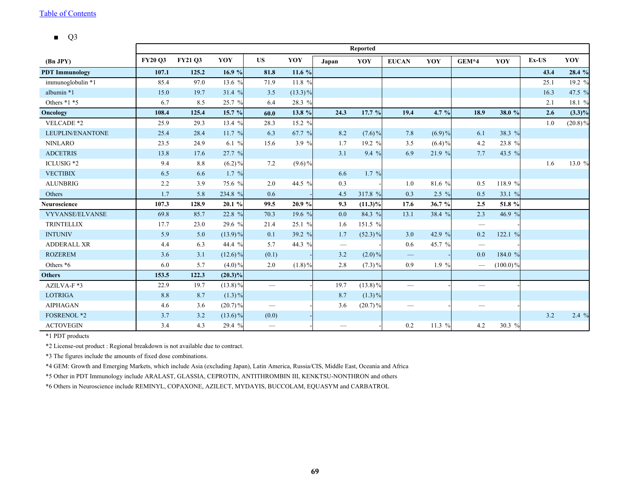■ Q3

|                       |                | <b>Reported</b> |            |                          |            |                                 |            |                          |           |         |             |       |            |  |
|-----------------------|----------------|-----------------|------------|--------------------------|------------|---------------------------------|------------|--------------------------|-----------|---------|-------------|-------|------------|--|
| (Bn JPY)              | <b>FY20 Q3</b> | <b>FY21 Q3</b>  | YOY        | <b>US</b>                | YOY        | Japan                           | YOY        | <b>EUCAN</b>             | YOY       | $GEM*4$ | YOY         | Ex-US | YOY        |  |
| <b>PDT</b> Immunology | 107.1          | 125.2           | 16.9%      | 81.8                     | 11.6 %     |                                 |            |                          |           |         |             | 43.4  | 28.4 %     |  |
| immunoglobulin *1     | 85.4           | 97.0            | 13.6 %     | 71.9                     | 11.8 %     |                                 |            |                          |           |         |             | 25.1  | 19.2 %     |  |
| albumin *1            | 15.0           | 19.7            | 31.4 %     | 3.5                      | $(13.3)\%$ |                                 |            |                          |           |         |             | 16.3  | 47.5 %     |  |
| Others $*1 *5$        | 6.7            | 8.5             | 25.7 %     | 6.4                      | 28.3 %     |                                 |            |                          |           |         |             | 2.1   | 18.1 %     |  |
| Oncology              | 108.4          | 125.4           | 15.7 %     | 60.0                     | 13.8 %     | 24.3                            | 17.7 %     | 19.4                     | 4.7 $%$   | 18.9    | 38.0 %      | 2.6   | $(3.3)\%$  |  |
| VELCADE *2            | 25.9           | 29.3            | 13.4 %     | 28.3                     | 15.2 %     |                                 |            |                          |           |         |             | 1.0   | $(20.8)\%$ |  |
| LEUPLIN/ENANTONE      | 25.4           | 28.4            | 11.7%      | 6.3                      | 67.7 %     | 8.2                             | $(7.6)\%$  | 7.8                      | $(6.9)\%$ | 6.1     | 38.3 %      |       |            |  |
| <b>NINLARO</b>        | 23.5           | 24.9            | 6.1 $%$    | 15.6                     | 3.9 %      | 1.7                             | 19.2 %     | 3.5                      | $(6.4)\%$ | 4.2     | 23.8 %      |       |            |  |
| <b>ADCETRIS</b>       | 13.8           | 17.6            | 27.7%      |                          |            | 3.1                             | $9.4\%$    | 6.9                      | 21.9 %    | 7.7     | 43.5 %      |       |            |  |
| ICLUSIG *2            | 9.4            | 8.8             | $(6.2)\%$  | 7.2                      | $(9.6)\%$  |                                 |            |                          |           |         |             | 1.6   | 13.0 %     |  |
| <b>VECTIBIX</b>       | 6.5            | 6.6             | $1.7 \%$   |                          |            | 6.6                             | 1.7 %      |                          |           |         |             |       |            |  |
| <b>ALUNBRIG</b>       | 2.2            | 3.9             | 75.6 %     | 2.0                      | 44.5 %     | 0.3                             |            | 1.0                      | 81.6 %    | 0.5     | 118.9 %     |       |            |  |
| Others                | 1.7            | 5.8             | 234.8 %    | 0.6                      |            | 4.5                             | 317.8 %    | 0.3                      | $2.5 \%$  | 0.5     | 33.1 %      |       |            |  |
| <b>Neuroscience</b>   | 107.3          | 128.9           | 20.1%      | 99.5                     | 20.9%      | 9.3                             | $(11.3)\%$ | 17.6                     | 36.7 %    | 2.5     | 51.8 %      |       |            |  |
| VYVANSE/ELVANSE       | 69.8           | 85.7            | 22.8 %     | 70.3                     | 19.6 %     | 0.0                             | 84.3 %     | 13.1                     | 38.4 %    | 2.3     | 46.9 %      |       |            |  |
| <b>TRINTELLIX</b>     | 17.7           | 23.0            | 29.6 %     | 21.4                     | 25.1 %     | 1.6                             | 151.5 %    |                          |           |         |             |       |            |  |
| <b>INTUNIV</b>        | 5.9            | 5.0             | $(13.9)\%$ | 0.1                      | 39.2 %     | 1.7                             | $(52.3)\%$ | 3.0                      | 42.9 %    | 0.2     | 122.1 %     |       |            |  |
| <b>ADDERALL XR</b>    | 4.4            | 6.3             | 44.4 %     | 5.7                      | 44.3 %     | $\hspace{0.1mm}-\hspace{0.1mm}$ |            | 0.6                      | 45.7 %    |         |             |       |            |  |
| <b>ROZEREM</b>        | 3.6            | 3.1             | $(12.6)\%$ | (0.1)                    |            | 3.2                             | $(2.0)\%$  | $\qquad \qquad -$        |           | 0.0     | 184.0 %     |       |            |  |
| Others *6             | 6.0            | 5.7             | $(4.0)\%$  | 2.0                      | $(1.8)\%$  | 2.8                             | $(7.3)\%$  | 0.9                      | $1.9 \%$  |         | $(100.0)\%$ |       |            |  |
| <b>Others</b>         | 153.5          | 122.3           | $(20.3)\%$ |                          |            |                                 |            |                          |           |         |             |       |            |  |
| AZILVA-F *3           | 22.9           | 19.7            | $(13.8)\%$ | $\overline{\phantom{0}}$ |            | 19.7                            | $(13.8)\%$ | $\overline{\phantom{0}}$ |           |         |             |       |            |  |
| <b>LOTRIGA</b>        | 8.8            | 8.7             | $(1.3)\%$  |                          |            | 8.7                             | $(1.3)\%$  |                          |           |         |             |       |            |  |
| <b>AIPHAGAN</b>       | 4.6            | 3.6             | $(20.7)\%$ | $\overline{\phantom{a}}$ |            | 3.6                             | $(20.7)\%$ | —                        |           |         |             |       |            |  |
| <b>FOSRENOL *2</b>    | 3.7            | 3.2             | $(13.6)\%$ | (0.0)                    |            |                                 |            |                          |           |         |             | 3.2   | 2.4%       |  |
| <b>ACTOVEGIN</b>      | 3.4            | 4.3             | 29.4 %     | $\overline{\phantom{m}}$ |            |                                 |            | 0.2                      | 11.3 %    | 4.2     | 30.3 %      |       |            |  |

\*1 PDT products

\*2 License-out product : Regional breakdown is not available due to contract.

\*3 The figures include the amounts of fixed dose combinations.

\*4 GEM: Growth and Emerging Markets, which include Asia (excluding Japan), Latin America, Russia/CIS, Middle East, Oceania and Africa

\*5 Other in PDT Immunology include ARALAST, GLASSIA, CEPROTIN, ANTITHROMBIN III, KENKTSU-NONTHRON and others

\*6 Others in Neuroscience include REMINYL, COPAXONE, AZILECT, MYDAYIS, BUCCOLAM, EQUASYM and CARBATROL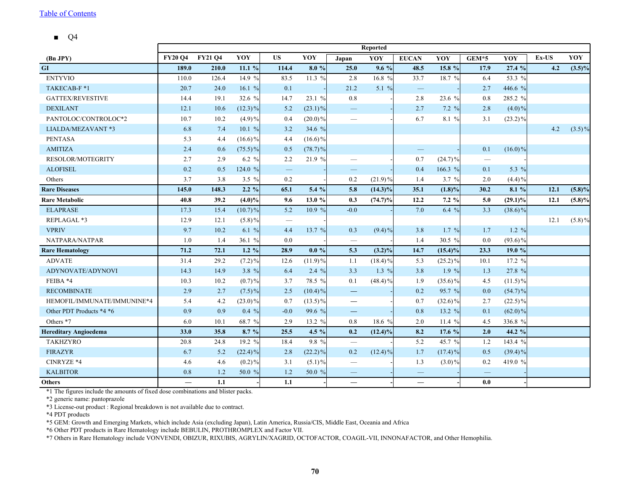■ Q4

<span id="page-70-0"></span>

|                              | <b>Reported</b> |                |            |           |            |                                   |            |                          |            |                          |            |          |           |
|------------------------------|-----------------|----------------|------------|-----------|------------|-----------------------------------|------------|--------------------------|------------|--------------------------|------------|----------|-----------|
| (Bn JPY)                     | <b>FY20 O4</b>  | <b>FY21 O4</b> | YOY        | <b>US</b> | YOY        | Japan                             | YOY        | <b>EUCAN</b>             | YOY        | GEM*5                    | YOY        | $Ex$ -US | YOY       |
| GI                           | 189.0           | 210.0          | 11.1%      | 114.4     | 8.0%       | 25.0                              | $9.6\%$    | 48.5                     | 15.8 %     | 17.9                     | 27.4 %     | 4.2      | $(3.5)\%$ |
| <b>ENTYVIO</b>               | 110.0           | 126.4          | 14.9 $%$   | 83.5      | 11.3 %     | 2.8                               | 16.8 %     | 33.7                     | 18.7 %     | 6.4                      | 53.3 %     |          |           |
| TAKECAB-F*1                  | 20.7            | 24.0           | 16.1 $%$   | 0.1       |            | 21.2                              | 5.1 $%$    | $\qquad \qquad -$        |            | 2.7                      | 446.6 %    |          |           |
| <b>GATTEX/REVESTIVE</b>      | 14.4            | 19.1           | 32.6 %     | 14.7      | 23.1 %     | $0.8\,$                           |            | 2.8                      | 23.6 %     | $0.8\,$                  | 285.2 %    |          |           |
| <b>DEXILANT</b>              | 12.1            | 10.6           | $(12.3)\%$ | 5.2       | $(23.1)\%$ | $\overline{\phantom{m}}$          |            | 2.7                      | $7.2 \%$   | 2.8                      | $(4.0)\%$  |          |           |
| PANTOLOC/CONTROLOC*2         | 10.7            | 10.2           | $(4.9)\%$  | 0.4       | $(20.0)\%$ |                                   |            | 6.7                      | 8.1 %      | 3.1                      | $(23.2)\%$ |          |           |
| LIALDA/MEZAVANT *3           | 6.8             | 7.4            | 10.1%      | 3.2       | 34.6 %     |                                   |            |                          |            |                          |            | 4.2      | $(3.5)\%$ |
| <b>PENTASA</b>               | 5.3             | 4.4            | $(16.6)\%$ | 4.4       | $(16.6)\%$ |                                   |            |                          |            |                          |            |          |           |
| <b>AMITIZA</b>               | 2.4             | 0.6            | $(75.5)\%$ | 0.5       | $(78.7)\%$ |                                   |            | $\overline{\phantom{0}}$ |            | 0.1                      | $(16.0)\%$ |          |           |
| <b>RESOLOR/MOTEGRITY</b>     | 2.7             | 2.9            | 6.2 $%$    | 2.2       | 21.9 %     | $\overbrace{\phantom{123221111}}$ |            | 0.7                      | $(24.7)\%$ | $\overline{\phantom{m}}$ |            |          |           |
| <b>ALOFISEL</b>              | 0.2             | 0.5            | 124.0 %    |           |            | $\overline{\phantom{0}}$          |            | 0.4                      | 166.3 %    | 0.1                      | 5.3 $%$    |          |           |
| Others                       | 3.7             | 3.8            | 3.5 $%$    | 0.2       |            | 0.2                               | $(21.9)\%$ | 1.4                      | $3.7 \%$   | 2.0                      | $(4.4)\%$  |          |           |
| <b>Rare Diseases</b>         | 145.0           | 148.3          | 2.2 %      | 65.1      | 5.4 %      | 5.8                               | $(14.3)\%$ | 35.1                     | $(1.8)\%$  | 30.2                     | 8.1 %      | 12.1     | $(5.8)\%$ |
| <b>Rare Metabolic</b>        | 40.8            | 39.2           | $(4.0)\%$  | 9.6       | 13.0%      | 0.3                               | $(74.7)\%$ | 12.2                     | $7.2 \%$   | 5.0                      | $(29.1)\%$ | 12.1     | $(5.8)\%$ |
| <b>ELAPRASE</b>              | 17.3            | 15.4           | $(10.7)\%$ | 5.2       | 10.9 %     | $-0.0$                            |            | 7.0                      | 6.4 $%$    | 3.3                      | $(38.6)\%$ |          |           |
| REPLAGAL *3                  | 12.9            | 12.1           | $(5.8)\%$  |           |            |                                   |            |                          |            |                          |            | 12.1     | $(5.8)\%$ |
| <b>VPRIV</b>                 | 9.7             | 10.2           | 6.1 %      | 4.4       | 13.7 %     | 0.3                               | $(9.4)\%$  | 3.8                      | 1.7 %      | 1.7                      | $1.2 \%$   |          |           |
| NATPARA/NATPAR               | 1.0             | 1.4            | 36.1 $%$   | 0.0       |            | $\overline{\phantom{m}}$          |            | 1.4                      | 30.5 %     | 0.0                      | $(93.6)\%$ |          |           |
| <b>Rare Hematology</b>       | 71.2            | 72.1           | 1.2 $%$    | 28.9      | $0.0 \%$   | 5.3                               | $(3.2)\%$  | 14.7                     | $(15.4)\%$ | 23.3                     | 19.0%      |          |           |
| <b>ADVATE</b>                | 31.4            | 29.2           | $(7.2)\%$  | 12.6      | $(11.9)\%$ | 1.1                               | $(18.4)\%$ | 5.3                      | $(25.2)\%$ | 10.1                     | 17.2 %     |          |           |
| ADYNOVATE/ADYNOVI            | 14.3            | 14.9           | 3.8 %      | 6.4       | $2.4\%$    | 3.3                               | 1.3 $%$    | 3.8                      | $1.9\%$    | 1.3                      | 27.8 %     |          |           |
| FEIBA *4                     | 10.3            | 10.2           | $(0.7)\%$  | 3.7       | 78.5 %     | 0.1                               | $(48.4)\%$ | 1.9                      | $(35.6)\%$ | 4.5                      | $(11.5)\%$ |          |           |
| <b>RECOMBINATE</b>           | 2.9             | 2.7            | $(7.5)\%$  | 2.5       | $(10.4)\%$ | $\qquad \qquad \longleftarrow$    |            | 0.2                      | 95.7 %     | 0.0                      | $(54.7)\%$ |          |           |
| HEMOFIL/IMMUNATE/IMMUNINE*4  | 5.4             | 4.2            | $(23.0)\%$ | 0.7       | $(13.5)\%$ | $\overline{\phantom{m}}$          |            | 0.7                      | $(32.6)\%$ | 2.7                      | $(22.5)\%$ |          |           |
| Other PDT Products *4 *6     | 0.9             | 0.9            | $0.4\%$    | $-0.0$    | 99.6 %     | $\qquad \qquad -$                 |            | 0.8                      | 13.2 %     | 0.1                      | $(62.0)\%$ |          |           |
| Others *7                    | 6.0             | 10.1           | 68.7 %     | 2.9       | 13.2 %     | 0.8                               | 18.6 %     | 2.0                      | 11.4 $%$   | 4.5                      | 336.8 %    |          |           |
| <b>Hereditary Angioedema</b> | 33.0            | 35.8           | 8.7 %      | 25.5      | 4.5 $%$    | 0.2                               | $(12.4)\%$ | 8.2                      | 17.6 %     | 2.0                      | 44.2 %     |          |           |
| <b>TAKHZYRO</b>              | 20.8            | 24.8           | 19.2 %     | 18.4      | 9.8 %      | $\overline{\phantom{m}}$          |            | 5.2                      | 45.7 %     | 1.2                      | 143.4 %    |          |           |
| <b>FIRAZYR</b>               | 6.7             | 5.2            | $(22.4)\%$ | 2.8       | $(22.2)\%$ | 0.2                               | $(12.4)\%$ | 1.7                      | $(17.4)\%$ | 0.5                      | $(39.4)\%$ |          |           |
| CINRYZE *4                   | 4.6             | 4.6            | $(0.2)\%$  | 3.1       | $(5.1)\%$  | $\hspace{0.1mm}-\hspace{0.1mm}$   |            | 1.3                      | $(3.0)\%$  | 0.2                      | 419.0 %    |          |           |
| <b>KALBITOR</b>              | 0.8             | 1.2            | 50.0 %     | 1.2       | 50.0 %     |                                   |            | $\overline{\phantom{0}}$ |            |                          |            |          |           |
| <b>Others</b>                |                 | 1.1            |            | 1.1       |            | $\overline{\phantom{0}}$          |            | $\overline{\phantom{0}}$ |            | 0.0                      |            |          |           |

\*1 The figures include the amounts of fixed dose combinations and blister packs.

\*2 generic name: pantoprazole

\*3 License-out product : Regional breakdown is not available due to contract.

\*4 PDT products

\*5 GEM: Growth and Emerging Markets, which include Asia (excluding Japan), Latin America, Russia/CIS, Middle East, Oceania and Africa

\*6 Other PDT products in Rare Hematology include BEBULIN, PROTHROMPLEX and Factor VII.

\*7 Others in Rare Hematology include VONVENDI, OBIZUR, RIXUBIS, AGRYLIN/XAGRID, OCTOFACTOR, COAGIL-VII, INNONAFACTOR, and Other Hemophilia.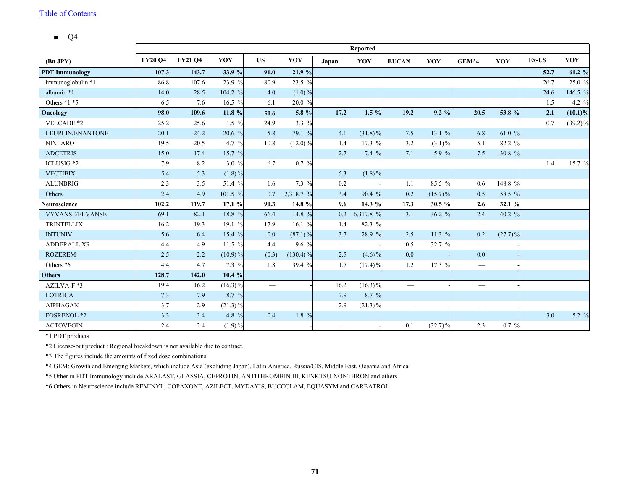■ Q4

|                       |                |                |            |                          |             |       | Reported   |                                  |            |                                 |            |       |            |
|-----------------------|----------------|----------------|------------|--------------------------|-------------|-------|------------|----------------------------------|------------|---------------------------------|------------|-------|------------|
| (Bn JPY)              | <b>FY20 Q4</b> | <b>FY21 Q4</b> | YOY        | <b>US</b>                | YOY         | Japan | YOY        | <b>EUCAN</b>                     | YOY        | $GEM*4$                         | YOY        | Ex-US | YOY        |
| <b>PDT</b> Immunology | 107.3          | 143.7          | 33.9 %     | 91.0                     | 21.9 %      |       |            |                                  |            |                                 |            | 52.7  | 61.2 %     |
| immunoglobulin *1     | 86.8           | 107.6          | 23.9 %     | 80.9                     | 23.5 %      |       |            |                                  |            |                                 |            | 26.7  | 25.0 %     |
| albumin *1            | 14.0           | 28.5           | 104.2 %    | 4.0                      | $(1.0)\%$   |       |            |                                  |            |                                 |            | 24.6  | 146.5 %    |
| Others $*1 *5$        | 6.5            | 7.6            | 16.5 %     | 6.1                      | 20.0 %      |       |            |                                  |            |                                 |            | 1.5   | 4.2 %      |
| Oncology              | 98.0           | 109.6          | 11.8 %     | 50.6                     | 5.8 %       | 17.2  | $1.5\%$    | 19.2                             | $9.2\%$    | 20.5                            | 53.8 %     | 2.1   | $(10.1)\%$ |
| VELCADE *2            | 25.2           | 25.6           | $1.5\%$    | 24.9                     | 3.3 %       |       |            |                                  |            |                                 |            | 0.7   | $(39.2)\%$ |
| LEUPLIN/ENANTONE      | 20.1           | 24.2           | 20.6 %     | 5.8                      | 79.1 %      | 4.1   | $(31.8)\%$ | 7.5                              | 13.1 $%$   | 6.8                             | 61.0 %     |       |            |
| <b>NINLARO</b>        | 19.5           | 20.5           | 4.7 $%$    | 10.8                     | $(12.0)\%$  | 1.4   | 17.3 %     | 3.2                              | $(3.1)\%$  | 5.1                             | 82.2 %     |       |            |
| <b>ADCETRIS</b>       | 15.0           | 17.4           | 15.7 $%$   |                          |             | 2.7   | 7.4%       | 7.1                              | 5.9 $%$    | 7.5                             | 30.8 %     |       |            |
| ICLUSIG <sup>*2</sup> | 7.9            | 8.2            | 3.0%       | 6.7                      | $0.7\%$     |       |            |                                  |            |                                 |            | 1.4   | 15.7 %     |
| <b>VECTIBIX</b>       | 5.4            | 5.3            | $(1.8)\%$  |                          |             | 5.3   | $(1.8)\%$  |                                  |            |                                 |            |       |            |
| <b>ALUNBRIG</b>       | 2.3            | 3.5            | 51.4 %     | 1.6                      | 7.3 %       | 0.2   |            | 1.1                              | 85.5 %     | 0.6                             | 148.8 %    |       |            |
| Others                | 2.4            | 4.9            | 101.5 %    | 0.7                      | 2,318.7 %   | 3.4   | 90.4%      | 0.2                              | $(15.7)\%$ | 0.5                             | 58.5 %     |       |            |
| <b>Neuroscience</b>   | 102.2          | 119.7          | 17.1 %     | 90.3                     | 14.8 %      | 9.6   | 14.3 %     | 17.3                             | 30.5 %     | 2.6                             | 32.1 %     |       |            |
| VYVANSE/ELVANSE       | 69.1           | 82.1           | 18.8 %     | 66.4                     | 14.8 %      | 0.2   | 6,317.8 %  | 13.1                             | 36.2 %     | 2.4                             | 40.2 %     |       |            |
| <b>TRINTELLIX</b>     | 16.2           | 19.3           | 19.1 %     | 17.9                     | 16.1 $%$    | 1.4   | 82.3 %     |                                  |            | $\hspace{0.1mm}-\hspace{0.1mm}$ |            |       |            |
| <b>INTUNIV</b>        | 5.6            | 6.4            | 15.4 %     | 0.0                      | $(87.1)\%$  | 3.7   | 28.9 %     | 2.5                              | 11.3 $%$   | 0.2                             | $(27.7)\%$ |       |            |
| <b>ADDERALL XR</b>    | 4.4            | 4.9            | 11.5 %     | 4.4                      | $9.6\%$     |       |            | 0.5                              | 32.7 %     |                                 |            |       |            |
| <b>ROZEREM</b>        | 2.5            | 2.2            | $(10.9)\%$ | (0.3)                    | $(130.4)\%$ | 2.5   | $(4.6)\%$  | 0.0                              |            | $0.0\,$                         |            |       |            |
| Others *6             | 4.4            | 4.7            | $7.3\%$    | 1.8                      | 39.4 %      | 1.7   | $(17.4)\%$ | 1.2                              | 17.3 $%$   | $\hspace{0.1mm}-\hspace{0.1mm}$ |            |       |            |
| <b>Others</b>         | 128.7          | 142.0          | 10.4%      |                          |             |       |            |                                  |            |                                 |            |       |            |
| AZILVA-F*3            | 19.4           | 16.2           | $(16.3)\%$ | $\overline{\phantom{0}}$ |             | 16.2  | $(16.3)\%$ | $\overbrace{\phantom{12322111}}$ |            | $\overbrace{\qquad \qquad }^{}$ |            |       |            |
| <b>LOTRIGA</b>        | 7.3            | 7.9            | 8.7 %      |                          |             | 7.9   | 8.7 %      |                                  |            |                                 |            |       |            |
| <b>AIPHAGAN</b>       | 3.7            | 2.9            | $(21.3)\%$ | $\overline{\phantom{m}}$ |             | 2.9   | $(21.3)\%$ | —                                |            |                                 |            |       |            |
| <b>FOSRENOL *2</b>    | 3.3            | 3.4            | 4.8 %      | 0.4                      | 1.8 %       |       |            |                                  |            |                                 |            | 3.0   | 5.2 %      |
| <b>ACTOVEGIN</b>      | 2.4            | 2.4            | $(1.9)\%$  | $\overline{\phantom{m}}$ |             |       |            | 0.1                              | $(32.7)\%$ | 2.3                             | 0.7 %      |       |            |

\*1 PDT products

\*2 License-out product : Regional breakdown is not available due to contract.

\*3 The figures include the amounts of fixed dose combinations.

\*4 GEM: Growth and Emerging Markets, which include Asia (excluding Japan), Latin America, Russia/CIS, Middle East, Oceania and Africa

\*5 Other in PDT Immunology include ARALAST, GLASSIA, CEPROTIN, ANTITHROMBIN III, KENKTSU-NONTHRON and others

\*6 Others in Neuroscience include REMINYL, COPAXONE, AZILECT, MYDAYIS, BUCCOLAM, EQUASYM and CARBATROL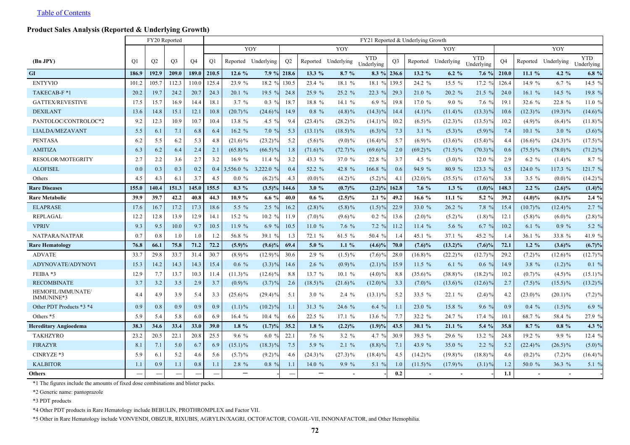## **Product Sales Analysis (Reported & Underlying Growth)**

|                                 |                | FY20 Reported  |                |           | FY21 Reported & Underlying Growth |                     |                |                |            |                     |                          |                |            |                     |                          |                |            |                          |                          |
|---------------------------------|----------------|----------------|----------------|-----------|-----------------------------------|---------------------|----------------|----------------|------------|---------------------|--------------------------|----------------|------------|---------------------|--------------------------|----------------|------------|--------------------------|--------------------------|
|                                 |                |                |                |           |                                   | YOY                 |                |                |            | YOY                 |                          |                |            | YOY                 |                          |                |            | YOY                      |                          |
| (Bn JPY)                        | O <sub>1</sub> | O <sub>2</sub> | O <sub>3</sub> | <b>O4</b> | O1                                | Reported Underlying |                | O <sub>2</sub> |            | Reported Underlying | <b>YTD</b><br>Underlying | O <sub>3</sub> |            | Reported Underlying | <b>YTD</b><br>Underlying | O <sub>4</sub> |            | Reported Underlying      | <b>YTD</b><br>Underlying |
| GI                              | 186.9          | 192.9          | 209.0          | 189.0     | 210.5                             | 12.6%               | $7.9 \%$ 218.6 |                | $13.3\%$   | 8.7%                |                          | $8.3 \%$ 236.6 | $13.2 \%$  | $6.2 \%$            | 7.6%                     | 210.0          | 11.1%      | 4.2 $%$                  | $6.8 \%$                 |
| <b>ENTYVIO</b>                  | 101.2          | 105.7          | 112.3          | 110.0     | 125.4                             | 23.9 %              | 18.2%          | 130.5          | 23.4 %     | 18.1 %              | 18.1%                    | 139.5          | 24.2 %     | $15.5 \%$           | 17.2%                    | 126.4          | 14.9 %     | $6.7 \%$                 | 14.5 %                   |
| TAKECAB-F *1                    | 20.2           | 19.7           | 24.2           | 20.7      | 24.3                              | 20.1 %              | 19.5 $%$       | 24.8           | 25.9 %     | 25.2%               | 22.3 %                   | 29.3           | 21.0 %     | 20.2 %              | 21.5%                    | 24.0           | 16.1 $%$   | 14.5 %                   | 19.8 %                   |
| <b>GATTEX/REVESTIVE</b>         | 17.5           | 15.7           | 16.9           | 14.4      | 18.1                              | $3.7 \%$            | $0.3\%$        | 18.7           | 18.8 %     | 14.1 $%$            | 6.9 $%$                  | 19.8           | 17.0 %     | $9.0\%$             | $7.6\%$                  | 19.1           | 32.6 %     | 22.8 %                   | 11.0 %                   |
| <b>DEXILANT</b>                 | 13.6           | 14.8           | 15.1           | 12.1      | 10.8                              | $(20.7)\%$          | $(24.6)\%$     | 14.9           | $0.8 \%$   | $(4.8)\%$           | $(14.3)\%$               | 14.4           | $(4.1)\%$  | $(11.4)\%$          | $(13.3)\%$               | 10.6           | $(12.3)\%$ | $(19.3)\%$               | $(14.6)\%$               |
| PANTOLOC/CONTROLOC*2            | 9.2            | 12.3           | 10.9           | 10.7      | 10.4                              | 13.8 %              | 4.5 $%$        | 9.4            | $(23.4)\%$ | $(28.2)\%$          | $(14.1)\%$               | 10.2           | $(6.5)\%$  | $(12.3)\%$          | $(13.5)\%$               | 10.2           | $(4.9)\%$  | $(6.4)\%$                | $(11.8)\%$               |
| LIALDA/MEZAVANT                 | 5.5            | 6.1            | 7.1            | 6.8       | 6.4                               | 16.2 %              | 7.0%           | 5.3            | $(13.1)\%$ | $(18.5)\%$          | $(6.3)\%$                | 7.3            | 3.1%       | $(5.3)\%$           | (5.9)%                   | 7.4            | 10.1%      | 3.0%                     | $(3.6)\%$                |
| <b>PENTASA</b>                  | 6.2            | 5.5            | 6.2            | 5.3       | 4.8                               | $(21.6)\%$          | $(23.2)\%$     | 5.2            | $(5.6)\%$  | $(9.0)\%$           | $(16.4)\%$               | 5.7            | $(6.9)\%$  | $(13.6)\%$          | $(15.4)\%$               | 4.4            | $(16.6)\%$ | $(24.3)\%$               | $(17.5)\%$               |
| <b>AMITIZA</b>                  | 6.3            | 6.2            | 6.4            | 2.4       | 2.1                               | $(65.8)\%$          | $(66.5)\%$     | 1.8            | $(71.6)\%$ | $(72.7)\%$          | $(69.6)\%$               | 2.0            | $(69.2)\%$ | $(71.5)\%$          | $(70.3)\%$               | 0.6            | $(75.5)\%$ | $(78.0)\%$               | $(71.2)\%$               |
| <b>RESOLOR/MOTEGRITY</b>        | 2.7            | 2.2            | 3.6            | 2.7       | 3.2                               | 16.9%               | 11.4 $%$       | 3.2            | 43.3 %     | 37.0 %              | 22.8 %                   | 3.7            | 4.5 $%$    | $(3.0)\%$           | 12.0 $%$                 | 2.9            | $6.2 \%$   | $(1.4)\%$                | 8.7 %                    |
| <b>ALOFISEL</b>                 | 0.0            | 0.3            | 0.3            | 0.2       | 0.4                               | 3,556.0 %           | 3,222.0 %      | 0.4            | 52.2 %     | 42.8 %              | 166.8 %                  | 0.6            | 94.9 %     | 80.9 %              | 123.3 %                  | 0.5            | 124.0 %    | 117.3 %                  | 121.7 %                  |
| Others                          | 4.5            | 4.3            | 6.1            | 3.7       | 4.5                               | $0.0 \%$            | $(6.2)\%$      | 4.3            | $(0.0)\%$  | $(4.2)\%$           | $(5.2)\%$                | 4.1            | $(32.0)\%$ | $(35.5)\%$          | $(17.6)\%$               | 3.8            | $3.5 \%$   | $(0.0)\%$                | $(14.2)\%$               |
| <b>Rare Diseases</b>            | 155.0          | 140.4          | 151.3          | 145.0     | 155.5                             | $0.3\%$             | $(3.5)\%$      | 144.6          | 3.0%       | (0.7)%              | $(2.2)\%$                | 162.8          | $7.6\%$    | $1.3\%$             | $(1.0)\%$                | 148.3          | $2.2 \%$   | $(2.6)\%$                | $(1.4)\%$                |
| <b>Rare Metabolic</b>           | 39.9           | 39.7           | 42.2           | 40.8      | 44.3                              | 10.9%               | 6.6 $%$        | 40.0           | $0.6\%$    | $(2.5)\%$           | $2.1\%$                  | 49.2           | 16.6 $%$   | 11.1%               | $5.2 \%$                 | 39.2           | $(4.0)\%$  | $(6.1)\%$                | $2.4\%$                  |
| <b>ELAPRASE</b>                 | 17.6           | 16.7           | 17.2           | 17.3      | 18.6                              | 5.5 $%$             | $2.5\%$        | 16.2           | $(2.8)\%$  | $(5.8)\%$           | $(1.5)\%$                | 22.9           | 33.0 %     | 26.2%               | 7.8%                     | 15.4           | $(10.7)\%$ | $(12.4)\%$               | $2.7 \%$                 |
| REPLAGAL                        | 12.2           | 12.8           | 13.9           | 12.9      | 14.1                              | 15.2 %              | 10.2%          | 11.9           | $(7.0)\%$  | $(9.6)\%$           | $0.2 \%$                 | 13.6           | $(2.0)\%$  | $(5.2)\%$           | $(1.8)$ <sup>9</sup>     | 12.1           | $(5.8)\%$  | $(6.0)\%$                | $(2.8)\%$                |
| <b>VPRIV</b>                    | 9.3            | 9.5            | 10.0           | 9.7       | 10.5                              | 11.9%               | 6.9 $%$        | 10.5           | 11.0%      | 7.6%                | 7.2%                     | 11.2           | 11.4%      | $5.6\%$             | 6.7%                     | 10.2           | 6.1%       | $0.9 \%$                 | $5.2 \%$                 |
| NATPARA/NATPAR                  | 0.7            | 0.8            | 1.0            | 1.0       | 1.2                               | 56.8 %              | 39.1 %         | 1.3            | 72.1 %     | 61.5 %              | 50.4 %                   | 1.4            | 45.1 %     | 37.1 %              | 45.2 %                   | 1.4            | 36.1 %     | 33.8 %                   | 41.9 %                   |
| <b>Rare Hematology</b>          | 76.8           | 66.1           | 75.8           | 71.2      | 72.2                              | (5.9)%              | $(9.6)\%$      | 69.4           | 5.0%       | $1.1\%$             | $(4.6)\%$                | 70.0           | $(7.6)\%$  | $(13.2)\%$          | $(7.6)\%$                | 72.1           | $1.2 \%$   | $(3.6)\%$                | $(6.7)\%$                |
| <b>ADVATE</b>                   | 33.7           | 29.8           | 33.7           | 31.4      | 30.7                              | $(8.9)\%$           | $(12.9)\%$     | 30.6           | 2.9%       | $(1.5)\%$           | $(7.6)\%$                | 28.0           | $(16.8)\%$ | $(22.2)\%$          | $(12.7)\%$               | 29.2           | $(7.2)\%$  | $(12.6)\%$               | $(12.7)\%$               |
| ADYNOVATE/ADYNOVI               | 15.3           | 14.2           | 14.3           | 14.3      | 15.4                              | $0.6\%$             | $(3.3)\%$      | 14.6           | $2.6\%$    | $(0.9)\%$           | $(2.1)\%$                | 15.9           | 11.5 $%$   | 6.1%                | $0.6 \%$                 | 14.9           | 3.8 %      | $(1.2)\%$                | $0.1\%$                  |
| FEIBA *3                        | 12.9           | 7.7            | 13.7           | 10.3      | 11.4                              | $(11.3)\%$          | $(12.6)\%$     | 8.8            | 13.7%      | 10.1%               | $(4.0)\%$                | 8.8            | $(35.6)\%$ | $(38.8)\%$          | $(18.2)\%$               | 10.2           | $(0.7) \%$ | $(4.5)\%$                | $(15.1)\%$               |
| <b>RECOMBINATE</b>              | 3.7            | 3.2            | 3.5            | 2.9       | 3.7                               | $(0.9)\%$           | $(3.7)\%$      | 2.6            | $(18.5)\%$ | $(21.6)\%$          | $(12.0)\%$               | 3.3            | $(7.0)\%$  | $(13.6)\%$          | $(12.6)\%$               | 2.7            | $(7.5)\%$  | $(15.5)\%$               | $(13.2)\%$               |
| HEMOFIL/IMMUNATE/<br>IMMUNINE*3 | 4.4            | 4.9            | 3.9            | 5.4       | 3.3                               | $(25.6)\%$          | $(29.4)\%$     | 5.1            | 3.0%       | $2.4\%$             | $(13.1)\%$               | 5.2            | 33.5 %     | 22.1%               | $(2.4)$ %                | 4.2            | $(23.0)\%$ | $(20.1)\%$               | $(7.2)\%$                |
| Other PDT Products *3 *4        | 0.9            | 0.8            | 0.9            | 0.9       | 0.9                               | $(1.1)\%$           | $(10.2)\%$     | 1.1            | 31.3 %     | 24.6 %              | 6.4%                     | 1.1            | 23.0 %     | 15.8 %              | 9.6%                     | 0.9            | $0.4\%$    | $(1.5)\%$                | 6.9 $%$                  |
| Others *5                       | 5.9            | 5.4            | 5.8            | 6.0       | 6.9                               | 16.4%               | 10.4%          | 6.6            | 22.5 %     | 17.1%               | 13.6 %                   | 7.7            | 32.2 %     | 24.7 %              | 17.4 %                   | 10.1           | 68.7 %     | 58.4 %                   | 27.9 %                   |
| <b>Hereditary Angioedema</b>    | 38.3           | 34.6           | 33.4           | 33.0      | 39.0                              | $1.8\%$             | $(1.7)\%$      | 35.2           | $1.8\%$    | $(2.2)\%$           | (1.9)%                   | 43.5           | 30.1%      | 21.1%               | 5.4 %                    | 35.8           | 8.7%       | $0.8 \%$                 | $4.3\%$                  |
| <b>TAKHZYRO</b>                 | 23.2           | 20.5           | 22.1           | 20.8      | 25.5                              | $9.6\%$             | 6.0 $%$        | 22.1           | 7.6 %      | $3.2 \%$            | 4.7 $%$                  | 30.9           | 39.5 %     | 29.6 %              | 13.2 %                   | 24.8           | 19.2 %     | $9.9\%$                  | 12.4 %                   |
| <b>FIRAZYR</b>                  | 8.1            | 7.1            | 5.0            | 6.7       | 6.9                               | $(15.1)\%$          | $(18.3)\%$     | 7.5            | 5.9 %      | $2.1\%$             | $(8.8)\%$                | 7.1            | 43.9 %     | 35.0 %              | $2.2\%$                  | 5.2            | $(22.4)\%$ | $(26.5)\%$               | $(5.0)\%$                |
| CINRYZE *3                      | 5.9            | 6.1            | 5.2            | 4.6       | 5.6                               | $(5.7)\%$           | $(9.2)\%$      | 4.6            | $(24.3)\%$ | $(27.3)\%$          | $(18.4)\%$               | 4.5            | $(14.2)\%$ | $(19.8)\%$          | $(18.8)\%$               | 4.6            | $(0.2)\%$  | $(7.2)\%$                | $(16.4)\%$               |
| <b>KALBITOR</b>                 | 1.1            | 0.9            | 1.1            | 0.8       | 1.1                               | 2.8 %               | $0.8 \%$       | 1.1            | 14.0 %     | 9.9 %               | 5.1%                     | 1.0            | $(11.5)\%$ | $(17.9)\%$          | $(3.1)\%$                | 1.2            | 50.0 %     | 36.3 %                   | 5.1 $%$                  |
| <b>Others</b>                   |                |                |                |           |                                   |                     |                |                |            |                     |                          | 0.2            |            |                     |                          | 1.1            |            | $\overline{\phantom{a}}$ |                          |

\*1 The figures include the amounts of fixed dose combinations and blister packs.

\*2 Generic name: pantoprazole

\*3 PDT products

\*4 Other PDT products in Rare Hematology include BEBULIN, PROTHROMPLEX and Factor VII.

\*5 Other in Rare Hematology include VONVENDI, OBIZUR, RIXUBIS, AGRYLIN/XAGRI, OCTOFACTOR, COAGIL-VII, INNONAFACTOR, and Other Hemophilia.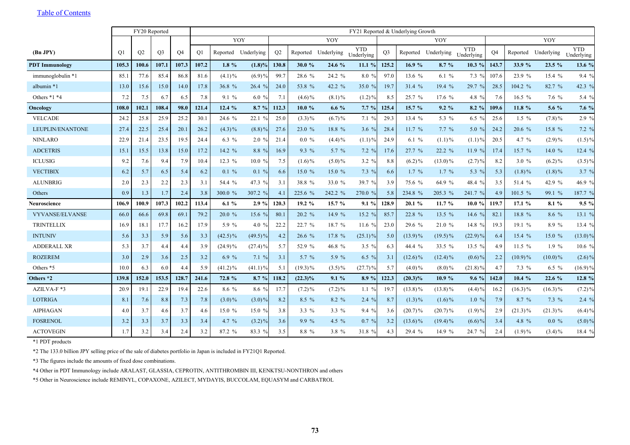|                       |                | FY20 Reported |                |           |       | FY21 Reported & Underlying Growth |                     |                |            |                     |                          |                |            |                     |                          |           |            |            |                          |
|-----------------------|----------------|---------------|----------------|-----------|-------|-----------------------------------|---------------------|----------------|------------|---------------------|--------------------------|----------------|------------|---------------------|--------------------------|-----------|------------|------------|--------------------------|
|                       |                |               |                |           |       | YOY                               |                     |                |            | YOY                 |                          |                |            | YOY                 |                          |           |            | YOY        |                          |
| (Bn JPY)              | O <sub>1</sub> | O2            | O <sub>3</sub> | <b>O4</b> | O1    |                                   | Reported Underlying | O <sub>2</sub> |            | Reported Underlying | <b>YTD</b><br>Underlying | O <sub>3</sub> |            | Reported Underlying | <b>YTD</b><br>Underlying | <b>O4</b> | Reported   | Underlying | <b>YTD</b><br>Underlying |
| <b>PDT</b> Immunology | 105.3          | 100.6         | 107.1          | 107.3     | 107.2 | $1.8\%$                           | $(1.8)\%$           | 130.8          | 30.0 $%$   | 24.6 %              | 11.1%                    | 125.2          | 16.9 %     | 8.7%                | 10.3 %                   | 143.7     | 33.9 %     | 23.5 %     | 13.6 %                   |
| immunoglobulin *1     | 85.1           | 77.6          | 85.4           | 86.8      | 81.6  | $(4.1)\%$                         | $(6.9)\%$           | 99.7           | 28.6 %     | 24.2 %              | 8.0%                     | 97.0           | 13.6 %     | 6.1 $%$             | $7.3\%$                  | 107.6     | 23.9 %     | 15.4%      | 9.4%                     |
| albumin *1            | 13.0           | 15.6          | 15.0           | 14.0      | 17.8  | 36.8 %                            | 26.4%               | 24.0           | 53.8 %     | 42.2 %              | 35.0 %                   | 19.7           | 31.4 %     | 19.4 %              | 29.7 %                   | 28.5      | 104.2 %    | 82.7 %     | 42.3 %                   |
| Others *1 *4          | 7.2            | 7.5           | 6.7            | 6.5       | 7.8   | 9.1%                              | 6.0 $%$             | 7.1            | $(4.6)\%$  | $(8.1)\%$           | $(1.2)\%$                | 8.5            | 25.7 %     | 17.6%               | 4.8 %                    | 7.6       | 16.5 $%$   | $7.6 \%$   | 5.4 $%$                  |
| Oncology              | 108.0          | 102.1         | 108.4          | 98.0      | 121.4 | 12.4 %                            | $8.7 \%$            | 112.3          | $10.0 \%$  | $6.6\%$             | 7.7%                     | 125.4          | 15.7 %     | 9.2%                | 8.2%                     | 109.6     | 11.8 %     | 5.6 %      | 7.6 %                    |
| <b>VELCADE</b>        | 24.2           | 25.8          | 25.9           | 25.2      | 30.1  | 24.6 %                            | 22.1 %              | 25.0           | $(3.3)\%$  | $(6.7) \%$          | 7.1%                     | 29.3           | 13.4 %     | 5.3 %               | 6.5 $%$                  | 25.6      | $1.5\%$    | $(7.8)\%$  | 2.9%                     |
| LEUPLIN/ENANTONE      | 27.4           | 22.5          | 25.4           | 20.1      | 26.2  | $(4.3)\%$                         | $(8.8)\%$           | 27.6           | 23.0%      | 18.8 %              | 3.6%                     | 28.4           | 11.7 %     | $7.7\%$             | $5.0\%$                  | 24.2      | 20.6 %     | 15.8 %     | $7.2 \%$                 |
| <b>NINLARO</b>        | 22.9           | 21.4          | 23.5           | 19.5      | 24.4  | $6.3 \%$                          | 2.0 %               | 21.4           | $0.0 \%$   | $(4.4)\%$           | $(1.1)\%$                | 24.9           | 6.1%       | $(1.1)\%$           | $(1.1)\%$                | 20.5      | 4.7 $%$    | $(2.9)\%$  | $(1.5)\%$                |
| <b>ADCETRIS</b>       | 15.1           | 15.5          | 13.8           | 15.0      | 17.2  | 14.2 %                            | $8.8\%$             | 16.9           | 9.3 %      | 5.7 $%$             | $7.2 \%$                 | 17.6           | 27.7 %     | 22.2 %              | 11.9 $%$                 | 17.4      | 15.7 %     | 14.0 %     | 12.4 %                   |
| <b>ICLUSIG</b>        | 9.2            | 7.6           | 9.4            | 7.9       | 10.4  | 12.3 %                            | 10.0%               | 7.5            | $(1.6)\%$  | $(5.0)\%$           | $3.2 \%$                 | 8.8            | $(6.2)\%$  | $(13.0)\%$          | $(2.7)\%$                | 8.2       | 3.0%       | $(6.2)\%$  | $(3.5)\%$                |
| <b>VECTIBIX</b>       | 6.2            | 5.7           | 6.5            | 5.4       | 6.2   | $0.1 \%$                          | $0.1 \%$            | 6.6            | 15.0%      | 15.0 %              | $7.3\%$                  | 6.6            | $1.7\%$    | $1.7\%$             | 5.3 %                    | 5.3       | $(1.8)\%$  | $(1.8)\%$  | $3.7 \%$                 |
| <b>ALUNBRIG</b>       | 2.0            | 2.3           | 2.2            | 2.3       | 3.1   | 54.4 %                            | 47.3 %              | 3.1            | 38.8 %     | 33.0 %              | 39.7 %                   | 3.9            | 75.6 %     | 64.9 %              | 48.4 %                   | 3.5       | 51.4 %     | 42.9 %     | 46.9 %                   |
| Others                | 0.9            | 1.3           | 1.7            | 2.4       | 3.8   | 300.0 %                           | 307.2 %             | 4.1            | 225.6 %    | 242.2 %             | 270.0 %                  | 5.8            | 234.8 %    | 205.3 %             | 241.7 %                  | 4.9       | 101.5 %    | 99.1 %     | 187.7 %                  |
| Neuroscience          | 106.9          | 100.9         | 107.3          | 102.2     | 113.4 | 6.1%                              | $2.9 \%$            | 120.3          | 19.2 %     | 15.7 %              | 9.1%                     | 128.9          | 20.1%      | 11.7%               | 10.0%                    | 119.7     | 17.1%      | 8.1 %      | 9.5%                     |
| VYVANSE/ELVANSE       | 66.0           | 66.6          | 69.8           | 69.1      | 79.2  | 20.0 %                            | 15.6 %              | 80.1           | 20.2 %     | 14.9 %              | 15.2 %                   | 85.7           | 22.8 %     | 13.5 %              | 14.6 %                   | 82.1      | 18.8 %     | 8.6 %      | 13.1%                    |
| <b>TRINTELLIX</b>     | 16.9           | 18.1          | 17.7           | 16.2      | 17.9  | 5.9 %                             | 4.0 $%$             | 22.2           | 22.7 %     | 18.7 %              | 11.6 $%$                 | 23.0           | 29.6 %     | 21.0%               | 14.8 %                   | 19.3      | 19.1 %     | 8.9 %      | 13.4 %                   |
| <b>INTUNIV</b>        | 5.6            | 3.3           | 5.9            | 5.6       | 3.3   | $(42.5)\%$                        | $(49.5)\%$          | 4.2            | 26.6 %     | 17.8 %              | $(25.1)\%$               | 5.0            | $(13.9)\%$ | $(19.5)\%$          | $(22.9)\%$               | 6.4       | 15.4 %     | 15.0 %     | $(13.0)\%$               |
| <b>ADDERALL XR</b>    | 5.3            | 3.7           | 4.4            | 4.4       | 3.9   | $(24.9)\%$                        | $(27.4)\%$          | 5.7            | 52.9 %     | 46.8 %              | $3.5\%$                  | 6.3            | 44.4 %     | 33.5 %              | 13.5 %                   | 4.9       | 11.5 $%$   | $1.9\%$    | 10.6%                    |
| <b>ROZEREM</b>        | 3.0            | 2.9           | 3.6            | 2.5       | 3.2   | 6.9 $%$                           | 7.1%                | 3.1            | 5.7 $%$    | 5.9 $%$             | $6.5 \%$                 | 3.1            | $(12.6)\%$ | $(12.4)\%$          | $(0.6)\%$                | 2.2       | $(10.9)\%$ | $(10.0)\%$ | $(2.6)\%$                |
| Others *5             | 10.0           | 6.3           | 6.0            | 4.4       | 5.9   | $(41.2)\%$                        | $(41.1)\%$          | 5.1            | $(19.3)\%$ | $(3.5)\%$           | $(27.7)\%$               | 5.7            | $(4.0)\%$  | $(8.0)\%$           | $(21.8)\%$               | 4.7       | $7.3\%$    | 6.5 $%$    | $(16.9)\%$               |
| Others *2             | 139.8          | 152.0         | 153.5          | 128.7     | 241.6 | 72.8 %                            | $8.7 \%$            | 118.2          | $(22.3)\%$ | 9.1%                | 8.9%                     | 122.3          | $(20.3)\%$ | 10.9%               | 9.6%                     | 142.0     | 10.4%      | 22.6 %     | 12.8 %                   |
| AZILVA-F*3            | 20.9           | 19.1          | 22.9           | 19.4      | 22.6  | 8.6 %                             | 8.6 %               | 17.7           | $(7.2)\%$  | $(7.2)\%$           | 1.1%                     | 19.7           | $(13.8)\%$ | $(13.8)\%$          | $(4.4)\%$                | 16.2      | $(16.3)\%$ | $(16.3)\%$ | $(7.2)$ %                |
| <b>LOTRIGA</b>        | 8.1            | 7.6           | 8.8            | 7.3       | 7.8   | $(3.0)\%$                         | $(3.0)\%$           | 8.2            | $8.5\%$    | 8.2%                | $2.4\%$                  | 8.7            | $(1.3)\%$  | $(1.6)\%$           | 1.0%                     | 7.9       | 8.7%       | $7.3\%$    | 2.4%                     |
| <b>AIPHAGAN</b>       | 4.0            | 3.7           | 4.6            | 3.7       | 4.6   | 15.0 %                            | 15.0%               | 3.8            | 3.3 $%$    | 3.3 %               | $9.4\%$                  | 3.6            | $(20.7)\%$ | $(20.7)\%$          | $(1.9)\%$                | 2.9       | $(21.3)\%$ | $(21.3)\%$ | $(6.4)\%$                |
| <b>FOSRENOL</b>       | 3.2            | 3.3           | 3.7            | 3.3       | 3.4   | 4.7 $%$                           | $(3.2)\%$           | 3.6            | $9.9\%$    | 4.5 $%$             | $0.7\%$                  | 3.2            | $(13.6)\%$ | $(19.4)\%$          | $(6.6)\%$                | 3.4       | 4.8 %      | $0.0 \%$   | $(5.0)\%$                |
| <b>ACTOVEGIN</b>      | 1.7            | 3.2           | 3.4            | 2.4       | 3.2   | 87.2 %                            | 83.3 %              | 3.5            | 8.8 %      | 3.8 $%$             | 31.8 %                   | 4.3            | 29.4 %     | 14.9 %              | 24.7 %                   | 2.4       | $(1.9)\%$  | $(3.4)\%$  | 18.4 %                   |

\*1 PDT products

\*2 The 133.0 billion JPY selling price of the sale of diabetes portfolio in Japan is included in FY21Q1 Reported.

\*3 The figures include the amounts of fixed dose combinations.

\*4 Other in PDT Immunology include ARALAST, GLASSIA, CEPROTIN, ANTITHROMBIN III, KENKTSU-NONTHRON and others

\*5 Other in Neuroscience include REMINYL, COPAXONE, AZILECT, MYDAYIS, BUCCOLAM, EQUASYM and CARBATROL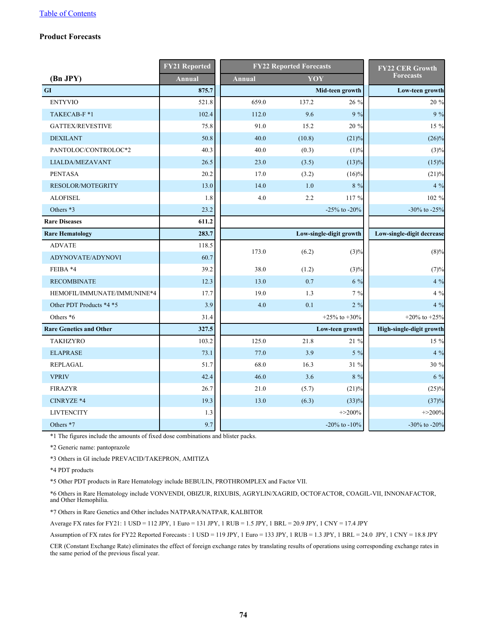## **Product Forecasts**

|                                | <b>FY21 Reported</b> |               | <b>FY22 Reported Forecasts</b> | <b>FY22 CER Growth</b>  |                           |  |
|--------------------------------|----------------------|---------------|--------------------------------|-------------------------|---------------------------|--|
| (Bn JPY)                       | <b>Annual</b>        | <b>Annual</b> | YOY                            |                         | <b>Forecasts</b>          |  |
| <b>GI</b>                      | 875.7                |               |                                | Mid-teen growth         | Low-teen growth           |  |
| <b>ENTYVIO</b>                 | 521.8                | 659.0         | 137.2                          | 26 %                    | 20 %                      |  |
| TAKECAB-F*1                    | 102.4                | 112.0         | 9.6                            | $9\%$                   | 9 %                       |  |
| <b>GATTEX/REVESTIVE</b>        | 75.8                 | 91.0          | 15.2                           | 20 %                    | 15 %                      |  |
| <b>DEXILANT</b>                | 50.8                 | 40.0          | (10.8)                         | (21)%                   | $(26)\%$                  |  |
| PANTOLOC/CONTROLOC*2           | 40.3                 | 40.0          | (0.3)                          | (1)%                    | $(3)\%$                   |  |
| LIALDA/MEZAVANT                | 26.5                 | 23.0          | (3.5)                          | (13)%                   | (15)%                     |  |
| <b>PENTASA</b>                 | 20.2                 | 17.0          | (3.2)                          | $(16)\%$                | (21)%                     |  |
| RESOLOR/MOTEGRITY              | 13.0                 | 14.0          | 1.0                            | $8 \ \%$                | $4\%$                     |  |
| <b>ALOFISEL</b>                | 1.8                  | $4.0\,$       | 2.2                            | 117 %                   | 102 %                     |  |
| Others *3                      | 23.2                 |               |                                | $-25\%$ to $-20\%$      | $-30\%$ to $-25\%$        |  |
| <b>Rare Diseases</b>           | 611.2                |               |                                |                         |                           |  |
| <b>Rare Hematology</b>         | 283.7                |               |                                | Low-single-digit growth | Low-single-digit decrease |  |
| <b>ADVATE</b>                  | 118.5                | 173.0         | (6.2)                          |                         |                           |  |
| ADYNOVATE/ADYNOVI              | 60.7                 |               |                                | (3)%                    | $(8)\%$                   |  |
| FEIBA *4                       | 39.2                 | 38.0          | (1.2)                          | (3)%                    | (7)%                      |  |
| <b>RECOMBINATE</b>             | 12.3                 | 13.0          | 0.7                            | 6 %                     | $4\%$                     |  |
| HEMOFIL/IMMUNATE/IMMUNINE*4    | 17.7                 | 19.0          | 1.3                            | $7\%$                   | $4\%$                     |  |
| Other PDT Products *4 *5       | 3.9                  | 4.0           | 0.1                            | $2\%$                   | $4\%$                     |  |
| Others *6                      | 31.4                 |               |                                | +25% to +30%            | +20% to +25%              |  |
| <b>Rare Genetics and Other</b> | 327.5                |               |                                | Low-teen growth         | High-single-digit growth  |  |
| <b>TAKHZYRO</b>                | 103.2                | 125.0         | 21.8                           | 21 %                    | 15 %                      |  |
| <b>ELAPRASE</b>                | 73.1                 | 77.0          | 3.9                            | $5\%$                   | 4 %                       |  |
| <b>REPLAGAL</b>                | 51.7                 | 68.0          | 16.3                           | 31 %                    | 30 %                      |  |
| <b>VPRIV</b>                   | 42.4                 | 46.0          | 3.6                            | $8\,$ %                 | $6\%$                     |  |
| <b>FIRAZYR</b>                 | 26.7                 | 21.0          | (5.7)                          | (21)%                   | (25)%                     |  |
| CINRYZE *4                     | 19.3                 | 13.0          | (6.3)                          | (33)%                   | (37)%                     |  |
| <b>LIVTENCITY</b>              | 1.3                  |               |                                | $+ > 200\%$             | $+ > 200\%$               |  |
| Others *7                      | 9.7                  |               |                                | -20% to -10%            | -30% to -20%              |  |

\*1 The figures include the amounts of fixed dose combinations and blister packs.

\*2 Generic name: pantoprazole

\*3 Others in GI include PREVACID/TAKEPRON, AMITIZA

\*4 PDT products

\*5 Other PDT products in Rare Hematology include BEBULIN, PROTHROMPLEX and Factor VII.

\*6 Others in Rare Hematology include VONVENDI, OBIZUR, RIXUBIS, AGRYLIN/XAGRID, OCTOFACTOR, COAGIL-VII, INNONAFACTOR, and Other Hemophilia.

\*7 Others in Rare Genetics and Other includes NATPARA/NATPAR, KALBITOR

Average FX rates for FY21: 1 USD = 112 JPY, 1 Euro = 131 JPY, 1 RUB = 1.5 JPY, 1 BRL = 20.9 JPY, 1 CNY = 17.4 JPY

Assumption of FX rates for FY22 Reported Forecasts : 1 USD = 119 JPY, 1 Euro = 133 JPY, 1 RUB = 1.3 JPY, 1 BRL = 24.0 JPY, 1 CNY = 18.8 JPY

CER (Constant Exchange Rate) eliminates the effect of foreign exchange rates by translating results of operations using corresponding exchange rates in the same period of the previous fiscal year.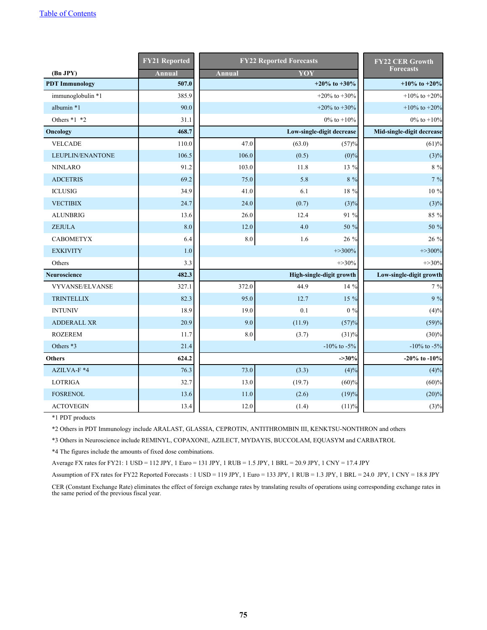|                        | <b>FY21 Reported</b> | <b>FY22 Reported Forecasts</b> | <b>FY22 CER Growth</b> |                           |                           |
|------------------------|----------------------|--------------------------------|------------------------|---------------------------|---------------------------|
| (Bn JPY)               | <b>Annual</b>        | <b>Annual</b>                  | YOY                    |                           | <b>Forecasts</b>          |
| <b>PDT</b> Immunology  | 507.0                |                                |                        | +20% to +30%              | +10% to +20%              |
| immunoglobulin *1      | 385.9                |                                |                        | +20% to +30%              | $+10\%$ to $+20\%$        |
| albumin *1             | 90.0                 |                                |                        | +20% to +30%              | +10% to +20%              |
| Others *1 *2           | 31.1                 |                                |                        | $0\%$ to $+10\%$          | 0% to $+10%$              |
| Oncology               | 468.7                |                                |                        | Low-single-digit decrease | Mid-single-digit decrease |
| <b>VELCADE</b>         | 110.0                | 47.0                           | (63.0)                 | (57)%                     | (61)%                     |
| LEUPLIN/ENANTONE       | 106.5                | 106.0                          | (0.5)                  | $(0)\%$                   | (3)%                      |
| <b>NINLARO</b>         | 91.2                 | 103.0                          | 11.8                   | 13 %                      | $8\%$                     |
| <b>ADCETRIS</b>        | 69.2                 | 75.0                           | 5.8                    | 8 %                       | $7\%$                     |
| <b>ICLUSIG</b>         | 34.9                 | 41.0                           | 6.1                    | 18 %                      | 10 %                      |
| <b>VECTIBIX</b>        | 24.7                 | 24.0                           | (0.7)                  | (3)%                      | (3)%                      |
| <b>ALUNBRIG</b>        | 13.6                 | 26.0                           | 12.4                   | 91 %                      | 85 %                      |
| <b>ZEJULA</b>          | 8.0                  | 12.0                           | 4.0                    | 50 %                      | 50 %                      |
| <b>CABOMETYX</b>       | 6.4                  | $8.0\,$                        | 1.6                    | 26 %                      | 26 %                      |
| <b>EXKIVITY</b>        | 1.0                  |                                |                        | $+ > 300\%$               | $+ > 300\%$               |
| Others                 | 3.3                  |                                |                        | $+ > 30\%$                | $+ > 30\%$                |
| <b>Neuroscience</b>    | 482.3                |                                |                        | High-single-digit growth  | Low-single-digit growth   |
| <b>VYVANSE/ELVANSE</b> | 327.1                | 372.0                          | 44.9                   | 14 %                      | 7 %                       |
| <b>TRINTELLIX</b>      | 82.3                 | 95.0                           | 12.7                   | 15 %                      | 9%                        |
| <b>INTUNIV</b>         | 18.9                 | 19.0                           | 0.1                    | $0\%$                     | (4)%                      |
| <b>ADDERALL XR</b>     | 20.9                 | 9.0                            | (11.9)                 | (57)%                     | (59)%                     |
| <b>ROZEREM</b>         | 11.7                 | $\ \, 8.0$                     | (3.7)                  | (31)%                     | (30)%                     |
| Others *3              | 21.4                 |                                |                        | $-10\%$ to $-5\%$         | $-10\%$ to $-5\%$         |
| <b>Others</b>          | 624.2                |                                |                        | $-30%$                    | -20% to -10%              |
| AZILVA-F *4            | 76.3                 | 73.0                           | (3.3)                  | (4)%                      | (4)%                      |
| <b>LOTRIGA</b>         | 32.7                 | 13.0                           | (19.7)                 | (60)%                     | (60)%                     |
| <b>FOSRENOL</b>        | 13.6                 | 11.0                           | (2.6)                  | (19)%                     | (20)%                     |
| <b>ACTOVEGIN</b>       | 13.4                 | 12.0                           | (1.4)                  | (11)%                     | (3)%                      |

\*1 PDT products

\*2 Others in PDT Immunology include ARALAST, GLASSIA, CEPROTIN, ANTITHROMBIN III, KENKTSU-NONTHRON and others

\*3 Others in Neuroscience include REMINYL, COPAXONE, AZILECT, MYDAYIS, BUCCOLAM, EQUASYM and CARBATROL

\*4 The figures include the amounts of fixed dose combinations.

Average FX rates for FY21: 1 USD = 112 JPY, 1 Euro = 131 JPY, 1 RUB = 1.5 JPY, 1 BRL = 20.9 JPY, 1 CNY = 17.4 JPY

Assumption of FX rates for FY22 Reported Forecasts : 1 USD = 119 JPY, 1 Euro = 133 JPY, 1 RUB = 1.3 JPY, 1 BRL = 24.0 JPY, 1 CNY = 18.8 JPY

CER (Constant Exchange Rate) eliminates the effect of foreign exchange rates by translating results of operations using corresponding exchange rates in the same period of the previous fiscal year.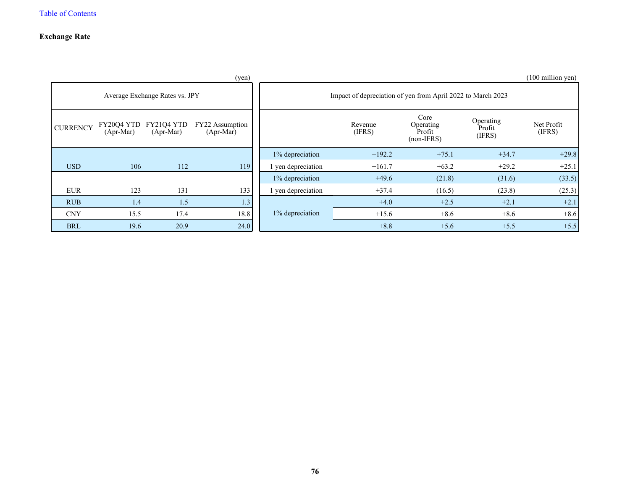## **Exchange Rate**

|                 |                                                    |                                | (yen)                          |                    |                                                             |                                           |                               | $(100 \text{ million yen})$ |
|-----------------|----------------------------------------------------|--------------------------------|--------------------------------|--------------------|-------------------------------------------------------------|-------------------------------------------|-------------------------------|-----------------------------|
|                 |                                                    | Average Exchange Rates vs. JPY |                                |                    | Impact of depreciation of yen from April 2022 to March 2023 |                                           |                               |                             |
| <b>CURRENCY</b> | FY20Q4 YTD<br>FY21Q4 YTD<br>(Apr-Mar)<br>(Apr-Mar) |                                | FY22 Assumption<br>$(Apr-Mar)$ |                    | Revenue<br>(IFRS)                                           | Core<br>Operating<br>Profit<br>$non-IFRS$ | Operating<br>Profit<br>(IFRS) | Net Profit<br>(IFRS)        |
|                 |                                                    |                                |                                | 1% depreciation    | $+192.2$                                                    | $+75.1$                                   | $+34.7$                       | $+29.8$                     |
| <b>USD</b>      | 106                                                | 112                            | 119                            | 1 yen depreciation | $+161.7$                                                    | $+63.2$                                   | $+29.2$                       | $+25.1$                     |
|                 |                                                    |                                |                                | 1% depreciation    | $+49.6$                                                     | (21.8)                                    | (31.6)                        | (33.5)                      |
| <b>EUR</b>      | 123                                                | 131                            | 133                            | 1 yen depreciation | $+37.4$                                                     | (16.5)                                    | (23.8)                        | (25.3)                      |
| <b>RUB</b>      | 1.4                                                | 1.5                            | 1.3                            |                    | $+4.0$                                                      | $+2.5$                                    | $+2.1$                        | $+2.1$                      |
| <b>CNY</b>      | 15.5                                               | 17.4                           | 18.8                           | 1% depreciation    | $+15.6$                                                     | $+8.6$                                    | $+8.6$                        | $+8.6$                      |
| <b>BRL</b>      | 19.6                                               | 20.9                           | 24.0                           |                    | $+8.8$                                                      | $+5.6$                                    | $+5.5$                        | $+5.5$                      |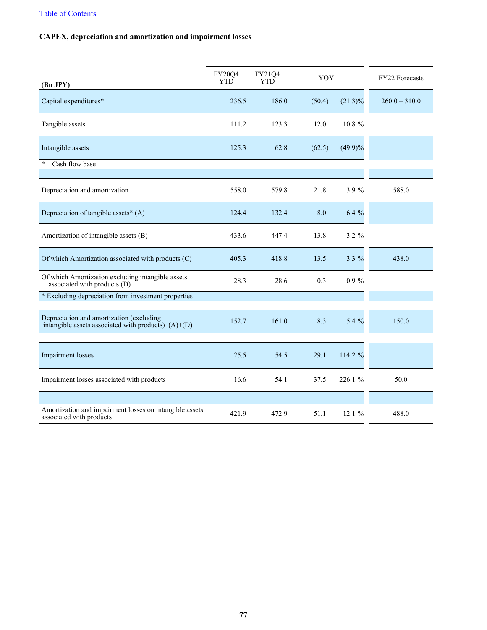# **CAPEX, depreciation and amortization and impairment losses**

| (Bn JPY)                                                                                          | <b>FY20Q4</b><br><b>YTD</b> | FY21Q4<br>YTD | YOY    |            | FY22 Forecasts  |
|---------------------------------------------------------------------------------------------------|-----------------------------|---------------|--------|------------|-----------------|
| Capital expenditures*                                                                             | 236.5                       | 186.0         | (50.4) | $(21.3)\%$ | $260.0 - 310.0$ |
| Tangible assets                                                                                   | 111.2                       | 123.3         | 12.0   | 10.8 %     |                 |
| Intangible assets                                                                                 | 125.3                       | 62.8          | (62.5) | $(49.9)\%$ |                 |
| Cash flow base<br>¥                                                                               |                             |               |        |            |                 |
| Depreciation and amortization                                                                     | 558.0                       | 579.8         | 21.8   | 3.9 %      | 588.0           |
| Depreciation of tangible assets* (A)                                                              | 124.4                       | 132.4         | 8.0    | $6.4\%$    |                 |
| Amortization of intangible assets (B)                                                             | 433.6                       | 447.4         | 13.8   | $3.2 \%$   |                 |
| Of which Amortization associated with products (C)                                                | 405.3                       | 418.8         | 13.5   | $3.3\%$    | 438.0           |
| Of which Amortization excluding intangible assets<br>associated with products (D)                 | 28.3                        | 28.6          | 0.3    | $0.9 \%$   |                 |
| * Excluding depreciation from investment properties                                               |                             |               |        |            |                 |
| Depreciation and amortization (excluding<br>intangible assets associated with products) $(A)+(D)$ | 152.7                       | 161.0         | 8.3    | 5.4 %      | 150.0           |
| <b>Impairment</b> losses                                                                          | 25.5                        | 54.5          | 29.1   | 114.2 %    |                 |
| Impairment losses associated with products                                                        | 16.6                        | 54.1          | 37.5   | 226.1 %    | 50.0            |
|                                                                                                   |                             |               |        |            |                 |
| Amortization and impairment losses on intangible assets<br>associated with products               | 421.9                       | 472.9         | 51.1   | 12.1%      | 488.0           |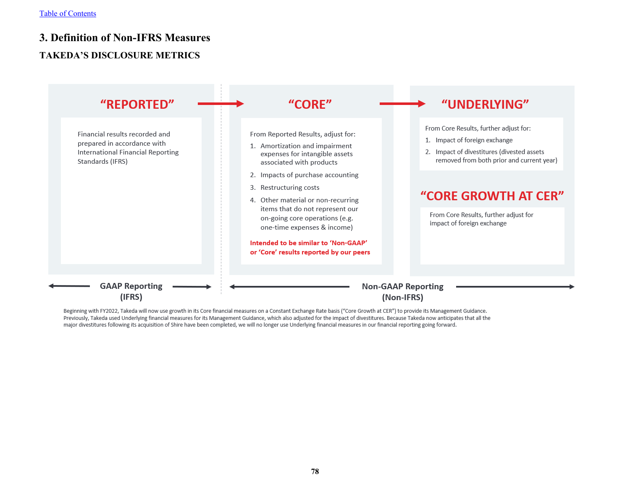# **3. Definition of Non-IFRS Measures TAKEDA'S DISCLOSURE METRICS**



Beginning with FY2022, Takeda will now use growth in its Core financial measures on a Constant Exchange Rate basis ("Core Growth at CER") to provide its Management Guidance. Previously, Takeda used Underlying financial measures for its Management Guidance, which also adjusted for the impact of divestitures. Because Takeda now anticipates that all the major divestitures following its acquisition of Shire have been completed, we will no longer use Underlying financial measures in our financial reporting going forward.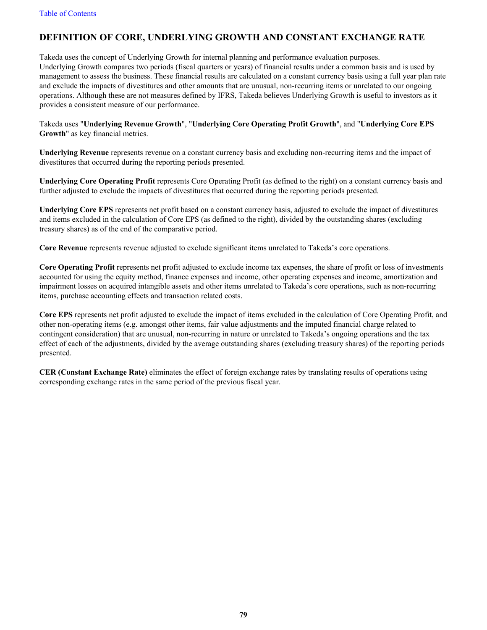## **DEFINITION OF CORE, UNDERLYING GROWTH AND CONSTANT EXCHANGE RATE**

Takeda uses the concept of Underlying Growth for internal planning and performance evaluation purposes. Underlying Growth compares two periods (fiscal quarters or years) of financial results under a common basis and is used by management to assess the business. These financial results are calculated on a constant currency basis using a full year plan rate and exclude the impacts of divestitures and other amounts that are unusual, non-recurring items or unrelated to our ongoing operations. Although these are not measures defined by IFRS, Takeda believes Underlying Growth is useful to investors as it provides a consistent measure of our performance.

Takeda uses "**Underlying Revenue Growth**", "**Underlying Core Operating Profit Growth**", and "**Underlying Core EPS Growth**" as key financial metrics.

**Underlying Revenue** represents revenue on a constant currency basis and excluding non-recurring items and the impact of divestitures that occurred during the reporting periods presented.

**Underlying Core Operating Profit** represents Core Operating Profit (as defined to the right) on a constant currency basis and further adjusted to exclude the impacts of divestitures that occurred during the reporting periods presented.

**Underlying Core EPS** represents net profit based on a constant currency basis, adjusted to exclude the impact of divestitures and items excluded in the calculation of Core EPS (as defined to the right), divided by the outstanding shares (excluding treasury shares) as of the end of the comparative period.

**Core Revenue** represents revenue adjusted to exclude significant items unrelated to Takeda's core operations.

**Core Operating Profit** represents net profit adjusted to exclude income tax expenses, the share of profit or loss of investments accounted for using the equity method, finance expenses and income, other operating expenses and income, amortization and impairment losses on acquired intangible assets and other items unrelated to Takeda's core operations, such as non-recurring items, purchase accounting effects and transaction related costs.

**Core EPS** represents net profit adjusted to exclude the impact of items excluded in the calculation of Core Operating Profit, and other non-operating items (e.g. amongst other items, fair value adjustments and the imputed financial charge related to contingent consideration) that are unusual, non-recurring in nature or unrelated to Takeda's ongoing operations and the tax effect of each of the adjustments, divided by the average outstanding shares (excluding treasury shares) of the reporting periods presented.

**CER (Constant Exchange Rate)** eliminates the effect of foreign exchange rates by translating results of operations using corresponding exchange rates in the same period of the previous fiscal year.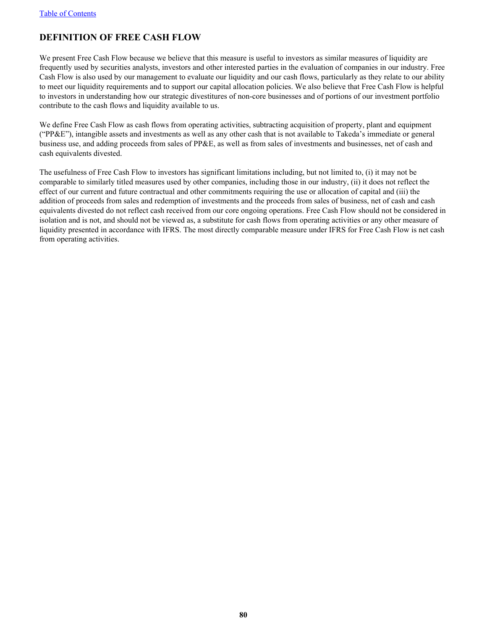# **DEFINITION OF FREE CASH FLOW**

We present Free Cash Flow because we believe that this measure is useful to investors as similar measures of liquidity are frequently used by securities analysts, investors and other interested parties in the evaluation of companies in our industry. Free Cash Flow is also used by our management to evaluate our liquidity and our cash flows, particularly as they relate to our ability to meet our liquidity requirements and to support our capital allocation policies. We also believe that Free Cash Flow is helpful to investors in understanding how our strategic divestitures of non-core businesses and of portions of our investment portfolio contribute to the cash flows and liquidity available to us.

We define Free Cash Flow as cash flows from operating activities, subtracting acquisition of property, plant and equipment ("PP&E"), intangible assets and investments as well as any other cash that is not available to Takeda's immediate or general business use, and adding proceeds from sales of PP&E, as well as from sales of investments and businesses, net of cash and cash equivalents divested.

The usefulness of Free Cash Flow to investors has significant limitations including, but not limited to, (i) it may not be comparable to similarly titled measures used by other companies, including those in our industry, (ii) it does not reflect the effect of our current and future contractual and other commitments requiring the use or allocation of capital and (iii) the addition of proceeds from sales and redemption of investments and the proceeds from sales of business, net of cash and cash equivalents divested do not reflect cash received from our core ongoing operations. Free Cash Flow should not be considered in isolation and is not, and should not be viewed as, a substitute for cash flows from operating activities or any other measure of liquidity presented in accordance with IFRS. The most directly comparable measure under IFRS for Free Cash Flow is net cash from operating activities.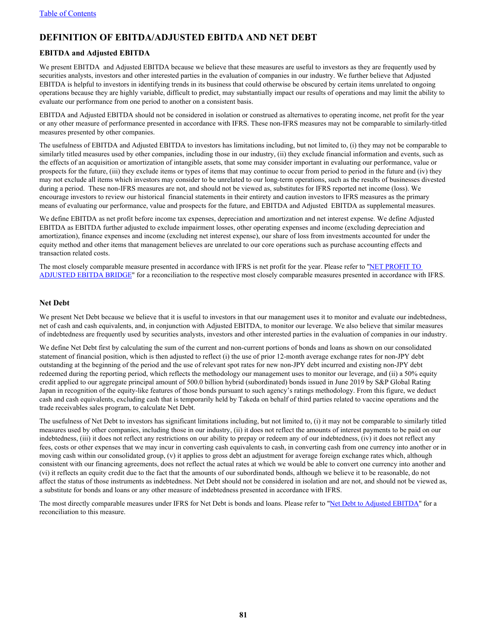## **DEFINITION OF EBITDA/ADJUSTED EBITDA AND NET DEBT**

### **EBITDA and Adjusted EBITDA**

We present EBITDA and Adjusted EBITDA because we believe that these measures are useful to investors as they are frequently used by securities analysts, investors and other interested parties in the evaluation of companies in our industry. We further believe that Adjusted EBITDA is helpful to investors in identifying trends in its business that could otherwise be obscured by certain items unrelated to ongoing operations because they are highly variable, difficult to predict, may substantially impact our results of operations and may limit the ability to evaluate our performance from one period to another on a consistent basis.

EBITDA and Adjusted EBITDA should not be considered in isolation or construed as alternatives to operating income, net profit for the year or any other measure of performance presented in accordance with IFRS. These non-IFRS measures may not be comparable to similarly-titled measures presented by other companies.

The usefulness of EBITDA and Adjusted EBITDA to investors has limitations including, but not limited to, (i) they may not be comparable to similarly titled measures used by other companies, including those in our industry, (ii) they exclude financial information and events, such as the effects of an acquisition or amortization of intangible assets, that some may consider important in evaluating our performance, value or prospects for the future, (iii) they exclude items or types of items that may continue to occur from period to period in the future and (iv) they may not exclude all items which investors may consider to be unrelated to our long-term operations, such as the results of businesses divested during a period. These non-IFRS measures are not, and should not be viewed as, substitutes for IFRS reported net income (loss). We encourage investors to review our historical financial statements in their entirety and caution investors to IFRS measures as the primary means of evaluating our performance, value and prospects for the future, and EBITDA and Adjusted EBITDA as supplemental measures.

We define EBITDA as net profit before income tax expenses, depreciation and amortization and net interest expense. We define Adjusted EBITDA as EBITDA further adjusted to exclude impairment losses, other operating expenses and income (excluding depreciation and amortization), finance expenses and income (excluding net interest expense), our share of loss from investments accounted for under the equity method and other items that management believes are unrelated to our core operations such as purchase accounting effects and transaction related costs.

The most closely comparable measure presented in accordance with IFRS is net profit for the year. Please refer to ["NET PROFIT TO](#page-86-0)  [ADJUSTED EBITDA BRIDGE"](#page-86-0) for a reconciliation to the respective most closely comparable measures presented in accordance with IFRS.

#### **Net Debt**

We present Net Debt because we believe that it is useful to investors in that our management uses it to monitor and evaluate our indebtedness, net of cash and cash equivalents, and, in conjunction with Adjusted EBITDA, to monitor our leverage. We also believe that similar measures of indebtedness are frequently used by securities analysts, investors and other interested parties in the evaluation of companies in our industry.

We define Net Debt first by calculating the sum of the current and non-current portions of bonds and loans as shown on our consolidated statement of financial position, which is then adjusted to reflect (i) the use of prior 12-month average exchange rates for non-JPY debt outstanding at the beginning of the period and the use of relevant spot rates for new non-JPY debt incurred and existing non-JPY debt redeemed during the reporting period, which reflects the methodology our management uses to monitor our leverage, and (ii) a 50% equity credit applied to our aggregate principal amount of 500.0 billion hybrid (subordinated) bonds issued in June 2019 by S&P Global Rating Japan in recognition of the equity-like features of those bonds pursuant to such agency's ratings methodology. From this figure, we deduct cash and cash equivalents, excluding cash that is temporarily held by Takeda on behalf of third parties related to vaccine operations and the trade receivables sales program, to calculate Net Debt.

The usefulness of Net Debt to investors has significant limitations including, but not limited to, (i) it may not be comparable to similarly titled measures used by other companies, including those in our industry, (ii) it does not reflect the amounts of interest payments to be paid on our indebtedness, (iii) it does not reflect any restrictions on our ability to prepay or redeem any of our indebtedness, (iv) it does not reflect any fees, costs or other expenses that we may incur in converting cash equivalents to cash, in converting cash from one currency into another or in moving cash within our consolidated group, (v) it applies to gross debt an adjustment for average foreign exchange rates which, although consistent with our financing agreements, does not reflect the actual rates at which we would be able to convert one currency into another and (vi) it reflects an equity credit due to the fact that the amounts of our subordinated bonds, although we believe it to be reasonable, do not affect the status of those instruments as indebtedness. Net Debt should not be considered in isolation and are not, and should not be viewed as, a substitute for bonds and loans or any other measure of indebtedness presented in accordance with IFRS.

The most directly comparable measures under IFRS for Net Debt is bonds and loans. Please refer to ["Net Debt to Adjusted EBITDA"](#page-87-0) for a reconciliation to this measure.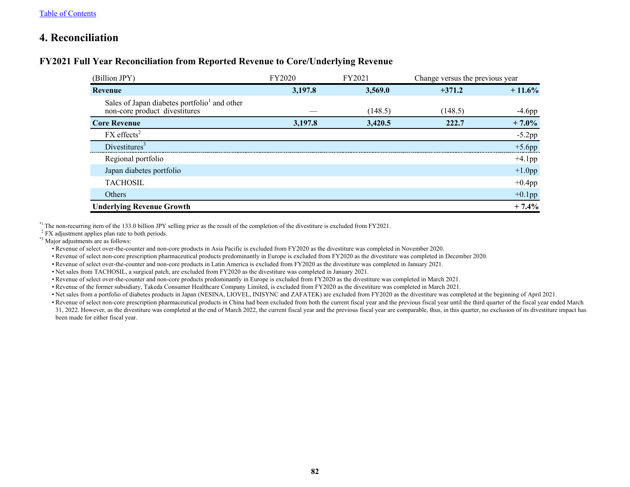# **4. Reconciliation**

## **FY2021 Full Year Reconciliation from Reported Revenue to Core/Underlying Revenue**

| (Billion JPY)                                                                             | FY2020  | FY2021  | Change versus the previous year |           |
|-------------------------------------------------------------------------------------------|---------|---------|---------------------------------|-----------|
| Revenue                                                                                   | 3,197.8 | 3,569.0 | $+371.2$                        | $+11.6%$  |
| Sales of Japan diabetes portfolio <sup>1</sup> and other<br>non-core product divestitures |         | (148.5) | (148.5)                         | $-4.6$ pp |
| <b>Core Revenue</b>                                                                       | 3,197.8 | 3,420.5 | 222.7                           | $+7.0\%$  |
| $FX$ effects <sup>2</sup>                                                                 |         |         |                                 | $-5.2$ pp |
| Divestitures <sup>3</sup>                                                                 |         |         |                                 | $+5.6$ pp |
| Regional portfolio                                                                        |         |         |                                 | $+4.1$ pp |
| Japan diabetes portfolio                                                                  |         |         |                                 | $+1.0$ pp |
| <b>TACHOSIL</b>                                                                           |         |         |                                 | $+0.4$ pp |
| Others                                                                                    |         |         |                                 | $+0.1$ pp |
| <b>Underlying Revenue Growth</b>                                                          |         |         |                                 | $+7.4%$   |

\*1 The non-recurring item of the 133.0 billion JPY selling price as the result of the completion of the divestiture is excluded from FY2021.

<sup>2</sup> FX adjustment applies plan rate to both periods.

\*3 Major adjustments are as follows:

• Revenue of select over-the-counter and non-core products in Asia Pacific is excluded from FY2020 as the divestiture was completed in November 2020.

• Revenue of select non-core prescription pharmaceutical products predominantly in Europe is excluded from FY2020 as the divestiture was completed in December 2020.

• Revenue of select over-the-counter and non-core products in Latin America is excluded from FY2020 as the divestiture was completed in January 2021.

• Net sales from TACHOSIL, a surgical patch, are excluded from FY2020 as the divestiture was completed in January 2021.

• Revenue of select over-the-counter and non-core products predominantly in Europe is excluded from FY2020 as the divestiture was completed in March 2021.

• Revenue of the former subsidiary, Takeda Consumer Healthcare Company Limited, is excluded from FY2020 as the divestiture was completed in March 2021.

• Net sales from a portfolio of diabetes products in Japan (NESINA, LIOVEL, INISYNC and ZAFATEK) are excluded from FY2020 as the divestiture was completed at the beginning of April 2021.

• Revenue of select non-core prescription pharmaceutical products in China had been excluded from both the current fiscal year and the previous fiscal year until the third quarter of the fiscal year ended March

31, 2022. However, as the divestiture was completed at the end of March 2022, the current fiscal year and the previous fiscal year are comparable, thus, in this quarter, no exclusion of its divestiture impact has been made for either fiscal year.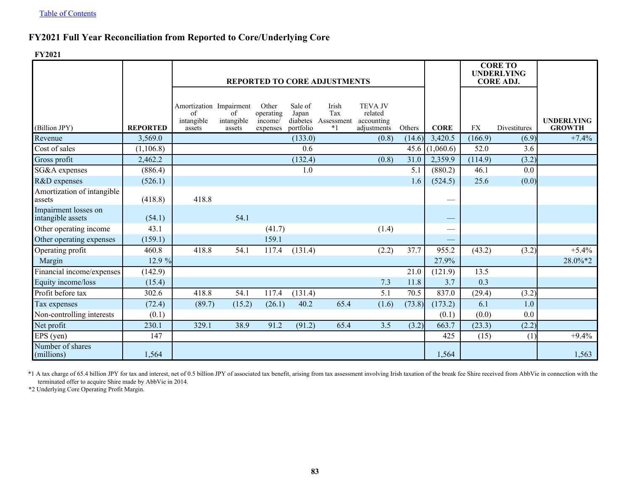# **FY2021 Full Year Reconciliation from Reported to Core/Underlying Core**

**FY2021**

|                                           |                 |                                                       | <b>REPORTED TO CORE ADJUSTMENTS</b> |                                           |                                           |                                       |                                                        |        |             | <b>CORE TO</b><br><b>UNDERLYING</b><br><b>CORE ADJ.</b> |              |                                    |
|-------------------------------------------|-----------------|-------------------------------------------------------|-------------------------------------|-------------------------------------------|-------------------------------------------|---------------------------------------|--------------------------------------------------------|--------|-------------|---------------------------------------------------------|--------------|------------------------------------|
| (Billion JPY)                             | <b>REPORTED</b> | Amortization Impairment<br>of<br>intangible<br>assets | $\sigma$ f<br>intangible<br>assets  | Other<br>operating<br>income/<br>expenses | Sale of<br>Japan<br>diabetes<br>portfolio | Irish<br>Tax<br>Assessment<br>$*_{1}$ | <b>TEVA JV</b><br>related<br>accounting<br>adjustments | Others | <b>CORE</b> | <b>FX</b>                                               | Divestitures | <b>UNDERLYING</b><br><b>GROWTH</b> |
| Revenue                                   | 3,569.0         |                                                       |                                     |                                           | (133.0)                                   |                                       | (0.8)                                                  | (14.6) | 3,420.5     | (166.9)                                                 | (6.9)        | $+7.4%$                            |
| Cost of sales                             | (1,106.8)       |                                                       |                                     |                                           | 0.6                                       |                                       |                                                        | 45.6   | (1,060.6)   | 52.0                                                    | 3.6          |                                    |
| Gross profit                              | 2,462.2         |                                                       |                                     |                                           | (132.4)                                   |                                       | (0.8)                                                  | 31.0   | 2,359.9     | (114.9)                                                 | (3.2)        |                                    |
| SG&A expenses                             | (886.4)         |                                                       |                                     |                                           | 1.0                                       |                                       |                                                        | 5.1    | (880.2)     | 46.1                                                    | 0.0          |                                    |
| R&D expenses                              | (526.1)         |                                                       |                                     |                                           |                                           |                                       |                                                        | 1.6    | (524.5)     | 25.6                                                    | (0.0)        |                                    |
| Amortization of intangible<br>assets      | (418.8)         | 418.8                                                 |                                     |                                           |                                           |                                       |                                                        |        |             |                                                         |              |                                    |
| Impairment losses on<br>intangible assets | (54.1)          |                                                       | 54.1                                |                                           |                                           |                                       |                                                        |        |             |                                                         |              |                                    |
| Other operating income                    | 43.1            |                                                       |                                     | (41.7)                                    |                                           |                                       | (1.4)                                                  |        |             |                                                         |              |                                    |
| Other operating expenses                  | (159.1)         |                                                       |                                     | 159.1                                     |                                           |                                       |                                                        |        |             |                                                         |              |                                    |
| Operating profit                          | 460.8           | 418.8                                                 | 54.1                                | 117.4                                     | (131.4)                                   |                                       | (2.2)                                                  | 37.7   | 955.2       | (43.2)                                                  | (3.2)        | $+5.4%$                            |
| Margin                                    | 12.9 %          |                                                       |                                     |                                           |                                           |                                       |                                                        |        | 27.9%       |                                                         |              | 28.0%*2                            |
| Financial income/expenses                 | (142.9)         |                                                       |                                     |                                           |                                           |                                       |                                                        | 21.0   | (121.9)     | 13.5                                                    |              |                                    |
| Equity income/loss                        | (15.4)          |                                                       |                                     |                                           |                                           |                                       | 7.3                                                    | 11.8   | 3.7         | 0.3                                                     |              |                                    |
| Profit before tax                         | 302.6           | 418.8                                                 | 54.1                                | 117.4                                     | (131.4)                                   |                                       | 5.1                                                    | 70.5   | 837.0       | (29.4)                                                  | (3.2)        |                                    |
| Tax expenses                              | (72.4)          | (89.7)                                                | (15.2)                              | (26.1)                                    | 40.2                                      | 65.4                                  | (1.6)                                                  | (73.8) | (173.2)     | 6.1                                                     | 1.0          |                                    |
| Non-controlling interests                 | (0.1)           |                                                       |                                     |                                           |                                           |                                       |                                                        |        | (0.1)       | (0.0)                                                   | 0.0          |                                    |
| Net profit                                | 230.1           | 329.1                                                 | 38.9                                | 91.2                                      | (91.2)                                    | 65.4                                  | 3.5                                                    | (3.2)  | 663.7       | (23.3)                                                  | (2.2)        |                                    |
| EPS (yen)                                 | 147             |                                                       |                                     |                                           |                                           |                                       |                                                        |        | 425         | (15)                                                    | (1)          | $+9.4%$                            |
| Number of shares<br>(millions)            | 1,564           |                                                       |                                     |                                           |                                           |                                       |                                                        |        | 1,564       |                                                         |              | 1,563                              |

\*1 A tax charge of 65.4 billion JPY for tax and interest, net of 0.5 billion JPY of associated tax benefit, arising from tax assessment involving Irish taxation of the break fee Shire received from AbbVie in connection wit terminated offer to acquire Shire made by AbbVie in 2014.

\*2 Underlying Core Operating Profit Margin.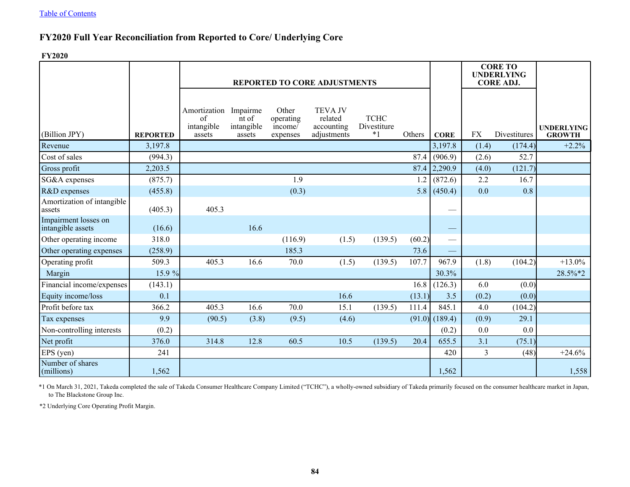# **FY2020 Full Year Reconciliation from Reported to Core/ Underlying Core**

**FY2020**

|                                           |                 |                                            |                                           |                                           | <b>REPORTED TO CORE ADJUSTMENTS</b>                    |                                    |        |                          | <b>CORE TO</b><br><b>UNDERLYING</b><br><b>CORE ADJ.</b> |              |                                    |
|-------------------------------------------|-----------------|--------------------------------------------|-------------------------------------------|-------------------------------------------|--------------------------------------------------------|------------------------------------|--------|--------------------------|---------------------------------------------------------|--------------|------------------------------------|
| (Billion JPY)                             | <b>REPORTED</b> | Amortization<br>of<br>intangible<br>assets | Impairme<br>nt of<br>intangible<br>assets | Other<br>operating<br>income/<br>expenses | <b>TEVA JV</b><br>related<br>accounting<br>adjustments | <b>TCHC</b><br>Divestiture<br>$*1$ | Others | <b>CORE</b>              | <b>FX</b>                                               | Divestitures | <b>UNDERLYING</b><br><b>GROWTH</b> |
| Revenue                                   | 3,197.8         |                                            |                                           |                                           |                                                        |                                    |        | 3,197.8                  | (1.4)                                                   | (174.4)      | $+2.2%$                            |
| Cost of sales                             | (994.3)         |                                            |                                           |                                           |                                                        |                                    | 87.4   | (906.9)                  | (2.6)                                                   | 52.7         |                                    |
| Gross profit                              | 2,203.5         |                                            |                                           |                                           |                                                        |                                    | 87.4   | 2,290.9                  | (4.0)                                                   | (121.7)      |                                    |
| SG&A expenses                             | (875.7)         |                                            |                                           | 1.9                                       |                                                        |                                    | 1.2    | (872.6)                  | 2.2                                                     | 16.7         |                                    |
| R&D expenses                              | (455.8)         |                                            |                                           | (0.3)                                     |                                                        |                                    | 5.8    | (450.4)                  | 0.0                                                     | 0.8          |                                    |
| Amortization of intangible<br>assets      | (405.3)         | 405.3                                      |                                           |                                           |                                                        |                                    |        |                          |                                                         |              |                                    |
| Impairment losses on<br>intangible assets | (16.6)          |                                            | 16.6                                      |                                           |                                                        |                                    |        |                          |                                                         |              |                                    |
| Other operating income                    | 318.0           |                                            |                                           | (116.9)                                   | (1.5)                                                  | (139.5)                            | (60.2) | $\overline{\phantom{0}}$ |                                                         |              |                                    |
| Other operating expenses                  | (258.9)         |                                            |                                           | 185.3                                     |                                                        |                                    | 73.6   |                          |                                                         |              |                                    |
| Operating profit                          | 509.3           | 405.3                                      | 16.6                                      | 70.0                                      | (1.5)                                                  | (139.5)                            | 107.7  | 967.9                    | (1.8)                                                   | (104.2)      | $+13.0%$                           |
| Margin                                    | 15.9 %          |                                            |                                           |                                           |                                                        |                                    |        | 30.3%                    |                                                         |              | 28.5%*2                            |
| Financial income/expenses                 | (143.1)         |                                            |                                           |                                           |                                                        |                                    | 16.8   | (126.3)                  | 6.0                                                     | (0.0)        |                                    |
| Equity income/loss                        | 0.1             |                                            |                                           |                                           | 16.6                                                   |                                    | (13.1) | 3.5                      | (0.2)                                                   | (0.0)        |                                    |
| Profit before tax                         | 366.2           | 405.3                                      | 16.6                                      | 70.0                                      | 15.1                                                   | (139.5)                            | 111.4  | 845.1                    | 4.0                                                     | (104.2)      |                                    |
| Tax expenses                              | 9.9             | (90.5)                                     | (3.8)                                     | (9.5)                                     | (4.6)                                                  |                                    | (91.0) | (189.4)                  | (0.9)                                                   | 29.1         |                                    |
| Non-controlling interests                 | (0.2)           |                                            |                                           |                                           |                                                        |                                    |        | (0.2)                    | 0.0                                                     | 0.0          |                                    |
| Net profit                                | 376.0           | 314.8                                      | 12.8                                      | 60.5                                      | 10.5                                                   | (139.5)                            | 20.4   | 655.5                    | 3.1                                                     | (75.1)       |                                    |
| EPS (yen)                                 | 241             |                                            |                                           |                                           |                                                        |                                    |        | 420                      | 3                                                       | (48)         | $+24.6%$                           |
| Number of shares<br>$\text{ (millions)}$  | 1,562           |                                            |                                           |                                           |                                                        |                                    |        | 1,562                    |                                                         |              | 1,558                              |

\*1 On March 31, 2021, Takeda completed the sale of Takeda Consumer Healthcare Company Limited ("TCHC"), a wholly-owned subsidiary of Takeda primarily focused on the consumer healthcare market in Japan, to The Blackstone Group Inc.

\*2 Underlying Core Operating Profit Margin.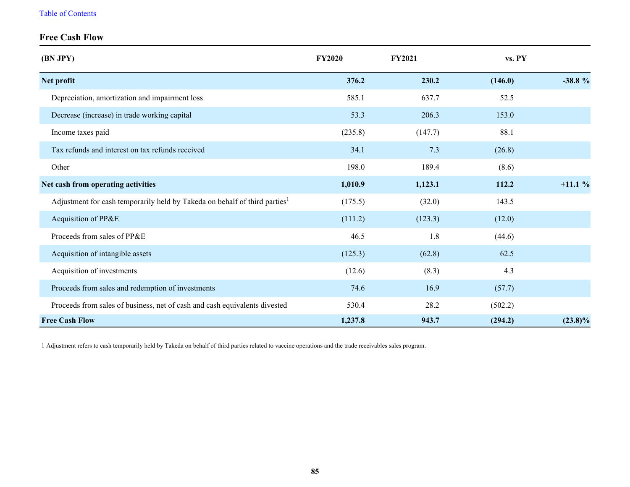## [Table of Contents](#page-1-0)

# **Free Cash Flow**

| (BN JPY)                                                                               | <b>FY2020</b> | <b>FY2021</b> | vs. PY  |            |
|----------------------------------------------------------------------------------------|---------------|---------------|---------|------------|
| Net profit                                                                             | 376.2         | 230.2         | (146.0) | $-38.8%$   |
| Depreciation, amortization and impairment loss                                         | 585.1         | 637.7         | 52.5    |            |
| Decrease (increase) in trade working capital                                           | 53.3          | 206.3         | 153.0   |            |
| Income taxes paid                                                                      | (235.8)       | (147.7)       | 88.1    |            |
| Tax refunds and interest on tax refunds received                                       | 34.1          | 7.3           | (26.8)  |            |
| Other                                                                                  | 198.0         | 189.4         | (8.6)   |            |
| Net cash from operating activities                                                     | 1,010.9       | 1,123.1       | 112.2   | $+11.1%$   |
| Adjustment for cash temporarily held by Takeda on behalf of third parties <sup>1</sup> | (175.5)       | (32.0)        | 143.5   |            |
| Acquisition of PP&E                                                                    | (111.2)       | (123.3)       | (12.0)  |            |
| Proceeds from sales of PP&E                                                            | 46.5          | 1.8           | (44.6)  |            |
| Acquisition of intangible assets                                                       | (125.3)       | (62.8)        | 62.5    |            |
| Acquisition of investments                                                             | (12.6)        | (8.3)         | 4.3     |            |
| Proceeds from sales and redemption of investments                                      | 74.6          | 16.9          | (57.7)  |            |
| Proceeds from sales of business, net of cash and cash equivalents divested             | 530.4         | 28.2          | (502.2) |            |
| <b>Free Cash Flow</b>                                                                  | 1,237.8       | 943.7         | (294.2) | $(23.8)\%$ |

1 Adjustment refers to cash temporarily held by Takeda on behalf of third parties related to vaccine operations and the trade receivables sales program.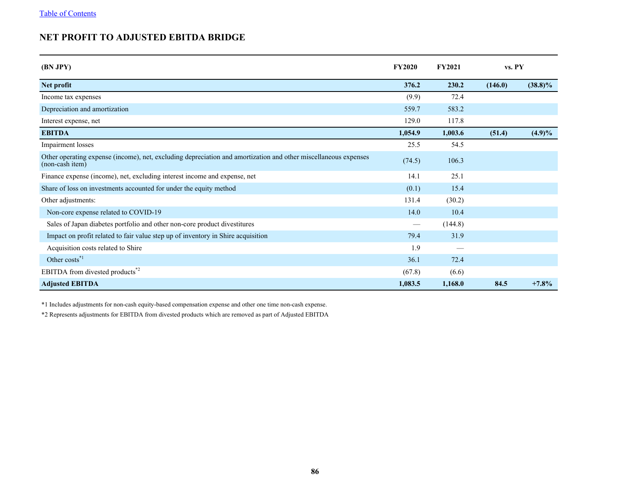# <span id="page-86-0"></span>**NET PROFIT TO ADJUSTED EBITDA BRIDGE**

| (BN JPY)                                                                                                                           | <b>FY2020</b> | <b>FY2021</b> | vs. PY  |            |
|------------------------------------------------------------------------------------------------------------------------------------|---------------|---------------|---------|------------|
| Net profit                                                                                                                         | 376.2         | 230.2         | (146.0) | $(38.8)\%$ |
| Income tax expenses                                                                                                                | (9.9)         | 72.4          |         |            |
| Depreciation and amortization                                                                                                      | 559.7         | 583.2         |         |            |
| Interest expense, net                                                                                                              | 129.0         | 117.8         |         |            |
| <b>EBITDA</b>                                                                                                                      | 1,054.9       | 1,003.6       | (51.4)  | $(4.9)\%$  |
| Impairment losses                                                                                                                  | 25.5          | 54.5          |         |            |
| Other operating expense (income), net, excluding depreciation and amortization and other miscellaneous expenses<br>(non-cash item) | (74.5)        | 106.3         |         |            |
| Finance expense (income), net, excluding interest income and expense, net                                                          | 14.1          | 25.1          |         |            |
| Share of loss on investments accounted for under the equity method                                                                 | (0.1)         | 15.4          |         |            |
| Other adjustments:                                                                                                                 | 131.4         | (30.2)        |         |            |
| Non-core expense related to COVID-19                                                                                               | 14.0          | 10.4          |         |            |
| Sales of Japan diabetes portfolio and other non-core product divestitures                                                          |               | (144.8)       |         |            |
| Impact on profit related to fair value step up of inventory in Shire acquisition                                                   | 79.4          | 31.9          |         |            |
| Acquisition costs related to Shire                                                                                                 | 1.9           |               |         |            |
| Other costs <sup>*1</sup>                                                                                                          | 36.1          | 72.4          |         |            |
| EBITDA from divested products <sup>*2</sup>                                                                                        | (67.8)        | (6.6)         |         |            |
| <b>Adjusted EBITDA</b>                                                                                                             | 1,083.5       | 1,168.0       | 84.5    | $+7.8%$    |

\*1 Includes adjustments for non-cash equity-based compensation expense and other one time non-cash expense.

\*2 Represents adjustments for EBITDA from divested products which are removed as part of Adjusted EBITDA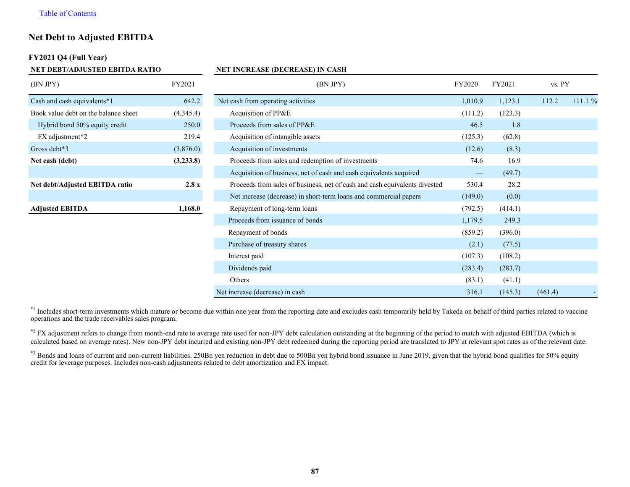## <span id="page-87-0"></span>**Net Debt to Adjusted EBITDA**

### **FY2021 Q4 (Full Year)**

| NET DEBT/ADJUSTED EBITDA RATIO       |           | <b>NET INCREASE (DECREASE) IN CASH</b>                                     |         |         |         |          |
|--------------------------------------|-----------|----------------------------------------------------------------------------|---------|---------|---------|----------|
| (BN JPY)                             | FY2021    | (BN JPY)                                                                   | FY2020  | FY2021  | vs. PY  |          |
| Cash and cash equivalents*1          | 642.2     | Net cash from operating activities                                         | 1,010.9 | 1,123.1 | 112.2   | $+11.1%$ |
| Book value debt on the balance sheet | (4,345.4) | Acquisition of PP&E                                                        | (111.2) | (123.3) |         |          |
| Hybrid bond 50% equity credit        | 250.0     | Proceeds from sales of PP&E                                                | 46.5    | 1.8     |         |          |
| FX adjustment*2                      | 219.4     | Acquisition of intangible assets                                           | (125.3) | (62.8)  |         |          |
| Gross debt*3                         | (3,876.0) | Acquisition of investments                                                 | (12.6)  | (8.3)   |         |          |
| Net cash (debt)                      | (3,233.8) | Proceeds from sales and redemption of investments                          | 74.6    | 16.9    |         |          |
|                                      |           | Acquisition of business, net of cash and cash equivalents acquired         |         | (49.7)  |         |          |
| Net debt/Adjusted EBITDA ratio       | 2.8 x     | Proceeds from sales of business, net of cash and cash equivalents divested | 530.4   | 28.2    |         |          |
|                                      |           | Net increase (decrease) in short-term loans and commercial papers          | (149.0) | (0.0)   |         |          |
| <b>Adjusted EBITDA</b>               | 1,168.0   | Repayment of long-term loans                                               | (792.5) | (414.1) |         |          |
|                                      |           | Proceeds from issuance of bonds                                            | 1,179.5 | 249.3   |         |          |
|                                      |           | Repayment of bonds                                                         | (859.2) | (396.0) |         |          |
|                                      |           | Purchase of treasury shares                                                | (2.1)   | (77.5)  |         |          |
|                                      |           | Interest paid                                                              | (107.3) | (108.2) |         |          |
|                                      |           | Dividends paid                                                             | (283.4) | (283.7) |         |          |
|                                      |           | Others                                                                     | (83.1)  | (41.1)  |         |          |
|                                      |           | Net increase (decrease) in cash                                            | 316.1   | (145.3) | (461.4) |          |

\*<sup>1</sup> Includes short-term investments which mature or become due within one year from the reporting date and excludes cash temporarily held by Takeda on behalf of third parties related to vaccine operations and the trade receivables sales program.

\*2 FX adjustment refers to change from month-end rate to average rate used for non-JPY debt calculation outstanding at the beginning of the period to match with adjusted EBITDA (which is calculated based on average rates). New non-JPY debt incurred and existing non-JPY debt redeemed during the reporting period are translated to JPY at relevant spot rates as of the relevant date.

\*3 Bonds and loans of current and non-current liabilities. 250Bn yen reduction in debt due to 500Bn yen hybrid bond issuance in June 2019, given that the hybrid bond qualifies for 50% equity credit for leverage purposes. Includes non-cash adjustments related to debt amortization and FX impact.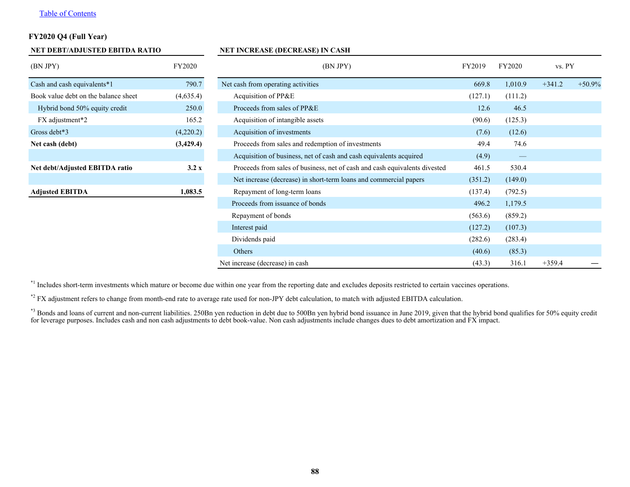## [Table of Contents](#page-1-0)

## **FY2020 Q4 (Full Year)**

| NET DEBT/ADJUSTED EBITDA RATIO       |               | <b>NET INCREASE (DECREASE) IN CASH</b>                                     |         |                   |          |          |  |  |  |
|--------------------------------------|---------------|----------------------------------------------------------------------------|---------|-------------------|----------|----------|--|--|--|
| (BN JPY)                             | <b>FY2020</b> | (BN JPY)                                                                   | FY2019  | FY2020            | vs. PY   |          |  |  |  |
| Cash and cash equivalents*1          | 790.7         | Net cash from operating activities                                         |         | 1,010.9           | $+341.2$ | $+50.9%$ |  |  |  |
| Book value debt on the balance sheet | (4,635.4)     | Acquisition of PP&E                                                        | (127.1) | (111.2)           |          |          |  |  |  |
| Hybrid bond 50% equity credit        | 250.0         | Proceeds from sales of PP&E                                                | 12.6    | 46.5              |          |          |  |  |  |
| FX adjustment*2                      | 165.2         | Acquisition of intangible assets                                           | (90.6)  | (125.3)           |          |          |  |  |  |
| Gross debt*3                         | (4,220.2)     | Acquisition of investments                                                 | (7.6)   | (12.6)            |          |          |  |  |  |
| Net cash (debt)                      | (3,429.4)     | Proceeds from sales and redemption of investments                          | 49.4    | 74.6              |          |          |  |  |  |
|                                      |               | Acquisition of business, net of cash and cash equivalents acquired         | (4.9)   | $\hspace{0.05cm}$ |          |          |  |  |  |
| Net debt/Adjusted EBITDA ratio       | 3.2 x         | Proceeds from sales of business, net of cash and cash equivalents divested | 461.5   | 530.4             |          |          |  |  |  |
|                                      |               | Net increase (decrease) in short-term loans and commercial papers          | (351.2) | (149.0)           |          |          |  |  |  |
| <b>Adjusted EBITDA</b>               | 1,083.5       | Repayment of long-term loans                                               | (137.4) | (792.5)           |          |          |  |  |  |
|                                      |               | Proceeds from issuance of bonds                                            | 496.2   | 1,179.5           |          |          |  |  |  |
|                                      |               | Repayment of bonds                                                         | (563.6) | (859.2)           |          |          |  |  |  |
|                                      |               | Interest paid                                                              | (127.2) | (107.3)           |          |          |  |  |  |
|                                      |               | Dividends paid                                                             | (282.6) | (283.4)           |          |          |  |  |  |
|                                      |               | Others                                                                     | (40.6)  | (85.3)            |          |          |  |  |  |
|                                      |               | Net increase (decrease) in cash                                            | (43.3)  | 316.1             | $+359.4$ |          |  |  |  |

\*<sup>1</sup> Includes short-term investments which mature or become due within one year from the reporting date and excludes deposits restricted to certain vaccines operations.

\*2 FX adjustment refers to change from month-end rate to average rate used for non-JPY debt calculation, to match with adjusted EBITDA calculation.

\*3 Bonds and loans of current and non-current liabilities. 250Bn yen reduction in debt due to 500Bn yen hybrid bond issuance in June 2019, given that the hybrid bond qualifies for 50% equity credit for leverage purposes. Includes cash and non cash adjustments to debt book-value. Non cash adjustments include changes dues to debt amortization and FX impact.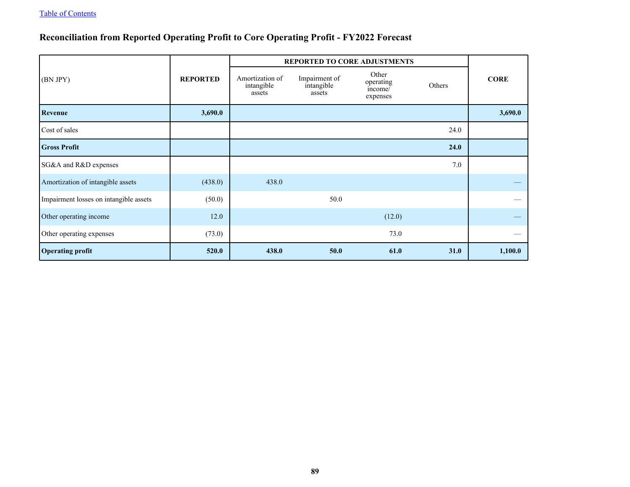# **Reconciliation from Reported Operating Profit to Core Operating Profit - FY2022 Forecast**

|                                        |                 | REPORTED TO CORE ADJUSTMENTS            |                                       |                                           |        |             |  |
|----------------------------------------|-----------------|-----------------------------------------|---------------------------------------|-------------------------------------------|--------|-------------|--|
| (BN JPY)                               | <b>REPORTED</b> | Amortization of<br>intangible<br>assets | Impairment of<br>intangible<br>assets | Other<br>operating<br>income/<br>expenses | Others | <b>CORE</b> |  |
| Revenue                                | 3,690.0         |                                         |                                       |                                           |        | 3,690.0     |  |
| Cost of sales                          |                 |                                         |                                       |                                           | 24.0   |             |  |
| <b>Gross Profit</b>                    |                 |                                         |                                       |                                           | 24.0   |             |  |
| SG&A and R&D expenses                  |                 |                                         |                                       |                                           | 7.0    |             |  |
| Amortization of intangible assets      | (438.0)         | 438.0                                   |                                       |                                           |        |             |  |
| Impairment losses on intangible assets | (50.0)          |                                         | 50.0                                  |                                           |        |             |  |
| Other operating income                 | 12.0            |                                         |                                       | (12.0)                                    |        |             |  |
| Other operating expenses               | (73.0)          |                                         |                                       | 73.0                                      |        |             |  |
| <b>Operating profit</b>                | 520.0           | 438.0                                   | 50.0                                  | 61.0                                      | 31.0   | 1,100.0     |  |